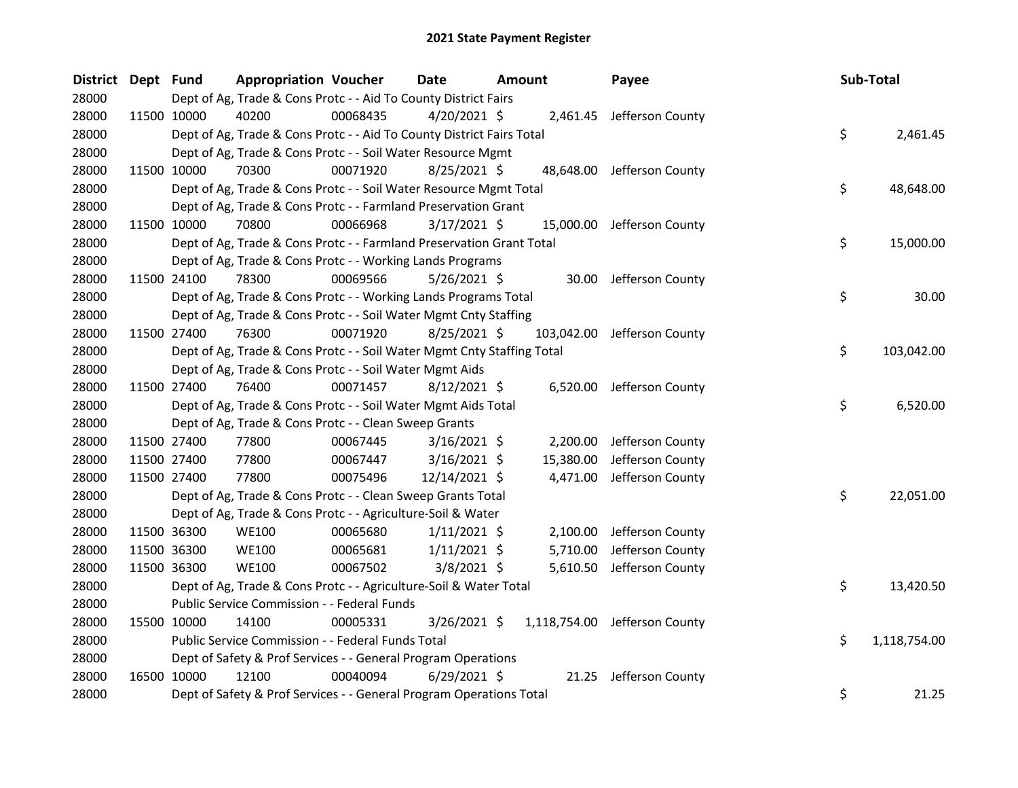| District Dept Fund |             | <b>Appropriation Voucher</b>                                           |          | <b>Date</b>    | <b>Amount</b> |            | Payee                         | Sub-Total |              |
|--------------------|-------------|------------------------------------------------------------------------|----------|----------------|---------------|------------|-------------------------------|-----------|--------------|
| 28000              |             | Dept of Ag, Trade & Cons Protc - - Aid To County District Fairs        |          |                |               |            |                               |           |              |
| 28000              | 11500 10000 | 40200                                                                  | 00068435 | $4/20/2021$ \$ |               |            | 2,461.45 Jefferson County     |           |              |
| 28000              |             | Dept of Ag, Trade & Cons Protc - - Aid To County District Fairs Total  |          |                |               |            |                               | \$        | 2,461.45     |
| 28000              |             | Dept of Ag, Trade & Cons Protc - - Soil Water Resource Mgmt            |          |                |               |            |                               |           |              |
| 28000              | 11500 10000 | 70300                                                                  | 00071920 | $8/25/2021$ \$ |               |            | 48,648.00 Jefferson County    |           |              |
| 28000              |             | Dept of Ag, Trade & Cons Protc - - Soil Water Resource Mgmt Total      |          |                |               |            |                               | \$        | 48,648.00    |
| 28000              |             | Dept of Ag, Trade & Cons Protc - - Farmland Preservation Grant         |          |                |               |            |                               |           |              |
| 28000              | 11500 10000 | 70800                                                                  | 00066968 | $3/17/2021$ \$ |               |            | 15,000.00 Jefferson County    |           |              |
| 28000              |             | Dept of Ag, Trade & Cons Protc - - Farmland Preservation Grant Total   |          |                |               |            |                               | \$        | 15,000.00    |
| 28000              |             | Dept of Ag, Trade & Cons Protc - - Working Lands Programs              |          |                |               |            |                               |           |              |
| 28000              | 11500 24100 | 78300                                                                  | 00069566 | $5/26/2021$ \$ |               |            | 30.00 Jefferson County        |           |              |
| 28000              |             | Dept of Ag, Trade & Cons Protc - - Working Lands Programs Total        |          |                |               |            |                               | \$        | 30.00        |
| 28000              |             | Dept of Ag, Trade & Cons Protc - - Soil Water Mgmt Cnty Staffing       |          |                |               |            |                               |           |              |
| 28000              | 11500 27400 | 76300                                                                  | 00071920 | $8/25/2021$ \$ |               | 103,042.00 | Jefferson County              |           |              |
| 28000              |             | Dept of Ag, Trade & Cons Protc - - Soil Water Mgmt Cnty Staffing Total |          |                |               |            |                               | \$        | 103,042.00   |
| 28000              |             | Dept of Ag, Trade & Cons Protc - - Soil Water Mgmt Aids                |          |                |               |            |                               |           |              |
| 28000              | 11500 27400 | 76400                                                                  | 00071457 | $8/12/2021$ \$ |               |            | 6,520.00 Jefferson County     |           |              |
| 28000              |             | Dept of Ag, Trade & Cons Protc - - Soil Water Mgmt Aids Total          |          |                |               |            |                               | \$        | 6,520.00     |
| 28000              |             | Dept of Ag, Trade & Cons Protc - - Clean Sweep Grants                  |          |                |               |            |                               |           |              |
| 28000              | 11500 27400 | 77800                                                                  | 00067445 | $3/16/2021$ \$ |               |            | 2,200.00 Jefferson County     |           |              |
| 28000              | 11500 27400 | 77800                                                                  | 00067447 | $3/16/2021$ \$ |               | 15,380.00  | Jefferson County              |           |              |
| 28000              | 11500 27400 | 77800                                                                  | 00075496 | 12/14/2021 \$  |               | 4,471.00   | Jefferson County              |           |              |
| 28000              |             | Dept of Ag, Trade & Cons Protc - - Clean Sweep Grants Total            |          |                |               |            |                               | \$        | 22,051.00    |
| 28000              |             | Dept of Ag, Trade & Cons Protc - - Agriculture-Soil & Water            |          |                |               |            |                               |           |              |
| 28000              | 11500 36300 | <b>WE100</b>                                                           | 00065680 | $1/11/2021$ \$ |               | 2,100.00   | Jefferson County              |           |              |
| 28000              | 11500 36300 | <b>WE100</b>                                                           | 00065681 | $1/11/2021$ \$ |               | 5,710.00   | Jefferson County              |           |              |
| 28000              | 11500 36300 | <b>WE100</b>                                                           | 00067502 | $3/8/2021$ \$  |               |            | 5,610.50 Jefferson County     |           |              |
| 28000              |             | Dept of Ag, Trade & Cons Protc - - Agriculture-Soil & Water Total      |          |                |               |            |                               | \$        | 13,420.50    |
| 28000              |             | Public Service Commission - - Federal Funds                            |          |                |               |            |                               |           |              |
| 28000              | 15500 10000 | 14100                                                                  | 00005331 | 3/26/2021 \$   |               |            | 1,118,754.00 Jefferson County |           |              |
| 28000              |             | Public Service Commission - - Federal Funds Total                      |          |                |               |            |                               | \$        | 1,118,754.00 |
| 28000              |             | Dept of Safety & Prof Services - - General Program Operations          |          |                |               |            |                               |           |              |
| 28000              | 16500 10000 | 12100                                                                  | 00040094 | $6/29/2021$ \$ |               | 21.25      | Jefferson County              |           |              |
| 28000              |             | Dept of Safety & Prof Services - - General Program Operations Total    |          |                |               |            |                               | \$        | 21.25        |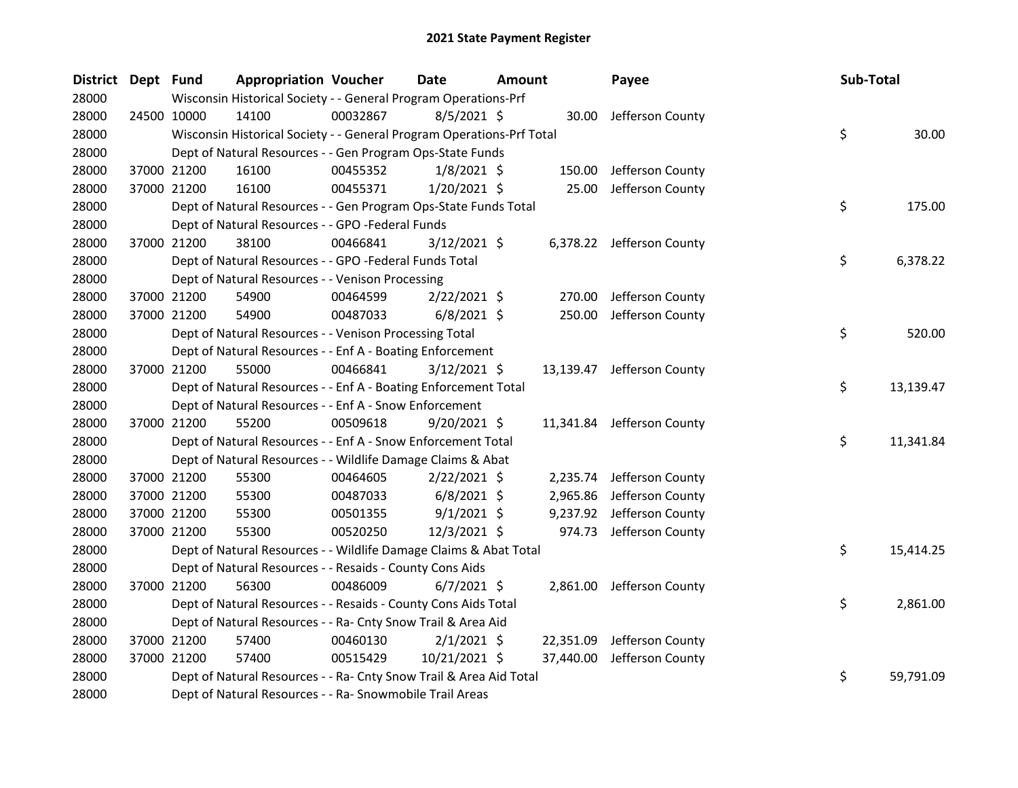| District Dept Fund |             | <b>Appropriation Voucher</b>                                          |          | <b>Date</b>    | Amount |           | Payee                      | Sub-Total |           |
|--------------------|-------------|-----------------------------------------------------------------------|----------|----------------|--------|-----------|----------------------------|-----------|-----------|
| 28000              |             | Wisconsin Historical Society - - General Program Operations-Prf       |          |                |        |           |                            |           |           |
| 28000              | 24500 10000 | 14100                                                                 | 00032867 | $8/5/2021$ \$  |        | 30.00     | Jefferson County           |           |           |
| 28000              |             | Wisconsin Historical Society - - General Program Operations-Prf Total |          |                |        |           |                            | \$        | 30.00     |
| 28000              |             | Dept of Natural Resources - - Gen Program Ops-State Funds             |          |                |        |           |                            |           |           |
| 28000              | 37000 21200 | 16100                                                                 | 00455352 | $1/8/2021$ \$  |        | 150.00    | Jefferson County           |           |           |
| 28000              | 37000 21200 | 16100                                                                 | 00455371 | $1/20/2021$ \$ |        | 25.00     | Jefferson County           |           |           |
| 28000              |             | Dept of Natural Resources - - Gen Program Ops-State Funds Total       |          |                |        |           |                            | \$        | 175.00    |
| 28000              |             | Dept of Natural Resources - - GPO -Federal Funds                      |          |                |        |           |                            |           |           |
| 28000              | 37000 21200 | 38100                                                                 | 00466841 | $3/12/2021$ \$ |        |           | 6,378.22 Jefferson County  |           |           |
| 28000              |             | Dept of Natural Resources - - GPO -Federal Funds Total                |          |                |        |           |                            | \$        | 6,378.22  |
| 28000              |             | Dept of Natural Resources - - Venison Processing                      |          |                |        |           |                            |           |           |
| 28000              | 37000 21200 | 54900                                                                 | 00464599 | $2/22/2021$ \$ |        | 270.00    | Jefferson County           |           |           |
| 28000              | 37000 21200 | 54900                                                                 | 00487033 | $6/8/2021$ \$  |        | 250.00    | Jefferson County           |           |           |
| 28000              |             | Dept of Natural Resources - - Venison Processing Total                |          |                |        |           |                            | \$        | 520.00    |
| 28000              |             | Dept of Natural Resources - - Enf A - Boating Enforcement             |          |                |        |           |                            |           |           |
| 28000              | 37000 21200 | 55000                                                                 | 00466841 | $3/12/2021$ \$ |        |           | 13,139.47 Jefferson County |           |           |
| 28000              |             | Dept of Natural Resources - - Enf A - Boating Enforcement Total       |          |                |        |           |                            | \$        | 13,139.47 |
| 28000              |             | Dept of Natural Resources - - Enf A - Snow Enforcement                |          |                |        |           |                            |           |           |
| 28000              | 37000 21200 | 55200                                                                 | 00509618 | $9/20/2021$ \$ |        |           | 11,341.84 Jefferson County |           |           |
| 28000              |             | Dept of Natural Resources - - Enf A - Snow Enforcement Total          |          |                |        |           |                            | \$        | 11,341.84 |
| 28000              |             | Dept of Natural Resources - - Wildlife Damage Claims & Abat           |          |                |        |           |                            |           |           |
| 28000              | 37000 21200 | 55300                                                                 | 00464605 | $2/22/2021$ \$ |        | 2,235.74  | Jefferson County           |           |           |
| 28000              | 37000 21200 | 55300                                                                 | 00487033 | $6/8/2021$ \$  |        | 2,965.86  | Jefferson County           |           |           |
| 28000              | 37000 21200 | 55300                                                                 | 00501355 | $9/1/2021$ \$  |        | 9,237.92  | Jefferson County           |           |           |
| 28000              | 37000 21200 | 55300                                                                 | 00520250 | 12/3/2021 \$   |        |           | 974.73 Jefferson County    |           |           |
| 28000              |             | Dept of Natural Resources - - Wildlife Damage Claims & Abat Total     |          |                |        |           |                            | \$        | 15,414.25 |
| 28000              |             | Dept of Natural Resources - - Resaids - County Cons Aids              |          |                |        |           |                            |           |           |
| 28000              | 37000 21200 | 56300                                                                 | 00486009 | $6/7/2021$ \$  |        | 2,861.00  | Jefferson County           |           |           |
| 28000              |             | Dept of Natural Resources - - Resaids - County Cons Aids Total        |          |                |        |           |                            | \$        | 2,861.00  |
| 28000              |             | Dept of Natural Resources - - Ra- Cnty Snow Trail & Area Aid          |          |                |        |           |                            |           |           |
| 28000              | 37000 21200 | 57400                                                                 | 00460130 | $2/1/2021$ \$  |        | 22,351.09 | Jefferson County           |           |           |
| 28000              | 37000 21200 | 57400                                                                 | 00515429 | 10/21/2021 \$  |        | 37,440.00 | Jefferson County           |           |           |
| 28000              |             | Dept of Natural Resources - - Ra- Cnty Snow Trail & Area Aid Total    |          |                |        |           |                            | \$        | 59,791.09 |
| 28000              |             | Dept of Natural Resources - - Ra- Snowmobile Trail Areas              |          |                |        |           |                            |           |           |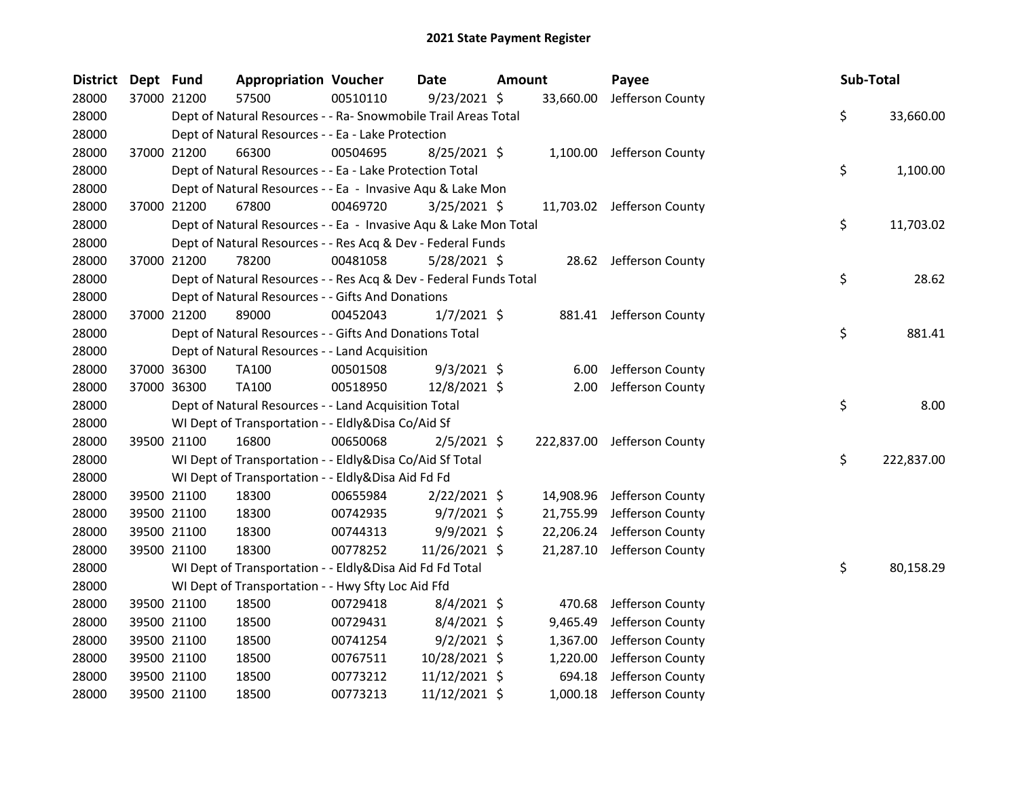| District Dept Fund |             | <b>Appropriation Voucher</b>                                      |          | Date           | <b>Amount</b> |           | Payee                       | Sub-Total |            |
|--------------------|-------------|-------------------------------------------------------------------|----------|----------------|---------------|-----------|-----------------------------|-----------|------------|
| 28000              | 37000 21200 | 57500                                                             | 00510110 | $9/23/2021$ \$ |               | 33,660.00 | Jefferson County            |           |            |
| 28000              |             | Dept of Natural Resources - - Ra- Snowmobile Trail Areas Total    |          |                |               |           |                             | \$        | 33,660.00  |
| 28000              |             | Dept of Natural Resources - - Ea - Lake Protection                |          |                |               |           |                             |           |            |
| 28000              | 37000 21200 | 66300                                                             | 00504695 | $8/25/2021$ \$ |               |           | 1,100.00 Jefferson County   |           |            |
| 28000              |             | Dept of Natural Resources - - Ea - Lake Protection Total          |          |                |               |           |                             | \$        | 1,100.00   |
| 28000              |             | Dept of Natural Resources - - Ea - Invasive Aqu & Lake Mon        |          |                |               |           |                             |           |            |
| 28000              | 37000 21200 | 67800                                                             | 00469720 | 3/25/2021 \$   |               |           | 11,703.02 Jefferson County  |           |            |
| 28000              |             | Dept of Natural Resources - - Ea - Invasive Aqu & Lake Mon Total  |          |                |               |           |                             | \$        | 11,703.02  |
| 28000              |             | Dept of Natural Resources - - Res Acq & Dev - Federal Funds       |          |                |               |           |                             |           |            |
| 28000              | 37000 21200 | 78200                                                             | 00481058 | 5/28/2021 \$   |               |           | 28.62 Jefferson County      |           |            |
| 28000              |             | Dept of Natural Resources - - Res Acq & Dev - Federal Funds Total |          |                |               |           |                             | \$        | 28.62      |
| 28000              |             | Dept of Natural Resources - - Gifts And Donations                 |          |                |               |           |                             |           |            |
| 28000              | 37000 21200 | 89000                                                             | 00452043 | $1/7/2021$ \$  |               |           | 881.41 Jefferson County     |           |            |
| 28000              |             | Dept of Natural Resources - - Gifts And Donations Total           |          |                |               |           |                             | \$        | 881.41     |
| 28000              |             | Dept of Natural Resources - - Land Acquisition                    |          |                |               |           |                             |           |            |
| 28000              | 37000 36300 | TA100                                                             | 00501508 | $9/3/2021$ \$  |               | 6.00      | Jefferson County            |           |            |
| 28000              | 37000 36300 | TA100                                                             | 00518950 | 12/8/2021 \$   |               | 2.00      | Jefferson County            |           |            |
| 28000              |             | Dept of Natural Resources - - Land Acquisition Total              |          |                |               |           |                             | \$        | 8.00       |
| 28000              |             | WI Dept of Transportation - - Eldly&Disa Co/Aid Sf                |          |                |               |           |                             |           |            |
| 28000              | 39500 21100 | 16800                                                             | 00650068 | $2/5/2021$ \$  |               |           | 222,837.00 Jefferson County |           |            |
| 28000              |             | WI Dept of Transportation - - Eldly&Disa Co/Aid Sf Total          |          |                |               |           |                             | \$        | 222,837.00 |
| 28000              |             | WI Dept of Transportation - - Eldly&Disa Aid Fd Fd                |          |                |               |           |                             |           |            |
| 28000              | 39500 21100 | 18300                                                             | 00655984 | $2/22/2021$ \$ |               | 14,908.96 | Jefferson County            |           |            |
| 28000              | 39500 21100 | 18300                                                             | 00742935 | $9/7/2021$ \$  |               | 21,755.99 | Jefferson County            |           |            |
| 28000              | 39500 21100 | 18300                                                             | 00744313 | 9/9/2021 \$    |               | 22,206.24 | Jefferson County            |           |            |
| 28000              | 39500 21100 | 18300                                                             | 00778252 | 11/26/2021 \$  |               | 21,287.10 | Jefferson County            |           |            |
| 28000              |             | WI Dept of Transportation - - Eldly&Disa Aid Fd Fd Total          |          |                |               |           |                             | \$        | 80,158.29  |
| 28000              |             | WI Dept of Transportation - - Hwy Sfty Loc Aid Ffd                |          |                |               |           |                             |           |            |
| 28000              | 39500 21100 | 18500                                                             | 00729418 | $8/4/2021$ \$  |               | 470.68    | Jefferson County            |           |            |
| 28000              | 39500 21100 | 18500                                                             | 00729431 | $8/4/2021$ \$  |               | 9,465.49  | Jefferson County            |           |            |
| 28000              | 39500 21100 | 18500                                                             | 00741254 | $9/2/2021$ \$  |               | 1,367.00  | Jefferson County            |           |            |
| 28000              | 39500 21100 | 18500                                                             | 00767511 | 10/28/2021 \$  |               | 1,220.00  | Jefferson County            |           |            |
| 28000              | 39500 21100 | 18500                                                             | 00773212 | 11/12/2021 \$  |               | 694.18    | Jefferson County            |           |            |
| 28000              | 39500 21100 | 18500                                                             | 00773213 | 11/12/2021 \$  |               | 1,000.18  | Jefferson County            |           |            |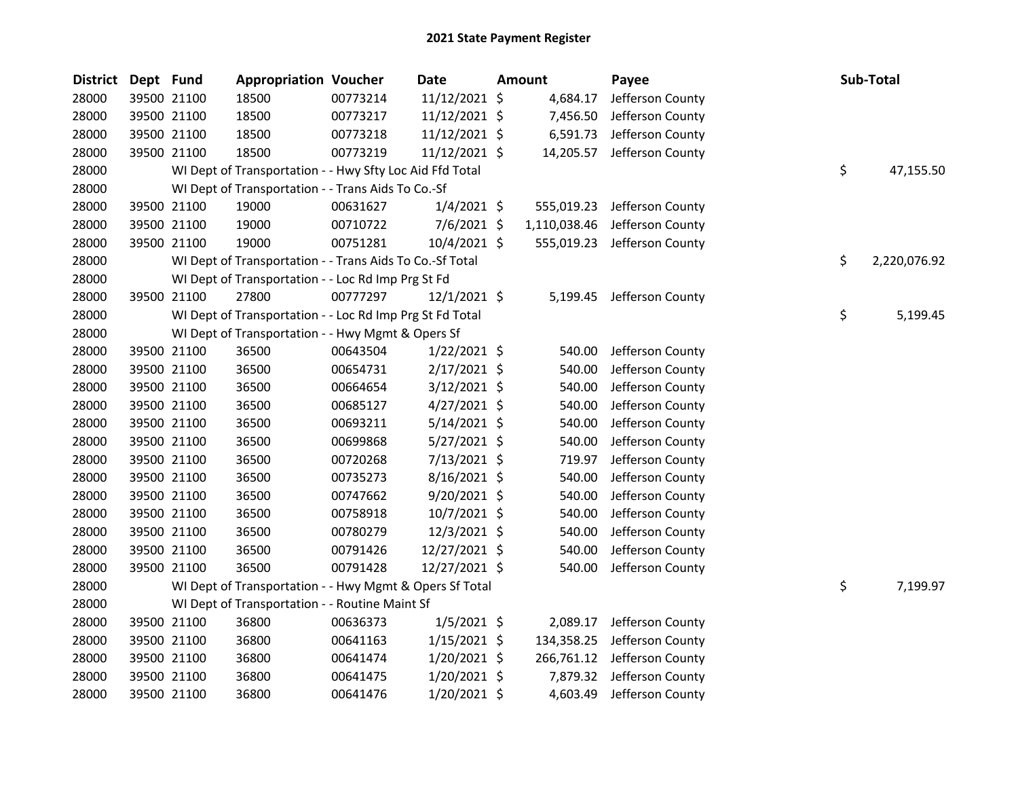| <b>District</b> | Dept Fund |             | <b>Appropriation Voucher</b>                             |          | <b>Date</b>    | Amount       | Payee            | Sub-Total          |
|-----------------|-----------|-------------|----------------------------------------------------------|----------|----------------|--------------|------------------|--------------------|
| 28000           |           | 39500 21100 | 18500                                                    | 00773214 | 11/12/2021 \$  | 4,684.17     | Jefferson County |                    |
| 28000           |           | 39500 21100 | 18500                                                    | 00773217 | 11/12/2021 \$  | 7,456.50     | Jefferson County |                    |
| 28000           |           | 39500 21100 | 18500                                                    | 00773218 | 11/12/2021 \$  | 6,591.73     | Jefferson County |                    |
| 28000           |           | 39500 21100 | 18500                                                    | 00773219 | 11/12/2021 \$  | 14,205.57    | Jefferson County |                    |
| 28000           |           |             | WI Dept of Transportation - - Hwy Sfty Loc Aid Ffd Total |          |                |              |                  | \$<br>47,155.50    |
| 28000           |           |             | WI Dept of Transportation - - Trans Aids To Co.-Sf       |          |                |              |                  |                    |
| 28000           |           | 39500 21100 | 19000                                                    | 00631627 | $1/4/2021$ \$  | 555,019.23   | Jefferson County |                    |
| 28000           |           | 39500 21100 | 19000                                                    | 00710722 | $7/6/2021$ \$  | 1,110,038.46 | Jefferson County |                    |
| 28000           |           | 39500 21100 | 19000                                                    | 00751281 | 10/4/2021 \$   | 555,019.23   | Jefferson County |                    |
| 28000           |           |             | WI Dept of Transportation - - Trans Aids To Co.-Sf Total |          |                |              |                  | \$<br>2,220,076.92 |
| 28000           |           |             | WI Dept of Transportation - - Loc Rd Imp Prg St Fd       |          |                |              |                  |                    |
| 28000           |           | 39500 21100 | 27800                                                    | 00777297 | $12/1/2021$ \$ | 5,199.45     | Jefferson County |                    |
| 28000           |           |             | WI Dept of Transportation - - Loc Rd Imp Prg St Fd Total |          |                |              |                  | \$<br>5,199.45     |
| 28000           |           |             | WI Dept of Transportation - - Hwy Mgmt & Opers Sf        |          |                |              |                  |                    |
| 28000           |           | 39500 21100 | 36500                                                    | 00643504 | $1/22/2021$ \$ | 540.00       | Jefferson County |                    |
| 28000           |           | 39500 21100 | 36500                                                    | 00654731 | $2/17/2021$ \$ | 540.00       | Jefferson County |                    |
| 28000           |           | 39500 21100 | 36500                                                    | 00664654 | $3/12/2021$ \$ | 540.00       | Jefferson County |                    |
| 28000           |           | 39500 21100 | 36500                                                    | 00685127 | $4/27/2021$ \$ | 540.00       | Jefferson County |                    |
| 28000           |           | 39500 21100 | 36500                                                    | 00693211 | $5/14/2021$ \$ | 540.00       | Jefferson County |                    |
| 28000           |           | 39500 21100 | 36500                                                    | 00699868 | $5/27/2021$ \$ | 540.00       | Jefferson County |                    |
| 28000           |           | 39500 21100 | 36500                                                    | 00720268 | $7/13/2021$ \$ | 719.97       | Jefferson County |                    |
| 28000           |           | 39500 21100 | 36500                                                    | 00735273 | 8/16/2021 \$   | 540.00       | Jefferson County |                    |
| 28000           |           | 39500 21100 | 36500                                                    | 00747662 | $9/20/2021$ \$ | 540.00       | Jefferson County |                    |
| 28000           |           | 39500 21100 | 36500                                                    | 00758918 | 10/7/2021 \$   | 540.00       | Jefferson County |                    |
| 28000           |           | 39500 21100 | 36500                                                    | 00780279 | 12/3/2021 \$   | 540.00       | Jefferson County |                    |
| 28000           |           | 39500 21100 | 36500                                                    | 00791426 | 12/27/2021 \$  | 540.00       | Jefferson County |                    |
| 28000           |           | 39500 21100 | 36500                                                    | 00791428 | 12/27/2021 \$  | 540.00       | Jefferson County |                    |
| 28000           |           |             | WI Dept of Transportation - - Hwy Mgmt & Opers Sf Total  |          |                |              |                  | \$<br>7,199.97     |
| 28000           |           |             | WI Dept of Transportation - - Routine Maint Sf           |          |                |              |                  |                    |
| 28000           |           | 39500 21100 | 36800                                                    | 00636373 | $1/5/2021$ \$  | 2,089.17     | Jefferson County |                    |
| 28000           |           | 39500 21100 | 36800                                                    | 00641163 | $1/15/2021$ \$ | 134,358.25   | Jefferson County |                    |
| 28000           |           | 39500 21100 | 36800                                                    | 00641474 | $1/20/2021$ \$ | 266,761.12   | Jefferson County |                    |
| 28000           |           | 39500 21100 | 36800                                                    | 00641475 | 1/20/2021 \$   | 7,879.32     | Jefferson County |                    |
| 28000           |           | 39500 21100 | 36800                                                    | 00641476 | $1/20/2021$ \$ | 4,603.49     | Jefferson County |                    |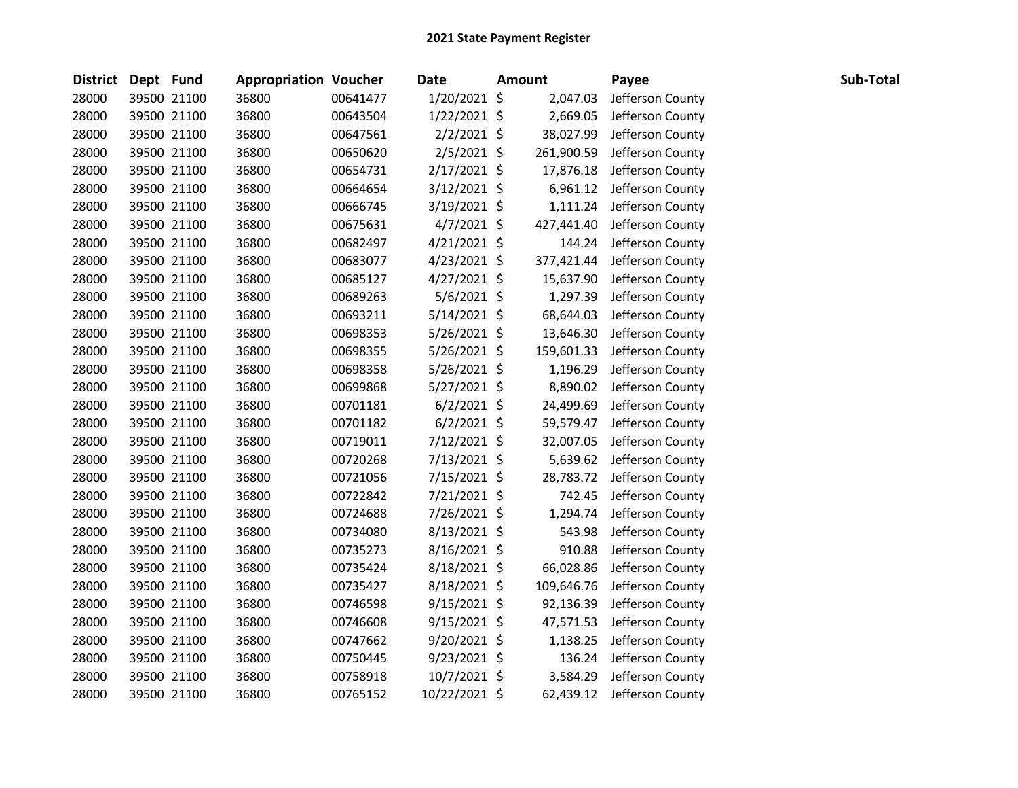| <b>District</b> | Dept Fund |             | <b>Appropriation Voucher</b> |          | Date           | <b>Amount</b> | Payee                     | Sub-Total |
|-----------------|-----------|-------------|------------------------------|----------|----------------|---------------|---------------------------|-----------|
| 28000           |           | 39500 21100 | 36800                        | 00641477 | 1/20/2021 \$   | 2,047.03      | Jefferson County          |           |
| 28000           |           | 39500 21100 | 36800                        | 00643504 | $1/22/2021$ \$ | 2,669.05      | Jefferson County          |           |
| 28000           |           | 39500 21100 | 36800                        | 00647561 | $2/2/2021$ \$  | 38,027.99     | Jefferson County          |           |
| 28000           |           | 39500 21100 | 36800                        | 00650620 | $2/5/2021$ \$  | 261,900.59    | Jefferson County          |           |
| 28000           |           | 39500 21100 | 36800                        | 00654731 | 2/17/2021 \$   | 17,876.18     | Jefferson County          |           |
| 28000           |           | 39500 21100 | 36800                        | 00664654 | $3/12/2021$ \$ |               | 6,961.12 Jefferson County |           |
| 28000           |           | 39500 21100 | 36800                        | 00666745 | $3/19/2021$ \$ | 1,111.24      | Jefferson County          |           |
| 28000           |           | 39500 21100 | 36800                        | 00675631 | $4/7/2021$ \$  | 427,441.40    | Jefferson County          |           |
| 28000           |           | 39500 21100 | 36800                        | 00682497 | $4/21/2021$ \$ | 144.24        | Jefferson County          |           |
| 28000           |           | 39500 21100 | 36800                        | 00683077 | $4/23/2021$ \$ | 377,421.44    | Jefferson County          |           |
| 28000           |           | 39500 21100 | 36800                        | 00685127 | $4/27/2021$ \$ | 15,637.90     | Jefferson County          |           |
| 28000           |           | 39500 21100 | 36800                        | 00689263 | $5/6/2021$ \$  | 1,297.39      | Jefferson County          |           |
| 28000           |           | 39500 21100 | 36800                        | 00693211 | $5/14/2021$ \$ | 68,644.03     | Jefferson County          |           |
| 28000           |           | 39500 21100 | 36800                        | 00698353 | $5/26/2021$ \$ | 13,646.30     | Jefferson County          |           |
| 28000           |           | 39500 21100 | 36800                        | 00698355 | $5/26/2021$ \$ | 159,601.33    | Jefferson County          |           |
| 28000           |           | 39500 21100 | 36800                        | 00698358 | 5/26/2021 \$   | 1,196.29      | Jefferson County          |           |
| 28000           |           | 39500 21100 | 36800                        | 00699868 | $5/27/2021$ \$ | 8,890.02      | Jefferson County          |           |
| 28000           |           | 39500 21100 | 36800                        | 00701181 | $6/2/2021$ \$  | 24,499.69     | Jefferson County          |           |
| 28000           |           | 39500 21100 | 36800                        | 00701182 | $6/2/2021$ \$  | 59,579.47     | Jefferson County          |           |
| 28000           |           | 39500 21100 | 36800                        | 00719011 | $7/12/2021$ \$ | 32,007.05     | Jefferson County          |           |
| 28000           |           | 39500 21100 | 36800                        | 00720268 | 7/13/2021 \$   | 5,639.62      | Jefferson County          |           |
| 28000           |           | 39500 21100 | 36800                        | 00721056 | 7/15/2021 \$   | 28,783.72     | Jefferson County          |           |
| 28000           |           | 39500 21100 | 36800                        | 00722842 | 7/21/2021 \$   | 742.45        | Jefferson County          |           |
| 28000           |           | 39500 21100 | 36800                        | 00724688 | 7/26/2021 \$   | 1,294.74      | Jefferson County          |           |
| 28000           |           | 39500 21100 | 36800                        | 00734080 | 8/13/2021 \$   | 543.98        | Jefferson County          |           |
| 28000           |           | 39500 21100 | 36800                        | 00735273 | 8/16/2021 \$   | 910.88        | Jefferson County          |           |
| 28000           |           | 39500 21100 | 36800                        | 00735424 | 8/18/2021 \$   | 66,028.86     | Jefferson County          |           |
| 28000           |           | 39500 21100 | 36800                        | 00735427 | 8/18/2021 \$   | 109,646.76    | Jefferson County          |           |
| 28000           |           | 39500 21100 | 36800                        | 00746598 | $9/15/2021$ \$ | 92,136.39     | Jefferson County          |           |
| 28000           |           | 39500 21100 | 36800                        | 00746608 | $9/15/2021$ \$ | 47,571.53     | Jefferson County          |           |
| 28000           |           | 39500 21100 | 36800                        | 00747662 | 9/20/2021 \$   | 1,138.25      | Jefferson County          |           |
| 28000           |           | 39500 21100 | 36800                        | 00750445 | $9/23/2021$ \$ | 136.24        | Jefferson County          |           |
| 28000           |           | 39500 21100 | 36800                        | 00758918 | 10/7/2021 \$   | 3,584.29      | Jefferson County          |           |
| 28000           |           | 39500 21100 | 36800                        | 00765152 | 10/22/2021 \$  | 62,439.12     | Jefferson County          |           |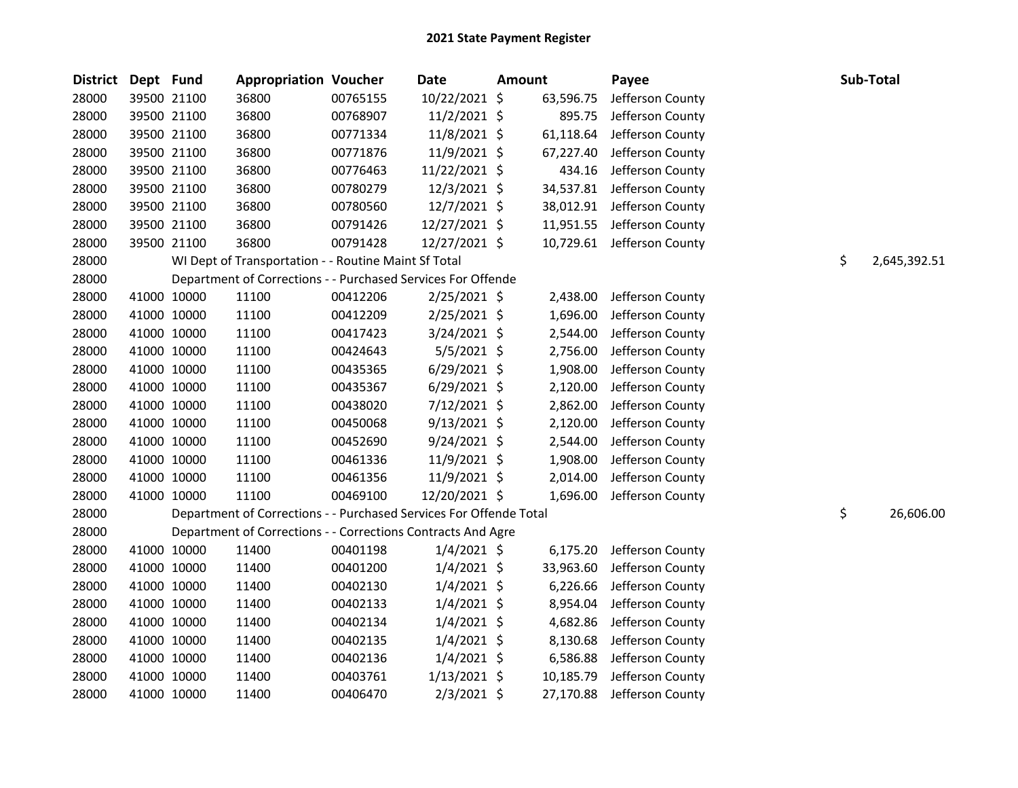| <b>District</b> | Dept Fund |             | <b>Appropriation Voucher</b>                                       |          | <b>Date</b>    | <b>Amount</b> | Payee                      | Sub-Total          |
|-----------------|-----------|-------------|--------------------------------------------------------------------|----------|----------------|---------------|----------------------------|--------------------|
| 28000           |           | 39500 21100 | 36800                                                              | 00765155 | 10/22/2021 \$  | 63,596.75     | Jefferson County           |                    |
| 28000           |           | 39500 21100 | 36800                                                              | 00768907 | $11/2/2021$ \$ | 895.75        | Jefferson County           |                    |
| 28000           |           | 39500 21100 | 36800                                                              | 00771334 | 11/8/2021 \$   | 61,118.64     | Jefferson County           |                    |
| 28000           |           | 39500 21100 | 36800                                                              | 00771876 | 11/9/2021 \$   | 67,227.40     | Jefferson County           |                    |
| 28000           |           | 39500 21100 | 36800                                                              | 00776463 | 11/22/2021 \$  | 434.16        | Jefferson County           |                    |
| 28000           |           | 39500 21100 | 36800                                                              | 00780279 | 12/3/2021 \$   |               | 34,537.81 Jefferson County |                    |
| 28000           |           | 39500 21100 | 36800                                                              | 00780560 | 12/7/2021 \$   |               | 38,012.91 Jefferson County |                    |
| 28000           |           | 39500 21100 | 36800                                                              | 00791426 | 12/27/2021 \$  |               | 11,951.55 Jefferson County |                    |
| 28000           |           | 39500 21100 | 36800                                                              | 00791428 | 12/27/2021 \$  |               | 10,729.61 Jefferson County |                    |
| 28000           |           |             | WI Dept of Transportation - - Routine Maint Sf Total               |          |                |               |                            | \$<br>2,645,392.51 |
| 28000           |           |             | Department of Corrections - - Purchased Services For Offende       |          |                |               |                            |                    |
| 28000           |           | 41000 10000 | 11100                                                              | 00412206 | $2/25/2021$ \$ | 2,438.00      | Jefferson County           |                    |
| 28000           |           | 41000 10000 | 11100                                                              | 00412209 | $2/25/2021$ \$ | 1,696.00      | Jefferson County           |                    |
| 28000           |           | 41000 10000 | 11100                                                              | 00417423 | 3/24/2021 \$   |               | 2,544.00 Jefferson County  |                    |
| 28000           |           | 41000 10000 | 11100                                                              | 00424643 | 5/5/2021 \$    | 2,756.00      | Jefferson County           |                    |
| 28000           |           | 41000 10000 | 11100                                                              | 00435365 | $6/29/2021$ \$ | 1,908.00      | Jefferson County           |                    |
| 28000           |           | 41000 10000 | 11100                                                              | 00435367 | $6/29/2021$ \$ | 2,120.00      | Jefferson County           |                    |
| 28000           |           | 41000 10000 | 11100                                                              | 00438020 | 7/12/2021 \$   | 2,862.00      | Jefferson County           |                    |
| 28000           |           | 41000 10000 | 11100                                                              | 00450068 | $9/13/2021$ \$ | 2,120.00      | Jefferson County           |                    |
| 28000           |           | 41000 10000 | 11100                                                              | 00452690 | $9/24/2021$ \$ | 2,544.00      | Jefferson County           |                    |
| 28000           |           | 41000 10000 | 11100                                                              | 00461336 | 11/9/2021 \$   | 1,908.00      | Jefferson County           |                    |
| 28000           |           | 41000 10000 | 11100                                                              | 00461356 | 11/9/2021 \$   |               | 2,014.00 Jefferson County  |                    |
| 28000           |           | 41000 10000 | 11100                                                              | 00469100 | 12/20/2021 \$  |               | 1,696.00 Jefferson County  |                    |
| 28000           |           |             | Department of Corrections - - Purchased Services For Offende Total |          |                |               |                            | \$<br>26,606.00    |
| 28000           |           |             | Department of Corrections - - Corrections Contracts And Agre       |          |                |               |                            |                    |
| 28000           |           | 41000 10000 | 11400                                                              | 00401198 | $1/4/2021$ \$  | 6,175.20      | Jefferson County           |                    |
| 28000           |           | 41000 10000 | 11400                                                              | 00401200 | $1/4/2021$ \$  | 33,963.60     | Jefferson County           |                    |
| 28000           |           | 41000 10000 | 11400                                                              | 00402130 | $1/4/2021$ \$  | 6,226.66      | Jefferson County           |                    |
| 28000           |           | 41000 10000 | 11400                                                              | 00402133 | $1/4/2021$ \$  | 8,954.04      | Jefferson County           |                    |
| 28000           |           | 41000 10000 | 11400                                                              | 00402134 | $1/4/2021$ \$  | 4,682.86      | Jefferson County           |                    |
| 28000           |           | 41000 10000 | 11400                                                              | 00402135 | $1/4/2021$ \$  | 8,130.68      | Jefferson County           |                    |
| 28000           |           | 41000 10000 | 11400                                                              | 00402136 | 1/4/2021 \$    | 6,586.88      | Jefferson County           |                    |
| 28000           |           | 41000 10000 | 11400                                                              | 00403761 | $1/13/2021$ \$ | 10,185.79     | Jefferson County           |                    |
| 28000           |           | 41000 10000 | 11400                                                              | 00406470 | 2/3/2021 \$    |               | 27,170.88 Jefferson County |                    |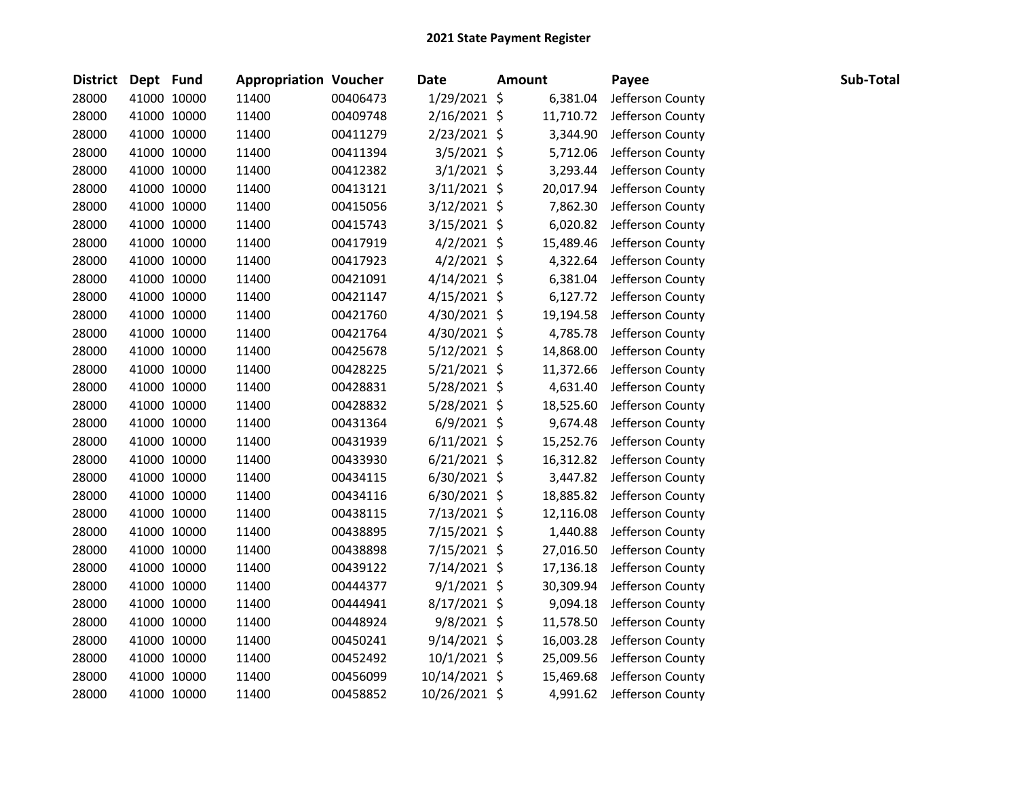| District Dept Fund |             | <b>Appropriation Voucher</b> |          | <b>Date</b>    | <b>Amount</b> | Payee                     | Sub-Total |
|--------------------|-------------|------------------------------|----------|----------------|---------------|---------------------------|-----------|
| 28000              | 41000 10000 | 11400                        | 00406473 | 1/29/2021 \$   | 6,381.04      | Jefferson County          |           |
| 28000              | 41000 10000 | 11400                        | 00409748 | $2/16/2021$ \$ | 11,710.72     | Jefferson County          |           |
| 28000              | 41000 10000 | 11400                        | 00411279 | 2/23/2021 \$   | 3,344.90      | Jefferson County          |           |
| 28000              | 41000 10000 | 11400                        | 00411394 | $3/5/2021$ \$  | 5,712.06      | Jefferson County          |           |
| 28000              | 41000 10000 | 11400                        | 00412382 | $3/1/2021$ \$  | 3,293.44      | Jefferson County          |           |
| 28000              | 41000 10000 | 11400                        | 00413121 | $3/11/2021$ \$ | 20,017.94     | Jefferson County          |           |
| 28000              | 41000 10000 | 11400                        | 00415056 | $3/12/2021$ \$ | 7,862.30      | Jefferson County          |           |
| 28000              | 41000 10000 | 11400                        | 00415743 | $3/15/2021$ \$ | 6,020.82      | Jefferson County          |           |
| 28000              | 41000 10000 | 11400                        | 00417919 | $4/2/2021$ \$  | 15,489.46     | Jefferson County          |           |
| 28000              | 41000 10000 | 11400                        | 00417923 | $4/2/2021$ \$  | 4,322.64      | Jefferson County          |           |
| 28000              | 41000 10000 | 11400                        | 00421091 | $4/14/2021$ \$ | 6,381.04      | Jefferson County          |           |
| 28000              | 41000 10000 | 11400                        | 00421147 | $4/15/2021$ \$ | 6,127.72      | Jefferson County          |           |
| 28000              | 41000 10000 | 11400                        | 00421760 | 4/30/2021 \$   | 19,194.58     | Jefferson County          |           |
| 28000              | 41000 10000 | 11400                        | 00421764 | 4/30/2021 \$   | 4,785.78      | Jefferson County          |           |
| 28000              | 41000 10000 | 11400                        | 00425678 | $5/12/2021$ \$ | 14,868.00     | Jefferson County          |           |
| 28000              | 41000 10000 | 11400                        | 00428225 | $5/21/2021$ \$ | 11,372.66     | Jefferson County          |           |
| 28000              | 41000 10000 | 11400                        | 00428831 | 5/28/2021 \$   | 4,631.40      | Jefferson County          |           |
| 28000              | 41000 10000 | 11400                        | 00428832 | 5/28/2021 \$   | 18,525.60     | Jefferson County          |           |
| 28000              | 41000 10000 | 11400                        | 00431364 | $6/9/2021$ \$  | 9,674.48      | Jefferson County          |           |
| 28000              | 41000 10000 | 11400                        | 00431939 | $6/11/2021$ \$ | 15,252.76     | Jefferson County          |           |
| 28000              | 41000 10000 | 11400                        | 00433930 | $6/21/2021$ \$ | 16,312.82     | Jefferson County          |           |
| 28000              | 41000 10000 | 11400                        | 00434115 | $6/30/2021$ \$ | 3,447.82      | Jefferson County          |           |
| 28000              | 41000 10000 | 11400                        | 00434116 | $6/30/2021$ \$ | 18,885.82     | Jefferson County          |           |
| 28000              | 41000 10000 | 11400                        | 00438115 | 7/13/2021 \$   | 12,116.08     | Jefferson County          |           |
| 28000              | 41000 10000 | 11400                        | 00438895 | 7/15/2021 \$   | 1,440.88      | Jefferson County          |           |
| 28000              | 41000 10000 | 11400                        | 00438898 | 7/15/2021 \$   | 27,016.50     | Jefferson County          |           |
| 28000              | 41000 10000 | 11400                        | 00439122 | $7/14/2021$ \$ | 17,136.18     | Jefferson County          |           |
| 28000              | 41000 10000 | 11400                        | 00444377 | $9/1/2021$ \$  | 30,309.94     | Jefferson County          |           |
| 28000              | 41000 10000 | 11400                        | 00444941 | $8/17/2021$ \$ | 9,094.18      | Jefferson County          |           |
| 28000              | 41000 10000 | 11400                        | 00448924 | $9/8/2021$ \$  | 11,578.50     | Jefferson County          |           |
| 28000              | 41000 10000 | 11400                        | 00450241 | $9/14/2021$ \$ | 16,003.28     | Jefferson County          |           |
| 28000              | 41000 10000 | 11400                        | 00452492 | 10/1/2021 \$   | 25,009.56     | Jefferson County          |           |
| 28000              | 41000 10000 | 11400                        | 00456099 | 10/14/2021 \$  | 15,469.68     | Jefferson County          |           |
| 28000              | 41000 10000 | 11400                        | 00458852 | 10/26/2021 \$  |               | 4,991.62 Jefferson County |           |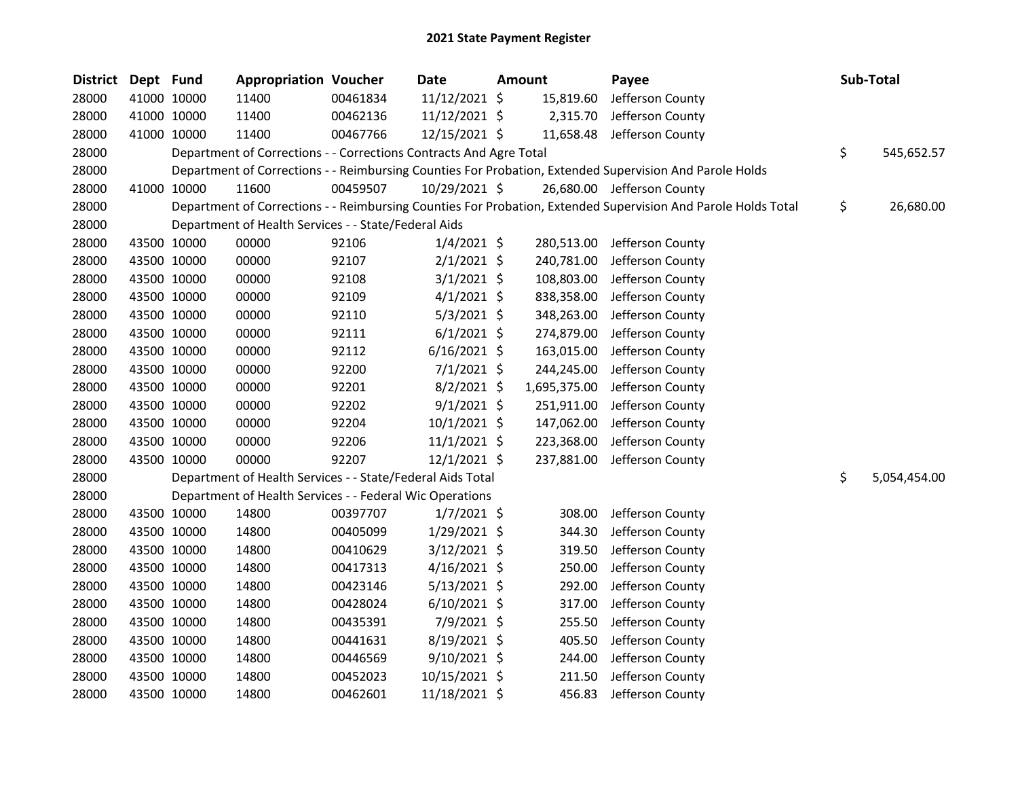| <b>District</b> | Dept Fund |             | <b>Appropriation Voucher</b>                                       |          | <b>Date</b>    | <b>Amount</b> | Payee                                                                                                         | Sub-Total          |
|-----------------|-----------|-------------|--------------------------------------------------------------------|----------|----------------|---------------|---------------------------------------------------------------------------------------------------------------|--------------------|
| 28000           |           | 41000 10000 | 11400                                                              | 00461834 | 11/12/2021 \$  | 15,819.60     | Jefferson County                                                                                              |                    |
| 28000           |           | 41000 10000 | 11400                                                              | 00462136 | 11/12/2021 \$  | 2,315.70      | Jefferson County                                                                                              |                    |
| 28000           |           | 41000 10000 | 11400                                                              | 00467766 | 12/15/2021 \$  |               | 11,658.48 Jefferson County                                                                                    |                    |
| 28000           |           |             | Department of Corrections - - Corrections Contracts And Agre Total |          |                |               |                                                                                                               | \$<br>545,652.57   |
| 28000           |           |             |                                                                    |          |                |               | Department of Corrections - - Reimbursing Counties For Probation, Extended Supervision And Parole Holds       |                    |
| 28000           |           | 41000 10000 | 11600                                                              | 00459507 | 10/29/2021 \$  |               | 26,680.00 Jefferson County                                                                                    |                    |
| 28000           |           |             |                                                                    |          |                |               | Department of Corrections - - Reimbursing Counties For Probation, Extended Supervision And Parole Holds Total | \$<br>26,680.00    |
| 28000           |           |             | Department of Health Services - - State/Federal Aids               |          |                |               |                                                                                                               |                    |
| 28000           |           | 43500 10000 | 00000                                                              | 92106    | $1/4/2021$ \$  | 280,513.00    | Jefferson County                                                                                              |                    |
| 28000           |           | 43500 10000 | 00000                                                              | 92107    | $2/1/2021$ \$  | 240,781.00    | Jefferson County                                                                                              |                    |
| 28000           |           | 43500 10000 | 00000                                                              | 92108    | $3/1/2021$ \$  | 108,803.00    | Jefferson County                                                                                              |                    |
| 28000           |           | 43500 10000 | 00000                                                              | 92109    | $4/1/2021$ \$  | 838,358.00    | Jefferson County                                                                                              |                    |
| 28000           |           | 43500 10000 | 00000                                                              | 92110    | $5/3/2021$ \$  | 348,263.00    | Jefferson County                                                                                              |                    |
| 28000           |           | 43500 10000 | 00000                                                              | 92111    | $6/1/2021$ \$  | 274,879.00    | Jefferson County                                                                                              |                    |
| 28000           |           | 43500 10000 | 00000                                                              | 92112    | $6/16/2021$ \$ | 163,015.00    | Jefferson County                                                                                              |                    |
| 28000           |           | 43500 10000 | 00000                                                              | 92200    | $7/1/2021$ \$  | 244,245.00    | Jefferson County                                                                                              |                    |
| 28000           |           | 43500 10000 | 00000                                                              | 92201    | $8/2/2021$ \$  | 1,695,375.00  | Jefferson County                                                                                              |                    |
| 28000           |           | 43500 10000 | 00000                                                              | 92202    | $9/1/2021$ \$  | 251,911.00    | Jefferson County                                                                                              |                    |
| 28000           |           | 43500 10000 | 00000                                                              | 92204    | 10/1/2021 \$   | 147,062.00    | Jefferson County                                                                                              |                    |
| 28000           |           | 43500 10000 | 00000                                                              | 92206    | 11/1/2021 \$   | 223,368.00    | Jefferson County                                                                                              |                    |
| 28000           |           | 43500 10000 | 00000                                                              | 92207    | 12/1/2021 \$   | 237,881.00    | Jefferson County                                                                                              |                    |
| 28000           |           |             | Department of Health Services - - State/Federal Aids Total         |          |                |               |                                                                                                               | \$<br>5,054,454.00 |
| 28000           |           |             | Department of Health Services - - Federal Wic Operations           |          |                |               |                                                                                                               |                    |
| 28000           |           | 43500 10000 | 14800                                                              | 00397707 | $1/7/2021$ \$  | 308.00        | Jefferson County                                                                                              |                    |
| 28000           |           | 43500 10000 | 14800                                                              | 00405099 | 1/29/2021 \$   | 344.30        | Jefferson County                                                                                              |                    |
| 28000           |           | 43500 10000 | 14800                                                              | 00410629 | 3/12/2021 \$   | 319.50        | Jefferson County                                                                                              |                    |
| 28000           |           | 43500 10000 | 14800                                                              | 00417313 | $4/16/2021$ \$ | 250.00        | Jefferson County                                                                                              |                    |
| 28000           |           | 43500 10000 | 14800                                                              | 00423146 | $5/13/2021$ \$ | 292.00        | Jefferson County                                                                                              |                    |
| 28000           |           | 43500 10000 | 14800                                                              | 00428024 | $6/10/2021$ \$ | 317.00        | Jefferson County                                                                                              |                    |
| 28000           |           | 43500 10000 | 14800                                                              | 00435391 | 7/9/2021 \$    | 255.50        | Jefferson County                                                                                              |                    |
| 28000           |           | 43500 10000 | 14800                                                              | 00441631 | 8/19/2021 \$   | 405.50        | Jefferson County                                                                                              |                    |
| 28000           |           | 43500 10000 | 14800                                                              | 00446569 | $9/10/2021$ \$ | 244.00        | Jefferson County                                                                                              |                    |
| 28000           |           | 43500 10000 | 14800                                                              | 00452023 | 10/15/2021 \$  | 211.50        | Jefferson County                                                                                              |                    |
| 28000           |           | 43500 10000 | 14800                                                              | 00462601 | 11/18/2021 \$  | 456.83        | Jefferson County                                                                                              |                    |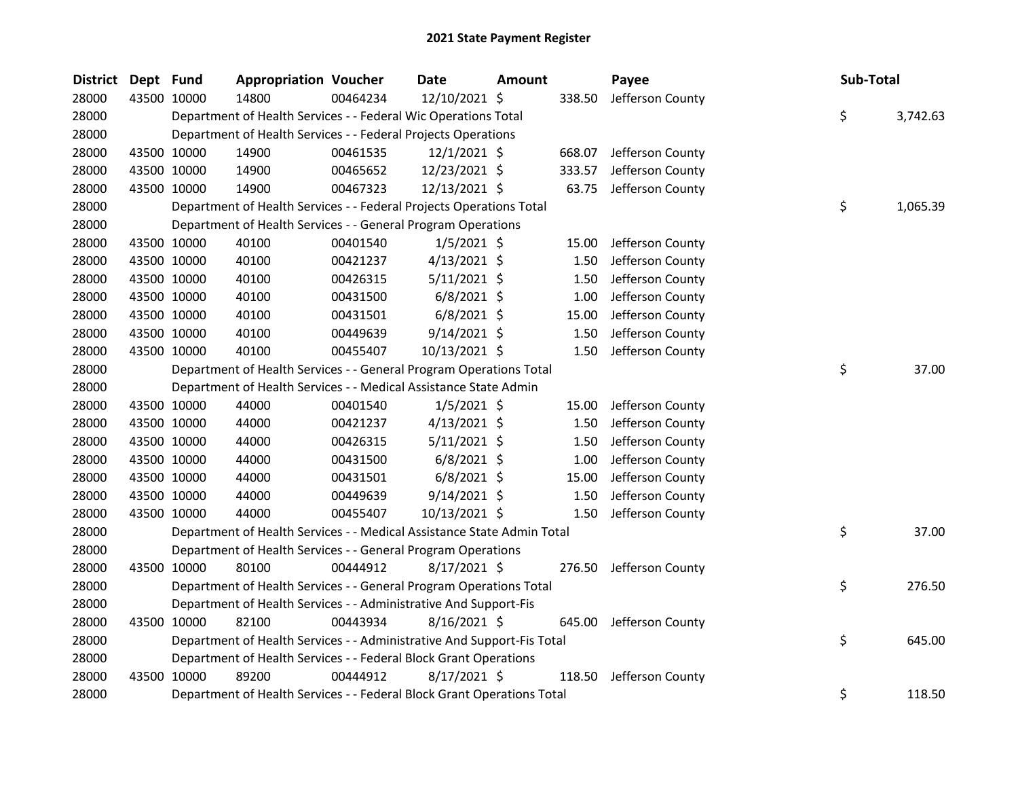| <b>District</b> | Dept Fund |             | <b>Appropriation Voucher</b>                                           |          | Date           | Amount |        | Payee                   | Sub-Total |          |
|-----------------|-----------|-------------|------------------------------------------------------------------------|----------|----------------|--------|--------|-------------------------|-----------|----------|
| 28000           |           | 43500 10000 | 14800                                                                  | 00464234 | 12/10/2021 \$  |        | 338.50 | Jefferson County        |           |          |
| 28000           |           |             | Department of Health Services - - Federal Wic Operations Total         |          |                |        |        |                         | \$        | 3,742.63 |
| 28000           |           |             | Department of Health Services - - Federal Projects Operations          |          |                |        |        |                         |           |          |
| 28000           |           | 43500 10000 | 14900                                                                  | 00461535 | $12/1/2021$ \$ |        |        | 668.07 Jefferson County |           |          |
| 28000           |           | 43500 10000 | 14900                                                                  | 00465652 | 12/23/2021 \$  |        | 333.57 | Jefferson County        |           |          |
| 28000           |           | 43500 10000 | 14900                                                                  | 00467323 | 12/13/2021 \$  |        | 63.75  | Jefferson County        |           |          |
| 28000           |           |             | Department of Health Services - - Federal Projects Operations Total    |          |                |        |        |                         | \$        | 1,065.39 |
| 28000           |           |             | Department of Health Services - - General Program Operations           |          |                |        |        |                         |           |          |
| 28000           |           | 43500 10000 | 40100                                                                  | 00401540 | $1/5/2021$ \$  |        | 15.00  | Jefferson County        |           |          |
| 28000           |           | 43500 10000 | 40100                                                                  | 00421237 | $4/13/2021$ \$ |        | 1.50   | Jefferson County        |           |          |
| 28000           |           | 43500 10000 | 40100                                                                  | 00426315 | $5/11/2021$ \$ |        | 1.50   | Jefferson County        |           |          |
| 28000           |           | 43500 10000 | 40100                                                                  | 00431500 | $6/8/2021$ \$  |        | 1.00   | Jefferson County        |           |          |
| 28000           |           | 43500 10000 | 40100                                                                  | 00431501 | $6/8/2021$ \$  |        | 15.00  | Jefferson County        |           |          |
| 28000           |           | 43500 10000 | 40100                                                                  | 00449639 | $9/14/2021$ \$ |        | 1.50   | Jefferson County        |           |          |
| 28000           |           | 43500 10000 | 40100                                                                  | 00455407 | 10/13/2021 \$  |        | 1.50   | Jefferson County        |           |          |
| 28000           |           |             | Department of Health Services - - General Program Operations Total     |          |                |        |        |                         | \$        | 37.00    |
| 28000           |           |             | Department of Health Services - - Medical Assistance State Admin       |          |                |        |        |                         |           |          |
| 28000           |           | 43500 10000 | 44000                                                                  | 00401540 | $1/5/2021$ \$  |        | 15.00  | Jefferson County        |           |          |
| 28000           |           | 43500 10000 | 44000                                                                  | 00421237 | $4/13/2021$ \$ |        | 1.50   | Jefferson County        |           |          |
| 28000           |           | 43500 10000 | 44000                                                                  | 00426315 | $5/11/2021$ \$ |        | 1.50   | Jefferson County        |           |          |
| 28000           |           | 43500 10000 | 44000                                                                  | 00431500 | $6/8/2021$ \$  |        | 1.00   | Jefferson County        |           |          |
| 28000           |           | 43500 10000 | 44000                                                                  | 00431501 | $6/8/2021$ \$  |        | 15.00  | Jefferson County        |           |          |
| 28000           |           | 43500 10000 | 44000                                                                  | 00449639 | $9/14/2021$ \$ |        | 1.50   | Jefferson County        |           |          |
| 28000           |           | 43500 10000 | 44000                                                                  | 00455407 | 10/13/2021 \$  |        | 1.50   | Jefferson County        |           |          |
| 28000           |           |             | Department of Health Services - - Medical Assistance State Admin Total |          |                |        |        |                         | \$        | 37.00    |
| 28000           |           |             | Department of Health Services - - General Program Operations           |          |                |        |        |                         |           |          |
| 28000           |           | 43500 10000 | 80100                                                                  | 00444912 | 8/17/2021 \$   |        |        | 276.50 Jefferson County |           |          |
| 28000           |           |             | Department of Health Services - - General Program Operations Total     |          |                |        |        |                         | \$        | 276.50   |
| 28000           |           |             | Department of Health Services - - Administrative And Support-Fis       |          |                |        |        |                         |           |          |
| 28000           |           | 43500 10000 | 82100                                                                  | 00443934 | 8/16/2021 \$   |        | 645.00 | Jefferson County        |           |          |
| 28000           |           |             | Department of Health Services - - Administrative And Support-Fis Total |          |                |        |        |                         | \$        | 645.00   |
| 28000           |           |             | Department of Health Services - - Federal Block Grant Operations       |          |                |        |        |                         |           |          |
| 28000           |           | 43500 10000 | 89200                                                                  | 00444912 | $8/17/2021$ \$ |        | 118.50 | Jefferson County        |           |          |
| 28000           |           |             | Department of Health Services - - Federal Block Grant Operations Total |          |                |        |        |                         | \$        | 118.50   |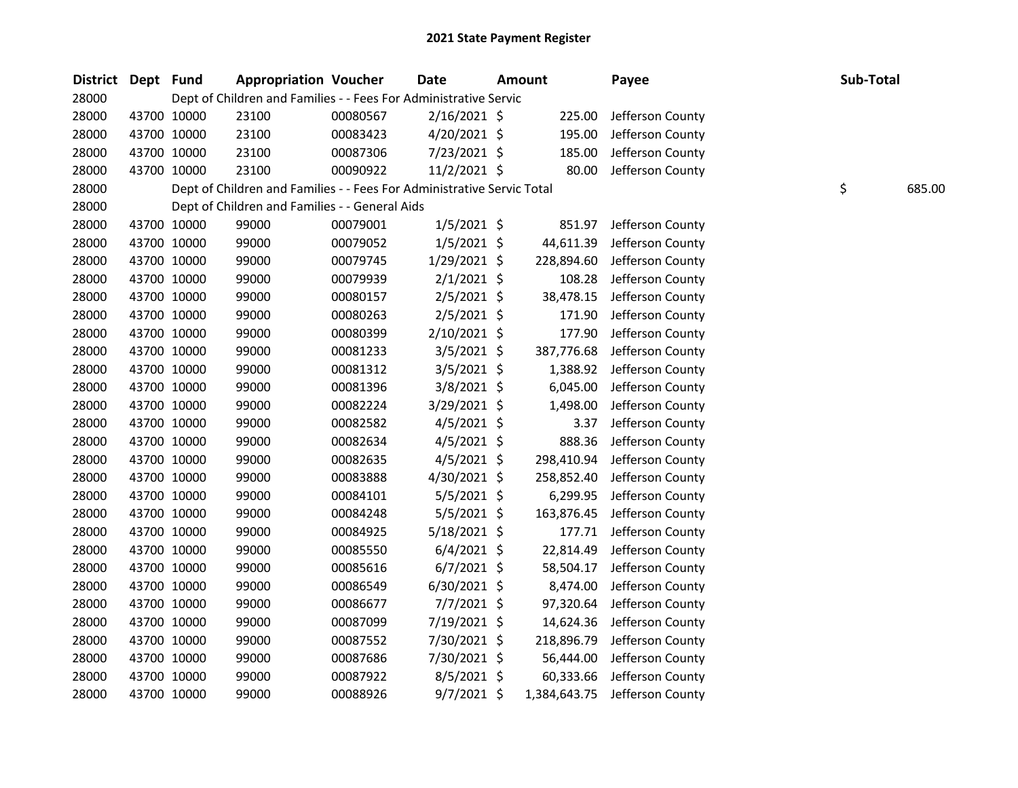| District Dept Fund |             | <b>Appropriation Voucher</b>                                           |          | <b>Date</b>    | <b>Amount</b> | Payee            | Sub-Total |        |
|--------------------|-------------|------------------------------------------------------------------------|----------|----------------|---------------|------------------|-----------|--------|
| 28000              |             | Dept of Children and Families - - Fees For Administrative Servic       |          |                |               |                  |           |        |
| 28000              | 43700 10000 | 23100                                                                  | 00080567 | $2/16/2021$ \$ | 225.00        | Jefferson County |           |        |
| 28000              | 43700 10000 | 23100                                                                  | 00083423 | 4/20/2021 \$   | 195.00        | Jefferson County |           |        |
| 28000              | 43700 10000 | 23100                                                                  | 00087306 | 7/23/2021 \$   | 185.00        | Jefferson County |           |        |
| 28000              | 43700 10000 | 23100                                                                  | 00090922 | 11/2/2021 \$   | 80.00         | Jefferson County |           |        |
| 28000              |             | Dept of Children and Families - - Fees For Administrative Servic Total |          |                |               |                  | \$        | 685.00 |
| 28000              |             | Dept of Children and Families - - General Aids                         |          |                |               |                  |           |        |
| 28000              | 43700 10000 | 99000                                                                  | 00079001 | $1/5/2021$ \$  | 851.97        | Jefferson County |           |        |
| 28000              | 43700 10000 | 99000                                                                  | 00079052 | $1/5/2021$ \$  | 44,611.39     | Jefferson County |           |        |
| 28000              | 43700 10000 | 99000                                                                  | 00079745 | 1/29/2021 \$   | 228,894.60    | Jefferson County |           |        |
| 28000              | 43700 10000 | 99000                                                                  | 00079939 | $2/1/2021$ \$  | 108.28        | Jefferson County |           |        |
| 28000              | 43700 10000 | 99000                                                                  | 00080157 | 2/5/2021 \$    | 38,478.15     | Jefferson County |           |        |
| 28000              | 43700 10000 | 99000                                                                  | 00080263 | $2/5/2021$ \$  | 171.90        | Jefferson County |           |        |
| 28000              | 43700 10000 | 99000                                                                  | 00080399 | 2/10/2021 \$   | 177.90        | Jefferson County |           |        |
| 28000              | 43700 10000 | 99000                                                                  | 00081233 | $3/5/2021$ \$  | 387,776.68    | Jefferson County |           |        |
| 28000              | 43700 10000 | 99000                                                                  | 00081312 | $3/5/2021$ \$  | 1,388.92      | Jefferson County |           |        |
| 28000              | 43700 10000 | 99000                                                                  | 00081396 | 3/8/2021 \$    | 6,045.00      | Jefferson County |           |        |
| 28000              | 43700 10000 | 99000                                                                  | 00082224 | 3/29/2021 \$   | 1,498.00      | Jefferson County |           |        |
| 28000              | 43700 10000 | 99000                                                                  | 00082582 | $4/5/2021$ \$  | 3.37          | Jefferson County |           |        |
| 28000              | 43700 10000 | 99000                                                                  | 00082634 | $4/5/2021$ \$  | 888.36        | Jefferson County |           |        |
| 28000              | 43700 10000 | 99000                                                                  | 00082635 | $4/5/2021$ \$  | 298,410.94    | Jefferson County |           |        |
| 28000              | 43700 10000 | 99000                                                                  | 00083888 | 4/30/2021 \$   | 258,852.40    | Jefferson County |           |        |
| 28000              | 43700 10000 | 99000                                                                  | 00084101 | 5/5/2021 \$    | 6,299.95      | Jefferson County |           |        |
| 28000              | 43700 10000 | 99000                                                                  | 00084248 | $5/5/2021$ \$  | 163,876.45    | Jefferson County |           |        |
| 28000              | 43700 10000 | 99000                                                                  | 00084925 | 5/18/2021 \$   | 177.71        | Jefferson County |           |        |
| 28000              | 43700 10000 | 99000                                                                  | 00085550 | $6/4/2021$ \$  | 22,814.49     | Jefferson County |           |        |
| 28000              | 43700 10000 | 99000                                                                  | 00085616 | $6/7/2021$ \$  | 58,504.17     | Jefferson County |           |        |
| 28000              | 43700 10000 | 99000                                                                  | 00086549 | 6/30/2021 \$   | 8,474.00      | Jefferson County |           |        |
| 28000              | 43700 10000 | 99000                                                                  | 00086677 | 7/7/2021 \$    | 97,320.64     | Jefferson County |           |        |
| 28000              | 43700 10000 | 99000                                                                  | 00087099 | 7/19/2021 \$   | 14,624.36     | Jefferson County |           |        |
| 28000              | 43700 10000 | 99000                                                                  | 00087552 | 7/30/2021 \$   | 218,896.79    | Jefferson County |           |        |
| 28000              | 43700 10000 | 99000                                                                  | 00087686 | 7/30/2021 \$   | 56,444.00     | Jefferson County |           |        |
| 28000              | 43700 10000 | 99000                                                                  | 00087922 | 8/5/2021 \$    | 60,333.66     | Jefferson County |           |        |
| 28000              | 43700 10000 | 99000                                                                  | 00088926 | 9/7/2021 \$    | 1,384,643.75  | Jefferson County |           |        |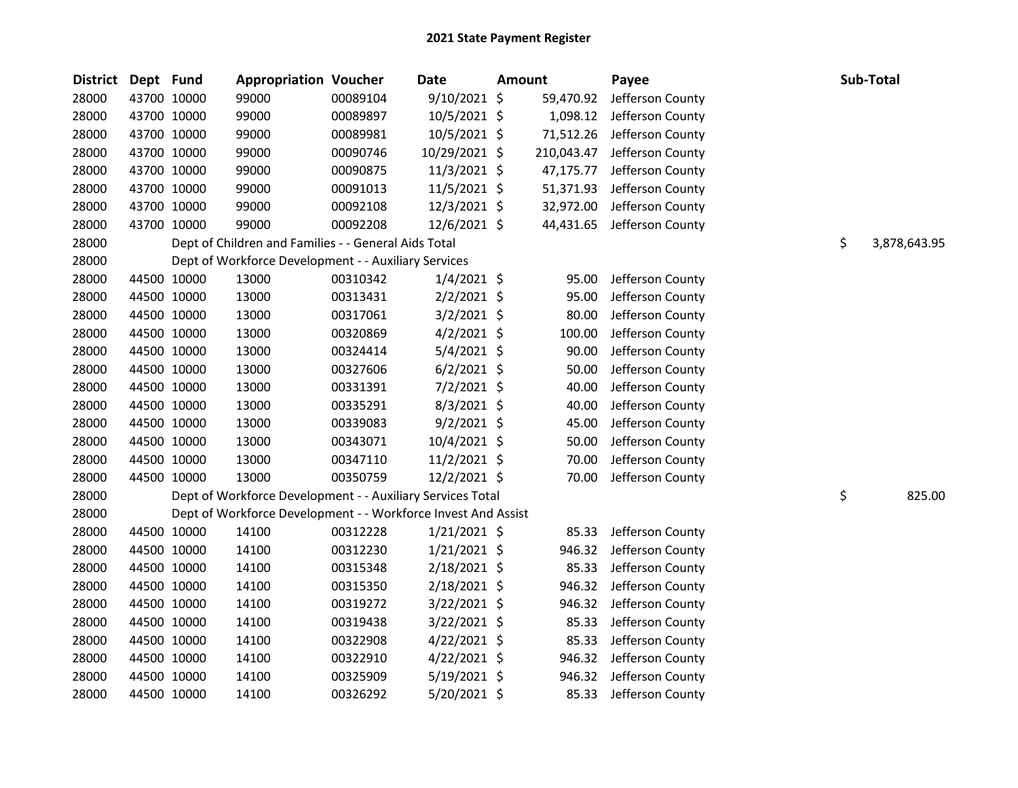| <b>District</b> | Dept Fund |             | <b>Appropriation Voucher</b>                                  |          | <b>Date</b>    | Amount |            | Payee            | Sub-Total          |
|-----------------|-----------|-------------|---------------------------------------------------------------|----------|----------------|--------|------------|------------------|--------------------|
| 28000           |           | 43700 10000 | 99000                                                         | 00089104 | 9/10/2021 \$   |        | 59,470.92  | Jefferson County |                    |
| 28000           |           | 43700 10000 | 99000                                                         | 00089897 | 10/5/2021 \$   |        | 1,098.12   | Jefferson County |                    |
| 28000           |           | 43700 10000 | 99000                                                         | 00089981 | 10/5/2021 \$   |        | 71,512.26  | Jefferson County |                    |
| 28000           |           | 43700 10000 | 99000                                                         | 00090746 | 10/29/2021 \$  |        | 210,043.47 | Jefferson County |                    |
| 28000           |           | 43700 10000 | 99000                                                         | 00090875 | 11/3/2021 \$   |        | 47,175.77  | Jefferson County |                    |
| 28000           |           | 43700 10000 | 99000                                                         | 00091013 | 11/5/2021 \$   |        | 51,371.93  | Jefferson County |                    |
| 28000           |           | 43700 10000 | 99000                                                         | 00092108 | 12/3/2021 \$   |        | 32,972.00  | Jefferson County |                    |
| 28000           |           | 43700 10000 | 99000                                                         | 00092208 | 12/6/2021 \$   |        | 44,431.65  | Jefferson County |                    |
| 28000           |           |             | Dept of Children and Families - - General Aids Total          |          |                |        |            |                  | \$<br>3,878,643.95 |
| 28000           |           |             | Dept of Workforce Development - - Auxiliary Services          |          |                |        |            |                  |                    |
| 28000           |           | 44500 10000 | 13000                                                         | 00310342 | $1/4/2021$ \$  |        | 95.00      | Jefferson County |                    |
| 28000           |           | 44500 10000 | 13000                                                         | 00313431 | $2/2/2021$ \$  |        | 95.00      | Jefferson County |                    |
| 28000           |           | 44500 10000 | 13000                                                         | 00317061 | 3/2/2021 \$    |        | 80.00      | Jefferson County |                    |
| 28000           |           | 44500 10000 | 13000                                                         | 00320869 | $4/2/2021$ \$  |        | 100.00     | Jefferson County |                    |
| 28000           |           | 44500 10000 | 13000                                                         | 00324414 | 5/4/2021 \$    |        | 90.00      | Jefferson County |                    |
| 28000           |           | 44500 10000 | 13000                                                         | 00327606 | $6/2/2021$ \$  |        | 50.00      | Jefferson County |                    |
| 28000           |           | 44500 10000 | 13000                                                         | 00331391 | 7/2/2021 \$    |        | 40.00      | Jefferson County |                    |
| 28000           |           | 44500 10000 | 13000                                                         | 00335291 | 8/3/2021 \$    |        | 40.00      | Jefferson County |                    |
| 28000           |           | 44500 10000 | 13000                                                         | 00339083 | $9/2/2021$ \$  |        | 45.00      | Jefferson County |                    |
| 28000           |           | 44500 10000 | 13000                                                         | 00343071 | $10/4/2021$ \$ |        | 50.00      | Jefferson County |                    |
| 28000           |           | 44500 10000 | 13000                                                         | 00347110 | $11/2/2021$ \$ |        | 70.00      | Jefferson County |                    |
| 28000           |           | 44500 10000 | 13000                                                         | 00350759 | 12/2/2021 \$   |        | 70.00      | Jefferson County |                    |
| 28000           |           |             | Dept of Workforce Development - - Auxiliary Services Total    |          |                |        |            |                  | \$<br>825.00       |
| 28000           |           |             | Dept of Workforce Development - - Workforce Invest And Assist |          |                |        |            |                  |                    |
| 28000           |           | 44500 10000 | 14100                                                         | 00312228 | $1/21/2021$ \$ |        | 85.33      | Jefferson County |                    |
| 28000           |           | 44500 10000 | 14100                                                         | 00312230 | $1/21/2021$ \$ |        | 946.32     | Jefferson County |                    |
| 28000           |           | 44500 10000 | 14100                                                         | 00315348 | 2/18/2021 \$   |        | 85.33      | Jefferson County |                    |
| 28000           |           | 44500 10000 | 14100                                                         | 00315350 | 2/18/2021 \$   |        | 946.32     | Jefferson County |                    |
| 28000           |           | 44500 10000 | 14100                                                         | 00319272 | 3/22/2021 \$   |        | 946.32     | Jefferson County |                    |
| 28000           |           | 44500 10000 | 14100                                                         | 00319438 | 3/22/2021 \$   |        | 85.33      | Jefferson County |                    |
| 28000           |           | 44500 10000 | 14100                                                         | 00322908 | $4/22/2021$ \$ |        | 85.33      | Jefferson County |                    |
| 28000           |           | 44500 10000 | 14100                                                         | 00322910 | $4/22/2021$ \$ |        | 946.32     | Jefferson County |                    |
| 28000           |           | 44500 10000 | 14100                                                         | 00325909 | 5/19/2021 \$   |        | 946.32     | Jefferson County |                    |
| 28000           |           | 44500 10000 | 14100                                                         | 00326292 | 5/20/2021 \$   |        | 85.33      | Jefferson County |                    |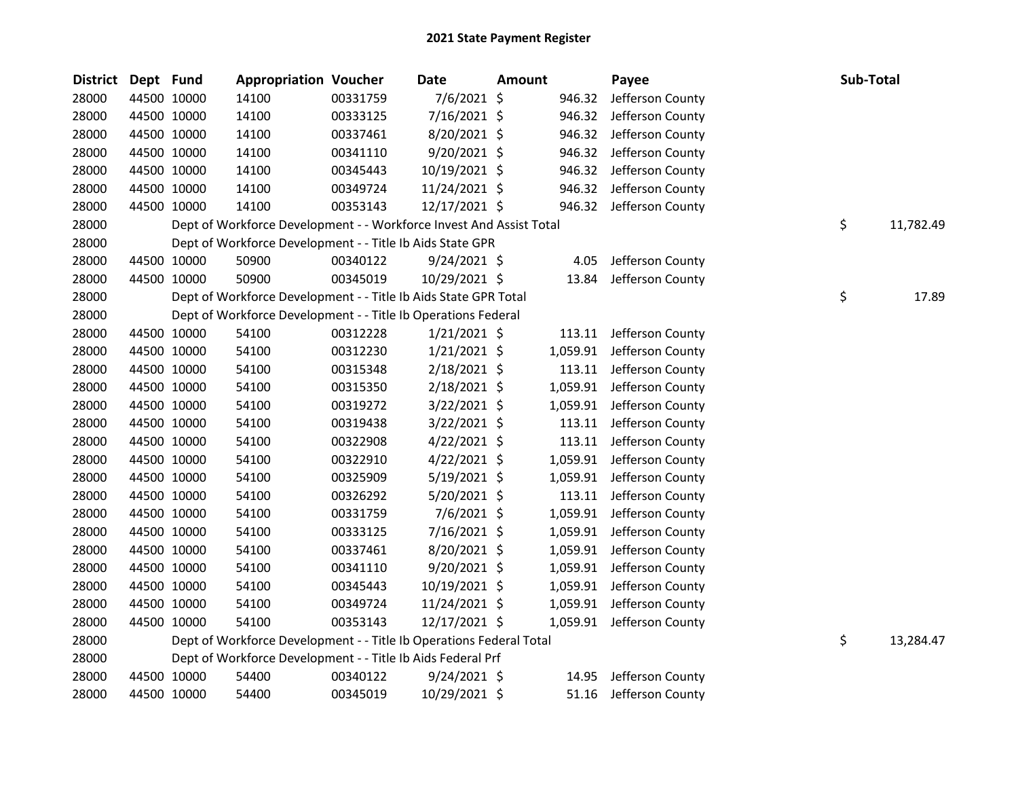| <b>District</b> | Dept Fund |             | <b>Appropriation Voucher</b>                                        |          | <b>Date</b>    | <b>Amount</b> |        | Payee                     | Sub-Total       |
|-----------------|-----------|-------------|---------------------------------------------------------------------|----------|----------------|---------------|--------|---------------------------|-----------------|
| 28000           |           | 44500 10000 | 14100                                                               | 00331759 | 7/6/2021 \$    |               | 946.32 | Jefferson County          |                 |
| 28000           |           | 44500 10000 | 14100                                                               | 00333125 | 7/16/2021 \$   |               | 946.32 | Jefferson County          |                 |
| 28000           |           | 44500 10000 | 14100                                                               | 00337461 | 8/20/2021 \$   |               | 946.32 | Jefferson County          |                 |
| 28000           |           | 44500 10000 | 14100                                                               | 00341110 | 9/20/2021 \$   |               | 946.32 | Jefferson County          |                 |
| 28000           |           | 44500 10000 | 14100                                                               | 00345443 | 10/19/2021 \$  |               |        | 946.32 Jefferson County   |                 |
| 28000           |           | 44500 10000 | 14100                                                               | 00349724 | 11/24/2021 \$  |               |        | 946.32 Jefferson County   |                 |
| 28000           |           | 44500 10000 | 14100                                                               | 00353143 | 12/17/2021 \$  |               |        | 946.32 Jefferson County   |                 |
| 28000           |           |             | Dept of Workforce Development - - Workforce Invest And Assist Total |          |                |               |        |                           | \$<br>11,782.49 |
| 28000           |           |             | Dept of Workforce Development - - Title Ib Aids State GPR           |          |                |               |        |                           |                 |
| 28000           |           | 44500 10000 | 50900                                                               | 00340122 | $9/24/2021$ \$ |               | 4.05   | Jefferson County          |                 |
| 28000           |           | 44500 10000 | 50900                                                               | 00345019 | 10/29/2021 \$  |               |        | 13.84 Jefferson County    |                 |
| 28000           |           |             | Dept of Workforce Development - - Title Ib Aids State GPR Total     |          |                |               |        |                           | \$<br>17.89     |
| 28000           |           |             | Dept of Workforce Development - - Title Ib Operations Federal       |          |                |               |        |                           |                 |
| 28000           |           | 44500 10000 | 54100                                                               | 00312228 | $1/21/2021$ \$ |               |        | 113.11 Jefferson County   |                 |
| 28000           |           | 44500 10000 | 54100                                                               | 00312230 | $1/21/2021$ \$ |               |        | 1,059.91 Jefferson County |                 |
| 28000           |           | 44500 10000 | 54100                                                               | 00315348 | 2/18/2021 \$   |               | 113.11 | Jefferson County          |                 |
| 28000           |           | 44500 10000 | 54100                                                               | 00315350 | 2/18/2021 \$   |               |        | 1,059.91 Jefferson County |                 |
| 28000           |           | 44500 10000 | 54100                                                               | 00319272 | $3/22/2021$ \$ |               |        | 1,059.91 Jefferson County |                 |
| 28000           |           | 44500 10000 | 54100                                                               | 00319438 | $3/22/2021$ \$ |               |        | 113.11 Jefferson County   |                 |
| 28000           |           | 44500 10000 | 54100                                                               | 00322908 | $4/22/2021$ \$ |               |        | 113.11 Jefferson County   |                 |
| 28000           |           | 44500 10000 | 54100                                                               | 00322910 | $4/22/2021$ \$ |               |        | 1,059.91 Jefferson County |                 |
| 28000           |           | 44500 10000 | 54100                                                               | 00325909 | $5/19/2021$ \$ |               |        | 1,059.91 Jefferson County |                 |
| 28000           |           | 44500 10000 | 54100                                                               | 00326292 | 5/20/2021 \$   |               | 113.11 | Jefferson County          |                 |
| 28000           |           | 44500 10000 | 54100                                                               | 00331759 | 7/6/2021 \$    |               |        | 1,059.91 Jefferson County |                 |
| 28000           |           | 44500 10000 | 54100                                                               | 00333125 | 7/16/2021 \$   |               |        | 1,059.91 Jefferson County |                 |
| 28000           |           | 44500 10000 | 54100                                                               | 00337461 | 8/20/2021 \$   |               |        | 1,059.91 Jefferson County |                 |
| 28000           |           | 44500 10000 | 54100                                                               | 00341110 | 9/20/2021 \$   |               |        | 1,059.91 Jefferson County |                 |
| 28000           |           | 44500 10000 | 54100                                                               | 00345443 | 10/19/2021 \$  |               |        | 1,059.91 Jefferson County |                 |
| 28000           |           | 44500 10000 | 54100                                                               | 00349724 | 11/24/2021 \$  |               |        | 1,059.91 Jefferson County |                 |
| 28000           |           | 44500 10000 | 54100                                                               | 00353143 | 12/17/2021 \$  |               |        | 1,059.91 Jefferson County |                 |
| 28000           |           |             | Dept of Workforce Development - - Title Ib Operations Federal Total |          |                |               |        |                           | \$<br>13,284.47 |
| 28000           |           |             | Dept of Workforce Development - - Title Ib Aids Federal Prf         |          |                |               |        |                           |                 |
| 28000           |           | 44500 10000 | 54400                                                               | 00340122 | $9/24/2021$ \$ |               | 14.95  | Jefferson County          |                 |
| 28000           |           | 44500 10000 | 54400                                                               | 00345019 | 10/29/2021 \$  |               |        | 51.16 Jefferson County    |                 |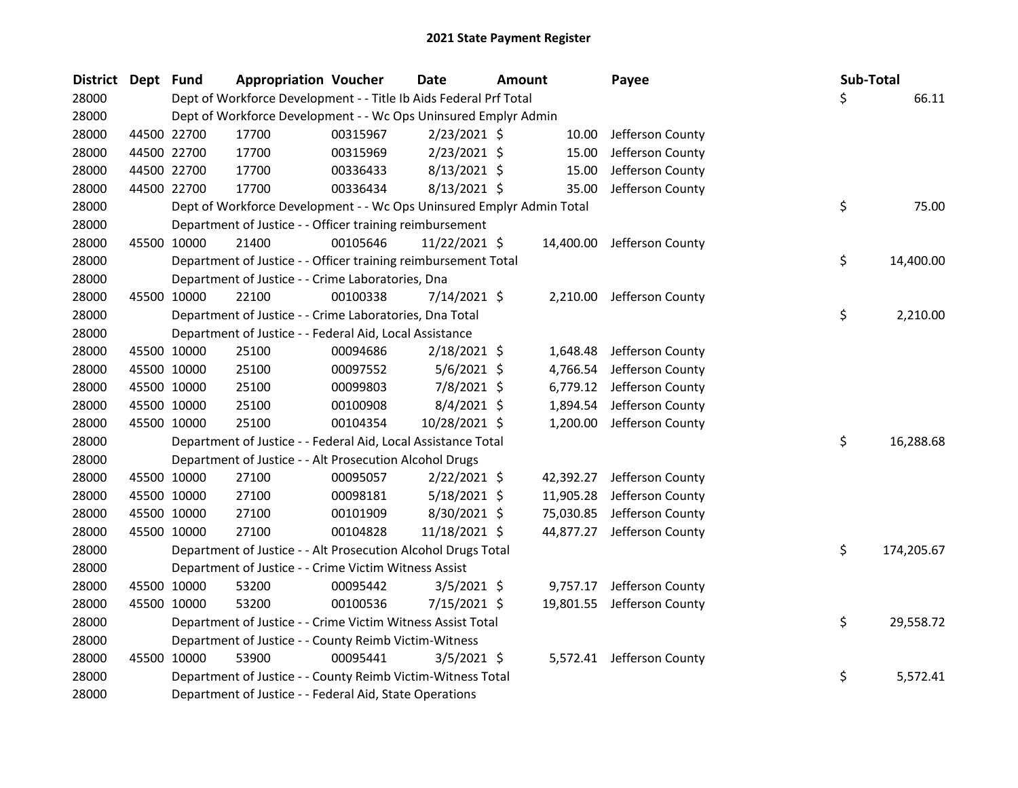| District Dept Fund |             |             | <b>Appropriation Voucher</b>                                          |          | <b>Date</b>    | <b>Amount</b> |           | Payee                      | Sub-Total |            |
|--------------------|-------------|-------------|-----------------------------------------------------------------------|----------|----------------|---------------|-----------|----------------------------|-----------|------------|
| 28000              |             |             | Dept of Workforce Development - - Title Ib Aids Federal Prf Total     |          |                |               |           |                            | \$        | 66.11      |
| 28000              |             |             | Dept of Workforce Development - - Wc Ops Uninsured Emplyr Admin       |          |                |               |           |                            |           |            |
| 28000              |             | 44500 22700 | 17700                                                                 | 00315967 | 2/23/2021 \$   |               | 10.00     | Jefferson County           |           |            |
| 28000              |             | 44500 22700 | 17700                                                                 | 00315969 | $2/23/2021$ \$ |               | 15.00     | Jefferson County           |           |            |
| 28000              |             | 44500 22700 | 17700                                                                 | 00336433 | 8/13/2021 \$   |               | 15.00     | Jefferson County           |           |            |
| 28000              |             | 44500 22700 | 17700                                                                 | 00336434 | $8/13/2021$ \$ |               | 35.00     | Jefferson County           |           |            |
| 28000              |             |             | Dept of Workforce Development - - Wc Ops Uninsured Emplyr Admin Total |          |                |               |           |                            | \$        | 75.00      |
| 28000              |             |             | Department of Justice - - Officer training reimbursement              |          |                |               |           |                            |           |            |
| 28000              |             | 45500 10000 | 21400                                                                 | 00105646 | 11/22/2021 \$  |               | 14,400.00 | Jefferson County           |           |            |
| 28000              |             |             | Department of Justice - - Officer training reimbursement Total        |          |                |               |           |                            | \$        | 14,400.00  |
| 28000              |             |             | Department of Justice - - Crime Laboratories, Dna                     |          |                |               |           |                            |           |            |
| 28000              |             | 45500 10000 | 22100                                                                 | 00100338 | 7/14/2021 \$   |               | 2,210.00  | Jefferson County           |           |            |
| 28000              |             |             | Department of Justice - - Crime Laboratories, Dna Total               |          |                |               |           |                            | \$        | 2,210.00   |
| 28000              |             |             | Department of Justice - - Federal Aid, Local Assistance               |          |                |               |           |                            |           |            |
| 28000              |             | 45500 10000 | 25100                                                                 | 00094686 | $2/18/2021$ \$ |               | 1,648.48  | Jefferson County           |           |            |
| 28000              | 45500 10000 |             | 25100                                                                 | 00097552 | $5/6/2021$ \$  |               | 4,766.54  | Jefferson County           |           |            |
| 28000              |             | 45500 10000 | 25100                                                                 | 00099803 | 7/8/2021 \$    |               |           | 6,779.12 Jefferson County  |           |            |
| 28000              |             | 45500 10000 | 25100                                                                 | 00100908 | 8/4/2021 \$    |               | 1,894.54  | Jefferson County           |           |            |
| 28000              |             | 45500 10000 | 25100                                                                 | 00104354 | 10/28/2021 \$  |               | 1,200.00  | Jefferson County           |           |            |
| 28000              |             |             | Department of Justice - - Federal Aid, Local Assistance Total         |          |                |               |           |                            | \$        | 16,288.68  |
| 28000              |             |             | Department of Justice - - Alt Prosecution Alcohol Drugs               |          |                |               |           |                            |           |            |
| 28000              |             | 45500 10000 | 27100                                                                 | 00095057 | $2/22/2021$ \$ |               | 42,392.27 | Jefferson County           |           |            |
| 28000              |             | 45500 10000 | 27100                                                                 | 00098181 | $5/18/2021$ \$ |               | 11,905.28 | Jefferson County           |           |            |
| 28000              |             | 45500 10000 | 27100                                                                 | 00101909 | 8/30/2021 \$   |               | 75,030.85 | Jefferson County           |           |            |
| 28000              |             | 45500 10000 | 27100                                                                 | 00104828 | 11/18/2021 \$  |               | 44,877.27 | Jefferson County           |           |            |
| 28000              |             |             | Department of Justice - - Alt Prosecution Alcohol Drugs Total         |          |                |               |           |                            | \$        | 174,205.67 |
| 28000              |             |             | Department of Justice - - Crime Victim Witness Assist                 |          |                |               |           |                            |           |            |
| 28000              |             | 45500 10000 | 53200                                                                 | 00095442 | $3/5/2021$ \$  |               | 9,757.17  | Jefferson County           |           |            |
| 28000              |             | 45500 10000 | 53200                                                                 | 00100536 | 7/15/2021 \$   |               |           | 19,801.55 Jefferson County |           |            |
| 28000              |             |             | Department of Justice - - Crime Victim Witness Assist Total           |          |                |               |           |                            | \$        | 29,558.72  |
| 28000              |             |             | Department of Justice - - County Reimb Victim-Witness                 |          |                |               |           |                            |           |            |
| 28000              |             | 45500 10000 | 53900                                                                 | 00095441 | $3/5/2021$ \$  |               |           | 5,572.41 Jefferson County  |           |            |
| 28000              |             |             | Department of Justice - - County Reimb Victim-Witness Total           |          |                |               |           |                            | \$        | 5,572.41   |
| 28000              |             |             | Department of Justice - - Federal Aid, State Operations               |          |                |               |           |                            |           |            |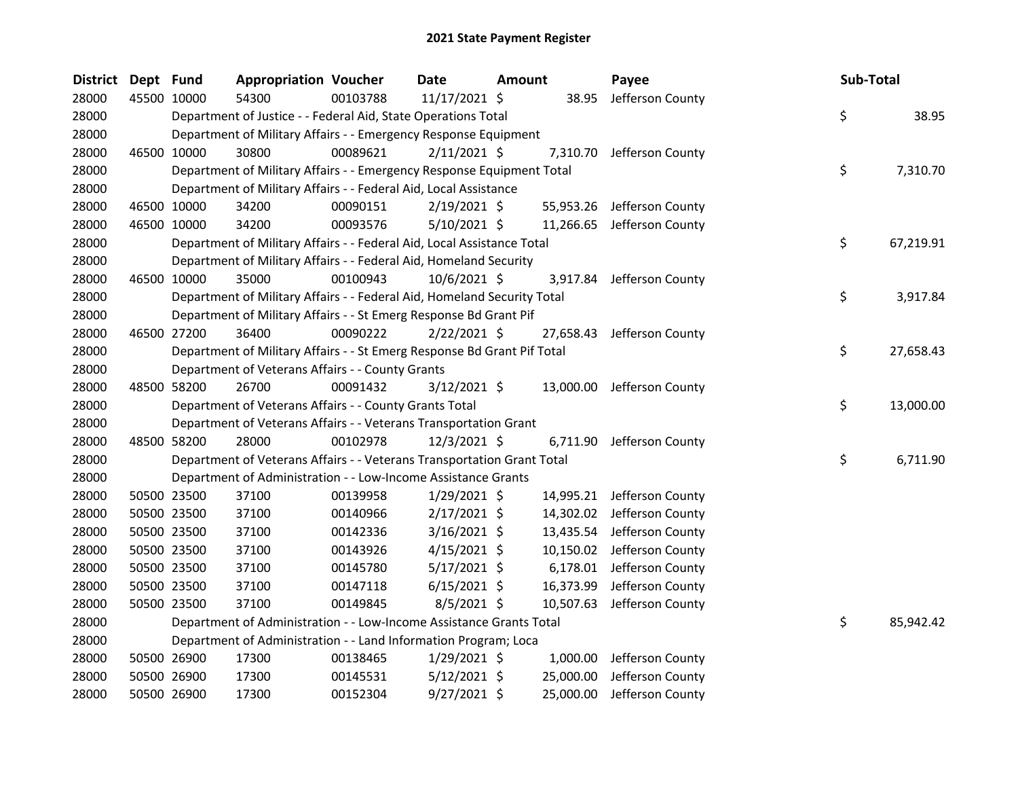| District Dept Fund |             | <b>Appropriation Voucher</b>                                            |          | <b>Date</b>    | <b>Amount</b> |           | Payee                      | Sub-Total |           |
|--------------------|-------------|-------------------------------------------------------------------------|----------|----------------|---------------|-----------|----------------------------|-----------|-----------|
| 28000              | 45500 10000 | 54300                                                                   | 00103788 | 11/17/2021 \$  |               | 38.95     | Jefferson County           |           |           |
| 28000              |             | Department of Justice - - Federal Aid, State Operations Total           |          |                |               |           |                            | \$        | 38.95     |
| 28000              |             | Department of Military Affairs - - Emergency Response Equipment         |          |                |               |           |                            |           |           |
| 28000              | 46500 10000 | 30800                                                                   | 00089621 | $2/11/2021$ \$ |               |           | 7,310.70 Jefferson County  |           |           |
| 28000              |             | Department of Military Affairs - - Emergency Response Equipment Total   |          |                |               |           |                            | \$        | 7,310.70  |
| 28000              |             | Department of Military Affairs - - Federal Aid, Local Assistance        |          |                |               |           |                            |           |           |
| 28000              | 46500 10000 | 34200                                                                   | 00090151 | $2/19/2021$ \$ |               |           | 55,953.26 Jefferson County |           |           |
| 28000              | 46500 10000 | 34200                                                                   | 00093576 | $5/10/2021$ \$ |               | 11,266.65 | Jefferson County           |           |           |
| 28000              |             | Department of Military Affairs - - Federal Aid, Local Assistance Total  |          |                |               |           |                            | \$        | 67,219.91 |
| 28000              |             | Department of Military Affairs - - Federal Aid, Homeland Security       |          |                |               |           |                            |           |           |
| 28000              | 46500 10000 | 35000                                                                   | 00100943 | 10/6/2021 \$   |               | 3,917.84  | Jefferson County           |           |           |
| 28000              |             | Department of Military Affairs - - Federal Aid, Homeland Security Total |          |                |               |           |                            | \$        | 3,917.84  |
| 28000              |             | Department of Military Affairs - - St Emerg Response Bd Grant Pif       |          |                |               |           |                            |           |           |
| 28000              | 46500 27200 | 36400                                                                   | 00090222 | $2/22/2021$ \$ |               | 27,658.43 | Jefferson County           |           |           |
| 28000              |             | Department of Military Affairs - - St Emerg Response Bd Grant Pif Total |          |                |               |           |                            | \$        | 27,658.43 |
| 28000              |             | Department of Veterans Affairs - - County Grants                        |          |                |               |           |                            |           |           |
| 28000              | 48500 58200 | 26700                                                                   | 00091432 | $3/12/2021$ \$ |               |           | 13,000.00 Jefferson County |           |           |
| 28000              |             | Department of Veterans Affairs - - County Grants Total                  |          |                |               |           |                            | \$        | 13,000.00 |
| 28000              |             | Department of Veterans Affairs - - Veterans Transportation Grant        |          |                |               |           |                            |           |           |
| 28000              | 48500 58200 | 28000                                                                   | 00102978 | 12/3/2021 \$   |               | 6,711.90  | Jefferson County           |           |           |
| 28000              |             | Department of Veterans Affairs - - Veterans Transportation Grant Total  |          |                |               |           |                            | \$        | 6,711.90  |
| 28000              |             | Department of Administration - - Low-Income Assistance Grants           |          |                |               |           |                            |           |           |
| 28000              | 50500 23500 | 37100                                                                   | 00139958 | $1/29/2021$ \$ |               | 14,995.21 | Jefferson County           |           |           |
| 28000              | 50500 23500 | 37100                                                                   | 00140966 | $2/17/2021$ \$ |               | 14,302.02 | Jefferson County           |           |           |
| 28000              | 50500 23500 | 37100                                                                   | 00142336 | 3/16/2021 \$   |               | 13,435.54 | Jefferson County           |           |           |
| 28000              | 50500 23500 | 37100                                                                   | 00143926 | $4/15/2021$ \$ |               | 10,150.02 | Jefferson County           |           |           |
| 28000              | 50500 23500 | 37100                                                                   | 00145780 | $5/17/2021$ \$ |               | 6,178.01  | Jefferson County           |           |           |
| 28000              | 50500 23500 | 37100                                                                   | 00147118 | $6/15/2021$ \$ |               | 16,373.99 | Jefferson County           |           |           |
| 28000              | 50500 23500 | 37100                                                                   | 00149845 | 8/5/2021 \$    |               | 10,507.63 | Jefferson County           |           |           |
| 28000              |             | Department of Administration - - Low-Income Assistance Grants Total     |          |                |               |           |                            | \$        | 85,942.42 |
| 28000              |             | Department of Administration - - Land Information Program; Loca         |          |                |               |           |                            |           |           |
| 28000              | 50500 26900 | 17300                                                                   | 00138465 | $1/29/2021$ \$ |               | 1,000.00  | Jefferson County           |           |           |
| 28000              | 50500 26900 | 17300                                                                   | 00145531 | $5/12/2021$ \$ |               | 25,000.00 | Jefferson County           |           |           |
| 28000              | 50500 26900 | 17300                                                                   | 00152304 | 9/27/2021 \$   |               | 25,000.00 | Jefferson County           |           |           |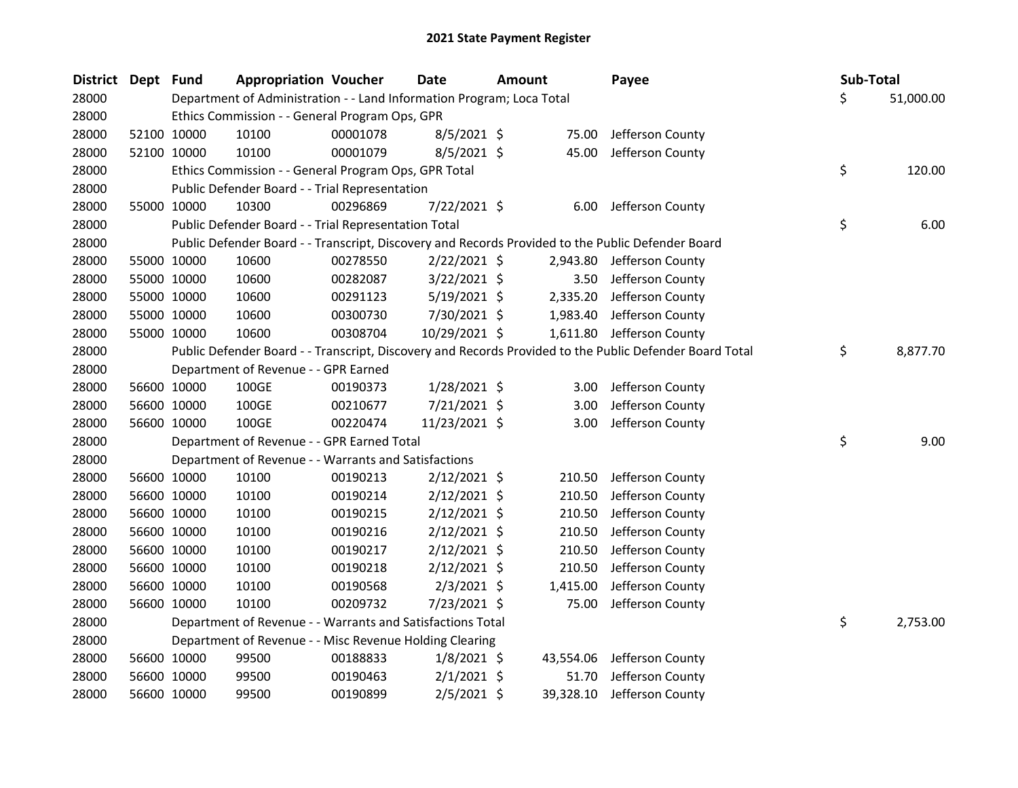| District Dept Fund |             | <b>Appropriation Voucher</b>                                          |          | Date           | <b>Amount</b> |           | Payee                                                                                                   | Sub-Total       |
|--------------------|-------------|-----------------------------------------------------------------------|----------|----------------|---------------|-----------|---------------------------------------------------------------------------------------------------------|-----------------|
| 28000              |             | Department of Administration - - Land Information Program; Loca Total |          |                |               |           |                                                                                                         | \$<br>51,000.00 |
| 28000              |             | Ethics Commission - - General Program Ops, GPR                        |          |                |               |           |                                                                                                         |                 |
| 28000              | 52100 10000 | 10100                                                                 | 00001078 | 8/5/2021 \$    |               | 75.00     | Jefferson County                                                                                        |                 |
| 28000              | 52100 10000 | 10100                                                                 | 00001079 | 8/5/2021 \$    |               | 45.00     | Jefferson County                                                                                        |                 |
| 28000              |             | Ethics Commission - - General Program Ops, GPR Total                  |          |                |               |           |                                                                                                         | \$<br>120.00    |
| 28000              |             | Public Defender Board - - Trial Representation                        |          |                |               |           |                                                                                                         |                 |
| 28000              | 55000 10000 | 10300                                                                 | 00296869 | 7/22/2021 \$   |               | 6.00      | Jefferson County                                                                                        |                 |
| 28000              |             | Public Defender Board - - Trial Representation Total                  |          |                |               |           |                                                                                                         | \$<br>6.00      |
| 28000              |             |                                                                       |          |                |               |           | Public Defender Board - - Transcript, Discovery and Records Provided to the Public Defender Board       |                 |
| 28000              | 55000 10000 | 10600                                                                 | 00278550 | $2/22/2021$ \$ |               | 2,943.80  | Jefferson County                                                                                        |                 |
| 28000              | 55000 10000 | 10600                                                                 | 00282087 | $3/22/2021$ \$ |               | 3.50      | Jefferson County                                                                                        |                 |
| 28000              | 55000 10000 | 10600                                                                 | 00291123 | $5/19/2021$ \$ |               | 2,335.20  | Jefferson County                                                                                        |                 |
| 28000              | 55000 10000 | 10600                                                                 | 00300730 | 7/30/2021 \$   |               | 1,983.40  | Jefferson County                                                                                        |                 |
| 28000              | 55000 10000 | 10600                                                                 | 00308704 | 10/29/2021 \$  |               | 1,611.80  | Jefferson County                                                                                        |                 |
| 28000              |             |                                                                       |          |                |               |           | Public Defender Board - - Transcript, Discovery and Records Provided to the Public Defender Board Total | \$<br>8,877.70  |
| 28000              |             | Department of Revenue - - GPR Earned                                  |          |                |               |           |                                                                                                         |                 |
| 28000              | 56600 10000 | 100GE                                                                 | 00190373 | 1/28/2021 \$   |               | 3.00      | Jefferson County                                                                                        |                 |
| 28000              | 56600 10000 | 100GE                                                                 | 00210677 | 7/21/2021 \$   |               | 3.00      | Jefferson County                                                                                        |                 |
| 28000              | 56600 10000 | 100GE                                                                 | 00220474 | 11/23/2021 \$  |               | 3.00      | Jefferson County                                                                                        |                 |
| 28000              |             | Department of Revenue - - GPR Earned Total                            |          |                |               |           |                                                                                                         | \$<br>9.00      |
| 28000              |             | Department of Revenue - - Warrants and Satisfactions                  |          |                |               |           |                                                                                                         |                 |
| 28000              | 56600 10000 | 10100                                                                 | 00190213 | $2/12/2021$ \$ |               | 210.50    | Jefferson County                                                                                        |                 |
| 28000              | 56600 10000 | 10100                                                                 | 00190214 | $2/12/2021$ \$ |               | 210.50    | Jefferson County                                                                                        |                 |
| 28000              | 56600 10000 | 10100                                                                 | 00190215 | $2/12/2021$ \$ |               | 210.50    | Jefferson County                                                                                        |                 |
| 28000              | 56600 10000 | 10100                                                                 | 00190216 | $2/12/2021$ \$ |               | 210.50    | Jefferson County                                                                                        |                 |
| 28000              | 56600 10000 | 10100                                                                 | 00190217 | $2/12/2021$ \$ |               | 210.50    | Jefferson County                                                                                        |                 |
| 28000              | 56600 10000 | 10100                                                                 | 00190218 | $2/12/2021$ \$ |               | 210.50    | Jefferson County                                                                                        |                 |
| 28000              | 56600 10000 | 10100                                                                 | 00190568 | $2/3/2021$ \$  |               | 1,415.00  | Jefferson County                                                                                        |                 |
| 28000              | 56600 10000 | 10100                                                                 | 00209732 | 7/23/2021 \$   |               | 75.00     | Jefferson County                                                                                        |                 |
| 28000              |             | Department of Revenue - - Warrants and Satisfactions Total            |          |                |               |           |                                                                                                         | \$<br>2,753.00  |
| 28000              |             | Department of Revenue - - Misc Revenue Holding Clearing               |          |                |               |           |                                                                                                         |                 |
| 28000              | 56600 10000 | 99500                                                                 | 00188833 | $1/8/2021$ \$  |               | 43,554.06 | Jefferson County                                                                                        |                 |
| 28000              | 56600 10000 | 99500                                                                 | 00190463 | $2/1/2021$ \$  |               | 51.70     | Jefferson County                                                                                        |                 |
| 28000              | 56600 10000 | 99500                                                                 | 00190899 | $2/5/2021$ \$  |               | 39,328.10 | Jefferson County                                                                                        |                 |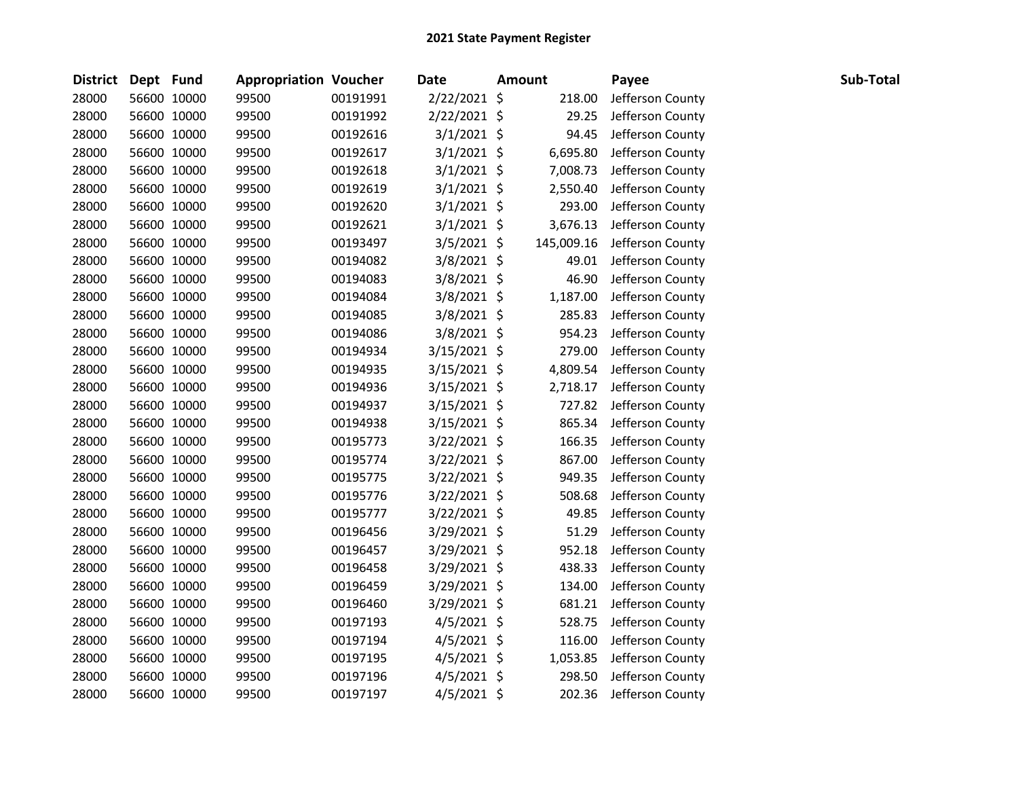| <b>District</b> | Dept Fund |             | <b>Appropriation Voucher</b> |          | <b>Date</b>    | <b>Amount</b> | Payee            | Sub-Total |
|-----------------|-----------|-------------|------------------------------|----------|----------------|---------------|------------------|-----------|
| 28000           |           | 56600 10000 | 99500                        | 00191991 | $2/22/2021$ \$ | 218.00        | Jefferson County |           |
| 28000           |           | 56600 10000 | 99500                        | 00191992 | 2/22/2021 \$   | 29.25         | Jefferson County |           |
| 28000           |           | 56600 10000 | 99500                        | 00192616 | $3/1/2021$ \$  | 94.45         | Jefferson County |           |
| 28000           |           | 56600 10000 | 99500                        | 00192617 | $3/1/2021$ \$  | 6,695.80      | Jefferson County |           |
| 28000           |           | 56600 10000 | 99500                        | 00192618 | $3/1/2021$ \$  | 7,008.73      | Jefferson County |           |
| 28000           |           | 56600 10000 | 99500                        | 00192619 | $3/1/2021$ \$  | 2,550.40      | Jefferson County |           |
| 28000           |           | 56600 10000 | 99500                        | 00192620 | $3/1/2021$ \$  | 293.00        | Jefferson County |           |
| 28000           |           | 56600 10000 | 99500                        | 00192621 | $3/1/2021$ \$  | 3,676.13      | Jefferson County |           |
| 28000           |           | 56600 10000 | 99500                        | 00193497 | 3/5/2021 \$    | 145,009.16    | Jefferson County |           |
| 28000           |           | 56600 10000 | 99500                        | 00194082 | 3/8/2021 \$    | 49.01         | Jefferson County |           |
| 28000           |           | 56600 10000 | 99500                        | 00194083 | 3/8/2021 \$    | 46.90         | Jefferson County |           |
| 28000           |           | 56600 10000 | 99500                        | 00194084 | 3/8/2021 \$    | 1,187.00      | Jefferson County |           |
| 28000           |           | 56600 10000 | 99500                        | 00194085 | 3/8/2021 \$    | 285.83        | Jefferson County |           |
| 28000           |           | 56600 10000 | 99500                        | 00194086 | 3/8/2021 \$    | 954.23        | Jefferson County |           |
| 28000           |           | 56600 10000 | 99500                        | 00194934 | $3/15/2021$ \$ | 279.00        | Jefferson County |           |
| 28000           |           | 56600 10000 | 99500                        | 00194935 | $3/15/2021$ \$ | 4,809.54      | Jefferson County |           |
| 28000           |           | 56600 10000 | 99500                        | 00194936 | 3/15/2021 \$   | 2,718.17      | Jefferson County |           |
| 28000           |           | 56600 10000 | 99500                        | 00194937 | $3/15/2021$ \$ | 727.82        | Jefferson County |           |
| 28000           |           | 56600 10000 | 99500                        | 00194938 | $3/15/2021$ \$ | 865.34        | Jefferson County |           |
| 28000           |           | 56600 10000 | 99500                        | 00195773 | 3/22/2021 \$   | 166.35        | Jefferson County |           |
| 28000           |           | 56600 10000 | 99500                        | 00195774 | 3/22/2021 \$   | 867.00        | Jefferson County |           |
| 28000           |           | 56600 10000 | 99500                        | 00195775 | $3/22/2021$ \$ | 949.35        | Jefferson County |           |
| 28000           |           | 56600 10000 | 99500                        | 00195776 | 3/22/2021 \$   | 508.68        | Jefferson County |           |
| 28000           |           | 56600 10000 | 99500                        | 00195777 | 3/22/2021 \$   | 49.85         | Jefferson County |           |
| 28000           |           | 56600 10000 | 99500                        | 00196456 | 3/29/2021 \$   | 51.29         | Jefferson County |           |
| 28000           |           | 56600 10000 | 99500                        | 00196457 | 3/29/2021 \$   | 952.18        | Jefferson County |           |
| 28000           |           | 56600 10000 | 99500                        | 00196458 | 3/29/2021 \$   | 438.33        | Jefferson County |           |
| 28000           |           | 56600 10000 | 99500                        | 00196459 | 3/29/2021 \$   | 134.00        | Jefferson County |           |
| 28000           |           | 56600 10000 | 99500                        | 00196460 | 3/29/2021 \$   | 681.21        | Jefferson County |           |
| 28000           |           | 56600 10000 | 99500                        | 00197193 | $4/5/2021$ \$  | 528.75        | Jefferson County |           |
| 28000           |           | 56600 10000 | 99500                        | 00197194 | 4/5/2021 \$    | 116.00        | Jefferson County |           |
| 28000           |           | 56600 10000 | 99500                        | 00197195 | 4/5/2021 \$    | 1,053.85      | Jefferson County |           |
| 28000           |           | 56600 10000 | 99500                        | 00197196 | 4/5/2021 \$    | 298.50        | Jefferson County |           |
| 28000           |           | 56600 10000 | 99500                        | 00197197 | $4/5/2021$ \$  | 202.36        | Jefferson County |           |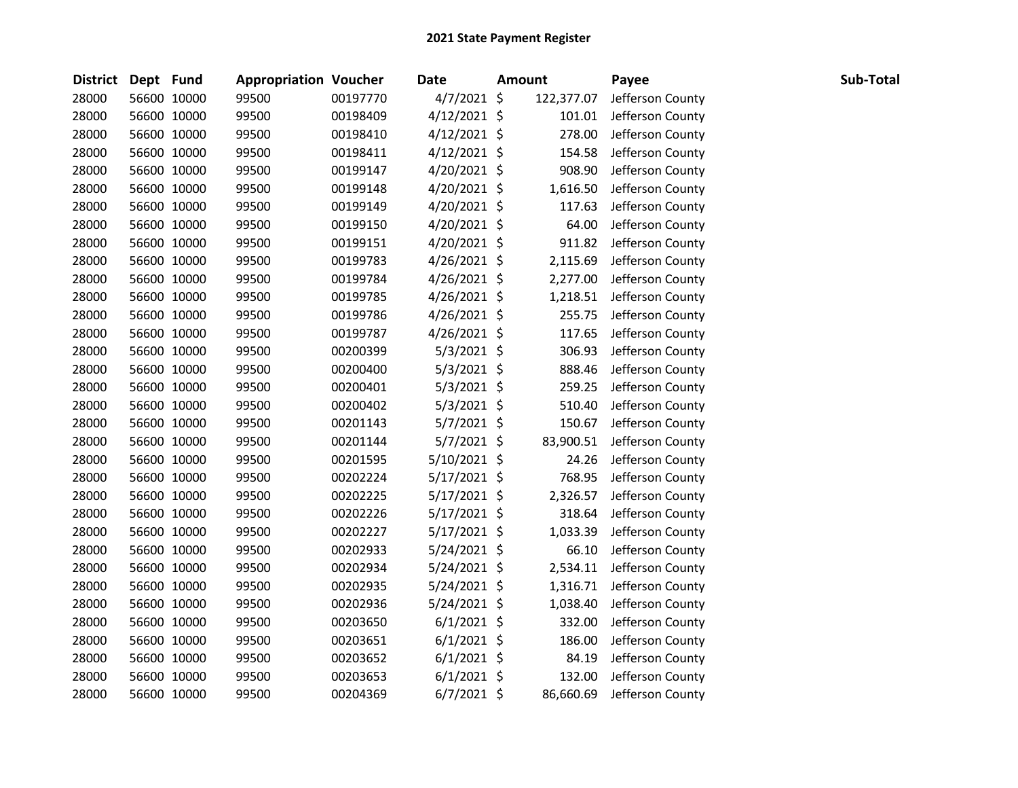| <b>District</b> | Dept Fund |             | <b>Appropriation Voucher</b> |          | <b>Date</b>    | <b>Amount</b> |            | Payee            | Sub-Total |
|-----------------|-----------|-------------|------------------------------|----------|----------------|---------------|------------|------------------|-----------|
| 28000           |           | 56600 10000 | 99500                        | 00197770 | $4/7/2021$ \$  |               | 122,377.07 | Jefferson County |           |
| 28000           |           | 56600 10000 | 99500                        | 00198409 | $4/12/2021$ \$ |               | 101.01     | Jefferson County |           |
| 28000           |           | 56600 10000 | 99500                        | 00198410 | $4/12/2021$ \$ |               | 278.00     | Jefferson County |           |
| 28000           |           | 56600 10000 | 99500                        | 00198411 | $4/12/2021$ \$ |               | 154.58     | Jefferson County |           |
| 28000           |           | 56600 10000 | 99500                        | 00199147 | 4/20/2021 \$   |               | 908.90     | Jefferson County |           |
| 28000           |           | 56600 10000 | 99500                        | 00199148 | $4/20/2021$ \$ |               | 1,616.50   | Jefferson County |           |
| 28000           |           | 56600 10000 | 99500                        | 00199149 | $4/20/2021$ \$ |               | 117.63     | Jefferson County |           |
| 28000           |           | 56600 10000 | 99500                        | 00199150 | $4/20/2021$ \$ |               | 64.00      | Jefferson County |           |
| 28000           |           | 56600 10000 | 99500                        | 00199151 | 4/20/2021 \$   |               | 911.82     | Jefferson County |           |
| 28000           |           | 56600 10000 | 99500                        | 00199783 | 4/26/2021 \$   |               | 2,115.69   | Jefferson County |           |
| 28000           |           | 56600 10000 | 99500                        | 00199784 | $4/26/2021$ \$ |               | 2,277.00   | Jefferson County |           |
| 28000           |           | 56600 10000 | 99500                        | 00199785 | 4/26/2021 \$   |               | 1,218.51   | Jefferson County |           |
| 28000           |           | 56600 10000 | 99500                        | 00199786 | 4/26/2021 \$   |               | 255.75     | Jefferson County |           |
| 28000           |           | 56600 10000 | 99500                        | 00199787 | $4/26/2021$ \$ |               | 117.65     | Jefferson County |           |
| 28000           |           | 56600 10000 | 99500                        | 00200399 | $5/3/2021$ \$  |               | 306.93     | Jefferson County |           |
| 28000           |           | 56600 10000 | 99500                        | 00200400 | $5/3/2021$ \$  |               | 888.46     | Jefferson County |           |
| 28000           |           | 56600 10000 | 99500                        | 00200401 | $5/3/2021$ \$  |               | 259.25     | Jefferson County |           |
| 28000           |           | 56600 10000 | 99500                        | 00200402 | $5/3/2021$ \$  |               | 510.40     | Jefferson County |           |
| 28000           |           | 56600 10000 | 99500                        | 00201143 | 5/7/2021 \$    |               | 150.67     | Jefferson County |           |
| 28000           |           | 56600 10000 | 99500                        | 00201144 | 5/7/2021 \$    |               | 83,900.51  | Jefferson County |           |
| 28000           |           | 56600 10000 | 99500                        | 00201595 | $5/10/2021$ \$ |               | 24.26      | Jefferson County |           |
| 28000           |           | 56600 10000 | 99500                        | 00202224 | $5/17/2021$ \$ |               | 768.95     | Jefferson County |           |
| 28000           |           | 56600 10000 | 99500                        | 00202225 | 5/17/2021 \$   |               | 2,326.57   | Jefferson County |           |
| 28000           |           | 56600 10000 | 99500                        | 00202226 | $5/17/2021$ \$ |               | 318.64     | Jefferson County |           |
| 28000           |           | 56600 10000 | 99500                        | 00202227 | $5/17/2021$ \$ |               | 1,033.39   | Jefferson County |           |
| 28000           |           | 56600 10000 | 99500                        | 00202933 | $5/24/2021$ \$ |               | 66.10      | Jefferson County |           |
| 28000           |           | 56600 10000 | 99500                        | 00202934 | $5/24/2021$ \$ |               | 2,534.11   | Jefferson County |           |
| 28000           |           | 56600 10000 | 99500                        | 00202935 | $5/24/2021$ \$ |               | 1,316.71   | Jefferson County |           |
| 28000           |           | 56600 10000 | 99500                        | 00202936 | $5/24/2021$ \$ |               | 1,038.40   | Jefferson County |           |
| 28000           |           | 56600 10000 | 99500                        | 00203650 | $6/1/2021$ \$  |               | 332.00     | Jefferson County |           |
| 28000           |           | 56600 10000 | 99500                        | 00203651 | $6/1/2021$ \$  |               | 186.00     | Jefferson County |           |
| 28000           |           | 56600 10000 | 99500                        | 00203652 | $6/1/2021$ \$  |               | 84.19      | Jefferson County |           |
| 28000           |           | 56600 10000 | 99500                        | 00203653 | $6/1/2021$ \$  |               | 132.00     | Jefferson County |           |
| 28000           |           | 56600 10000 | 99500                        | 00204369 | $6/7/2021$ \$  |               | 86,660.69  | Jefferson County |           |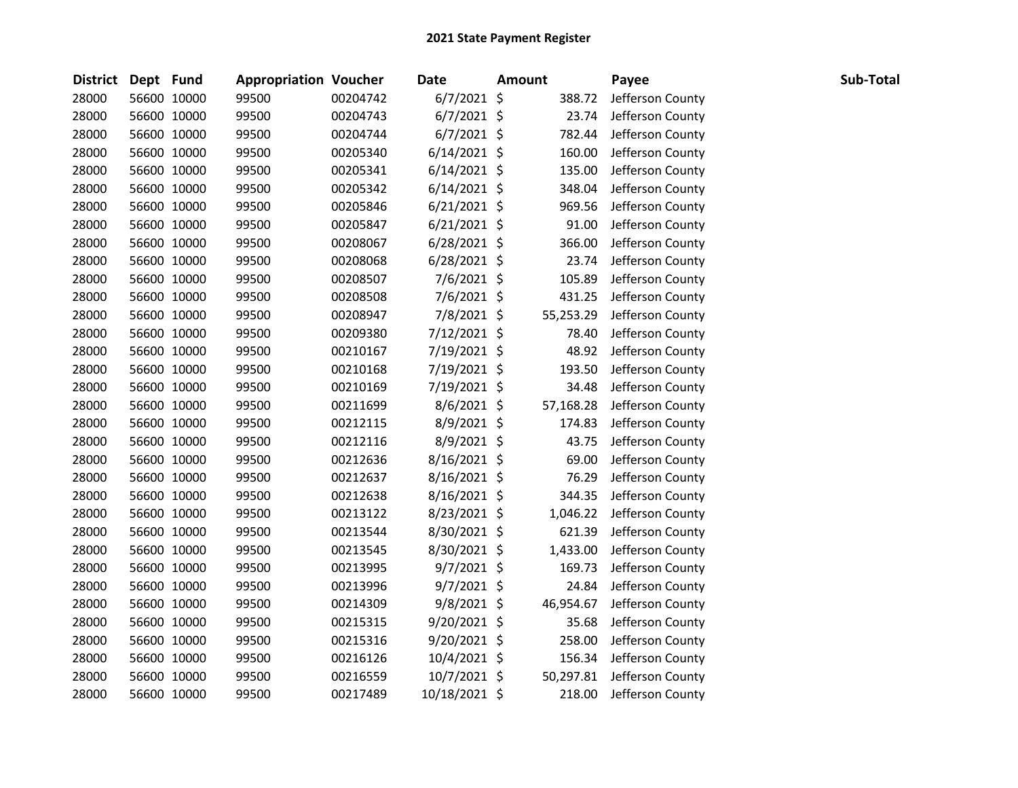| <b>District</b> | Dept Fund |             | <b>Appropriation Voucher</b> |          | <b>Date</b>    | <b>Amount</b> |           | Payee            | Sub-Total |
|-----------------|-----------|-------------|------------------------------|----------|----------------|---------------|-----------|------------------|-----------|
| 28000           |           | 56600 10000 | 99500                        | 00204742 | $6/7/2021$ \$  |               | 388.72    | Jefferson County |           |
| 28000           |           | 56600 10000 | 99500                        | 00204743 | $6/7/2021$ \$  |               | 23.74     | Jefferson County |           |
| 28000           |           | 56600 10000 | 99500                        | 00204744 | $6/7/2021$ \$  |               | 782.44    | Jefferson County |           |
| 28000           |           | 56600 10000 | 99500                        | 00205340 | $6/14/2021$ \$ |               | 160.00    | Jefferson County |           |
| 28000           |           | 56600 10000 | 99500                        | 00205341 | $6/14/2021$ \$ |               | 135.00    | Jefferson County |           |
| 28000           |           | 56600 10000 | 99500                        | 00205342 | $6/14/2021$ \$ |               | 348.04    | Jefferson County |           |
| 28000           |           | 56600 10000 | 99500                        | 00205846 | $6/21/2021$ \$ |               | 969.56    | Jefferson County |           |
| 28000           |           | 56600 10000 | 99500                        | 00205847 | $6/21/2021$ \$ |               | 91.00     | Jefferson County |           |
| 28000           |           | 56600 10000 | 99500                        | 00208067 | $6/28/2021$ \$ |               | 366.00    | Jefferson County |           |
| 28000           |           | 56600 10000 | 99500                        | 00208068 | $6/28/2021$ \$ |               | 23.74     | Jefferson County |           |
| 28000           |           | 56600 10000 | 99500                        | 00208507 | 7/6/2021 \$    |               | 105.89    | Jefferson County |           |
| 28000           |           | 56600 10000 | 99500                        | 00208508 | 7/6/2021 \$    |               | 431.25    | Jefferson County |           |
| 28000           |           | 56600 10000 | 99500                        | 00208947 | 7/8/2021 \$    |               | 55,253.29 | Jefferson County |           |
| 28000           |           | 56600 10000 | 99500                        | 00209380 | 7/12/2021 \$   |               | 78.40     | Jefferson County |           |
| 28000           |           | 56600 10000 | 99500                        | 00210167 | 7/19/2021 \$   |               | 48.92     | Jefferson County |           |
| 28000           |           | 56600 10000 | 99500                        | 00210168 | 7/19/2021 \$   |               | 193.50    | Jefferson County |           |
| 28000           |           | 56600 10000 | 99500                        | 00210169 | 7/19/2021 \$   |               | 34.48     | Jefferson County |           |
| 28000           |           | 56600 10000 | 99500                        | 00211699 | 8/6/2021 \$    |               | 57,168.28 | Jefferson County |           |
| 28000           |           | 56600 10000 | 99500                        | 00212115 | 8/9/2021 \$    |               | 174.83    | Jefferson County |           |
| 28000           |           | 56600 10000 | 99500                        | 00212116 | 8/9/2021 \$    |               | 43.75     | Jefferson County |           |
| 28000           |           | 56600 10000 | 99500                        | 00212636 | 8/16/2021 \$   |               | 69.00     | Jefferson County |           |
| 28000           |           | 56600 10000 | 99500                        | 00212637 | 8/16/2021 \$   |               | 76.29     | Jefferson County |           |
| 28000           |           | 56600 10000 | 99500                        | 00212638 | 8/16/2021 \$   |               | 344.35    | Jefferson County |           |
| 28000           |           | 56600 10000 | 99500                        | 00213122 | 8/23/2021 \$   |               | 1,046.22  | Jefferson County |           |
| 28000           |           | 56600 10000 | 99500                        | 00213544 | $8/30/2021$ \$ |               | 621.39    | Jefferson County |           |
| 28000           |           | 56600 10000 | 99500                        | 00213545 | 8/30/2021 \$   |               | 1,433.00  | Jefferson County |           |
| 28000           |           | 56600 10000 | 99500                        | 00213995 | $9/7/2021$ \$  |               | 169.73    | Jefferson County |           |
| 28000           |           | 56600 10000 | 99500                        | 00213996 | $9/7/2021$ \$  |               | 24.84     | Jefferson County |           |
| 28000           |           | 56600 10000 | 99500                        | 00214309 | 9/8/2021 \$    |               | 46,954.67 | Jefferson County |           |
| 28000           |           | 56600 10000 | 99500                        | 00215315 | 9/20/2021 \$   |               | 35.68     | Jefferson County |           |
| 28000           |           | 56600 10000 | 99500                        | 00215316 | 9/20/2021 \$   |               | 258.00    | Jefferson County |           |
| 28000           |           | 56600 10000 | 99500                        | 00216126 | 10/4/2021 \$   |               | 156.34    | Jefferson County |           |
| 28000           |           | 56600 10000 | 99500                        | 00216559 | 10/7/2021 \$   |               | 50,297.81 | Jefferson County |           |
| 28000           |           | 56600 10000 | 99500                        | 00217489 | 10/18/2021 \$  |               | 218.00    | Jefferson County |           |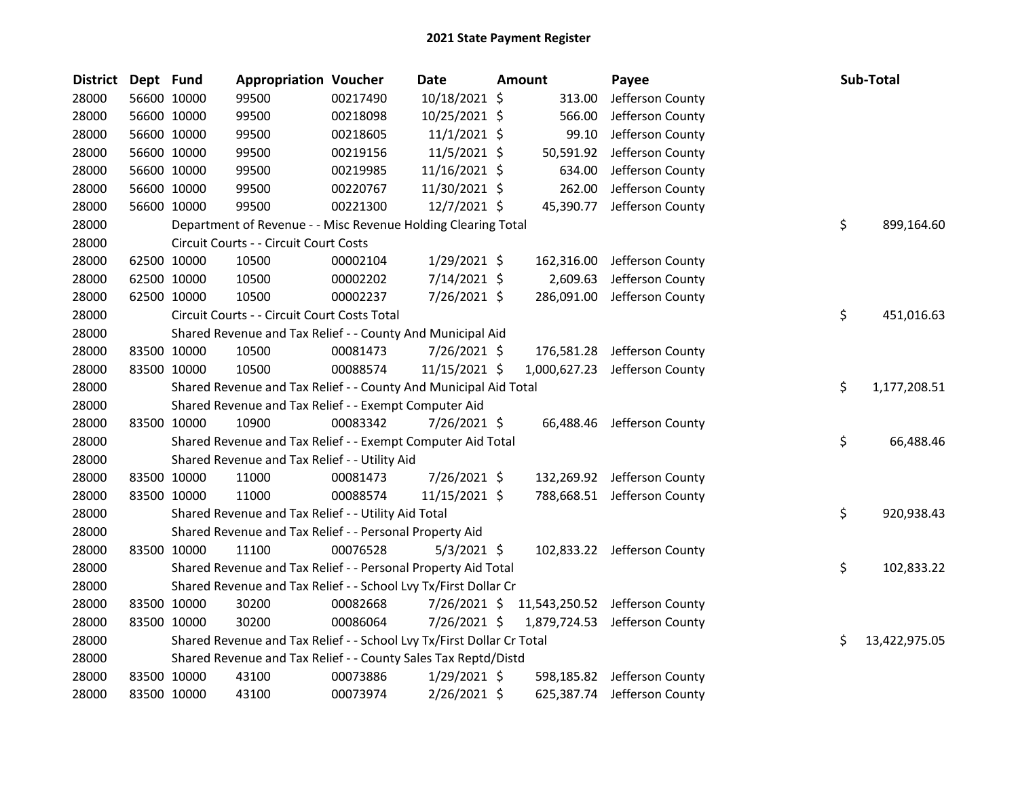| <b>District</b> | Dept Fund |             | <b>Appropriation Voucher</b>                                          |          | <b>Date</b>    | <b>Amount</b> | Payee                          | Sub-Total           |
|-----------------|-----------|-------------|-----------------------------------------------------------------------|----------|----------------|---------------|--------------------------------|---------------------|
| 28000           |           | 56600 10000 | 99500                                                                 | 00217490 | 10/18/2021 \$  | 313.00        | Jefferson County               |                     |
| 28000           |           | 56600 10000 | 99500                                                                 | 00218098 | 10/25/2021 \$  | 566.00        | Jefferson County               |                     |
| 28000           |           | 56600 10000 | 99500                                                                 | 00218605 | $11/1/2021$ \$ | 99.10         | Jefferson County               |                     |
| 28000           |           | 56600 10000 | 99500                                                                 | 00219156 | 11/5/2021 \$   | 50,591.92     | Jefferson County               |                     |
| 28000           |           | 56600 10000 | 99500                                                                 | 00219985 | 11/16/2021 \$  | 634.00        | Jefferson County               |                     |
| 28000           |           | 56600 10000 | 99500                                                                 | 00220767 | 11/30/2021 \$  | 262.00        | Jefferson County               |                     |
| 28000           |           | 56600 10000 | 99500                                                                 | 00221300 | 12/7/2021 \$   | 45,390.77     | Jefferson County               |                     |
| 28000           |           |             | Department of Revenue - - Misc Revenue Holding Clearing Total         |          |                |               |                                | \$<br>899,164.60    |
| 28000           |           |             | Circuit Courts - - Circuit Court Costs                                |          |                |               |                                |                     |
| 28000           |           | 62500 10000 | 10500                                                                 | 00002104 | $1/29/2021$ \$ | 162,316.00    | Jefferson County               |                     |
| 28000           |           | 62500 10000 | 10500                                                                 | 00002202 | 7/14/2021 \$   | 2,609.63      | Jefferson County               |                     |
| 28000           |           | 62500 10000 | 10500                                                                 | 00002237 | 7/26/2021 \$   | 286,091.00    | Jefferson County               |                     |
| 28000           |           |             | Circuit Courts - - Circuit Court Costs Total                          |          |                |               |                                | \$<br>451,016.63    |
| 28000           |           |             | Shared Revenue and Tax Relief - - County And Municipal Aid            |          |                |               |                                |                     |
| 28000           |           | 83500 10000 | 10500                                                                 | 00081473 | 7/26/2021 \$   | 176,581.28    | Jefferson County               |                     |
| 28000           |           | 83500 10000 | 10500                                                                 | 00088574 | 11/15/2021 \$  |               | 1,000,627.23 Jefferson County  |                     |
| 28000           |           |             | Shared Revenue and Tax Relief - - County And Municipal Aid Total      |          |                |               |                                | \$<br>1,177,208.51  |
| 28000           |           |             | Shared Revenue and Tax Relief - - Exempt Computer Aid                 |          |                |               |                                |                     |
| 28000           |           | 83500 10000 | 10900                                                                 | 00083342 | 7/26/2021 \$   |               | 66,488.46 Jefferson County     |                     |
| 28000           |           |             | Shared Revenue and Tax Relief - - Exempt Computer Aid Total           |          |                |               |                                | \$<br>66,488.46     |
| 28000           |           |             | Shared Revenue and Tax Relief - - Utility Aid                         |          |                |               |                                |                     |
| 28000           |           | 83500 10000 | 11000                                                                 | 00081473 | 7/26/2021 \$   |               | 132,269.92 Jefferson County    |                     |
| 28000           |           | 83500 10000 | 11000                                                                 | 00088574 | 11/15/2021 \$  |               | 788,668.51 Jefferson County    |                     |
| 28000           |           |             | Shared Revenue and Tax Relief - - Utility Aid Total                   |          |                |               |                                | \$<br>920,938.43    |
| 28000           |           |             | Shared Revenue and Tax Relief - - Personal Property Aid               |          |                |               |                                |                     |
| 28000           |           | 83500 10000 | 11100                                                                 | 00076528 | $5/3/2021$ \$  |               | 102,833.22 Jefferson County    |                     |
| 28000           |           |             | Shared Revenue and Tax Relief - - Personal Property Aid Total         |          |                |               |                                | \$<br>102,833.22    |
| 28000           |           |             | Shared Revenue and Tax Relief - - School Lvy Tx/First Dollar Cr       |          |                |               |                                |                     |
| 28000           |           | 83500 10000 | 30200                                                                 | 00082668 | 7/26/2021 \$   |               | 11,543,250.52 Jefferson County |                     |
| 28000           |           | 83500 10000 | 30200                                                                 | 00086064 | 7/26/2021 \$   |               | 1,879,724.53 Jefferson County  |                     |
| 28000           |           |             | Shared Revenue and Tax Relief - - School Lvy Tx/First Dollar Cr Total |          |                |               |                                | \$<br>13,422,975.05 |
| 28000           |           |             | Shared Revenue and Tax Relief - - County Sales Tax Reptd/Distd        |          |                |               |                                |                     |
| 28000           |           | 83500 10000 | 43100                                                                 | 00073886 | $1/29/2021$ \$ |               | 598,185.82 Jefferson County    |                     |
| 28000           |           | 83500 10000 | 43100                                                                 | 00073974 | 2/26/2021 \$   |               | 625,387.74 Jefferson County    |                     |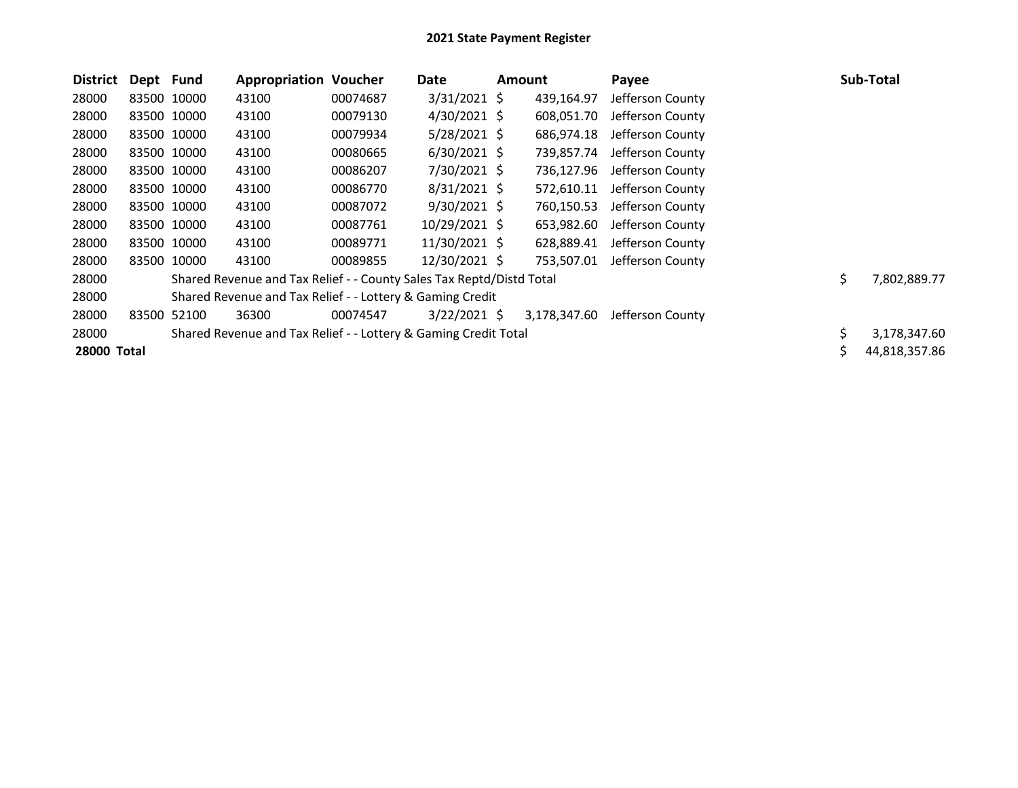| <b>District</b> | Dept Fund |             | <b>Appropriation Voucher</b>                                         |          | Date           | Amount       | Payee            |     | <b>Sub-Total</b> |
|-----------------|-----------|-------------|----------------------------------------------------------------------|----------|----------------|--------------|------------------|-----|------------------|
| 28000           |           | 83500 10000 | 43100                                                                | 00074687 | $3/31/2021$ \$ | 439,164.97   | Jefferson County |     |                  |
| 28000           |           | 83500 10000 | 43100                                                                | 00079130 | $4/30/2021$ \$ | 608,051.70   | Jefferson County |     |                  |
| 28000           |           | 83500 10000 | 43100                                                                | 00079934 | $5/28/2021$ \$ | 686,974.18   | Jefferson County |     |                  |
| 28000           |           | 83500 10000 | 43100                                                                | 00080665 | $6/30/2021$ \$ | 739,857.74   | Jefferson County |     |                  |
| 28000           |           | 83500 10000 | 43100                                                                | 00086207 | 7/30/2021 \$   | 736,127.96   | Jefferson County |     |                  |
| 28000           |           | 83500 10000 | 43100                                                                | 00086770 | $8/31/2021$ \$ | 572,610.11   | Jefferson County |     |                  |
| 28000           |           | 83500 10000 | 43100                                                                | 00087072 | $9/30/2021$ \$ | 760,150.53   | Jefferson County |     |                  |
| 28000           |           | 83500 10000 | 43100                                                                | 00087761 | 10/29/2021 \$  | 653,982.60   | Jefferson County |     |                  |
| 28000           |           | 83500 10000 | 43100                                                                | 00089771 | 11/30/2021 \$  | 628,889.41   | Jefferson County |     |                  |
| 28000           |           | 83500 10000 | 43100                                                                | 00089855 | 12/30/2021 \$  | 753,507.01   | Jefferson County |     |                  |
| 28000           |           |             | Shared Revenue and Tax Relief - - County Sales Tax Reptd/Distd Total |          |                |              |                  | \$. | 7,802,889.77     |
| 28000           |           |             | Shared Revenue and Tax Relief - - Lottery & Gaming Credit            |          |                |              |                  |     |                  |
| 28000           | 83500     | 52100       | 36300                                                                | 00074547 | $3/22/2021$ \$ | 3,178,347.60 | Jefferson County |     |                  |
| 28000           |           |             | Shared Revenue and Tax Relief - - Lottery & Gaming Credit Total      |          |                |              |                  | Ś.  | 3,178,347.60     |
| 28000 Total     |           |             |                                                                      |          |                |              |                  |     | 44,818,357.86    |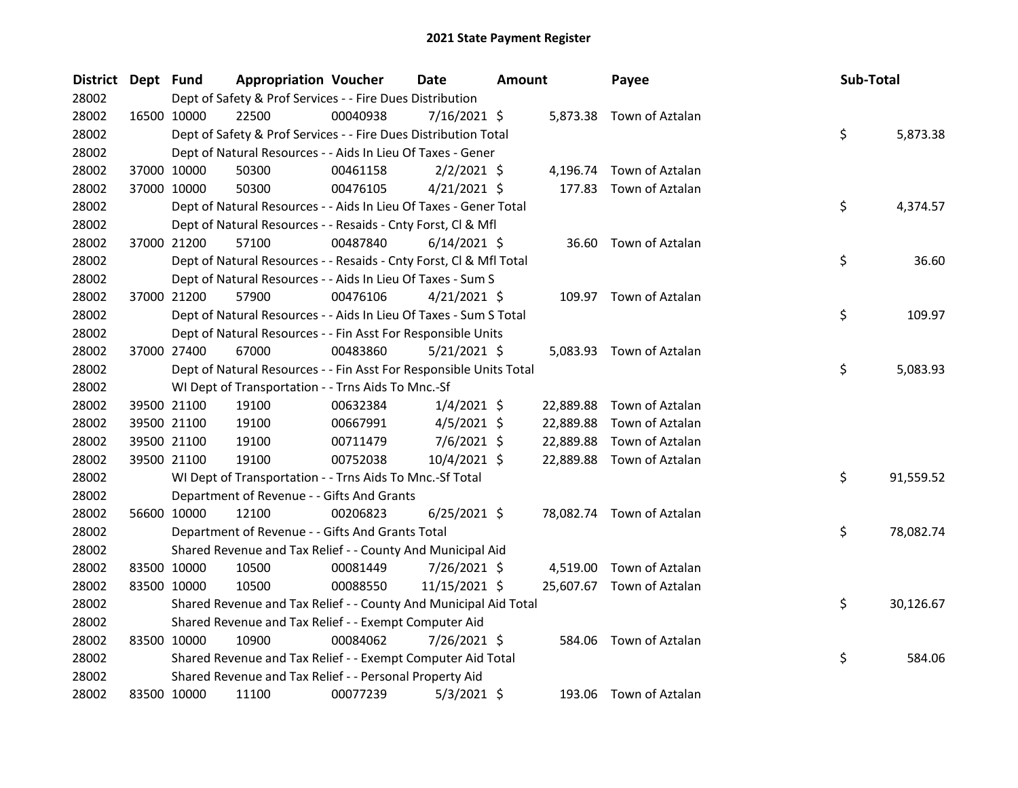| District Dept Fund |             | <b>Appropriation Voucher</b>                                       |          | <b>Date</b>    | Amount |           | Payee                     | Sub-Total |           |
|--------------------|-------------|--------------------------------------------------------------------|----------|----------------|--------|-----------|---------------------------|-----------|-----------|
| 28002              |             | Dept of Safety & Prof Services - - Fire Dues Distribution          |          |                |        |           |                           |           |           |
| 28002              | 16500 10000 | 22500                                                              | 00040938 | $7/16/2021$ \$ |        |           | 5,873.38 Town of Aztalan  |           |           |
| 28002              |             | Dept of Safety & Prof Services - - Fire Dues Distribution Total    |          |                |        |           |                           | \$        | 5,873.38  |
| 28002              |             | Dept of Natural Resources - - Aids In Lieu Of Taxes - Gener        |          |                |        |           |                           |           |           |
| 28002              | 37000 10000 | 50300                                                              | 00461158 | $2/2/2021$ \$  |        | 4,196.74  | Town of Aztalan           |           |           |
| 28002              | 37000 10000 | 50300                                                              | 00476105 | $4/21/2021$ \$ |        | 177.83    | Town of Aztalan           |           |           |
| 28002              |             | Dept of Natural Resources - - Aids In Lieu Of Taxes - Gener Total  |          |                |        |           |                           | \$        | 4,374.57  |
| 28002              |             | Dept of Natural Resources - - Resaids - Cnty Forst, Cl & Mfl       |          |                |        |           |                           |           |           |
| 28002              | 37000 21200 | 57100                                                              | 00487840 | $6/14/2021$ \$ |        | 36.60     | Town of Aztalan           |           |           |
| 28002              |             | Dept of Natural Resources - - Resaids - Cnty Forst, Cl & Mfl Total |          |                |        |           |                           | \$        | 36.60     |
| 28002              |             | Dept of Natural Resources - - Aids In Lieu Of Taxes - Sum S        |          |                |        |           |                           |           |           |
| 28002              | 37000 21200 | 57900                                                              | 00476106 | $4/21/2021$ \$ |        |           | 109.97 Town of Aztalan    |           |           |
| 28002              |             | Dept of Natural Resources - - Aids In Lieu Of Taxes - Sum S Total  |          |                |        |           |                           | \$        | 109.97    |
| 28002              |             | Dept of Natural Resources - - Fin Asst For Responsible Units       |          |                |        |           |                           |           |           |
| 28002              | 37000 27400 | 67000                                                              | 00483860 | $5/21/2021$ \$ |        |           | 5,083.93 Town of Aztalan  |           |           |
| 28002              |             | Dept of Natural Resources - - Fin Asst For Responsible Units Total |          |                |        |           |                           | \$        | 5,083.93  |
| 28002              |             | WI Dept of Transportation - - Trns Aids To Mnc.-Sf                 |          |                |        |           |                           |           |           |
| 28002              | 39500 21100 | 19100                                                              | 00632384 | $1/4/2021$ \$  |        | 22,889.88 | Town of Aztalan           |           |           |
| 28002              | 39500 21100 | 19100                                                              | 00667991 | $4/5/2021$ \$  |        | 22,889.88 | Town of Aztalan           |           |           |
| 28002              | 39500 21100 | 19100                                                              | 00711479 | $7/6/2021$ \$  |        | 22,889.88 | Town of Aztalan           |           |           |
| 28002              | 39500 21100 | 19100                                                              | 00752038 | 10/4/2021 \$   |        | 22,889.88 | Town of Aztalan           |           |           |
| 28002              |             | WI Dept of Transportation - - Trns Aids To Mnc.-Sf Total           |          |                |        |           |                           | \$        | 91,559.52 |
| 28002              |             | Department of Revenue - - Gifts And Grants                         |          |                |        |           |                           |           |           |
| 28002              | 56600 10000 | 12100                                                              | 00206823 | $6/25/2021$ \$ |        |           | 78,082.74 Town of Aztalan |           |           |
| 28002              |             | Department of Revenue - - Gifts And Grants Total                   |          |                |        |           |                           | \$        | 78,082.74 |
| 28002              |             | Shared Revenue and Tax Relief - - County And Municipal Aid         |          |                |        |           |                           |           |           |
| 28002              | 83500 10000 | 10500                                                              | 00081449 | 7/26/2021 \$   |        | 4,519.00  | Town of Aztalan           |           |           |
| 28002              | 83500 10000 | 10500                                                              | 00088550 | 11/15/2021 \$  |        |           | 25,607.67 Town of Aztalan |           |           |
| 28002              |             | Shared Revenue and Tax Relief - - County And Municipal Aid Total   |          |                |        |           |                           | \$        | 30,126.67 |
| 28002              |             | Shared Revenue and Tax Relief - - Exempt Computer Aid              |          |                |        |           |                           |           |           |
| 28002              | 83500 10000 | 10900                                                              | 00084062 | 7/26/2021 \$   |        | 584.06    | Town of Aztalan           |           |           |
| 28002              |             | Shared Revenue and Tax Relief - - Exempt Computer Aid Total        |          |                |        |           |                           | \$        | 584.06    |
| 28002              |             | Shared Revenue and Tax Relief - - Personal Property Aid            |          |                |        |           |                           |           |           |
| 28002              | 83500 10000 | 11100                                                              | 00077239 | $5/3/2021$ \$  |        |           | 193.06 Town of Aztalan    |           |           |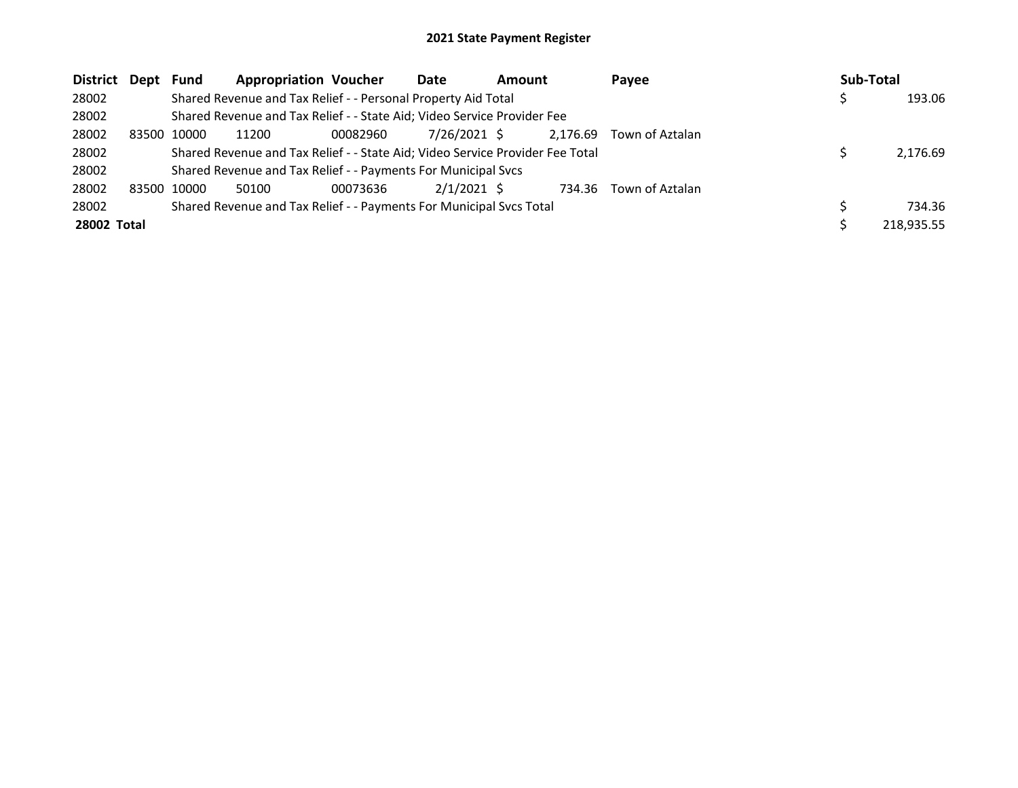| District Dept |       | Fund  | <b>Appropriation Voucher</b>                                                  |          | Date          | <b>Amount</b> |          | Payee           | Sub-Total  |
|---------------|-------|-------|-------------------------------------------------------------------------------|----------|---------------|---------------|----------|-----------------|------------|
| 28002         |       |       | Shared Revenue and Tax Relief - - Personal Property Aid Total                 |          |               |               |          |                 | 193.06     |
| 28002         |       |       | Shared Revenue and Tax Relief - - State Aid; Video Service Provider Fee       |          |               |               |          |                 |            |
| 28002         | 83500 | 10000 | 11200                                                                         | 00082960 | 7/26/2021 \$  |               | 2,176.69 | Town of Aztalan |            |
| 28002         |       |       | Shared Revenue and Tax Relief - - State Aid; Video Service Provider Fee Total |          |               |               |          |                 | 2,176.69   |
| 28002         |       |       | Shared Revenue and Tax Relief - - Payments For Municipal Svcs                 |          |               |               |          |                 |            |
| 28002         | 83500 | 10000 | 50100                                                                         | 00073636 | $2/1/2021$ \$ |               | 734.36   | Town of Aztalan |            |
| 28002         |       |       | Shared Revenue and Tax Relief - - Payments For Municipal Svcs Total           |          |               |               |          |                 | 734.36     |
| 28002 Total   |       |       |                                                                               |          |               |               |          |                 | 218,935.55 |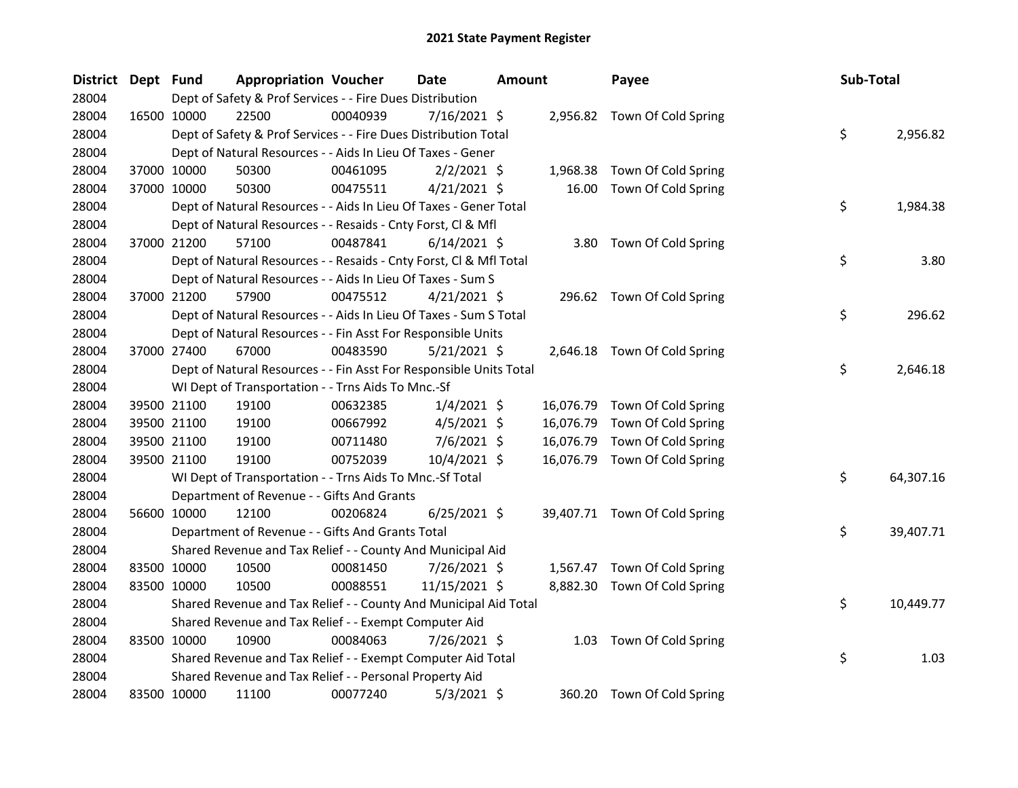| <b>District</b> | Dept Fund   |             | <b>Appropriation Voucher</b>                                       |          | <b>Date</b>    | <b>Amount</b> |           | Payee                         | Sub-Total |           |
|-----------------|-------------|-------------|--------------------------------------------------------------------|----------|----------------|---------------|-----------|-------------------------------|-----------|-----------|
| 28004           |             |             | Dept of Safety & Prof Services - - Fire Dues Distribution          |          |                |               |           |                               |           |           |
| 28004           | 16500 10000 |             | 22500                                                              | 00040939 | $7/16/2021$ \$ |               |           | 2,956.82 Town Of Cold Spring  |           |           |
| 28004           |             |             | Dept of Safety & Prof Services - - Fire Dues Distribution Total    |          |                |               |           |                               | \$        | 2,956.82  |
| 28004           |             |             | Dept of Natural Resources - - Aids In Lieu Of Taxes - Gener        |          |                |               |           |                               |           |           |
| 28004           |             | 37000 10000 | 50300                                                              | 00461095 | $2/2/2021$ \$  |               | 1,968.38  | Town Of Cold Spring           |           |           |
| 28004           | 37000 10000 |             | 50300                                                              | 00475511 | $4/21/2021$ \$ |               | 16.00     | Town Of Cold Spring           |           |           |
| 28004           |             |             | Dept of Natural Resources - - Aids In Lieu Of Taxes - Gener Total  |          |                |               |           |                               | \$        | 1,984.38  |
| 28004           |             |             | Dept of Natural Resources - - Resaids - Cnty Forst, Cl & Mfl       |          |                |               |           |                               |           |           |
| 28004           |             | 37000 21200 | 57100                                                              | 00487841 | $6/14/2021$ \$ |               | 3.80      | Town Of Cold Spring           |           |           |
| 28004           |             |             | Dept of Natural Resources - - Resaids - Cnty Forst, Cl & Mfl Total |          |                |               |           |                               | \$        | 3.80      |
| 28004           |             |             | Dept of Natural Resources - - Aids In Lieu Of Taxes - Sum S        |          |                |               |           |                               |           |           |
| 28004           |             | 37000 21200 | 57900                                                              | 00475512 | $4/21/2021$ \$ |               |           | 296.62 Town Of Cold Spring    |           |           |
| 28004           |             |             | Dept of Natural Resources - - Aids In Lieu Of Taxes - Sum S Total  |          |                |               |           |                               | \$        | 296.62    |
| 28004           |             |             | Dept of Natural Resources - - Fin Asst For Responsible Units       |          |                |               |           |                               |           |           |
| 28004           |             | 37000 27400 | 67000                                                              | 00483590 | $5/21/2021$ \$ |               |           | 2,646.18 Town Of Cold Spring  |           |           |
| 28004           |             |             | Dept of Natural Resources - - Fin Asst For Responsible Units Total |          |                |               |           |                               | \$        | 2,646.18  |
| 28004           |             |             | WI Dept of Transportation - - Trns Aids To Mnc.-Sf                 |          |                |               |           |                               |           |           |
| 28004           |             | 39500 21100 | 19100                                                              | 00632385 | $1/4/2021$ \$  |               |           | 16,076.79 Town Of Cold Spring |           |           |
| 28004           |             | 39500 21100 | 19100                                                              | 00667992 | $4/5/2021$ \$  |               | 16,076.79 | Town Of Cold Spring           |           |           |
| 28004           |             | 39500 21100 | 19100                                                              | 00711480 | $7/6/2021$ \$  |               | 16,076.79 | Town Of Cold Spring           |           |           |
| 28004           |             | 39500 21100 | 19100                                                              | 00752039 | 10/4/2021 \$   |               | 16,076.79 | Town Of Cold Spring           |           |           |
| 28004           |             |             | WI Dept of Transportation - - Trns Aids To Mnc.-Sf Total           |          |                |               |           |                               | \$        | 64,307.16 |
| 28004           |             |             | Department of Revenue - - Gifts And Grants                         |          |                |               |           |                               |           |           |
| 28004           |             | 56600 10000 | 12100                                                              | 00206824 | $6/25/2021$ \$ |               |           | 39,407.71 Town Of Cold Spring |           |           |
| 28004           |             |             | Department of Revenue - - Gifts And Grants Total                   |          |                |               |           |                               | \$        | 39,407.71 |
| 28004           |             |             | Shared Revenue and Tax Relief - - County And Municipal Aid         |          |                |               |           |                               |           |           |
| 28004           |             | 83500 10000 | 10500                                                              | 00081450 | 7/26/2021 \$   |               |           | 1,567.47 Town Of Cold Spring  |           |           |
| 28004           | 83500 10000 |             | 10500                                                              | 00088551 | 11/15/2021 \$  |               | 8,882.30  | Town Of Cold Spring           |           |           |
| 28004           |             |             | Shared Revenue and Tax Relief - - County And Municipal Aid Total   |          |                |               |           |                               | \$        | 10,449.77 |
| 28004           |             |             | Shared Revenue and Tax Relief - - Exempt Computer Aid              |          |                |               |           |                               |           |           |
| 28004           | 83500 10000 |             | 10900                                                              | 00084063 | 7/26/2021 \$   |               |           | 1.03 Town Of Cold Spring      |           |           |
| 28004           |             |             | Shared Revenue and Tax Relief - - Exempt Computer Aid Total        |          |                |               |           |                               | \$        | 1.03      |
| 28004           |             |             | Shared Revenue and Tax Relief - - Personal Property Aid            |          |                |               |           |                               |           |           |
| 28004           | 83500 10000 |             | 11100                                                              | 00077240 | $5/3/2021$ \$  |               |           | 360.20 Town Of Cold Spring    |           |           |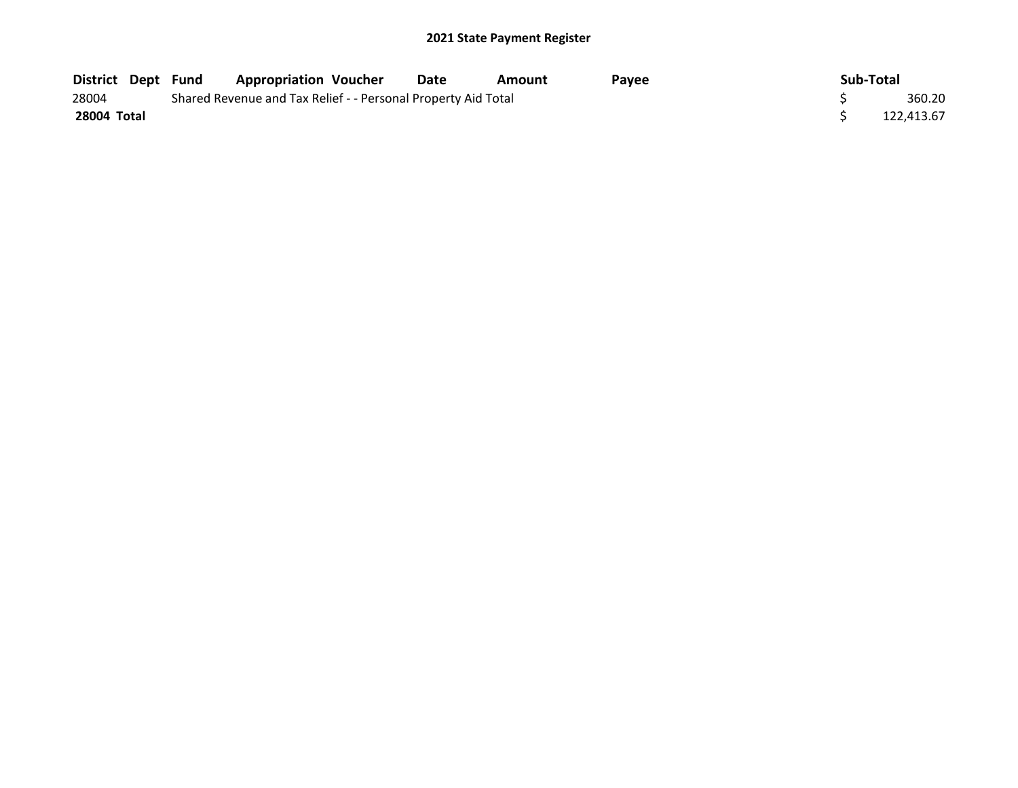| <b>District Dept Fund</b> |  | <b>Appropriation Voucher</b>                                  | Date | Amount | Pavee | Sub-Total |            |
|---------------------------|--|---------------------------------------------------------------|------|--------|-------|-----------|------------|
| 28004                     |  | Shared Revenue and Tax Relief - - Personal Property Aid Total |      |        |       |           | 360.20     |
| 28004 Total               |  |                                                               |      |        |       |           | 122.413.67 |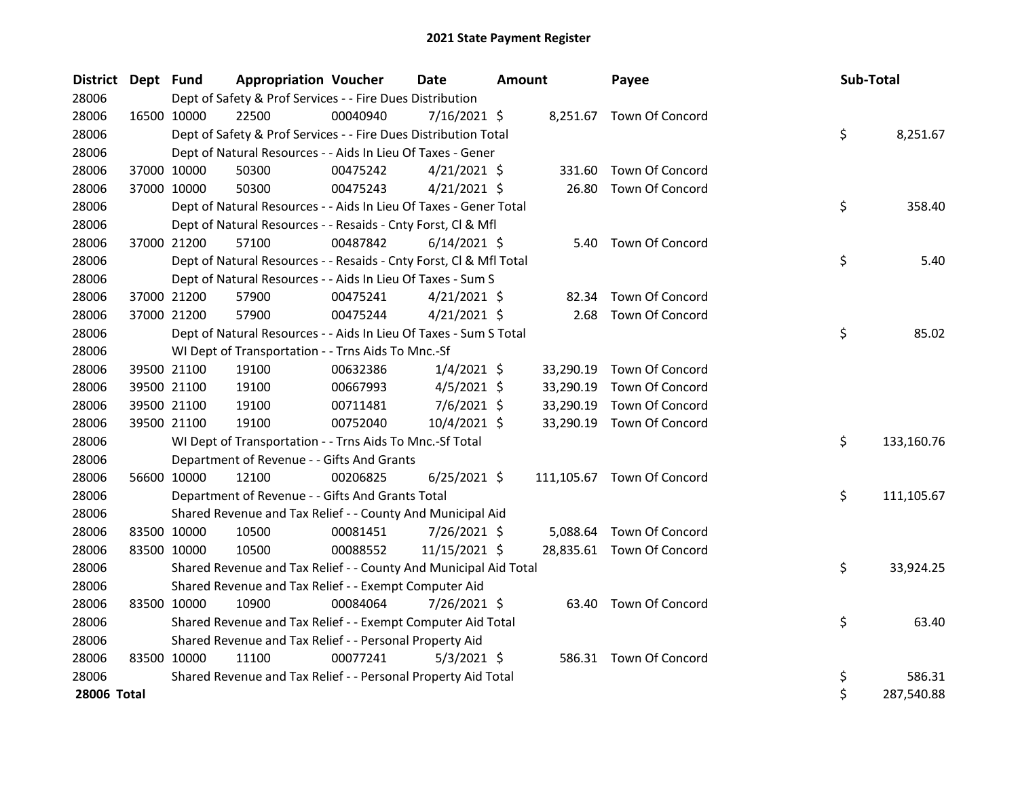| District Dept Fund |             |             | <b>Appropriation Voucher</b>                                       |          | <b>Date</b>    | <b>Amount</b> |           | Payee                      | <b>Sub-Total</b> |            |
|--------------------|-------------|-------------|--------------------------------------------------------------------|----------|----------------|---------------|-----------|----------------------------|------------------|------------|
| 28006              |             |             | Dept of Safety & Prof Services - - Fire Dues Distribution          |          |                |               |           |                            |                  |            |
| 28006              | 16500 10000 |             | 22500                                                              | 00040940 | $7/16/2021$ \$ |               |           | 8,251.67 Town Of Concord   |                  |            |
| 28006              |             |             | Dept of Safety & Prof Services - - Fire Dues Distribution Total    |          |                |               |           |                            | \$               | 8,251.67   |
| 28006              |             |             | Dept of Natural Resources - - Aids In Lieu Of Taxes - Gener        |          |                |               |           |                            |                  |            |
| 28006              |             | 37000 10000 | 50300                                                              | 00475242 | $4/21/2021$ \$ |               | 331.60    | Town Of Concord            |                  |            |
| 28006              | 37000 10000 |             | 50300                                                              | 00475243 | $4/21/2021$ \$ |               | 26.80     | Town Of Concord            |                  |            |
| 28006              |             |             | Dept of Natural Resources - - Aids In Lieu Of Taxes - Gener Total  |          |                |               |           |                            | \$               | 358.40     |
| 28006              |             |             | Dept of Natural Resources - - Resaids - Cnty Forst, Cl & Mfl       |          |                |               |           |                            |                  |            |
| 28006              |             | 37000 21200 | 57100                                                              | 00487842 | $6/14/2021$ \$ |               | 5.40      | <b>Town Of Concord</b>     |                  |            |
| 28006              |             |             | Dept of Natural Resources - - Resaids - Cnty Forst, Cl & Mfl Total |          |                |               |           |                            | \$               | 5.40       |
| 28006              |             |             | Dept of Natural Resources - - Aids In Lieu Of Taxes - Sum S        |          |                |               |           |                            |                  |            |
| 28006              |             | 37000 21200 | 57900                                                              | 00475241 | $4/21/2021$ \$ |               |           | 82.34 Town Of Concord      |                  |            |
| 28006              | 37000 21200 |             | 57900                                                              | 00475244 | $4/21/2021$ \$ |               | 2.68      | <b>Town Of Concord</b>     |                  |            |
| 28006              |             |             | Dept of Natural Resources - - Aids In Lieu Of Taxes - Sum S Total  |          |                |               |           |                            | \$               | 85.02      |
| 28006              |             |             | WI Dept of Transportation - - Trns Aids To Mnc.-Sf                 |          |                |               |           |                            |                  |            |
| 28006              |             | 39500 21100 | 19100                                                              | 00632386 | $1/4/2021$ \$  |               | 33,290.19 | Town Of Concord            |                  |            |
| 28006              |             | 39500 21100 | 19100                                                              | 00667993 | $4/5/2021$ \$  |               | 33,290.19 | Town Of Concord            |                  |            |
| 28006              |             | 39500 21100 | 19100                                                              | 00711481 | $7/6/2021$ \$  |               | 33,290.19 | Town Of Concord            |                  |            |
| 28006              |             | 39500 21100 | 19100                                                              | 00752040 | 10/4/2021 \$   |               | 33,290.19 | Town Of Concord            |                  |            |
| 28006              |             |             | WI Dept of Transportation - - Trns Aids To Mnc.-Sf Total           |          |                |               |           |                            | \$               | 133,160.76 |
| 28006              |             |             | Department of Revenue - - Gifts And Grants                         |          |                |               |           |                            |                  |            |
| 28006              |             | 56600 10000 | 12100                                                              | 00206825 | $6/25/2021$ \$ |               |           | 111,105.67 Town Of Concord |                  |            |
| 28006              |             |             | Department of Revenue - - Gifts And Grants Total                   |          |                |               |           |                            | \$               | 111,105.67 |
| 28006              |             |             | Shared Revenue and Tax Relief - - County And Municipal Aid         |          |                |               |           |                            |                  |            |
| 28006              |             | 83500 10000 | 10500                                                              | 00081451 | 7/26/2021 \$   |               | 5,088.64  | Town Of Concord            |                  |            |
| 28006              | 83500 10000 |             | 10500                                                              | 00088552 | 11/15/2021 \$  |               |           | 28,835.61 Town Of Concord  |                  |            |
| 28006              |             |             | Shared Revenue and Tax Relief - - County And Municipal Aid Total   |          |                |               |           |                            | \$               | 33,924.25  |
| 28006              |             |             | Shared Revenue and Tax Relief - - Exempt Computer Aid              |          |                |               |           |                            |                  |            |
| 28006              | 83500 10000 |             | 10900                                                              | 00084064 | 7/26/2021 \$   |               |           | 63.40 Town Of Concord      |                  |            |
| 28006              |             |             | Shared Revenue and Tax Relief - - Exempt Computer Aid Total        |          |                |               |           |                            | \$               | 63.40      |
| 28006              |             |             | Shared Revenue and Tax Relief - - Personal Property Aid            |          |                |               |           |                            |                  |            |
| 28006              | 83500 10000 |             | 11100                                                              | 00077241 | $5/3/2021$ \$  |               |           | 586.31 Town Of Concord     |                  |            |
| 28006              |             |             | Shared Revenue and Tax Relief - - Personal Property Aid Total      |          |                |               |           |                            | \$               | 586.31     |
| 28006 Total        |             |             |                                                                    |          |                |               |           |                            | \$               | 287,540.88 |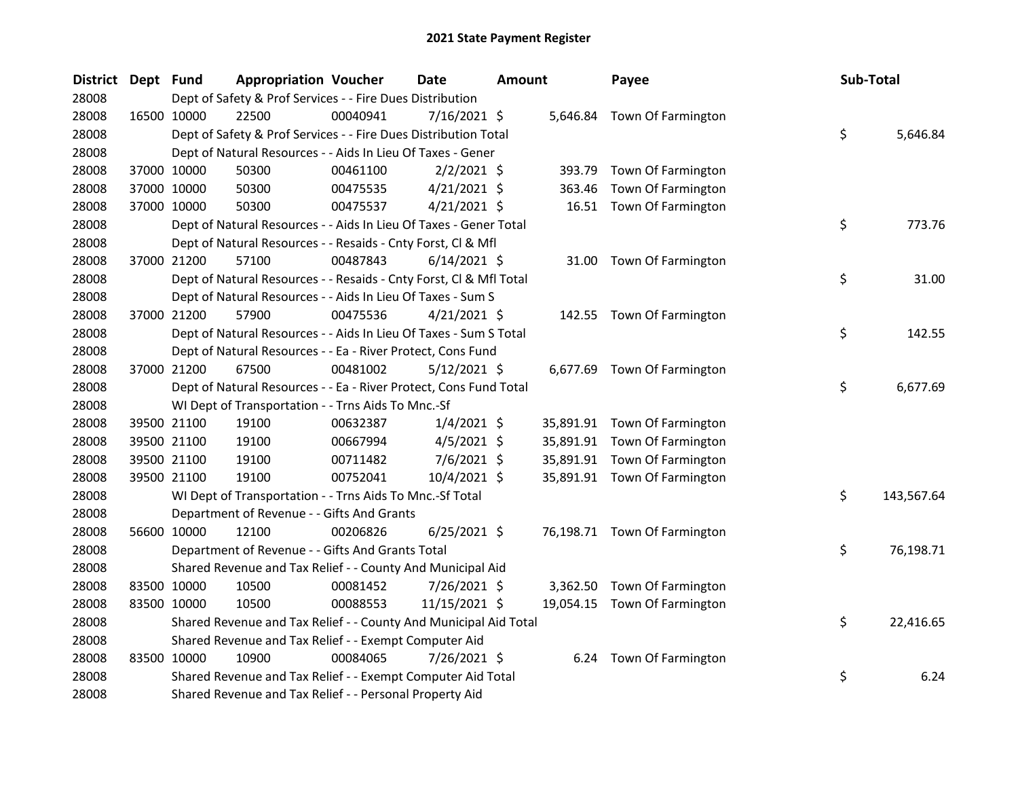| District Dept Fund |             | <b>Appropriation Voucher</b>                                       |          | <b>Date</b>    | <b>Amount</b> |          | Payee                        | Sub-Total |            |
|--------------------|-------------|--------------------------------------------------------------------|----------|----------------|---------------|----------|------------------------------|-----------|------------|
| 28008              |             | Dept of Safety & Prof Services - - Fire Dues Distribution          |          |                |               |          |                              |           |            |
| 28008              | 16500 10000 | 22500                                                              | 00040941 | $7/16/2021$ \$ |               |          | 5,646.84 Town Of Farmington  |           |            |
| 28008              |             | Dept of Safety & Prof Services - - Fire Dues Distribution Total    |          |                |               |          |                              | \$        | 5,646.84   |
| 28008              |             | Dept of Natural Resources - - Aids In Lieu Of Taxes - Gener        |          |                |               |          |                              |           |            |
| 28008              | 37000 10000 | 50300                                                              | 00461100 | $2/2/2021$ \$  |               | 393.79   | Town Of Farmington           |           |            |
| 28008              | 37000 10000 | 50300                                                              | 00475535 | $4/21/2021$ \$ |               | 363.46   | Town Of Farmington           |           |            |
| 28008              | 37000 10000 | 50300                                                              | 00475537 | $4/21/2021$ \$ |               |          | 16.51 Town Of Farmington     |           |            |
| 28008              |             | Dept of Natural Resources - - Aids In Lieu Of Taxes - Gener Total  |          |                |               |          |                              | \$        | 773.76     |
| 28008              |             | Dept of Natural Resources - - Resaids - Cnty Forst, Cl & Mfl       |          |                |               |          |                              |           |            |
| 28008              | 37000 21200 | 57100                                                              | 00487843 | $6/14/2021$ \$ |               | 31.00    | Town Of Farmington           |           |            |
| 28008              |             | Dept of Natural Resources - - Resaids - Cnty Forst, Cl & Mfl Total |          |                |               |          |                              | \$        | 31.00      |
| 28008              |             | Dept of Natural Resources - - Aids In Lieu Of Taxes - Sum S        |          |                |               |          |                              |           |            |
| 28008              | 37000 21200 | 57900                                                              | 00475536 | $4/21/2021$ \$ |               |          | 142.55 Town Of Farmington    |           |            |
| 28008              |             | Dept of Natural Resources - - Aids In Lieu Of Taxes - Sum S Total  |          |                |               |          |                              | \$        | 142.55     |
| 28008              |             | Dept of Natural Resources - - Ea - River Protect, Cons Fund        |          |                |               |          |                              |           |            |
| 28008              | 37000 21200 | 67500                                                              | 00481002 | $5/12/2021$ \$ |               |          | 6,677.69 Town Of Farmington  |           |            |
| 28008              |             | Dept of Natural Resources - - Ea - River Protect, Cons Fund Total  |          |                |               |          |                              | \$        | 6,677.69   |
| 28008              |             | WI Dept of Transportation - - Trns Aids To Mnc.-Sf                 |          |                |               |          |                              |           |            |
| 28008              | 39500 21100 | 19100                                                              | 00632387 | $1/4/2021$ \$  |               |          | 35,891.91 Town Of Farmington |           |            |
| 28008              | 39500 21100 | 19100                                                              | 00667994 | $4/5/2021$ \$  |               |          | 35,891.91 Town Of Farmington |           |            |
| 28008              | 39500 21100 | 19100                                                              | 00711482 | $7/6/2021$ \$  |               |          | 35,891.91 Town Of Farmington |           |            |
| 28008              | 39500 21100 | 19100                                                              | 00752041 | $10/4/2021$ \$ |               |          | 35,891.91 Town Of Farmington |           |            |
| 28008              |             | WI Dept of Transportation - - Trns Aids To Mnc.-Sf Total           |          |                |               |          |                              | \$        | 143,567.64 |
| 28008              |             | Department of Revenue - - Gifts And Grants                         |          |                |               |          |                              |           |            |
| 28008              | 56600 10000 | 12100                                                              | 00206826 | $6/25/2021$ \$ |               |          | 76,198.71 Town Of Farmington |           |            |
| 28008              |             | Department of Revenue - - Gifts And Grants Total                   |          |                |               |          |                              | \$        | 76,198.71  |
| 28008              |             | Shared Revenue and Tax Relief - - County And Municipal Aid         |          |                |               |          |                              |           |            |
| 28008              | 83500 10000 | 10500                                                              | 00081452 | 7/26/2021 \$   |               | 3,362.50 | Town Of Farmington           |           |            |
| 28008              | 83500 10000 | 10500                                                              | 00088553 | 11/15/2021 \$  |               |          | 19,054.15 Town Of Farmington |           |            |
| 28008              |             | Shared Revenue and Tax Relief - - County And Municipal Aid Total   |          |                |               |          |                              | \$        | 22,416.65  |
| 28008              |             | Shared Revenue and Tax Relief - - Exempt Computer Aid              |          |                |               |          |                              |           |            |
| 28008              | 83500 10000 | 10900                                                              | 00084065 | 7/26/2021 \$   |               |          | 6.24 Town Of Farmington      |           |            |
| 28008              |             | Shared Revenue and Tax Relief - - Exempt Computer Aid Total        |          |                |               |          |                              | \$        | 6.24       |
| 28008              |             | Shared Revenue and Tax Relief - - Personal Property Aid            |          |                |               |          |                              |           |            |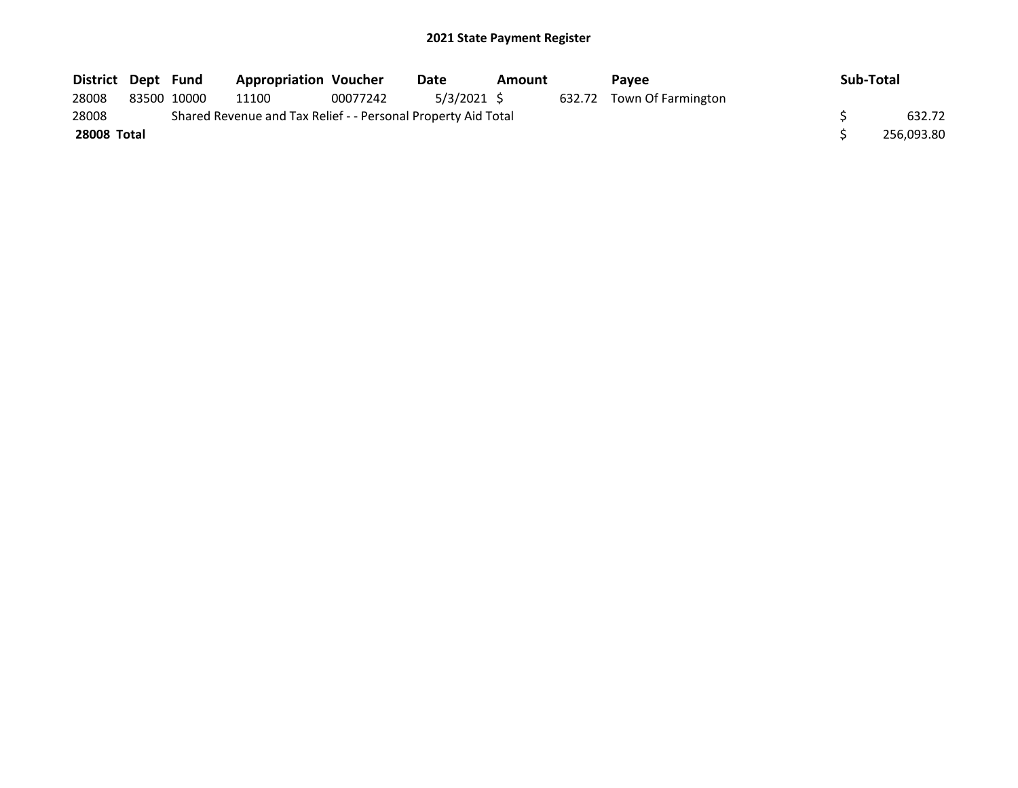| District Dept Fund |             | <b>Appropriation Voucher</b>                                  |          | Date       | Amount | <b>Pavee</b>              | Sub-Total |            |
|--------------------|-------------|---------------------------------------------------------------|----------|------------|--------|---------------------------|-----------|------------|
| 28008              | 83500 10000 | 11100                                                         | 00077242 | 5/3/2021 S |        | 632.72 Town Of Farmington |           |            |
| 28008              |             | Shared Revenue and Tax Relief - - Personal Property Aid Total |          |            |        |                           |           | 632.72     |
| <b>28008 Total</b> |             |                                                               |          |            |        |                           |           | 256,093.80 |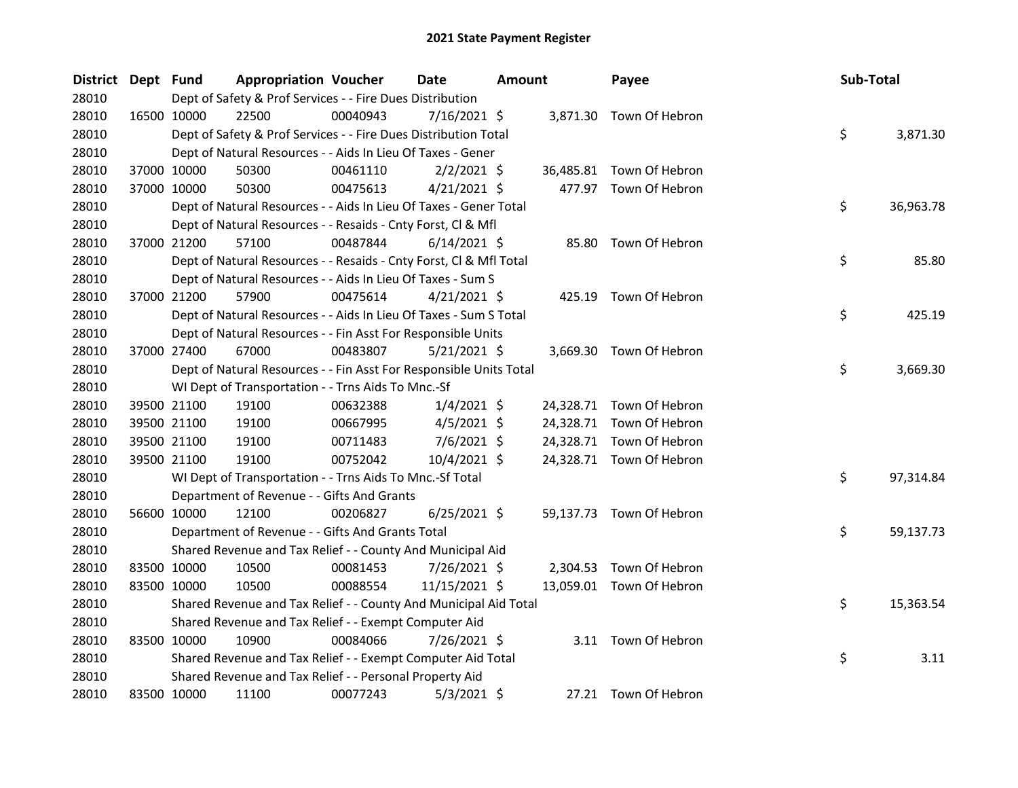| District Dept Fund |             |             | <b>Appropriation Voucher</b>                                       |          | <b>Date</b>    | Amount | Payee                    | Sub-Total |           |
|--------------------|-------------|-------------|--------------------------------------------------------------------|----------|----------------|--------|--------------------------|-----------|-----------|
| 28010              |             |             | Dept of Safety & Prof Services - - Fire Dues Distribution          |          |                |        |                          |           |           |
| 28010              | 16500 10000 |             | 22500                                                              | 00040943 | $7/16/2021$ \$ |        | 3,871.30 Town Of Hebron  |           |           |
| 28010              |             |             | Dept of Safety & Prof Services - - Fire Dues Distribution Total    |          |                |        |                          | \$        | 3,871.30  |
| 28010              |             |             | Dept of Natural Resources - - Aids In Lieu Of Taxes - Gener        |          |                |        |                          |           |           |
| 28010              |             | 37000 10000 | 50300                                                              | 00461110 | $2/2/2021$ \$  |        | 36,485.81 Town Of Hebron |           |           |
| 28010              | 37000 10000 |             | 50300                                                              | 00475613 | $4/21/2021$ \$ |        | 477.97 Town Of Hebron    |           |           |
| 28010              |             |             | Dept of Natural Resources - - Aids In Lieu Of Taxes - Gener Total  |          |                |        |                          | \$        | 36,963.78 |
| 28010              |             |             | Dept of Natural Resources - - Resaids - Cnty Forst, Cl & Mfl       |          |                |        |                          |           |           |
| 28010              |             | 37000 21200 | 57100                                                              | 00487844 | $6/14/2021$ \$ |        | 85.80 Town Of Hebron     |           |           |
| 28010              |             |             | Dept of Natural Resources - - Resaids - Cnty Forst, Cl & Mfl Total |          |                |        |                          | \$        | 85.80     |
| 28010              |             |             | Dept of Natural Resources - - Aids In Lieu Of Taxes - Sum S        |          |                |        |                          |           |           |
| 28010              |             | 37000 21200 | 57900                                                              | 00475614 | $4/21/2021$ \$ |        | 425.19 Town Of Hebron    |           |           |
| 28010              |             |             | Dept of Natural Resources - - Aids In Lieu Of Taxes - Sum S Total  |          |                |        |                          | \$        | 425.19    |
| 28010              |             |             | Dept of Natural Resources - - Fin Asst For Responsible Units       |          |                |        |                          |           |           |
| 28010              |             | 37000 27400 | 67000                                                              | 00483807 | $5/21/2021$ \$ |        | 3,669.30 Town Of Hebron  |           |           |
| 28010              |             |             | Dept of Natural Resources - - Fin Asst For Responsible Units Total |          |                |        |                          | \$        | 3,669.30  |
| 28010              |             |             | WI Dept of Transportation - - Trns Aids To Mnc.-Sf                 |          |                |        |                          |           |           |
| 28010              |             | 39500 21100 | 19100                                                              | 00632388 | $1/4/2021$ \$  |        | 24,328.71 Town Of Hebron |           |           |
| 28010              |             | 39500 21100 | 19100                                                              | 00667995 | $4/5/2021$ \$  |        | 24,328.71 Town Of Hebron |           |           |
| 28010              |             | 39500 21100 | 19100                                                              | 00711483 | $7/6/2021$ \$  |        | 24,328.71 Town Of Hebron |           |           |
| 28010              |             | 39500 21100 | 19100                                                              | 00752042 | 10/4/2021 \$   |        | 24,328.71 Town Of Hebron |           |           |
| 28010              |             |             | WI Dept of Transportation - - Trns Aids To Mnc.-Sf Total           |          |                |        |                          | \$        | 97,314.84 |
| 28010              |             |             | Department of Revenue - - Gifts And Grants                         |          |                |        |                          |           |           |
| 28010              |             | 56600 10000 | 12100                                                              | 00206827 | $6/25/2021$ \$ |        | 59,137.73 Town Of Hebron |           |           |
| 28010              |             |             | Department of Revenue - - Gifts And Grants Total                   |          |                |        |                          | \$        | 59,137.73 |
| 28010              |             |             | Shared Revenue and Tax Relief - - County And Municipal Aid         |          |                |        |                          |           |           |
| 28010              |             | 83500 10000 | 10500                                                              | 00081453 | 7/26/2021 \$   |        | 2,304.53 Town Of Hebron  |           |           |
| 28010              |             | 83500 10000 | 10500                                                              | 00088554 | 11/15/2021 \$  |        | 13,059.01 Town Of Hebron |           |           |
| 28010              |             |             | Shared Revenue and Tax Relief - - County And Municipal Aid Total   |          |                |        |                          | \$        | 15,363.54 |
| 28010              |             |             | Shared Revenue and Tax Relief - - Exempt Computer Aid              |          |                |        |                          |           |           |
| 28010              | 83500 10000 |             | 10900                                                              | 00084066 | 7/26/2021 \$   |        | 3.11 Town Of Hebron      |           |           |
| 28010              |             |             | Shared Revenue and Tax Relief - - Exempt Computer Aid Total        |          |                |        |                          | \$        | 3.11      |
| 28010              |             |             | Shared Revenue and Tax Relief - - Personal Property Aid            |          |                |        |                          |           |           |
| 28010              | 83500 10000 |             | 11100                                                              | 00077243 | $5/3/2021$ \$  |        | 27.21 Town Of Hebron     |           |           |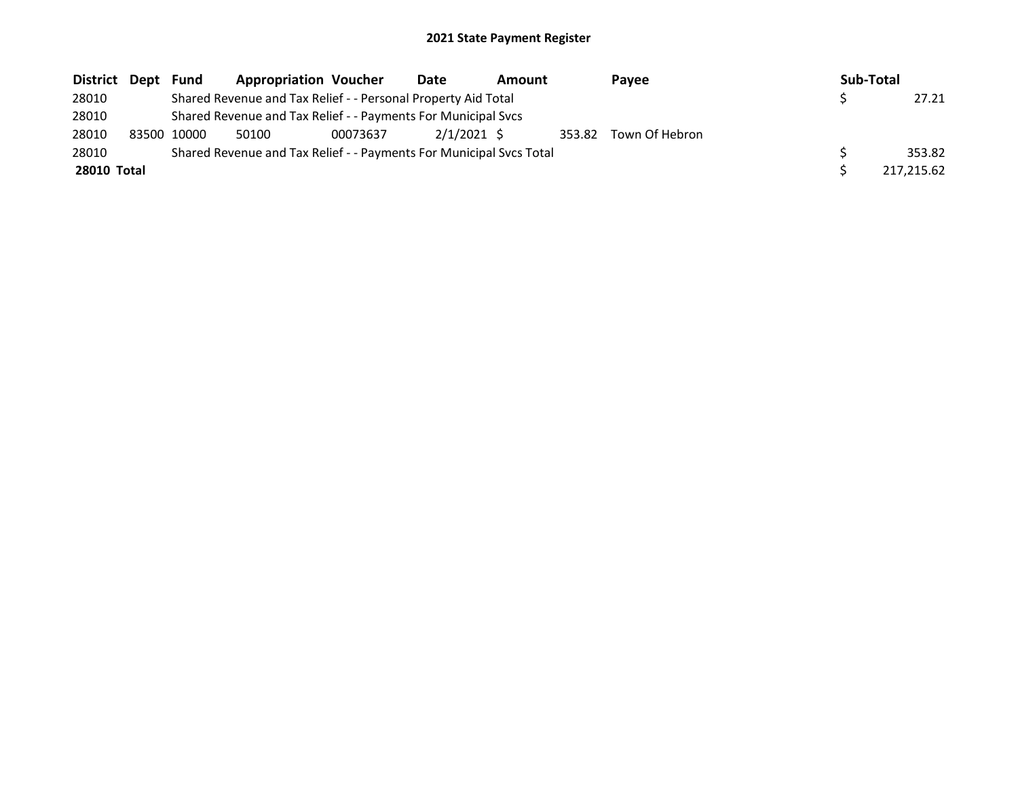| District Dept | Fund        | <b>Appropriation Voucher</b>                                        |          | Date        | <b>Amount</b> |        | Pavee          | Sub-Total |            |
|---------------|-------------|---------------------------------------------------------------------|----------|-------------|---------------|--------|----------------|-----------|------------|
| 28010         |             | Shared Revenue and Tax Relief - - Personal Property Aid Total       |          |             |               |        |                |           | 27.21      |
| 28010         |             | Shared Revenue and Tax Relief - - Payments For Municipal Svcs       |          |             |               |        |                |           |            |
| 28010         | 83500 10000 | 50100                                                               | 00073637 | 2/1/2021 \$ |               | 353.82 | Town Of Hebron |           |            |
| 28010         |             | Shared Revenue and Tax Relief - - Payments For Municipal Svcs Total |          |             |               |        |                |           | 353.82     |
| 28010 Total   |             |                                                                     |          |             |               |        |                |           | 217.215.62 |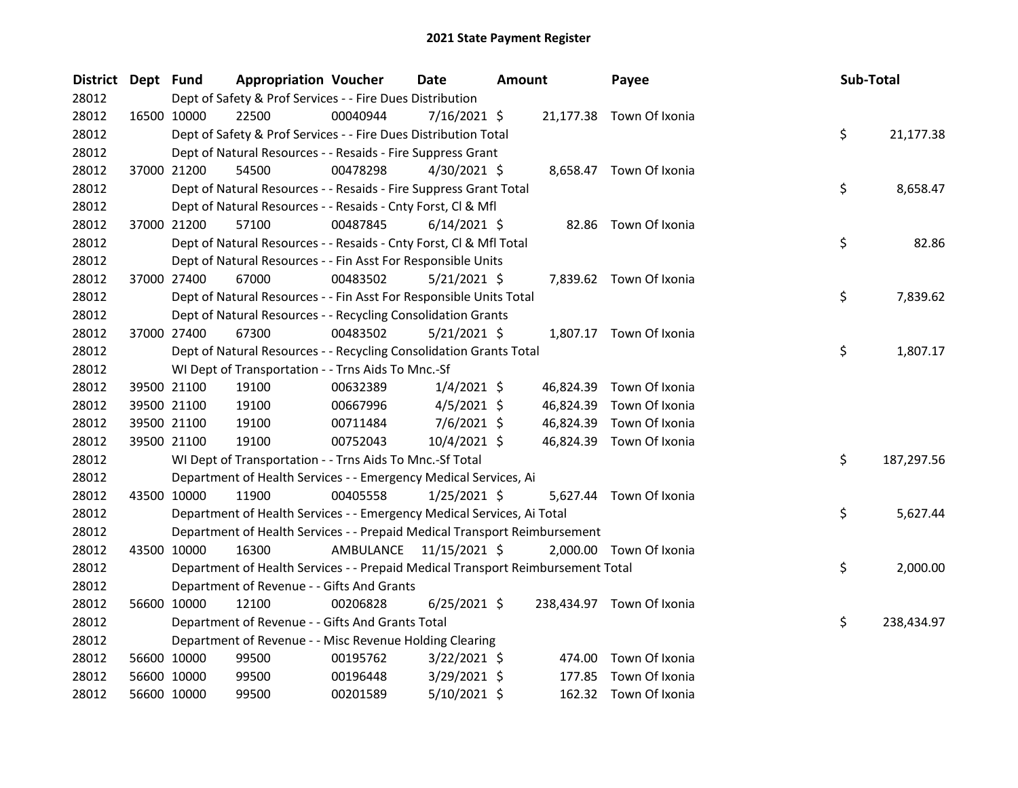| District Dept Fund |                                                                    | <b>Appropriation Voucher</b> |                                                                                 | Date           | Amount |           | Payee                     | Sub-Total |            |
|--------------------|--------------------------------------------------------------------|------------------------------|---------------------------------------------------------------------------------|----------------|--------|-----------|---------------------------|-----------|------------|
| 28012              |                                                                    |                              | Dept of Safety & Prof Services - - Fire Dues Distribution                       |                |        |           |                           |           |            |
| 28012              | 16500 10000<br>22500                                               |                              | 00040944                                                                        | $7/16/2021$ \$ |        |           | 21,177.38 Town Of Ixonia  |           |            |
| 28012              |                                                                    |                              | Dept of Safety & Prof Services - - Fire Dues Distribution Total                 |                |        |           |                           | \$        | 21,177.38  |
| 28012              | Dept of Natural Resources - - Resaids - Fire Suppress Grant        |                              |                                                                                 |                |        |           |                           |           |            |
| 28012              | 37000 21200                                                        | 54500                        | 00478298                                                                        | $4/30/2021$ \$ |        |           | 8,658.47 Town Of Ixonia   |           |            |
| 28012              |                                                                    |                              | Dept of Natural Resources - - Resaids - Fire Suppress Grant Total               |                |        |           |                           | \$        | 8,658.47   |
| 28012              |                                                                    |                              | Dept of Natural Resources - - Resaids - Cnty Forst, Cl & Mfl                    |                |        |           |                           |           |            |
| 28012              | 37000 21200                                                        | 57100                        | 00487845                                                                        | $6/14/2021$ \$ |        |           | 82.86 Town Of Ixonia      |           |            |
| 28012              |                                                                    |                              | Dept of Natural Resources - - Resaids - Cnty Forst, Cl & Mfl Total              |                |        |           |                           | \$        | 82.86      |
| 28012              |                                                                    |                              | Dept of Natural Resources - - Fin Asst For Responsible Units                    |                |        |           |                           |           |            |
| 28012              | 37000 27400<br>67000                                               |                              | 00483502                                                                        | $5/21/2021$ \$ |        |           | 7,839.62 Town Of Ixonia   |           |            |
| 28012              | Dept of Natural Resources - - Fin Asst For Responsible Units Total |                              |                                                                                 |                |        |           |                           | \$        | 7,839.62   |
| 28012              | Dept of Natural Resources - - Recycling Consolidation Grants       |                              |                                                                                 |                |        |           |                           |           |            |
| 28012              | 37000 27400<br>67300                                               |                              | 00483502                                                                        | $5/21/2021$ \$ |        |           | 1,807.17 Town Of Ixonia   |           |            |
| 28012              | Dept of Natural Resources - - Recycling Consolidation Grants Total |                              |                                                                                 |                |        |           |                           | \$        | 1,807.17   |
| 28012              | WI Dept of Transportation - - Trns Aids To Mnc.-Sf                 |                              |                                                                                 |                |        |           |                           |           |            |
| 28012              | 39500 21100<br>19100                                               |                              | 00632389                                                                        | $1/4/2021$ \$  |        |           | 46,824.39 Town Of Ixonia  |           |            |
| 28012              | 19100<br>39500 21100                                               |                              | 00667996                                                                        | $4/5/2021$ \$  |        | 46,824.39 | Town Of Ixonia            |           |            |
| 28012              | 39500 21100<br>19100                                               |                              | 00711484                                                                        | $7/6/2021$ \$  |        | 46,824.39 | Town Of Ixonia            |           |            |
| 28012              | 39500 21100<br>19100                                               |                              | 00752043                                                                        | 10/4/2021 \$   |        |           | 46,824.39 Town Of Ixonia  |           |            |
| 28012              | WI Dept of Transportation - - Trns Aids To Mnc.-Sf Total           |                              |                                                                                 |                |        |           |                           | \$        | 187,297.56 |
| 28012              | Department of Health Services - - Emergency Medical Services, Ai   |                              |                                                                                 |                |        |           |                           |           |            |
| 28012              | 43500 10000<br>11900                                               |                              | 00405558                                                                        | $1/25/2021$ \$ |        |           | 5,627.44 Town Of Ixonia   |           |            |
| 28012              |                                                                    |                              | Department of Health Services - - Emergency Medical Services, Ai Total          |                |        |           |                           | \$        | 5,627.44   |
| 28012              |                                                                    |                              | Department of Health Services - - Prepaid Medical Transport Reimbursement       |                |        |           |                           |           |            |
| 28012              | 43500 10000                                                        | 16300                        | AMBULANCE 11/15/2021 \$                                                         |                |        |           | 2,000.00 Town Of Ixonia   |           |            |
| 28012              |                                                                    |                              | Department of Health Services - - Prepaid Medical Transport Reimbursement Total |                |        |           |                           | \$        | 2,000.00   |
| 28012              |                                                                    |                              | Department of Revenue - - Gifts And Grants                                      |                |        |           |                           |           |            |
| 28012              | 56600 10000<br>12100                                               |                              | 00206828                                                                        | $6/25/2021$ \$ |        |           | 238,434.97 Town Of Ixonia |           |            |
| 28012              | Department of Revenue - - Gifts And Grants Total                   |                              |                                                                                 |                |        |           |                           | \$        | 238,434.97 |
| 28012              |                                                                    |                              | Department of Revenue - - Misc Revenue Holding Clearing                         |                |        |           |                           |           |            |
| 28012              | 56600 10000<br>99500                                               |                              | 00195762                                                                        | $3/22/2021$ \$ |        | 474.00    | Town Of Ixonia            |           |            |
| 28012              | 56600 10000<br>99500                                               |                              | 00196448                                                                        | 3/29/2021 \$   |        | 177.85    | Town Of Ixonia            |           |            |
| 28012              | 56600 10000<br>99500                                               |                              | 00201589                                                                        | 5/10/2021 \$   |        |           | 162.32 Town Of Ixonia     |           |            |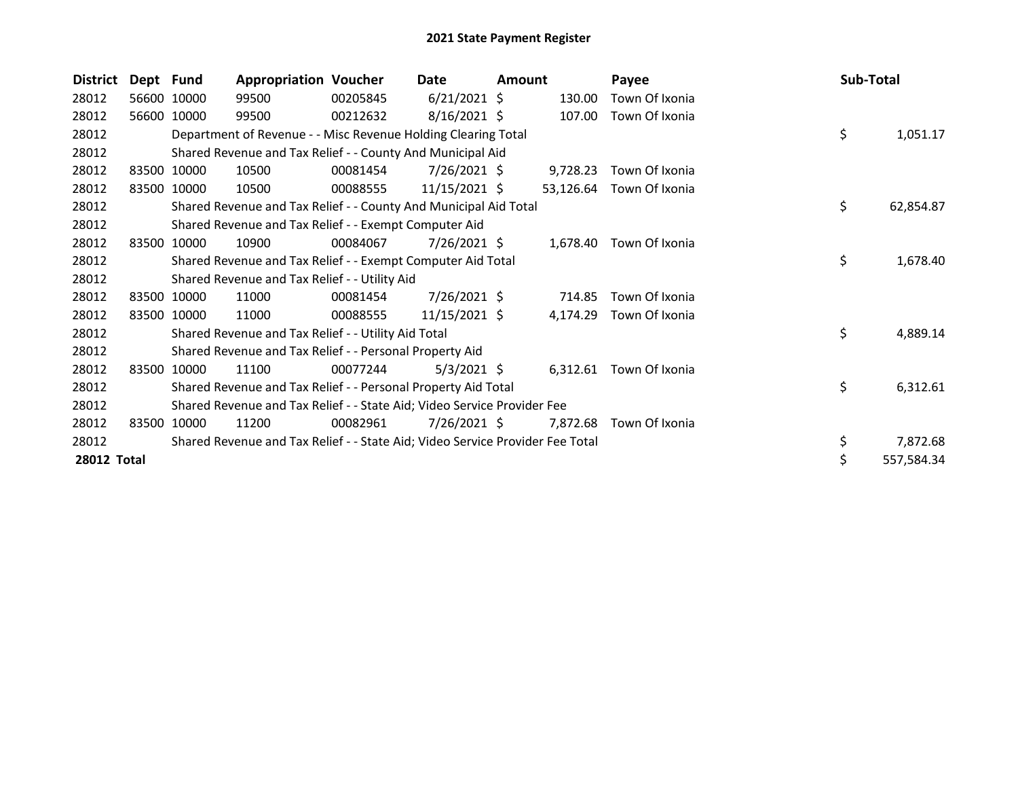| <b>District</b> | Dept Fund |             | <b>Appropriation Voucher</b>                                                  |          | Date            | <b>Amount</b> |           | Payee                   | Sub-Total |            |
|-----------------|-----------|-------------|-------------------------------------------------------------------------------|----------|-----------------|---------------|-----------|-------------------------|-----------|------------|
| 28012           |           | 56600 10000 | 99500                                                                         | 00205845 | $6/21/2021$ \$  |               | 130.00    | Town Of Ixonia          |           |            |
| 28012           | 56600     | 10000       | 99500                                                                         | 00212632 | $8/16/2021$ \$  |               | 107.00    | Town Of Ixonia          |           |            |
| 28012           |           |             | Department of Revenue - - Misc Revenue Holding Clearing Total                 |          |                 |               |           |                         | \$        | 1,051.17   |
| 28012           |           |             | Shared Revenue and Tax Relief - - County And Municipal Aid                    |          |                 |               |           |                         |           |            |
| 28012           |           | 83500 10000 | 10500                                                                         | 00081454 | $7/26/2021$ \$  |               | 9,728.23  | Town Of Ixonia          |           |            |
| 28012           |           | 83500 10000 | 10500                                                                         | 00088555 | $11/15/2021$ \$ |               | 53,126.64 | Town Of Ixonia          |           |            |
| 28012           |           |             | Shared Revenue and Tax Relief - - County And Municipal Aid Total              |          |                 |               |           |                         | \$        | 62,854.87  |
| 28012           |           |             | Shared Revenue and Tax Relief - - Exempt Computer Aid                         |          |                 |               |           |                         |           |            |
| 28012           | 83500     | 10000       | 10900                                                                         | 00084067 | 7/26/2021 \$    |               |           | 1,678.40 Town Of Ixonia |           |            |
| 28012           |           |             | Shared Revenue and Tax Relief - - Exempt Computer Aid Total                   |          |                 |               |           |                         | \$        | 1,678.40   |
| 28012           |           |             | Shared Revenue and Tax Relief - - Utility Aid                                 |          |                 |               |           |                         |           |            |
| 28012           |           | 83500 10000 | 11000                                                                         | 00081454 | 7/26/2021 \$    |               | 714.85    | Town Of Ixonia          |           |            |
| 28012           | 83500     | 10000       | 11000                                                                         | 00088555 | $11/15/2021$ \$ |               | 4,174.29  | Town Of Ixonia          |           |            |
| 28012           |           |             | Shared Revenue and Tax Relief - - Utility Aid Total                           |          |                 |               |           |                         | \$        | 4,889.14   |
| 28012           |           |             | Shared Revenue and Tax Relief - - Personal Property Aid                       |          |                 |               |           |                         |           |            |
| 28012           |           | 83500 10000 | 11100                                                                         | 00077244 | $5/3/2021$ \$   |               | 6,312.61  | Town Of Ixonia          |           |            |
| 28012           |           |             | Shared Revenue and Tax Relief - - Personal Property Aid Total                 |          |                 |               |           |                         | \$        | 6,312.61   |
| 28012           |           |             | Shared Revenue and Tax Relief - - State Aid; Video Service Provider Fee       |          |                 |               |           |                         |           |            |
| 28012           | 83500     | 10000       | 11200                                                                         | 00082961 | 7/26/2021 \$    |               | 7,872.68  | Town Of Ixonia          |           |            |
| 28012           |           |             | Shared Revenue and Tax Relief - - State Aid; Video Service Provider Fee Total |          |                 |               |           |                         | \$        | 7,872.68   |
| 28012 Total     |           |             |                                                                               |          |                 |               |           |                         |           | 557,584.34 |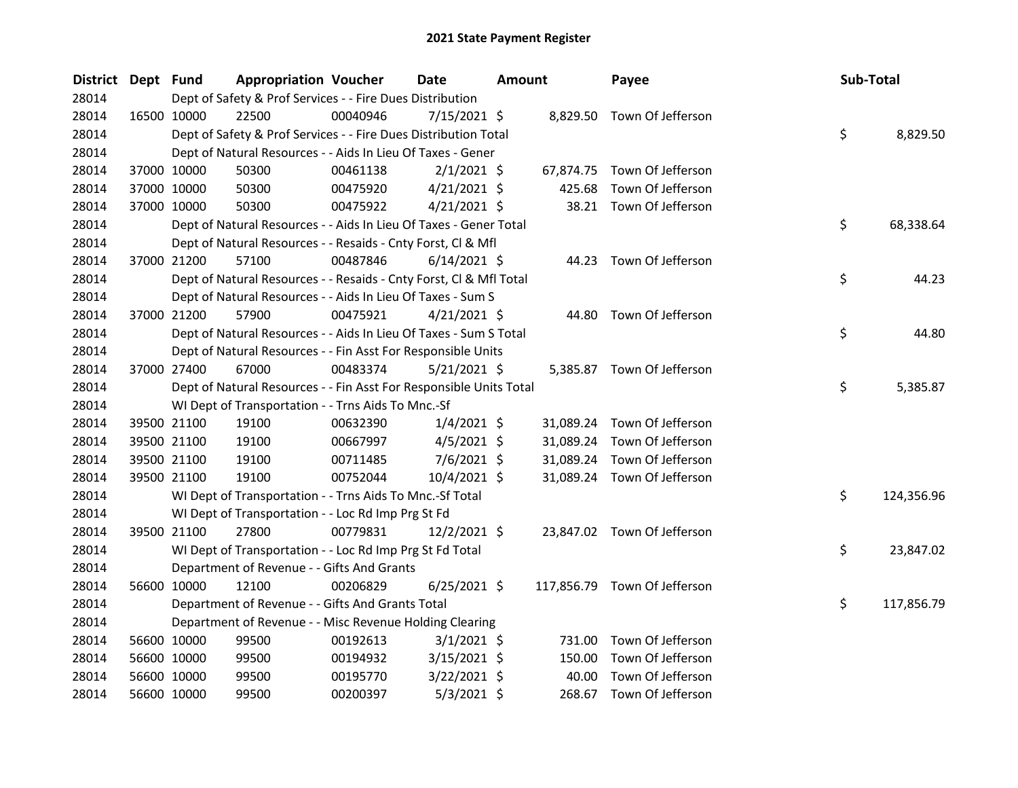| District Dept Fund |             |             | <b>Appropriation Voucher</b>                                       |          | Date           | <b>Amount</b> |        | Payee                        | Sub-Total |            |
|--------------------|-------------|-------------|--------------------------------------------------------------------|----------|----------------|---------------|--------|------------------------------|-----------|------------|
| 28014              |             |             | Dept of Safety & Prof Services - - Fire Dues Distribution          |          |                |               |        |                              |           |            |
| 28014              |             | 16500 10000 | 22500                                                              | 00040946 | $7/15/2021$ \$ |               |        | 8,829.50 Town Of Jefferson   |           |            |
| 28014              |             |             | Dept of Safety & Prof Services - - Fire Dues Distribution Total    |          |                |               |        |                              | \$        | 8,829.50   |
| 28014              |             |             | Dept of Natural Resources - - Aids In Lieu Of Taxes - Gener        |          |                |               |        |                              |           |            |
| 28014              |             | 37000 10000 | 50300                                                              | 00461138 | $2/1/2021$ \$  |               |        | 67,874.75 Town Of Jefferson  |           |            |
| 28014              |             | 37000 10000 | 50300                                                              | 00475920 | $4/21/2021$ \$ |               | 425.68 | Town Of Jefferson            |           |            |
| 28014              |             | 37000 10000 | 50300                                                              | 00475922 | $4/21/2021$ \$ |               |        | 38.21 Town Of Jefferson      |           |            |
| 28014              |             |             | Dept of Natural Resources - - Aids In Lieu Of Taxes - Gener Total  |          |                |               |        |                              | \$        | 68,338.64  |
| 28014              |             |             | Dept of Natural Resources - - Resaids - Cnty Forst, Cl & Mfl       |          |                |               |        |                              |           |            |
| 28014              |             | 37000 21200 | 57100                                                              | 00487846 | $6/14/2021$ \$ |               |        | 44.23 Town Of Jefferson      |           |            |
| 28014              |             |             | Dept of Natural Resources - - Resaids - Cnty Forst, CI & Mfl Total |          |                |               |        |                              | \$        | 44.23      |
| 28014              |             |             | Dept of Natural Resources - - Aids In Lieu Of Taxes - Sum S        |          |                |               |        |                              |           |            |
| 28014              |             | 37000 21200 | 57900                                                              | 00475921 | $4/21/2021$ \$ |               |        | 44.80 Town Of Jefferson      |           |            |
| 28014              |             |             | Dept of Natural Resources - - Aids In Lieu Of Taxes - Sum S Total  |          |                |               |        |                              | \$        | 44.80      |
| 28014              |             |             | Dept of Natural Resources - - Fin Asst For Responsible Units       |          |                |               |        |                              |           |            |
| 28014              |             | 37000 27400 | 67000                                                              | 00483374 | $5/21/2021$ \$ |               |        | 5,385.87 Town Of Jefferson   |           |            |
| 28014              |             |             | Dept of Natural Resources - - Fin Asst For Responsible Units Total |          |                |               |        |                              | \$        | 5,385.87   |
| 28014              |             |             | WI Dept of Transportation - - Trns Aids To Mnc.-Sf                 |          |                |               |        |                              |           |            |
| 28014              |             | 39500 21100 | 19100                                                              | 00632390 | $1/4/2021$ \$  |               |        | 31,089.24 Town Of Jefferson  |           |            |
| 28014              |             | 39500 21100 | 19100                                                              | 00667997 | $4/5/2021$ \$  |               |        | 31,089.24 Town Of Jefferson  |           |            |
| 28014              |             | 39500 21100 | 19100                                                              | 00711485 | $7/6/2021$ \$  |               |        | 31,089.24 Town Of Jefferson  |           |            |
| 28014              |             | 39500 21100 | 19100                                                              | 00752044 | 10/4/2021 \$   |               |        | 31,089.24 Town Of Jefferson  |           |            |
| 28014              |             |             | WI Dept of Transportation - - Trns Aids To Mnc.-Sf Total           |          |                |               |        |                              | \$        | 124,356.96 |
| 28014              |             |             | WI Dept of Transportation - - Loc Rd Imp Prg St Fd                 |          |                |               |        |                              |           |            |
| 28014              |             | 39500 21100 | 27800                                                              | 00779831 | $12/2/2021$ \$ |               |        | 23,847.02 Town Of Jefferson  |           |            |
| 28014              |             |             | WI Dept of Transportation - - Loc Rd Imp Prg St Fd Total           |          |                |               |        |                              | \$        | 23,847.02  |
| 28014              |             |             | Department of Revenue - - Gifts And Grants                         |          |                |               |        |                              |           |            |
| 28014              | 56600 10000 |             | 12100                                                              | 00206829 | $6/25/2021$ \$ |               |        | 117,856.79 Town Of Jefferson |           |            |
| 28014              |             |             | Department of Revenue - - Gifts And Grants Total                   |          |                |               |        |                              | \$        | 117,856.79 |
| 28014              |             |             | Department of Revenue - - Misc Revenue Holding Clearing            |          |                |               |        |                              |           |            |
| 28014              |             | 56600 10000 | 99500                                                              | 00192613 | $3/1/2021$ \$  |               | 731.00 | Town Of Jefferson            |           |            |
| 28014              |             | 56600 10000 | 99500                                                              | 00194932 | $3/15/2021$ \$ |               | 150.00 | Town Of Jefferson            |           |            |
| 28014              |             | 56600 10000 | 99500                                                              | 00195770 | $3/22/2021$ \$ |               | 40.00  | Town Of Jefferson            |           |            |
| 28014              | 56600 10000 |             | 99500                                                              | 00200397 | $5/3/2021$ \$  |               |        | 268.67 Town Of Jefferson     |           |            |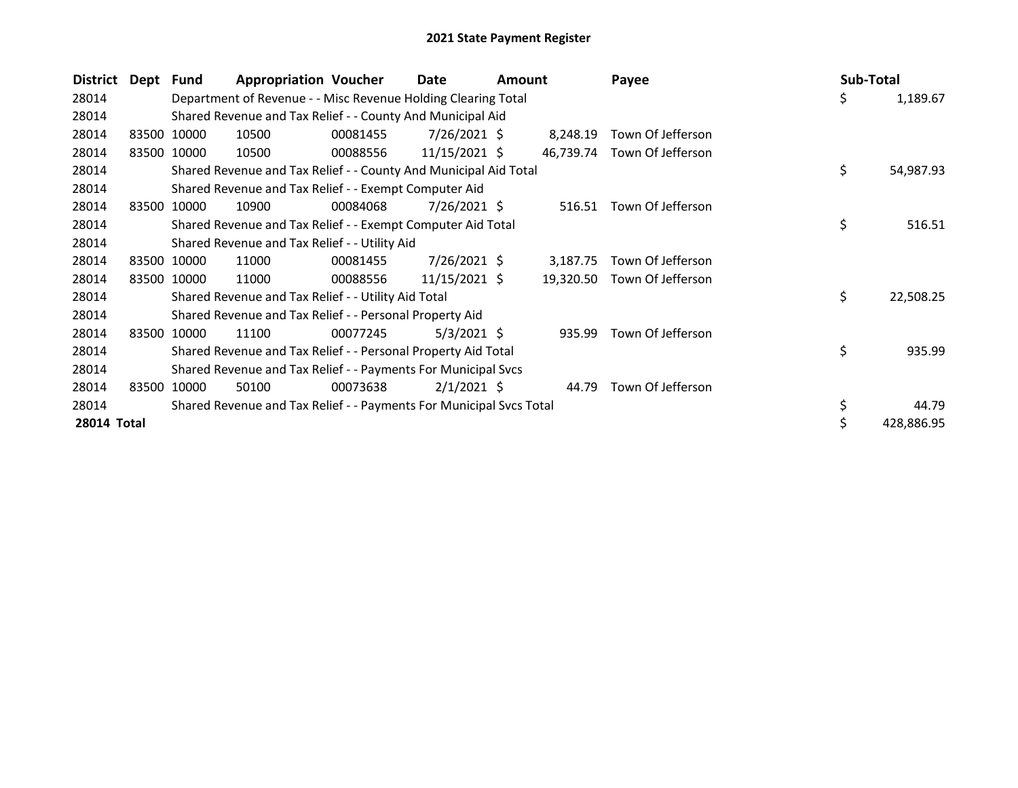| District           | Dept Fund |             | <b>Appropriation Voucher</b>                                        |          | Date            | Amount |           | Payee                       | Sub-Total |            |
|--------------------|-----------|-------------|---------------------------------------------------------------------|----------|-----------------|--------|-----------|-----------------------------|-----------|------------|
| 28014              |           |             | Department of Revenue - - Misc Revenue Holding Clearing Total       |          |                 |        |           |                             | \$        | 1,189.67   |
| 28014              |           |             | Shared Revenue and Tax Relief - - County And Municipal Aid          |          |                 |        |           |                             |           |            |
| 28014              |           | 83500 10000 | 10500                                                               | 00081455 | $7/26/2021$ \$  |        | 8,248.19  | Town Of Jefferson           |           |            |
| 28014              |           | 83500 10000 | 10500                                                               | 00088556 | $11/15/2021$ \$ |        |           | 46,739.74 Town Of Jefferson |           |            |
| 28014              |           |             | Shared Revenue and Tax Relief - - County And Municipal Aid Total    |          |                 |        |           |                             | \$        | 54,987.93  |
| 28014              |           |             | Shared Revenue and Tax Relief - - Exempt Computer Aid               |          |                 |        |           |                             |           |            |
| 28014              | 83500     | 10000       | 10900                                                               | 00084068 | 7/26/2021 \$    |        |           | 516.51 Town Of Jefferson    |           |            |
| 28014              |           |             | Shared Revenue and Tax Relief - - Exempt Computer Aid Total         |          |                 |        |           |                             | \$        | 516.51     |
| 28014              |           |             | Shared Revenue and Tax Relief - - Utility Aid                       |          |                 |        |           |                             |           |            |
| 28014              |           | 83500 10000 | 11000                                                               | 00081455 | 7/26/2021 \$    |        | 3,187.75  | Town Of Jefferson           |           |            |
| 28014              |           | 83500 10000 | 11000                                                               | 00088556 | $11/15/2021$ \$ |        | 19,320.50 | Town Of Jefferson           |           |            |
| 28014              |           |             | Shared Revenue and Tax Relief - - Utility Aid Total                 |          |                 |        |           |                             | \$        | 22,508.25  |
| 28014              |           |             | Shared Revenue and Tax Relief - - Personal Property Aid             |          |                 |        |           |                             |           |            |
| 28014              | 83500     | 10000       | 11100                                                               | 00077245 | $5/3/2021$ \$   |        | 935.99    | Town Of Jefferson           |           |            |
| 28014              |           |             | Shared Revenue and Tax Relief - - Personal Property Aid Total       |          |                 |        |           |                             | \$        | 935.99     |
| 28014              |           |             | Shared Revenue and Tax Relief - - Payments For Municipal Svcs       |          |                 |        |           |                             |           |            |
| 28014              | 83500     | 10000       | 50100                                                               | 00073638 | $2/1/2021$ \$   |        | 44.79     | Town Of Jefferson           |           |            |
| 28014              |           |             | Shared Revenue and Tax Relief - - Payments For Municipal Svcs Total |          |                 |        |           |                             | \$        | 44.79      |
| <b>28014 Total</b> |           |             |                                                                     |          |                 |        |           |                             |           | 428,886.95 |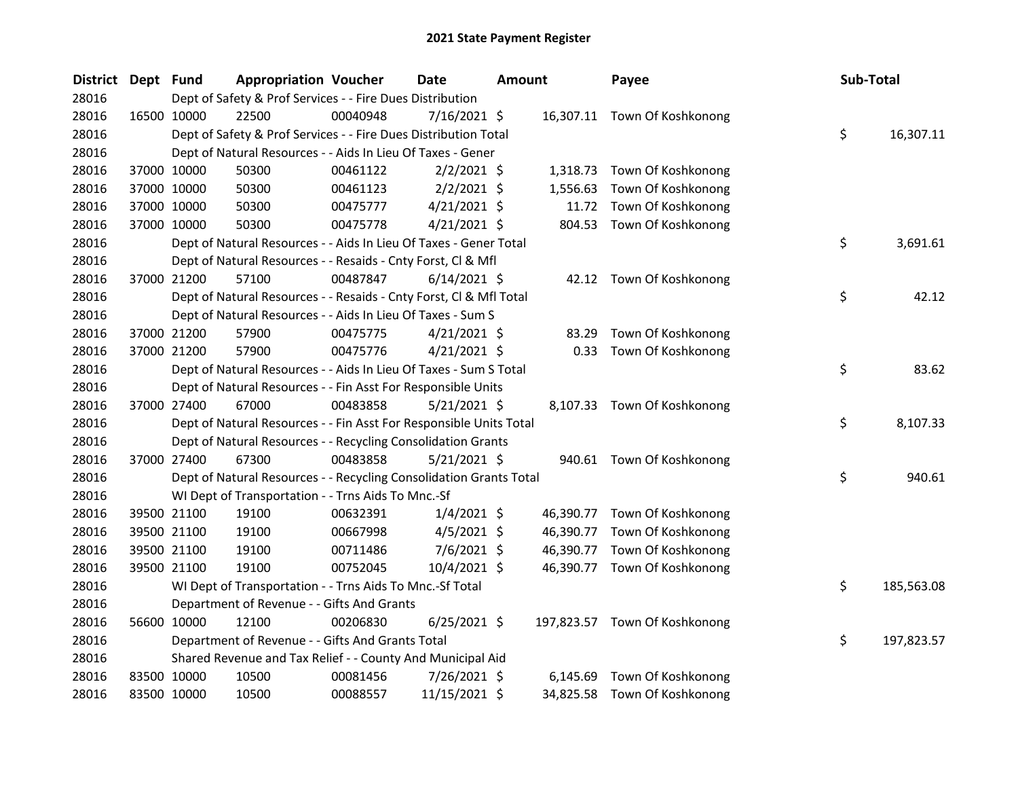| District Dept Fund |             |             | <b>Appropriation Voucher</b>                                       |          | Date           | <b>Amount</b> |           | Payee                         | Sub-Total |            |
|--------------------|-------------|-------------|--------------------------------------------------------------------|----------|----------------|---------------|-----------|-------------------------------|-----------|------------|
| 28016              |             |             | Dept of Safety & Prof Services - - Fire Dues Distribution          |          |                |               |           |                               |           |            |
| 28016              |             | 16500 10000 | 22500                                                              | 00040948 | 7/16/2021 \$   |               |           | 16,307.11 Town Of Koshkonong  |           |            |
| 28016              |             |             | Dept of Safety & Prof Services - - Fire Dues Distribution Total    |          |                |               |           |                               | \$        | 16,307.11  |
| 28016              |             |             | Dept of Natural Resources - - Aids In Lieu Of Taxes - Gener        |          |                |               |           |                               |           |            |
| 28016              |             | 37000 10000 | 50300                                                              | 00461122 | $2/2/2021$ \$  |               |           | 1,318.73 Town Of Koshkonong   |           |            |
| 28016              |             | 37000 10000 | 50300                                                              | 00461123 | $2/2/2021$ \$  |               | 1,556.63  | Town Of Koshkonong            |           |            |
| 28016              |             | 37000 10000 | 50300                                                              | 00475777 | $4/21/2021$ \$ |               | 11.72     | Town Of Koshkonong            |           |            |
| 28016              |             | 37000 10000 | 50300                                                              | 00475778 | $4/21/2021$ \$ |               | 804.53    | Town Of Koshkonong            |           |            |
| 28016              |             |             | Dept of Natural Resources - - Aids In Lieu Of Taxes - Gener Total  |          |                |               |           |                               | \$        | 3,691.61   |
| 28016              |             |             | Dept of Natural Resources - - Resaids - Cnty Forst, Cl & Mfl       |          |                |               |           |                               |           |            |
| 28016              |             | 37000 21200 | 57100                                                              | 00487847 | $6/14/2021$ \$ |               |           | 42.12 Town Of Koshkonong      |           |            |
| 28016              |             |             | Dept of Natural Resources - - Resaids - Cnty Forst, Cl & Mfl Total |          |                |               |           |                               | \$        | 42.12      |
| 28016              |             |             | Dept of Natural Resources - - Aids In Lieu Of Taxes - Sum S        |          |                |               |           |                               |           |            |
| 28016              |             | 37000 21200 | 57900                                                              | 00475775 | $4/21/2021$ \$ |               | 83.29     | Town Of Koshkonong            |           |            |
| 28016              |             | 37000 21200 | 57900                                                              | 00475776 | $4/21/2021$ \$ |               | 0.33      | Town Of Koshkonong            |           |            |
| 28016              |             |             | Dept of Natural Resources - - Aids In Lieu Of Taxes - Sum S Total  |          |                |               |           |                               | \$        | 83.62      |
| 28016              |             |             | Dept of Natural Resources - - Fin Asst For Responsible Units       |          |                |               |           |                               |           |            |
| 28016              |             | 37000 27400 | 67000                                                              | 00483858 | $5/21/2021$ \$ |               |           | 8,107.33 Town Of Koshkonong   |           |            |
| 28016              |             |             | Dept of Natural Resources - - Fin Asst For Responsible Units Total |          |                |               |           |                               | \$        | 8,107.33   |
| 28016              |             |             | Dept of Natural Resources - - Recycling Consolidation Grants       |          |                |               |           |                               |           |            |
| 28016              |             | 37000 27400 | 67300                                                              | 00483858 | $5/21/2021$ \$ |               |           | 940.61 Town Of Koshkonong     |           |            |
| 28016              |             |             | Dept of Natural Resources - - Recycling Consolidation Grants Total |          |                |               |           |                               | \$        | 940.61     |
| 28016              |             |             | WI Dept of Transportation - - Trns Aids To Mnc.-Sf                 |          |                |               |           |                               |           |            |
| 28016              |             | 39500 21100 | 19100                                                              | 00632391 | $1/4/2021$ \$  |               |           | 46,390.77 Town Of Koshkonong  |           |            |
| 28016              |             | 39500 21100 | 19100                                                              | 00667998 | 4/5/2021 \$    |               | 46,390.77 | Town Of Koshkonong            |           |            |
| 28016              |             | 39500 21100 | 19100                                                              | 00711486 | $7/6/2021$ \$  |               | 46,390.77 | Town Of Koshkonong            |           |            |
| 28016              |             | 39500 21100 | 19100                                                              | 00752045 | 10/4/2021 \$   |               |           | 46,390.77 Town Of Koshkonong  |           |            |
| 28016              |             |             | WI Dept of Transportation - - Trns Aids To Mnc.-Sf Total           |          |                |               |           |                               | \$        | 185,563.08 |
| 28016              |             |             | Department of Revenue - - Gifts And Grants                         |          |                |               |           |                               |           |            |
| 28016              |             | 56600 10000 | 12100                                                              | 00206830 | $6/25/2021$ \$ |               |           | 197,823.57 Town Of Koshkonong |           |            |
| 28016              |             |             | Department of Revenue - - Gifts And Grants Total                   |          |                |               |           |                               | \$        | 197,823.57 |
| 28016              |             |             | Shared Revenue and Tax Relief - - County And Municipal Aid         |          |                |               |           |                               |           |            |
| 28016              |             | 83500 10000 | 10500                                                              | 00081456 | 7/26/2021 \$   |               | 6,145.69  | Town Of Koshkonong            |           |            |
| 28016              | 83500 10000 |             | 10500                                                              | 00088557 | 11/15/2021 \$  |               |           | 34,825.58 Town Of Koshkonong  |           |            |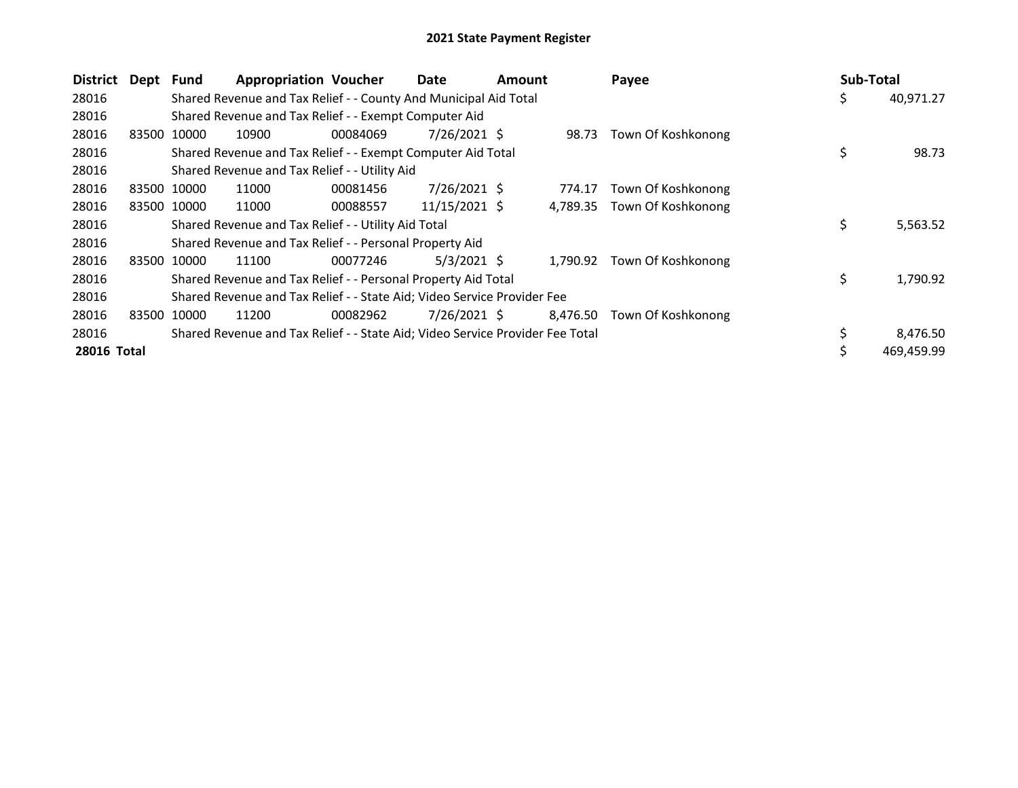| <b>District</b>    | Dept Fund |             | <b>Appropriation Voucher</b>                                                  |          | Date           | <b>Amount</b> |          | Payee                       | Sub-Total |            |
|--------------------|-----------|-------------|-------------------------------------------------------------------------------|----------|----------------|---------------|----------|-----------------------------|-----------|------------|
| 28016              |           |             | Shared Revenue and Tax Relief - - County And Municipal Aid Total              |          |                |               |          |                             | Ş         | 40,971.27  |
| 28016              |           |             | Shared Revenue and Tax Relief - - Exempt Computer Aid                         |          |                |               |          |                             |           |            |
| 28016              | 83500     | 10000       | 10900                                                                         | 00084069 | $7/26/2021$ \$ |               | 98.73    | Town Of Koshkonong          |           |            |
| 28016              |           |             | Shared Revenue and Tax Relief - - Exempt Computer Aid Total                   |          |                |               |          |                             | \$        | 98.73      |
| 28016              |           |             | Shared Revenue and Tax Relief - - Utility Aid                                 |          |                |               |          |                             |           |            |
| 28016              | 83500     | 10000       | 11000                                                                         | 00081456 | $7/26/2021$ \$ |               | 774.17   | Town Of Koshkonong          |           |            |
| 28016              |           | 83500 10000 | 11000                                                                         | 00088557 | 11/15/2021 \$  |               |          | 4,789.35 Town Of Koshkonong |           |            |
| 28016              |           |             | Shared Revenue and Tax Relief - - Utility Aid Total                           |          |                |               |          |                             | \$        | 5,563.52   |
| 28016              |           |             | Shared Revenue and Tax Relief - - Personal Property Aid                       |          |                |               |          |                             |           |            |
| 28016              |           | 83500 10000 | 11100                                                                         | 00077246 | $5/3/2021$ \$  |               | 1,790.92 | Town Of Koshkonong          |           |            |
| 28016              |           |             | Shared Revenue and Tax Relief - - Personal Property Aid Total                 |          |                |               |          |                             | \$        | 1,790.92   |
| 28016              |           |             | Shared Revenue and Tax Relief - - State Aid; Video Service Provider Fee       |          |                |               |          |                             |           |            |
| 28016              | 83500     | 10000       | 11200                                                                         | 00082962 | $7/26/2021$ \$ |               | 8,476.50 | Town Of Koshkonong          |           |            |
| 28016              |           |             | Shared Revenue and Tax Relief - - State Aid; Video Service Provider Fee Total |          |                |               |          |                             |           | 8,476.50   |
| <b>28016 Total</b> |           |             |                                                                               |          |                |               |          |                             |           | 469,459.99 |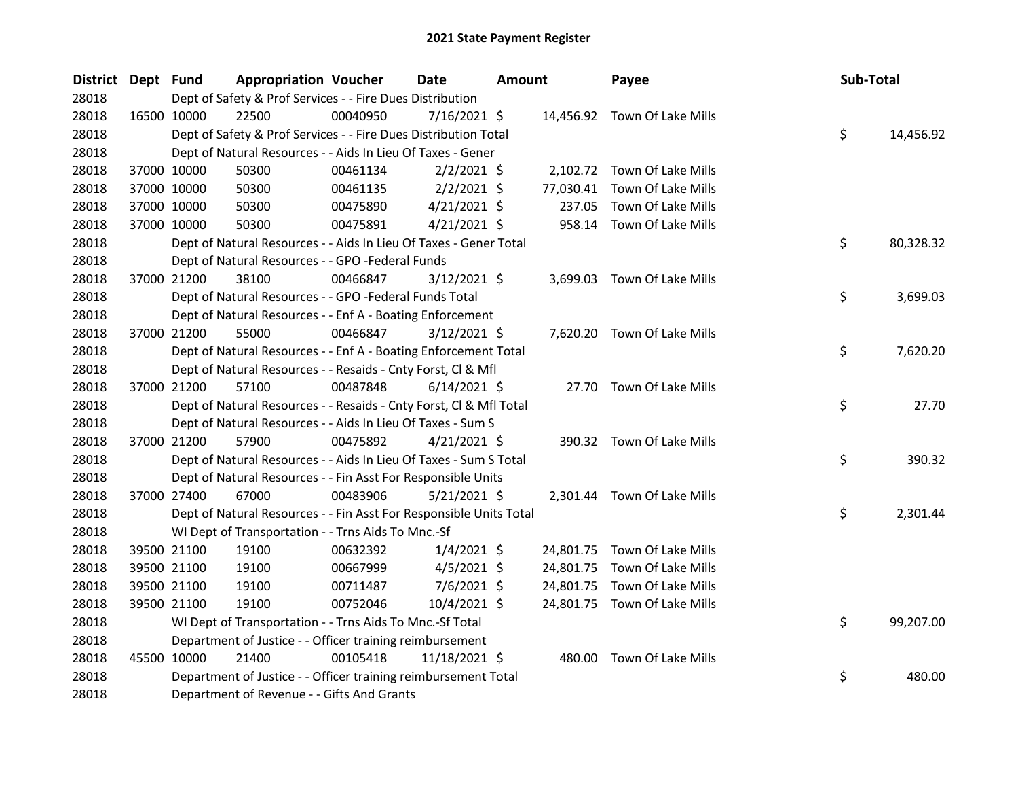| District Dept Fund |             | <b>Appropriation Voucher</b>                                       |          | Date           | <b>Amount</b> |           | Payee                        | Sub-Total |           |
|--------------------|-------------|--------------------------------------------------------------------|----------|----------------|---------------|-----------|------------------------------|-----------|-----------|
| 28018              |             | Dept of Safety & Prof Services - - Fire Dues Distribution          |          |                |               |           |                              |           |           |
| 28018              | 16500 10000 | 22500                                                              | 00040950 | $7/16/2021$ \$ |               |           | 14,456.92 Town Of Lake Mills |           |           |
| 28018              |             | Dept of Safety & Prof Services - - Fire Dues Distribution Total    |          |                |               |           |                              | \$        | 14,456.92 |
| 28018              |             | Dept of Natural Resources - - Aids In Lieu Of Taxes - Gener        |          |                |               |           |                              |           |           |
| 28018              | 37000 10000 | 50300                                                              | 00461134 | $2/2/2021$ \$  |               |           | 2,102.72 Town Of Lake Mills  |           |           |
| 28018              | 37000 10000 | 50300                                                              | 00461135 | $2/2/2021$ \$  |               | 77,030.41 | Town Of Lake Mills           |           |           |
| 28018              | 37000 10000 | 50300                                                              | 00475890 | $4/21/2021$ \$ |               | 237.05    | Town Of Lake Mills           |           |           |
| 28018              | 37000 10000 | 50300                                                              | 00475891 | $4/21/2021$ \$ |               |           | 958.14 Town Of Lake Mills    |           |           |
| 28018              |             | Dept of Natural Resources - - Aids In Lieu Of Taxes - Gener Total  |          |                |               |           |                              | \$        | 80,328.32 |
| 28018              |             | Dept of Natural Resources - - GPO -Federal Funds                   |          |                |               |           |                              |           |           |
| 28018              | 37000 21200 | 38100                                                              | 00466847 | $3/12/2021$ \$ |               |           | 3,699.03 Town Of Lake Mills  |           |           |
| 28018              |             | Dept of Natural Resources - - GPO -Federal Funds Total             |          |                |               |           |                              | \$        | 3,699.03  |
| 28018              |             | Dept of Natural Resources - - Enf A - Boating Enforcement          |          |                |               |           |                              |           |           |
| 28018              | 37000 21200 | 55000                                                              | 00466847 | $3/12/2021$ \$ |               |           | 7,620.20 Town Of Lake Mills  |           |           |
| 28018              |             | Dept of Natural Resources - - Enf A - Boating Enforcement Total    |          |                |               |           |                              | \$        | 7,620.20  |
| 28018              |             | Dept of Natural Resources - - Resaids - Cnty Forst, Cl & Mfl       |          |                |               |           |                              |           |           |
| 28018              | 37000 21200 | 57100                                                              | 00487848 | $6/14/2021$ \$ |               |           | 27.70 Town Of Lake Mills     |           |           |
| 28018              |             | Dept of Natural Resources - - Resaids - Cnty Forst, Cl & Mfl Total |          |                |               |           |                              | \$        | 27.70     |
| 28018              |             | Dept of Natural Resources - - Aids In Lieu Of Taxes - Sum S        |          |                |               |           |                              |           |           |
| 28018              | 37000 21200 | 57900                                                              | 00475892 | $4/21/2021$ \$ |               |           | 390.32 Town Of Lake Mills    |           |           |
| 28018              |             | Dept of Natural Resources - - Aids In Lieu Of Taxes - Sum S Total  |          |                |               |           |                              | \$        | 390.32    |
| 28018              |             | Dept of Natural Resources - - Fin Asst For Responsible Units       |          |                |               |           |                              |           |           |
| 28018              | 37000 27400 | 67000                                                              | 00483906 | $5/21/2021$ \$ |               |           | 2,301.44 Town Of Lake Mills  |           |           |
| 28018              |             | Dept of Natural Resources - - Fin Asst For Responsible Units Total |          |                |               |           |                              | \$        | 2,301.44  |
| 28018              |             | WI Dept of Transportation - - Trns Aids To Mnc.-Sf                 |          |                |               |           |                              |           |           |
| 28018              | 39500 21100 | 19100                                                              | 00632392 | $1/4/2021$ \$  |               |           | 24,801.75 Town Of Lake Mills |           |           |
| 28018              | 39500 21100 | 19100                                                              | 00667999 | $4/5/2021$ \$  |               | 24,801.75 | Town Of Lake Mills           |           |           |
| 28018              | 39500 21100 | 19100                                                              | 00711487 | $7/6/2021$ \$  |               | 24,801.75 | Town Of Lake Mills           |           |           |
| 28018              | 39500 21100 | 19100                                                              | 00752046 | 10/4/2021 \$   |               |           | 24,801.75 Town Of Lake Mills |           |           |
| 28018              |             | WI Dept of Transportation - - Trns Aids To Mnc.-Sf Total           |          |                |               |           |                              | \$        | 99,207.00 |
| 28018              |             | Department of Justice - - Officer training reimbursement           |          |                |               |           |                              |           |           |
| 28018              | 45500 10000 | 21400                                                              | 00105418 | 11/18/2021 \$  |               |           | 480.00 Town Of Lake Mills    |           |           |
| 28018              |             | Department of Justice - - Officer training reimbursement Total     |          |                |               |           |                              | \$        | 480.00    |
| 28018              |             | Department of Revenue - - Gifts And Grants                         |          |                |               |           |                              |           |           |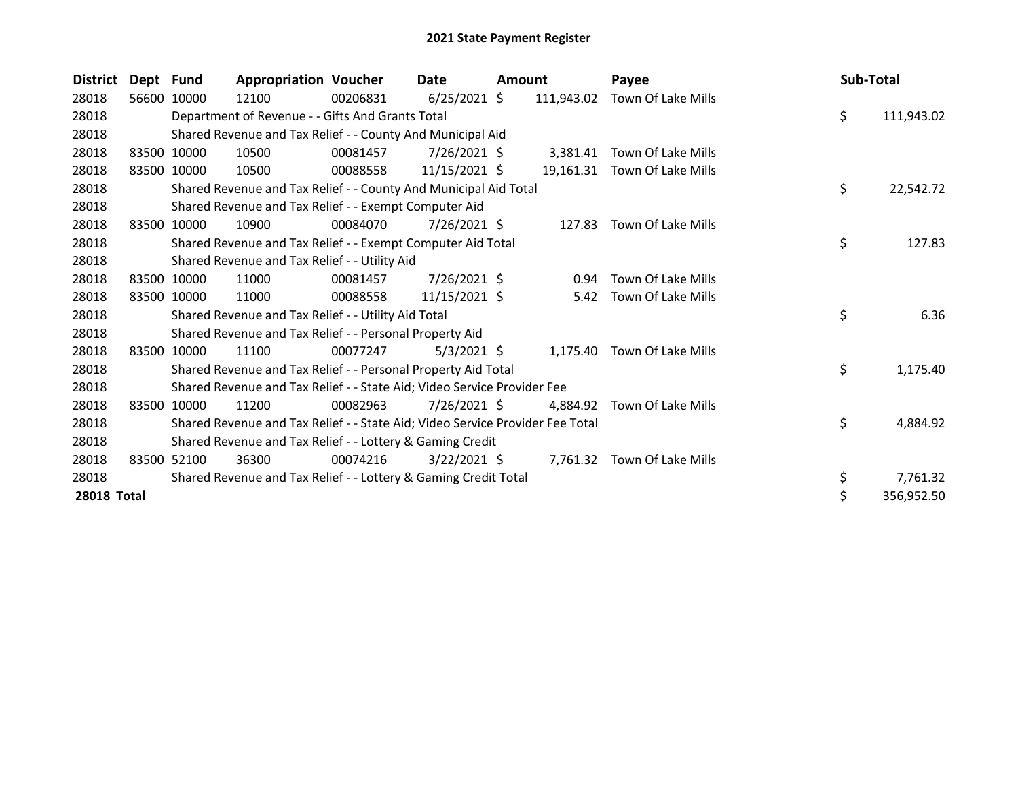| <b>District</b>    | Dept Fund   |             | <b>Appropriation Voucher</b>                                                  |          | Date           | Amount |            | Payee                        | Sub-Total |            |
|--------------------|-------------|-------------|-------------------------------------------------------------------------------|----------|----------------|--------|------------|------------------------------|-----------|------------|
| 28018              |             | 56600 10000 | 12100                                                                         | 00206831 | $6/25/2021$ \$ |        | 111,943.02 | Town Of Lake Mills           |           |            |
| 28018              |             |             | Department of Revenue - - Gifts And Grants Total                              |          |                |        |            |                              | \$        | 111,943.02 |
| 28018              |             |             | Shared Revenue and Tax Relief - - County And Municipal Aid                    |          |                |        |            |                              |           |            |
| 28018              | 83500 10000 |             | 10500                                                                         | 00081457 | 7/26/2021 \$   |        | 3,381.41   | Town Of Lake Mills           |           |            |
| 28018              | 83500 10000 |             | 10500                                                                         | 00088558 | 11/15/2021 \$  |        |            | 19,161.31 Town Of Lake Mills |           |            |
| 28018              |             |             | Shared Revenue and Tax Relief - - County And Municipal Aid Total              |          |                |        |            |                              | \$        | 22,542.72  |
| 28018              |             |             | Shared Revenue and Tax Relief - - Exempt Computer Aid                         |          |                |        |            |                              |           |            |
| 28018              | 83500       | 10000       | 10900                                                                         | 00084070 | $7/26/2021$ \$ |        | 127.83     | Town Of Lake Mills           |           |            |
| 28018              |             |             | Shared Revenue and Tax Relief - - Exempt Computer Aid Total                   |          |                |        |            |                              | \$        | 127.83     |
| 28018              |             |             | Shared Revenue and Tax Relief - - Utility Aid                                 |          |                |        |            |                              |           |            |
| 28018              | 83500 10000 |             | 11000                                                                         | 00081457 | 7/26/2021 \$   |        | 0.94       | Town Of Lake Mills           |           |            |
| 28018              | 83500 10000 |             | 11000                                                                         | 00088558 | 11/15/2021 \$  |        |            | 5.42 Town Of Lake Mills      |           |            |
| 28018              |             |             | Shared Revenue and Tax Relief - - Utility Aid Total                           |          |                |        |            |                              | \$        | 6.36       |
| 28018              |             |             | Shared Revenue and Tax Relief - - Personal Property Aid                       |          |                |        |            |                              |           |            |
| 28018              | 83500       | 10000       | 11100                                                                         | 00077247 | $5/3/2021$ \$  |        |            | 1,175.40 Town Of Lake Mills  |           |            |
| 28018              |             |             | Shared Revenue and Tax Relief - - Personal Property Aid Total                 |          |                |        |            |                              | \$        | 1,175.40   |
| 28018              |             |             | Shared Revenue and Tax Relief - - State Aid; Video Service Provider Fee       |          |                |        |            |                              |           |            |
| 28018              | 83500 10000 |             | 11200                                                                         | 00082963 | $7/26/2021$ \$ |        | 4.884.92   | Town Of Lake Mills           |           |            |
| 28018              |             |             | Shared Revenue and Tax Relief - - State Aid; Video Service Provider Fee Total |          |                |        |            |                              | \$        | 4,884.92   |
| 28018              |             |             | Shared Revenue and Tax Relief - - Lottery & Gaming Credit                     |          |                |        |            |                              |           |            |
| 28018              | 83500 52100 |             | 36300                                                                         | 00074216 | $3/22/2021$ \$ |        |            | 7,761.32 Town Of Lake Mills  |           |            |
| 28018              |             |             | Shared Revenue and Tax Relief - - Lottery & Gaming Credit Total               |          |                |        |            |                              | \$        | 7,761.32   |
| <b>28018 Total</b> |             |             |                                                                               |          |                |        |            |                              |           | 356,952.50 |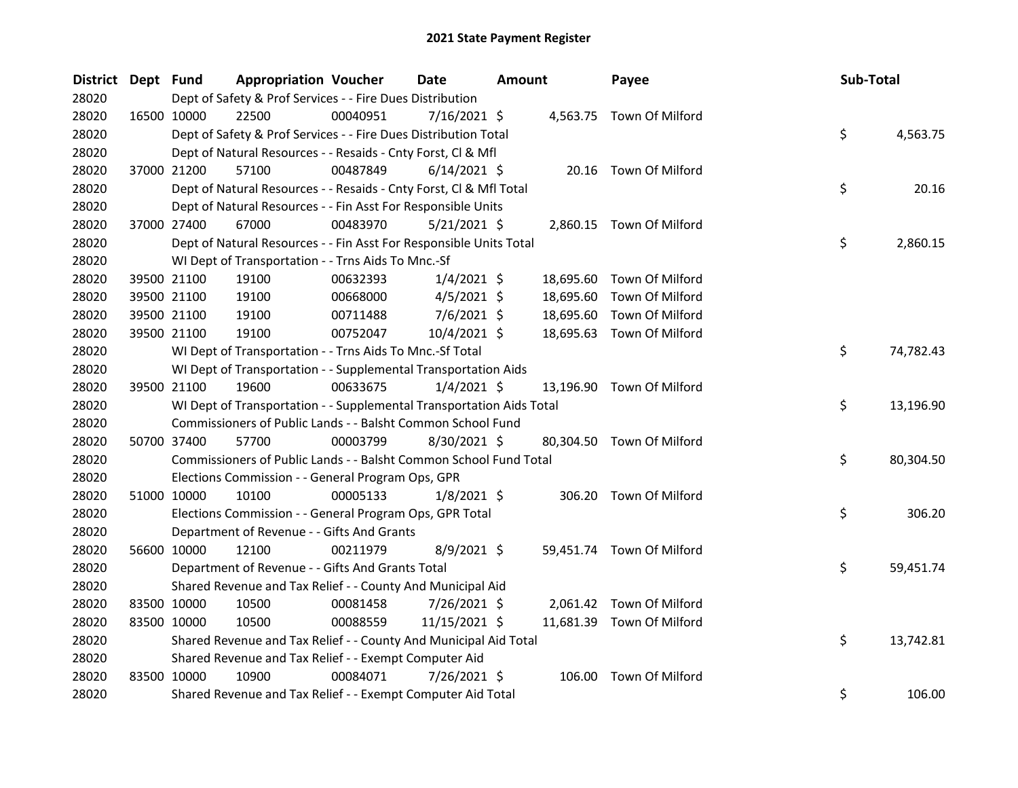| <b>District</b> | Dept Fund |             | <b>Appropriation Voucher</b>                                         |          | Date           | <b>Amount</b> |           | Payee                     | Sub-Total |           |
|-----------------|-----------|-------------|----------------------------------------------------------------------|----------|----------------|---------------|-----------|---------------------------|-----------|-----------|
| 28020           |           |             | Dept of Safety & Prof Services - - Fire Dues Distribution            |          |                |               |           |                           |           |           |
| 28020           |           | 16500 10000 | 22500                                                                | 00040951 | 7/16/2021 \$   |               |           | 4,563.75 Town Of Milford  |           |           |
| 28020           |           |             | Dept of Safety & Prof Services - - Fire Dues Distribution Total      |          |                |               |           |                           | \$        | 4,563.75  |
| 28020           |           |             | Dept of Natural Resources - - Resaids - Cnty Forst, Cl & Mfl         |          |                |               |           |                           |           |           |
| 28020           |           | 37000 21200 | 57100                                                                | 00487849 | $6/14/2021$ \$ |               |           | 20.16 Town Of Milford     |           |           |
| 28020           |           |             | Dept of Natural Resources - - Resaids - Cnty Forst, Cl & Mfl Total   |          |                |               |           |                           | \$        | 20.16     |
| 28020           |           |             | Dept of Natural Resources - - Fin Asst For Responsible Units         |          |                |               |           |                           |           |           |
| 28020           |           | 37000 27400 | 67000                                                                | 00483970 | 5/21/2021 \$   |               |           | 2,860.15 Town Of Milford  |           |           |
| 28020           |           |             | Dept of Natural Resources - - Fin Asst For Responsible Units Total   |          |                |               |           |                           | \$        | 2,860.15  |
| 28020           |           |             | WI Dept of Transportation - - Trns Aids To Mnc.-Sf                   |          |                |               |           |                           |           |           |
| 28020           |           | 39500 21100 | 19100                                                                | 00632393 | $1/4/2021$ \$  |               | 18,695.60 | Town Of Milford           |           |           |
| 28020           |           | 39500 21100 | 19100                                                                | 00668000 | $4/5/2021$ \$  |               | 18,695.60 | Town Of Milford           |           |           |
| 28020           |           | 39500 21100 | 19100                                                                | 00711488 | 7/6/2021 \$    |               | 18,695.60 | Town Of Milford           |           |           |
| 28020           |           | 39500 21100 | 19100                                                                | 00752047 | 10/4/2021 \$   |               |           | 18,695.63 Town Of Milford |           |           |
| 28020           |           |             | WI Dept of Transportation - - Trns Aids To Mnc.-Sf Total             |          |                |               |           |                           | \$        | 74,782.43 |
| 28020           |           |             | WI Dept of Transportation - - Supplemental Transportation Aids       |          |                |               |           |                           |           |           |
| 28020           |           | 39500 21100 | 19600                                                                | 00633675 | $1/4/2021$ \$  |               |           | 13,196.90 Town Of Milford |           |           |
| 28020           |           |             | WI Dept of Transportation - - Supplemental Transportation Aids Total |          |                |               |           |                           | \$        | 13,196.90 |
| 28020           |           |             | Commissioners of Public Lands - - Balsht Common School Fund          |          |                |               |           |                           |           |           |
| 28020           |           | 50700 37400 | 57700                                                                | 00003799 | 8/30/2021 \$   |               |           | 80,304.50 Town Of Milford |           |           |
| 28020           |           |             | Commissioners of Public Lands - - Balsht Common School Fund Total    |          |                |               |           |                           | \$        | 80,304.50 |
| 28020           |           |             | Elections Commission - - General Program Ops, GPR                    |          |                |               |           |                           |           |           |
| 28020           |           | 51000 10000 | 10100                                                                | 00005133 | $1/8/2021$ \$  |               |           | 306.20 Town Of Milford    |           |           |
| 28020           |           |             | Elections Commission - - General Program Ops, GPR Total              |          |                |               |           |                           | \$        | 306.20    |
| 28020           |           |             | Department of Revenue - - Gifts And Grants                           |          |                |               |           |                           |           |           |
| 28020           |           | 56600 10000 | 12100                                                                | 00211979 | 8/9/2021 \$    |               |           | 59,451.74 Town Of Milford |           |           |
| 28020           |           |             | Department of Revenue - - Gifts And Grants Total                     |          |                |               |           |                           | \$        | 59,451.74 |
| 28020           |           |             | Shared Revenue and Tax Relief - - County And Municipal Aid           |          |                |               |           |                           |           |           |
| 28020           |           | 83500 10000 | 10500                                                                | 00081458 | 7/26/2021 \$   |               | 2,061.42  | Town Of Milford           |           |           |
| 28020           |           | 83500 10000 | 10500                                                                | 00088559 | 11/15/2021 \$  |               |           | 11,681.39 Town Of Milford |           |           |
| 28020           |           |             | Shared Revenue and Tax Relief - - County And Municipal Aid Total     |          |                |               |           |                           | \$        | 13,742.81 |
| 28020           |           |             | Shared Revenue and Tax Relief - - Exempt Computer Aid                |          |                |               |           |                           |           |           |
| 28020           |           | 83500 10000 | 10900                                                                | 00084071 | 7/26/2021 \$   |               | 106.00    | Town Of Milford           |           |           |
| 28020           |           |             | Shared Revenue and Tax Relief - - Exempt Computer Aid Total          |          |                |               |           |                           | \$        | 106.00    |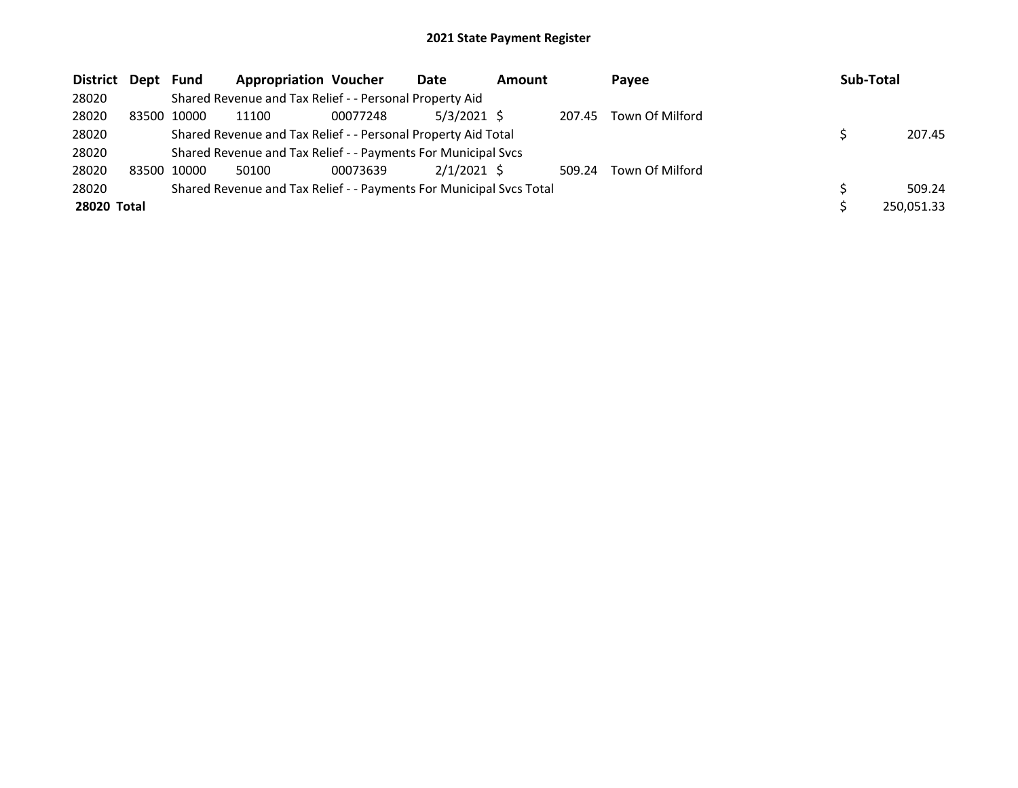| District Dept Fund |             | <b>Appropriation Voucher</b>                                        |          | <b>Date</b>   | <b>Amount</b> |        | Payee           | Sub-Total |            |
|--------------------|-------------|---------------------------------------------------------------------|----------|---------------|---------------|--------|-----------------|-----------|------------|
| 28020              |             | Shared Revenue and Tax Relief - - Personal Property Aid             |          |               |               |        |                 |           |            |
| 28020              | 83500 10000 | 11100                                                               | 00077248 | $5/3/2021$ \$ |               | 207.45 | Town Of Milford |           |            |
| 28020              |             | Shared Revenue and Tax Relief - - Personal Property Aid Total       |          |               |               |        |                 |           | 207.45     |
| 28020              |             | Shared Revenue and Tax Relief - - Payments For Municipal Svcs       |          |               |               |        |                 |           |            |
| 28020              | 83500 10000 | 50100                                                               | 00073639 | $2/1/2021$ \$ |               | 509.24 | Town Of Milford |           |            |
| 28020              |             | Shared Revenue and Tax Relief - - Payments For Municipal Svcs Total |          |               |               |        |                 |           | 509.24     |
| 28020 Total        |             |                                                                     |          |               |               |        |                 |           | 250,051.33 |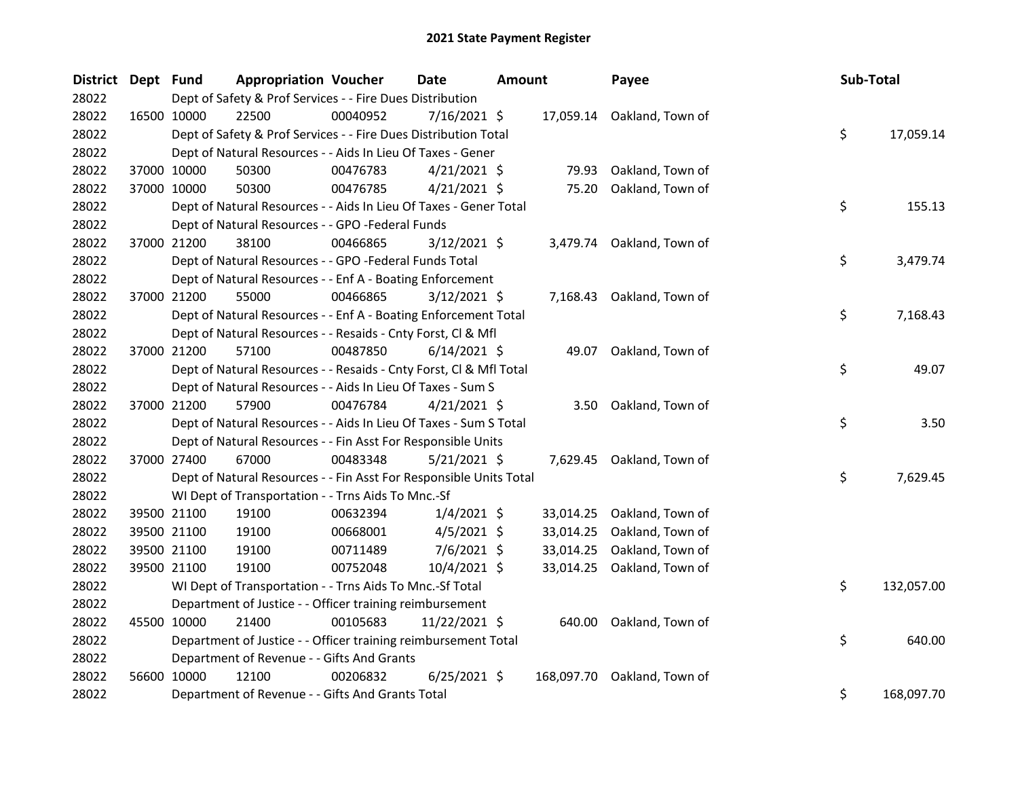| <b>District</b> | Dept Fund |             | <b>Appropriation Voucher</b>                                       |          | <b>Date</b>    | Amount |            | Payee                      | Sub-Total |            |
|-----------------|-----------|-------------|--------------------------------------------------------------------|----------|----------------|--------|------------|----------------------------|-----------|------------|
| 28022           |           |             | Dept of Safety & Prof Services - - Fire Dues Distribution          |          |                |        |            |                            |           |            |
| 28022           |           | 16500 10000 | 22500                                                              | 00040952 | $7/16/2021$ \$ |        |            | 17,059.14 Oakland, Town of |           |            |
| 28022           |           |             | Dept of Safety & Prof Services - - Fire Dues Distribution Total    |          |                |        |            |                            | \$        | 17,059.14  |
| 28022           |           |             | Dept of Natural Resources - - Aids In Lieu Of Taxes - Gener        |          |                |        |            |                            |           |            |
| 28022           |           | 37000 10000 | 50300                                                              | 00476783 | $4/21/2021$ \$ |        | 79.93      | Oakland, Town of           |           |            |
| 28022           |           | 37000 10000 | 50300                                                              | 00476785 | $4/21/2021$ \$ |        | 75.20      | Oakland, Town of           |           |            |
| 28022           |           |             | Dept of Natural Resources - - Aids In Lieu Of Taxes - Gener Total  |          |                |        |            |                            | \$        | 155.13     |
| 28022           |           |             | Dept of Natural Resources - - GPO -Federal Funds                   |          |                |        |            |                            |           |            |
| 28022           |           | 37000 21200 | 38100                                                              | 00466865 | $3/12/2021$ \$ |        |            | 3,479.74 Oakland, Town of  |           |            |
| 28022           |           |             | Dept of Natural Resources - - GPO -Federal Funds Total             |          |                |        |            |                            | \$        | 3,479.74   |
| 28022           |           |             | Dept of Natural Resources - - Enf A - Boating Enforcement          |          |                |        |            |                            |           |            |
| 28022           |           | 37000 21200 | 55000                                                              | 00466865 | $3/12/2021$ \$ |        |            | 7,168.43 Oakland, Town of  |           |            |
| 28022           |           |             | Dept of Natural Resources - - Enf A - Boating Enforcement Total    |          |                |        |            |                            | \$        | 7,168.43   |
| 28022           |           |             | Dept of Natural Resources - - Resaids - Cnty Forst, Cl & Mfl       |          |                |        |            |                            |           |            |
| 28022           |           | 37000 21200 | 57100                                                              | 00487850 | $6/14/2021$ \$ |        |            | 49.07 Oakland, Town of     |           |            |
| 28022           |           |             | Dept of Natural Resources - - Resaids - Cnty Forst, Cl & Mfl Total |          |                |        |            |                            | \$        | 49.07      |
| 28022           |           |             | Dept of Natural Resources - - Aids In Lieu Of Taxes - Sum S        |          |                |        |            |                            |           |            |
| 28022           |           | 37000 21200 | 57900                                                              | 00476784 | $4/21/2021$ \$ |        |            | 3.50 Oakland, Town of      |           |            |
| 28022           |           |             | Dept of Natural Resources - - Aids In Lieu Of Taxes - Sum S Total  |          |                |        |            |                            | \$        | 3.50       |
| 28022           |           |             | Dept of Natural Resources - - Fin Asst For Responsible Units       |          |                |        |            |                            |           |            |
| 28022           |           | 37000 27400 | 67000                                                              | 00483348 | $5/21/2021$ \$ |        |            | 7,629.45 Oakland, Town of  |           |            |
| 28022           |           |             | Dept of Natural Resources - - Fin Asst For Responsible Units Total |          |                |        |            |                            | \$        | 7,629.45   |
| 28022           |           |             | WI Dept of Transportation - - Trns Aids To Mnc.-Sf                 |          |                |        |            |                            |           |            |
| 28022           |           | 39500 21100 | 19100                                                              | 00632394 | $1/4/2021$ \$  |        | 33,014.25  | Oakland, Town of           |           |            |
| 28022           |           | 39500 21100 | 19100                                                              | 00668001 | $4/5/2021$ \$  |        | 33,014.25  | Oakland, Town of           |           |            |
| 28022           |           | 39500 21100 | 19100                                                              | 00711489 | $7/6/2021$ \$  |        | 33,014.25  | Oakland, Town of           |           |            |
| 28022           |           | 39500 21100 | 19100                                                              | 00752048 | 10/4/2021 \$   |        |            | 33,014.25 Oakland, Town of |           |            |
| 28022           |           |             | WI Dept of Transportation - - Trns Aids To Mnc.-Sf Total           |          |                |        |            |                            | \$        | 132,057.00 |
| 28022           |           |             | Department of Justice - - Officer training reimbursement           |          |                |        |            |                            |           |            |
| 28022           |           | 45500 10000 | 21400                                                              | 00105683 | 11/22/2021 \$  |        |            | 640.00 Oakland, Town of    |           |            |
| 28022           |           |             | Department of Justice - - Officer training reimbursement Total     |          |                |        |            |                            | \$        | 640.00     |
| 28022           |           |             | Department of Revenue - - Gifts And Grants                         |          |                |        |            |                            |           |            |
| 28022           |           | 56600 10000 | 12100                                                              | 00206832 | $6/25/2021$ \$ |        | 168,097.70 | Oakland, Town of           |           |            |
| 28022           |           |             | Department of Revenue - - Gifts And Grants Total                   |          |                |        |            |                            | \$        | 168,097.70 |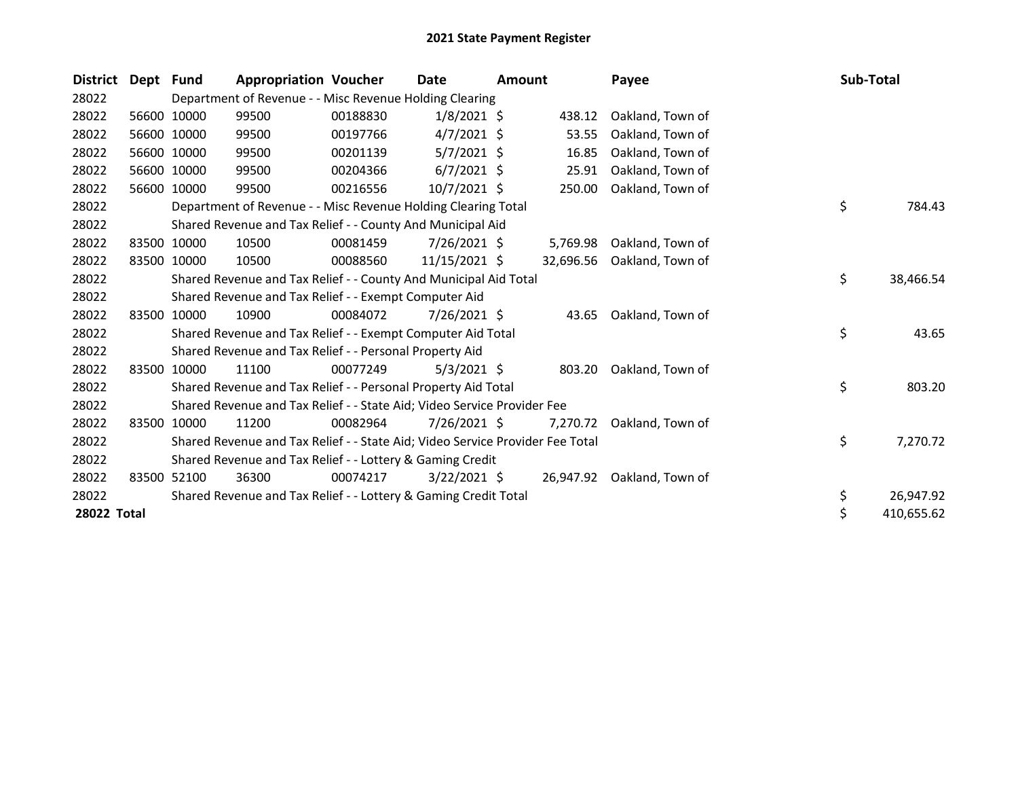| <b>District</b> | Dept Fund |             | <b>Appropriation Voucher</b>                                                  |          | Date           | Amount |           | Payee                      | Sub-Total |            |
|-----------------|-----------|-------------|-------------------------------------------------------------------------------|----------|----------------|--------|-----------|----------------------------|-----------|------------|
| 28022           |           |             | Department of Revenue - - Misc Revenue Holding Clearing                       |          |                |        |           |                            |           |            |
| 28022           |           | 56600 10000 | 99500                                                                         | 00188830 | $1/8/2021$ \$  |        | 438.12    | Oakland, Town of           |           |            |
| 28022           |           | 56600 10000 | 99500                                                                         | 00197766 | $4/7/2021$ \$  |        | 53.55     | Oakland, Town of           |           |            |
| 28022           |           | 56600 10000 | 99500                                                                         | 00201139 | $5/7/2021$ \$  |        | 16.85     | Oakland, Town of           |           |            |
| 28022           |           | 56600 10000 | 99500                                                                         | 00204366 | $6/7/2021$ \$  |        | 25.91     | Oakland, Town of           |           |            |
| 28022           |           | 56600 10000 | 99500                                                                         | 00216556 | $10/7/2021$ \$ |        | 250.00    | Oakland, Town of           |           |            |
| 28022           |           |             | Department of Revenue - - Misc Revenue Holding Clearing Total                 |          |                |        |           |                            | \$        | 784.43     |
| 28022           |           |             | Shared Revenue and Tax Relief - - County And Municipal Aid                    |          |                |        |           |                            |           |            |
| 28022           | 83500     | 10000       | 10500                                                                         | 00081459 | $7/26/2021$ \$ |        | 5,769.98  | Oakland, Town of           |           |            |
| 28022           |           | 83500 10000 | 10500                                                                         | 00088560 | 11/15/2021 \$  |        | 32,696.56 | Oakland, Town of           |           |            |
| 28022           |           |             | Shared Revenue and Tax Relief - - County And Municipal Aid Total              |          |                |        |           |                            | \$        | 38,466.54  |
| 28022           |           |             | Shared Revenue and Tax Relief - - Exempt Computer Aid                         |          |                |        |           |                            |           |            |
| 28022           | 83500     | 10000       | 10900                                                                         | 00084072 | 7/26/2021 \$   |        | 43.65     | Oakland, Town of           |           |            |
| 28022           |           |             | Shared Revenue and Tax Relief - - Exempt Computer Aid Total                   |          |                |        |           |                            | \$        | 43.65      |
| 28022           |           |             | Shared Revenue and Tax Relief - - Personal Property Aid                       |          |                |        |           |                            |           |            |
| 28022           | 83500     | 10000       | 11100                                                                         | 00077249 | $5/3/2021$ \$  |        | 803.20    | Oakland, Town of           |           |            |
| 28022           |           |             | Shared Revenue and Tax Relief - - Personal Property Aid Total                 |          |                |        |           |                            | \$        | 803.20     |
| 28022           |           |             | Shared Revenue and Tax Relief - - State Aid; Video Service Provider Fee       |          |                |        |           |                            |           |            |
| 28022           | 83500     | 10000       | 11200                                                                         | 00082964 | $7/26/2021$ \$ |        | 7.270.72  | Oakland, Town of           |           |            |
| 28022           |           |             | Shared Revenue and Tax Relief - - State Aid; Video Service Provider Fee Total |          |                |        |           |                            | \$        | 7,270.72   |
| 28022           |           |             | Shared Revenue and Tax Relief - - Lottery & Gaming Credit                     |          |                |        |           |                            |           |            |
| 28022           |           | 83500 52100 | 36300                                                                         | 00074217 | $3/22/2021$ \$ |        |           | 26,947.92 Oakland, Town of |           |            |
| 28022           |           |             | Shared Revenue and Tax Relief - - Lottery & Gaming Credit Total               |          |                |        |           |                            | \$        | 26,947.92  |
| 28022 Total     |           |             |                                                                               |          |                |        |           |                            | \$        | 410,655.62 |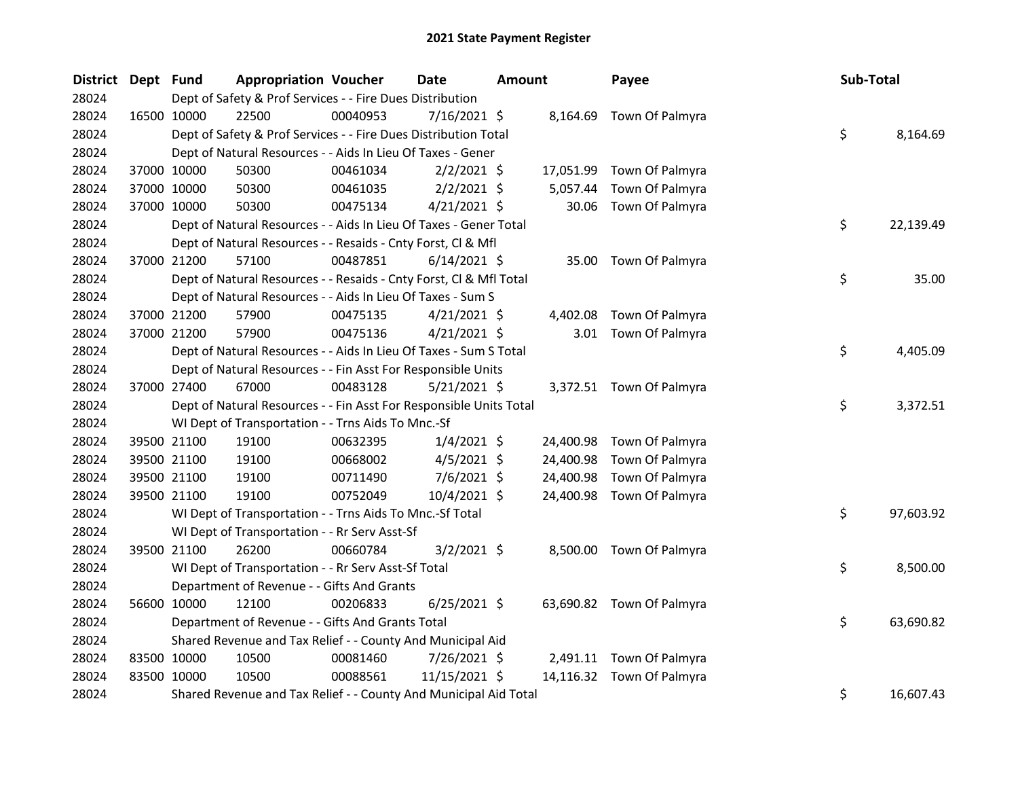| <b>District</b> | Dept Fund   |             | <b>Appropriation Voucher</b>                                       |          | Date           | <b>Amount</b> |           | Payee                     | Sub-Total |           |
|-----------------|-------------|-------------|--------------------------------------------------------------------|----------|----------------|---------------|-----------|---------------------------|-----------|-----------|
| 28024           |             |             | Dept of Safety & Prof Services - - Fire Dues Distribution          |          |                |               |           |                           |           |           |
| 28024           | 16500 10000 |             | 22500                                                              | 00040953 | 7/16/2021 \$   |               |           | 8,164.69 Town Of Palmyra  |           |           |
| 28024           |             |             | Dept of Safety & Prof Services - - Fire Dues Distribution Total    |          |                |               |           |                           | \$        | 8,164.69  |
| 28024           |             |             | Dept of Natural Resources - - Aids In Lieu Of Taxes - Gener        |          |                |               |           |                           |           |           |
| 28024           |             | 37000 10000 | 50300                                                              | 00461034 | $2/2/2021$ \$  |               |           | 17,051.99 Town Of Palmyra |           |           |
| 28024           |             | 37000 10000 | 50300                                                              | 00461035 | $2/2/2021$ \$  |               | 5,057.44  | Town Of Palmyra           |           |           |
| 28024           |             | 37000 10000 | 50300                                                              | 00475134 | $4/21/2021$ \$ |               | 30.06     | Town Of Palmyra           |           |           |
| 28024           |             |             | Dept of Natural Resources - - Aids In Lieu Of Taxes - Gener Total  |          |                |               |           |                           | \$        | 22,139.49 |
| 28024           |             |             | Dept of Natural Resources - - Resaids - Cnty Forst, Cl & Mfl       |          |                |               |           |                           |           |           |
| 28024           |             | 37000 21200 | 57100                                                              | 00487851 | $6/14/2021$ \$ |               |           | 35.00 Town Of Palmyra     |           |           |
| 28024           |             |             | Dept of Natural Resources - - Resaids - Cnty Forst, Cl & Mfl Total |          |                |               |           |                           | \$        | 35.00     |
| 28024           |             |             | Dept of Natural Resources - - Aids In Lieu Of Taxes - Sum S        |          |                |               |           |                           |           |           |
| 28024           |             | 37000 21200 | 57900                                                              | 00475135 | $4/21/2021$ \$ |               |           | 4,402.08 Town Of Palmyra  |           |           |
| 28024           | 37000 21200 |             | 57900                                                              | 00475136 | $4/21/2021$ \$ |               |           | 3.01 Town Of Palmyra      |           |           |
| 28024           |             |             | Dept of Natural Resources - - Aids In Lieu Of Taxes - Sum S Total  |          |                |               |           |                           | \$        | 4,405.09  |
| 28024           |             |             | Dept of Natural Resources - - Fin Asst For Responsible Units       |          |                |               |           |                           |           |           |
| 28024           |             | 37000 27400 | 67000                                                              | 00483128 | $5/21/2021$ \$ |               |           | 3,372.51 Town Of Palmyra  |           |           |
| 28024           |             |             | Dept of Natural Resources - - Fin Asst For Responsible Units Total |          |                |               |           |                           | \$        | 3,372.51  |
| 28024           |             |             | WI Dept of Transportation - - Trns Aids To Mnc.-Sf                 |          |                |               |           |                           |           |           |
| 28024           |             | 39500 21100 | 19100                                                              | 00632395 | $1/4/2021$ \$  |               |           | 24,400.98 Town Of Palmyra |           |           |
| 28024           |             | 39500 21100 | 19100                                                              | 00668002 | $4/5/2021$ \$  |               | 24,400.98 | Town Of Palmyra           |           |           |
| 28024           |             | 39500 21100 | 19100                                                              | 00711490 | $7/6/2021$ \$  |               | 24,400.98 | Town Of Palmyra           |           |           |
| 28024           |             | 39500 21100 | 19100                                                              | 00752049 | 10/4/2021 \$   |               |           | 24,400.98 Town Of Palmyra |           |           |
| 28024           |             |             | WI Dept of Transportation - - Trns Aids To Mnc.-Sf Total           |          |                |               |           |                           | \$        | 97,603.92 |
| 28024           |             |             | WI Dept of Transportation - - Rr Serv Asst-Sf                      |          |                |               |           |                           |           |           |
| 28024           |             | 39500 21100 | 26200                                                              | 00660784 | $3/2/2021$ \$  |               |           | 8,500.00 Town Of Palmyra  |           |           |
| 28024           |             |             | WI Dept of Transportation - - Rr Serv Asst-Sf Total                |          |                |               |           |                           | \$        | 8,500.00  |
| 28024           |             |             | Department of Revenue - - Gifts And Grants                         |          |                |               |           |                           |           |           |
| 28024           | 56600 10000 |             | 12100                                                              | 00206833 | $6/25/2021$ \$ |               |           | 63,690.82 Town Of Palmyra |           |           |
| 28024           |             |             | Department of Revenue - - Gifts And Grants Total                   |          |                |               |           |                           | \$        | 63,690.82 |
| 28024           |             |             | Shared Revenue and Tax Relief - - County And Municipal Aid         |          |                |               |           |                           |           |           |
| 28024           |             | 83500 10000 | 10500                                                              | 00081460 | 7/26/2021 \$   |               |           | 2,491.11 Town Of Palmyra  |           |           |
| 28024           | 83500 10000 |             | 10500                                                              | 00088561 | 11/15/2021 \$  |               |           | 14,116.32 Town Of Palmyra |           |           |
| 28024           |             |             | Shared Revenue and Tax Relief - - County And Municipal Aid Total   |          |                |               |           |                           | \$        | 16,607.43 |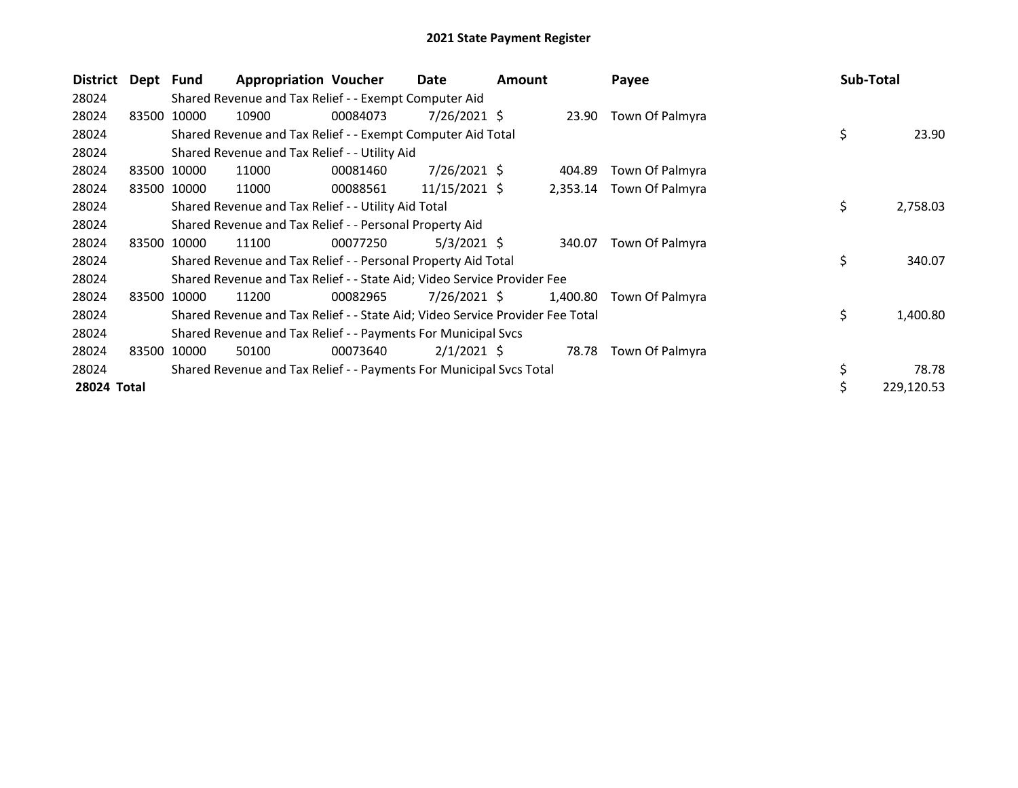| District    | Dept Fund |             | <b>Appropriation Voucher</b>                                                  |          | Date            | <b>Amount</b> |          | Payee                    | <b>Sub-Total</b> |            |
|-------------|-----------|-------------|-------------------------------------------------------------------------------|----------|-----------------|---------------|----------|--------------------------|------------------|------------|
| 28024       |           |             | Shared Revenue and Tax Relief - - Exempt Computer Aid                         |          |                 |               |          |                          |                  |            |
| 28024       |           | 83500 10000 | 10900                                                                         | 00084073 | 7/26/2021 \$    |               | 23.90    | Town Of Palmyra          |                  |            |
| 28024       |           |             | Shared Revenue and Tax Relief - - Exempt Computer Aid Total                   |          |                 |               |          |                          | \$               | 23.90      |
| 28024       |           |             | Shared Revenue and Tax Relief - - Utility Aid                                 |          |                 |               |          |                          |                  |            |
| 28024       |           | 83500 10000 | 11000                                                                         | 00081460 | $7/26/2021$ \$  |               | 404.89   | Town Of Palmyra          |                  |            |
| 28024       |           | 83500 10000 | 11000                                                                         | 00088561 | $11/15/2021$ \$ |               |          | 2,353.14 Town Of Palmyra |                  |            |
| 28024       |           |             | Shared Revenue and Tax Relief - - Utility Aid Total                           |          |                 |               |          |                          | \$               | 2,758.03   |
| 28024       |           |             | Shared Revenue and Tax Relief - - Personal Property Aid                       |          |                 |               |          |                          |                  |            |
| 28024       |           | 83500 10000 | 11100                                                                         | 00077250 | $5/3/2021$ \$   |               | 340.07   | Town Of Palmyra          |                  |            |
| 28024       |           |             | Shared Revenue and Tax Relief - - Personal Property Aid Total                 |          |                 |               |          |                          | \$               | 340.07     |
| 28024       |           |             | Shared Revenue and Tax Relief - - State Aid; Video Service Provider Fee       |          |                 |               |          |                          |                  |            |
| 28024       | 83500     | 10000       | 11200                                                                         | 00082965 | 7/26/2021 \$    |               | 1,400.80 | Town Of Palmyra          |                  |            |
| 28024       |           |             | Shared Revenue and Tax Relief - - State Aid; Video Service Provider Fee Total |          |                 |               |          |                          | \$               | 1,400.80   |
| 28024       |           |             | Shared Revenue and Tax Relief - - Payments For Municipal Svcs                 |          |                 |               |          |                          |                  |            |
| 28024       |           | 83500 10000 | 50100                                                                         | 00073640 | $2/1/2021$ \$   |               | 78.78    | Town Of Palmyra          |                  |            |
| 28024       |           |             | Shared Revenue and Tax Relief - - Payments For Municipal Svcs Total           |          |                 |               |          |                          |                  | 78.78      |
| 28024 Total |           |             |                                                                               |          |                 |               |          |                          |                  | 229,120.53 |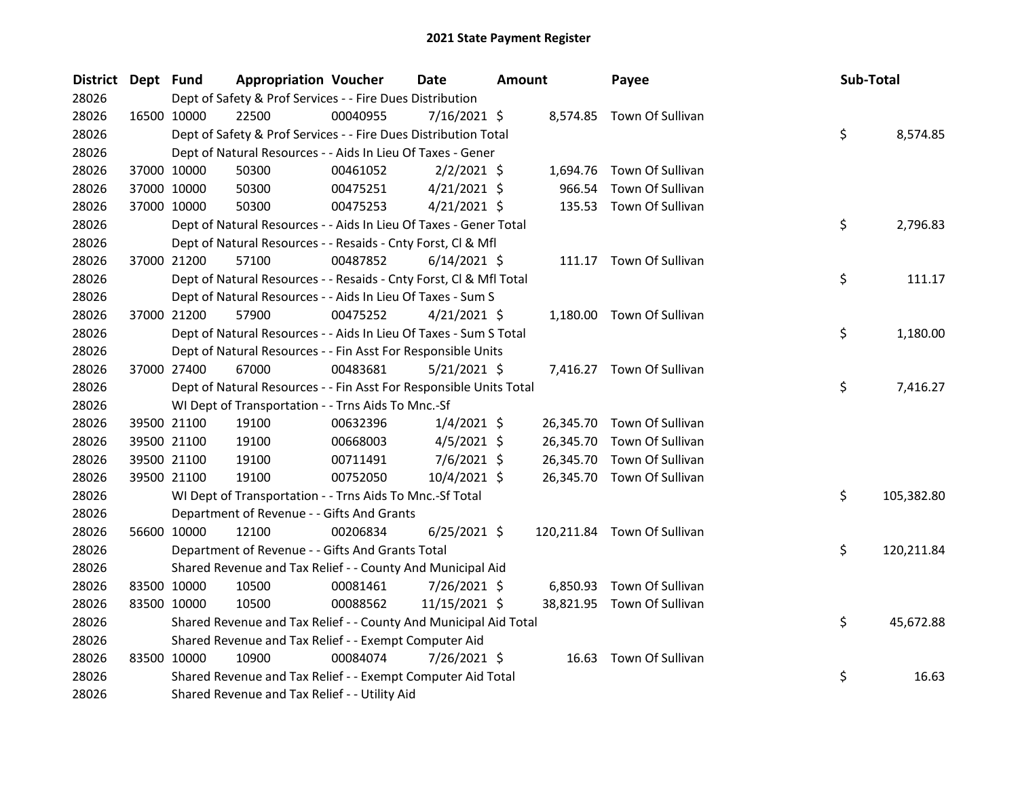| District Dept Fund |             | <b>Appropriation Voucher</b>                                       |          | <b>Date</b>    | <b>Amount</b> |           | Payee                       | Sub-Total |            |
|--------------------|-------------|--------------------------------------------------------------------|----------|----------------|---------------|-----------|-----------------------------|-----------|------------|
| 28026              |             | Dept of Safety & Prof Services - - Fire Dues Distribution          |          |                |               |           |                             |           |            |
| 28026              | 16500 10000 | 22500                                                              | 00040955 | $7/16/2021$ \$ |               |           | 8,574.85 Town Of Sullivan   |           |            |
| 28026              |             | Dept of Safety & Prof Services - - Fire Dues Distribution Total    |          |                |               |           |                             | \$        | 8,574.85   |
| 28026              |             | Dept of Natural Resources - - Aids In Lieu Of Taxes - Gener        |          |                |               |           |                             |           |            |
| 28026              | 37000 10000 | 50300                                                              | 00461052 | $2/2/2021$ \$  |               | 1,694.76  | Town Of Sullivan            |           |            |
| 28026              | 37000 10000 | 50300                                                              | 00475251 | $4/21/2021$ \$ |               | 966.54    | Town Of Sullivan            |           |            |
| 28026              | 37000 10000 | 50300                                                              | 00475253 | $4/21/2021$ \$ |               |           | 135.53 Town Of Sullivan     |           |            |
| 28026              |             | Dept of Natural Resources - - Aids In Lieu Of Taxes - Gener Total  |          |                |               |           |                             | \$        | 2,796.83   |
| 28026              |             | Dept of Natural Resources - - Resaids - Cnty Forst, Cl & Mfl       |          |                |               |           |                             |           |            |
| 28026              | 37000 21200 | 57100                                                              | 00487852 | $6/14/2021$ \$ |               |           | 111.17 Town Of Sullivan     |           |            |
| 28026              |             | Dept of Natural Resources - - Resaids - Cnty Forst, CI & Mfl Total |          |                |               |           |                             | \$        | 111.17     |
| 28026              |             | Dept of Natural Resources - - Aids In Lieu Of Taxes - Sum S        |          |                |               |           |                             |           |            |
| 28026              | 37000 21200 | 57900                                                              | 00475252 | $4/21/2021$ \$ |               |           | 1,180.00 Town Of Sullivan   |           |            |
| 28026              |             | Dept of Natural Resources - - Aids In Lieu Of Taxes - Sum S Total  |          |                |               |           |                             | \$        | 1,180.00   |
| 28026              |             | Dept of Natural Resources - - Fin Asst For Responsible Units       |          |                |               |           |                             |           |            |
| 28026              | 37000 27400 | 67000                                                              | 00483681 | $5/21/2021$ \$ |               |           | 7,416.27 Town Of Sullivan   |           |            |
| 28026              |             | Dept of Natural Resources - - Fin Asst For Responsible Units Total |          |                |               |           |                             | \$        | 7,416.27   |
| 28026              |             | WI Dept of Transportation - - Trns Aids To Mnc.-Sf                 |          |                |               |           |                             |           |            |
| 28026              | 39500 21100 | 19100                                                              | 00632396 | $1/4/2021$ \$  |               |           | 26,345.70 Town Of Sullivan  |           |            |
| 28026              | 39500 21100 | 19100                                                              | 00668003 | $4/5/2021$ \$  |               | 26,345.70 | Town Of Sullivan            |           |            |
| 28026              | 39500 21100 | 19100                                                              | 00711491 | $7/6/2021$ \$  |               | 26,345.70 | Town Of Sullivan            |           |            |
| 28026              | 39500 21100 | 19100                                                              | 00752050 | 10/4/2021 \$   |               |           | 26,345.70 Town Of Sullivan  |           |            |
| 28026              |             | WI Dept of Transportation - - Trns Aids To Mnc.-Sf Total           |          |                |               |           |                             | \$        | 105,382.80 |
| 28026              |             | Department of Revenue - - Gifts And Grants                         |          |                |               |           |                             |           |            |
| 28026              | 56600 10000 | 12100                                                              | 00206834 | $6/25/2021$ \$ |               |           | 120,211.84 Town Of Sullivan |           |            |
| 28026              |             | Department of Revenue - - Gifts And Grants Total                   |          |                |               |           |                             | \$        | 120,211.84 |
| 28026              |             | Shared Revenue and Tax Relief - - County And Municipal Aid         |          |                |               |           |                             |           |            |
| 28026              | 83500 10000 | 10500                                                              | 00081461 | 7/26/2021 \$   |               | 6,850.93  | Town Of Sullivan            |           |            |
| 28026              | 83500 10000 | 10500                                                              | 00088562 | 11/15/2021 \$  |               |           | 38,821.95 Town Of Sullivan  |           |            |
| 28026              |             | Shared Revenue and Tax Relief - - County And Municipal Aid Total   |          |                |               |           |                             | \$        | 45,672.88  |
| 28026              |             | Shared Revenue and Tax Relief - - Exempt Computer Aid              |          |                |               |           |                             |           |            |
| 28026              | 83500 10000 | 10900                                                              | 00084074 | 7/26/2021 \$   |               |           | 16.63 Town Of Sullivan      |           |            |
| 28026              |             | Shared Revenue and Tax Relief - - Exempt Computer Aid Total        |          |                |               |           |                             | \$        | 16.63      |
| 28026              |             | Shared Revenue and Tax Relief - - Utility Aid                      |          |                |               |           |                             |           |            |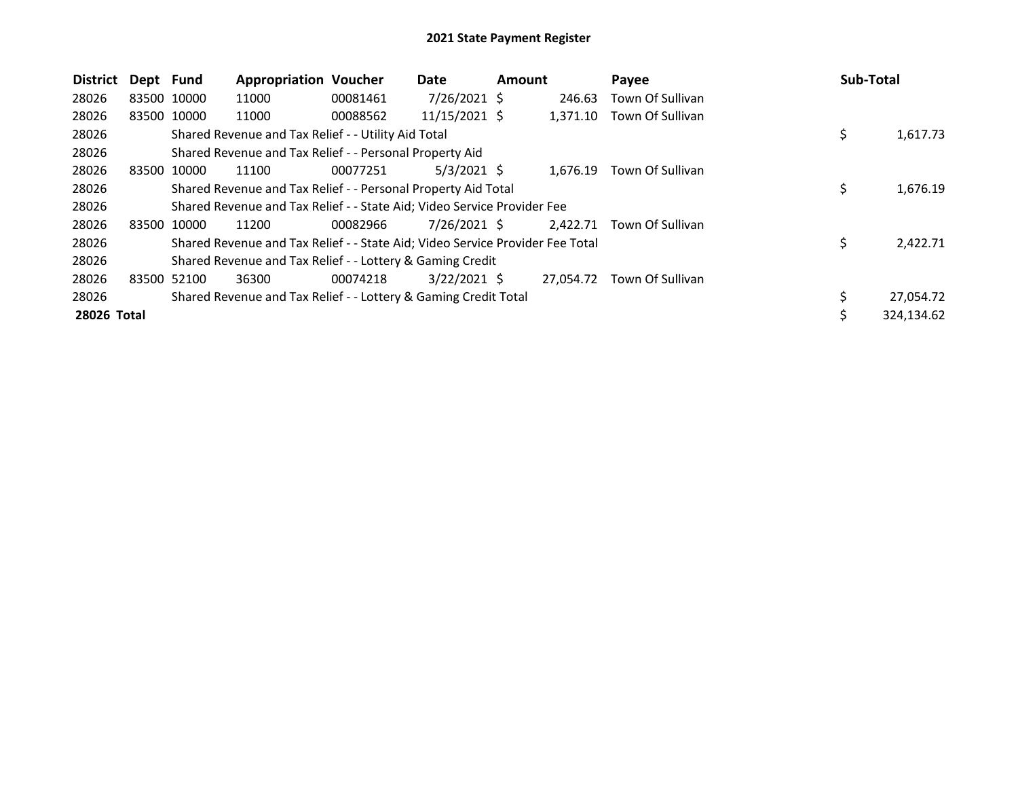| <b>District</b> | Dept Fund   |             | <b>Appropriation Voucher</b>                                                  |          | Date           | <b>Amount</b> |           | Payee            | <b>Sub-Total</b> |            |
|-----------------|-------------|-------------|-------------------------------------------------------------------------------|----------|----------------|---------------|-----------|------------------|------------------|------------|
| 28026           | 83500 10000 |             | 11000                                                                         | 00081461 | $7/26/2021$ \$ |               | 246.63    | Town Of Sullivan |                  |            |
| 28026           |             | 83500 10000 | 11000                                                                         | 00088562 | 11/15/2021 \$  |               | 1,371.10  | Town Of Sullivan |                  |            |
| 28026           |             |             | Shared Revenue and Tax Relief - - Utility Aid Total                           |          |                |               |           |                  | \$               | 1,617.73   |
| 28026           |             |             | Shared Revenue and Tax Relief - - Personal Property Aid                       |          |                |               |           |                  |                  |            |
| 28026           | 83500       | 10000       | 11100                                                                         | 00077251 | $5/3/2021$ \$  |               | 1,676.19  | Town Of Sullivan |                  |            |
| 28026           |             |             | Shared Revenue and Tax Relief - - Personal Property Aid Total                 |          |                |               |           |                  | \$               | 1,676.19   |
| 28026           |             |             | Shared Revenue and Tax Relief - - State Aid; Video Service Provider Fee       |          |                |               |           |                  |                  |            |
| 28026           | 83500       | 10000       | 11200                                                                         | 00082966 | 7/26/2021 \$   |               | 2,422.71  | Town Of Sullivan |                  |            |
| 28026           |             |             | Shared Revenue and Tax Relief - - State Aid; Video Service Provider Fee Total |          |                |               |           |                  | \$               | 2,422.71   |
| 28026           |             |             | Shared Revenue and Tax Relief - - Lottery & Gaming Credit                     |          |                |               |           |                  |                  |            |
| 28026           | 83500 52100 |             | 36300                                                                         | 00074218 | $3/22/2021$ \$ |               | 27,054.72 | Town Of Sullivan |                  |            |
| 28026           |             |             | Shared Revenue and Tax Relief - - Lottery & Gaming Credit Total               |          |                |               |           |                  |                  | 27,054.72  |
| 28026 Total     |             |             |                                                                               |          |                |               |           |                  | Ŝ.               | 324,134.62 |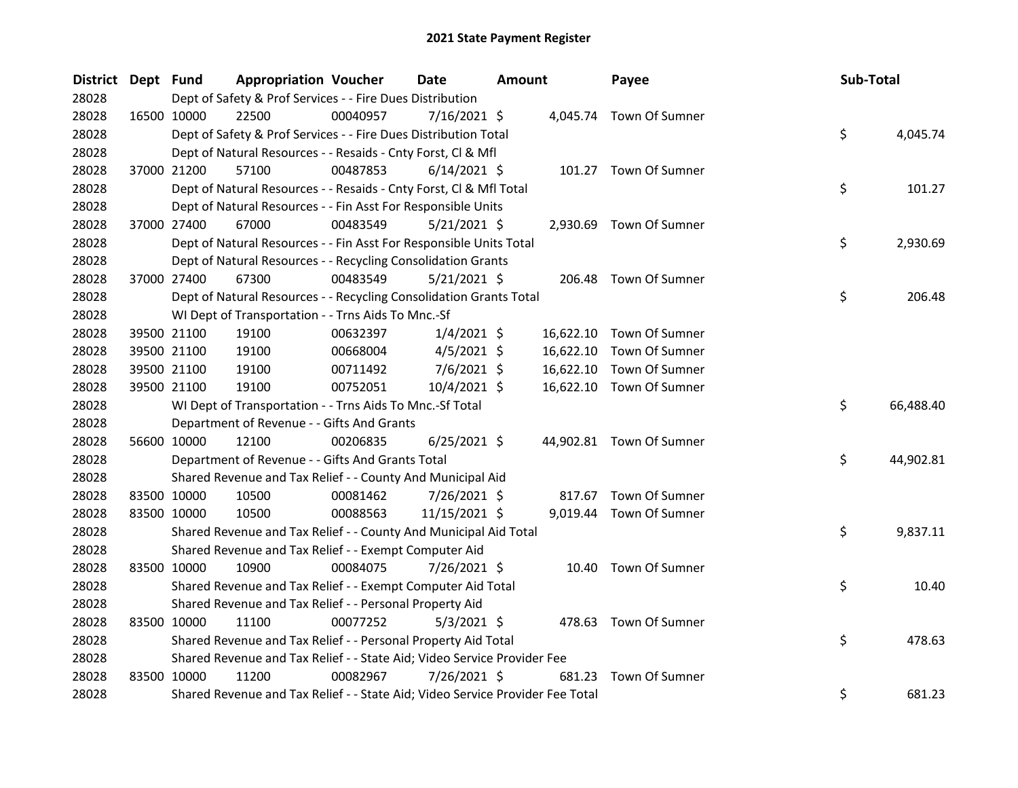| <b>District</b> | Dept Fund |             | <b>Appropriation Voucher</b>                                                  |          | <b>Date</b>    | <b>Amount</b> |           | Payee                    | Sub-Total |           |
|-----------------|-----------|-------------|-------------------------------------------------------------------------------|----------|----------------|---------------|-----------|--------------------------|-----------|-----------|
| 28028           |           |             | Dept of Safety & Prof Services - - Fire Dues Distribution                     |          |                |               |           |                          |           |           |
| 28028           |           | 16500 10000 | 22500                                                                         | 00040957 | 7/16/2021 \$   |               |           | 4,045.74 Town Of Sumner  |           |           |
| 28028           |           |             | Dept of Safety & Prof Services - - Fire Dues Distribution Total               |          |                |               |           |                          | \$        | 4,045.74  |
| 28028           |           |             | Dept of Natural Resources - - Resaids - Cnty Forst, Cl & Mfl                  |          |                |               |           |                          |           |           |
| 28028           |           | 37000 21200 | 57100                                                                         | 00487853 | $6/14/2021$ \$ |               |           | 101.27 Town Of Sumner    |           |           |
| 28028           |           |             | Dept of Natural Resources - - Resaids - Cnty Forst, Cl & Mfl Total            |          |                |               |           |                          | \$        | 101.27    |
| 28028           |           |             | Dept of Natural Resources - - Fin Asst For Responsible Units                  |          |                |               |           |                          |           |           |
| 28028           |           | 37000 27400 | 67000                                                                         | 00483549 | $5/21/2021$ \$ |               |           | 2,930.69 Town Of Sumner  |           |           |
| 28028           |           |             | Dept of Natural Resources - - Fin Asst For Responsible Units Total            |          |                |               |           |                          | \$        | 2,930.69  |
| 28028           |           |             | Dept of Natural Resources - - Recycling Consolidation Grants                  |          |                |               |           |                          |           |           |
| 28028           |           | 37000 27400 | 67300                                                                         | 00483549 | 5/21/2021 \$   |               |           | 206.48 Town Of Sumner    |           |           |
| 28028           |           |             | Dept of Natural Resources - - Recycling Consolidation Grants Total            |          |                |               |           |                          | \$        | 206.48    |
| 28028           |           |             | WI Dept of Transportation - - Trns Aids To Mnc.-Sf                            |          |                |               |           |                          |           |           |
| 28028           |           | 39500 21100 | 19100                                                                         | 00632397 | $1/4/2021$ \$  |               | 16,622.10 | Town Of Sumner           |           |           |
| 28028           |           | 39500 21100 | 19100                                                                         | 00668004 | $4/5/2021$ \$  |               | 16,622.10 | Town Of Sumner           |           |           |
| 28028           |           | 39500 21100 | 19100                                                                         | 00711492 | $7/6/2021$ \$  |               | 16,622.10 | Town Of Sumner           |           |           |
| 28028           |           | 39500 21100 | 19100                                                                         | 00752051 | 10/4/2021 \$   |               |           | 16,622.10 Town Of Sumner |           |           |
| 28028           |           |             | WI Dept of Transportation - - Trns Aids To Mnc.-Sf Total                      |          |                |               |           |                          | \$        | 66,488.40 |
| 28028           |           |             | Department of Revenue - - Gifts And Grants                                    |          |                |               |           |                          |           |           |
| 28028           |           | 56600 10000 | 12100                                                                         | 00206835 | $6/25/2021$ \$ |               |           | 44,902.81 Town Of Sumner |           |           |
| 28028           |           |             | Department of Revenue - - Gifts And Grants Total                              |          |                |               |           |                          | \$        | 44,902.81 |
| 28028           |           |             | Shared Revenue and Tax Relief - - County And Municipal Aid                    |          |                |               |           |                          |           |           |
| 28028           |           | 83500 10000 | 10500                                                                         | 00081462 | 7/26/2021 \$   |               |           | 817.67 Town Of Sumner    |           |           |
| 28028           |           | 83500 10000 | 10500                                                                         | 00088563 | 11/15/2021 \$  |               |           | 9,019.44 Town Of Sumner  |           |           |
| 28028           |           |             | Shared Revenue and Tax Relief - - County And Municipal Aid Total              |          |                |               |           |                          | \$        | 9,837.11  |
| 28028           |           |             | Shared Revenue and Tax Relief - - Exempt Computer Aid                         |          |                |               |           |                          |           |           |
| 28028           |           | 83500 10000 | 10900                                                                         | 00084075 | 7/26/2021 \$   |               |           | 10.40 Town Of Sumner     |           |           |
| 28028           |           |             | Shared Revenue and Tax Relief - - Exempt Computer Aid Total                   |          |                |               |           |                          | \$        | 10.40     |
| 28028           |           |             | Shared Revenue and Tax Relief - - Personal Property Aid                       |          |                |               |           |                          |           |           |
| 28028           |           | 83500 10000 | 11100                                                                         | 00077252 | $5/3/2021$ \$  |               |           | 478.63 Town Of Sumner    |           |           |
| 28028           |           |             | Shared Revenue and Tax Relief - - Personal Property Aid Total                 |          |                |               |           |                          | \$        | 478.63    |
| 28028           |           |             | Shared Revenue and Tax Relief - - State Aid; Video Service Provider Fee       |          |                |               |           |                          |           |           |
| 28028           |           | 83500 10000 | 11200                                                                         | 00082967 | 7/26/2021 \$   |               | 681.23    | Town Of Sumner           |           |           |
| 28028           |           |             | Shared Revenue and Tax Relief - - State Aid; Video Service Provider Fee Total |          |                |               |           |                          | \$        | 681.23    |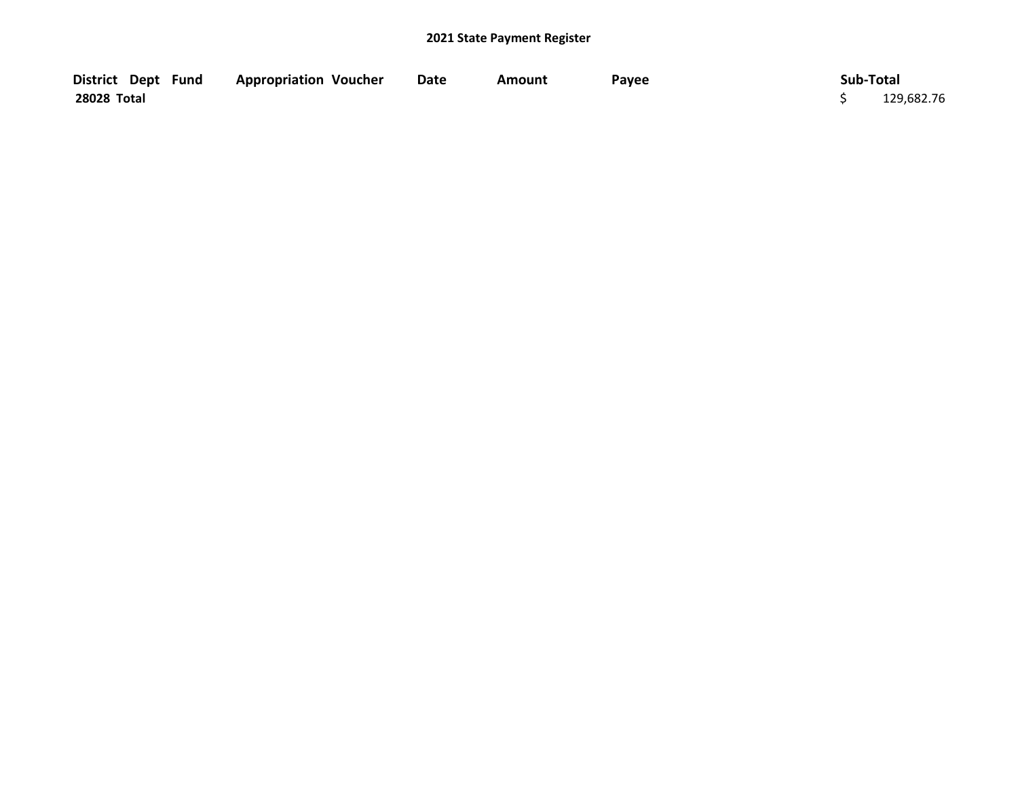| District Dept Fund | <b>Appropriation Voucher</b> | Date | Amount | Payee | Sub-Total  |
|--------------------|------------------------------|------|--------|-------|------------|
| 28028 Total        |                              |      |        |       | 129,682.76 |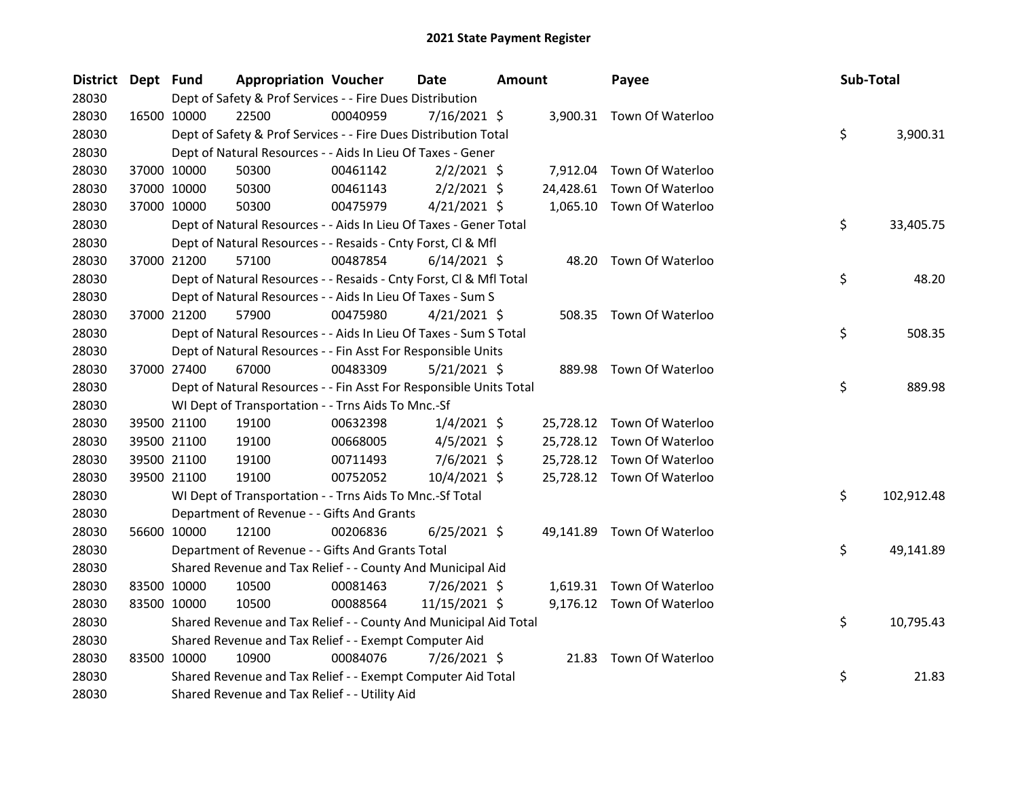| District Dept Fund |             | <b>Appropriation Voucher</b>                                       |          | <b>Date</b>    | <b>Amount</b> |           | Payee                      | Sub-Total |            |
|--------------------|-------------|--------------------------------------------------------------------|----------|----------------|---------------|-----------|----------------------------|-----------|------------|
| 28030              |             | Dept of Safety & Prof Services - - Fire Dues Distribution          |          |                |               |           |                            |           |            |
| 28030              | 16500 10000 | 22500                                                              | 00040959 | $7/16/2021$ \$ |               |           | 3,900.31 Town Of Waterloo  |           |            |
| 28030              |             | Dept of Safety & Prof Services - - Fire Dues Distribution Total    |          |                |               |           |                            | \$        | 3,900.31   |
| 28030              |             | Dept of Natural Resources - - Aids In Lieu Of Taxes - Gener        |          |                |               |           |                            |           |            |
| 28030              | 37000 10000 | 50300                                                              | 00461142 | $2/2/2021$ \$  |               |           | 7,912.04 Town Of Waterloo  |           |            |
| 28030              | 37000 10000 | 50300                                                              | 00461143 | $2/2/2021$ \$  |               | 24,428.61 | Town Of Waterloo           |           |            |
| 28030              | 37000 10000 | 50300                                                              | 00475979 | $4/21/2021$ \$ |               |           | 1,065.10 Town Of Waterloo  |           |            |
| 28030              |             | Dept of Natural Resources - - Aids In Lieu Of Taxes - Gener Total  |          |                |               |           |                            | \$        | 33,405.75  |
| 28030              |             | Dept of Natural Resources - - Resaids - Cnty Forst, Cl & Mfl       |          |                |               |           |                            |           |            |
| 28030              | 37000 21200 | 57100                                                              | 00487854 | $6/14/2021$ \$ |               | 48.20     | Town Of Waterloo           |           |            |
| 28030              |             | Dept of Natural Resources - - Resaids - Cnty Forst, Cl & Mfl Total |          |                |               |           |                            | \$        | 48.20      |
| 28030              |             | Dept of Natural Resources - - Aids In Lieu Of Taxes - Sum S        |          |                |               |           |                            |           |            |
| 28030              | 37000 21200 | 57900                                                              | 00475980 | $4/21/2021$ \$ |               |           | 508.35 Town Of Waterloo    |           |            |
| 28030              |             | Dept of Natural Resources - - Aids In Lieu Of Taxes - Sum S Total  |          |                |               |           |                            | \$        | 508.35     |
| 28030              |             | Dept of Natural Resources - - Fin Asst For Responsible Units       |          |                |               |           |                            |           |            |
| 28030              | 37000 27400 | 67000                                                              | 00483309 | $5/21/2021$ \$ |               |           | 889.98 Town Of Waterloo    |           |            |
| 28030              |             | Dept of Natural Resources - - Fin Asst For Responsible Units Total |          |                |               |           |                            | \$        | 889.98     |
| 28030              |             | WI Dept of Transportation - - Trns Aids To Mnc.-Sf                 |          |                |               |           |                            |           |            |
| 28030              | 39500 21100 | 19100                                                              | 00632398 | $1/4/2021$ \$  |               |           | 25,728.12 Town Of Waterloo |           |            |
| 28030              | 39500 21100 | 19100                                                              | 00668005 | $4/5/2021$ \$  |               |           | 25,728.12 Town Of Waterloo |           |            |
| 28030              | 39500 21100 | 19100                                                              | 00711493 | $7/6/2021$ \$  |               | 25,728.12 | Town Of Waterloo           |           |            |
| 28030              | 39500 21100 | 19100                                                              | 00752052 | 10/4/2021 \$   |               |           | 25,728.12 Town Of Waterloo |           |            |
| 28030              |             | WI Dept of Transportation - - Trns Aids To Mnc.-Sf Total           |          |                |               |           |                            | \$        | 102,912.48 |
| 28030              |             | Department of Revenue - - Gifts And Grants                         |          |                |               |           |                            |           |            |
| 28030              | 56600 10000 | 12100                                                              | 00206836 | $6/25/2021$ \$ |               |           | 49,141.89 Town Of Waterloo |           |            |
| 28030              |             | Department of Revenue - - Gifts And Grants Total                   |          |                |               |           |                            | \$        | 49,141.89  |
| 28030              |             | Shared Revenue and Tax Relief - - County And Municipal Aid         |          |                |               |           |                            |           |            |
| 28030              | 83500 10000 | 10500                                                              | 00081463 | 7/26/2021 \$   |               |           | 1,619.31 Town Of Waterloo  |           |            |
| 28030              | 83500 10000 | 10500                                                              | 00088564 | 11/15/2021 \$  |               |           | 9,176.12 Town Of Waterloo  |           |            |
| 28030              |             | Shared Revenue and Tax Relief - - County And Municipal Aid Total   |          |                |               |           |                            | \$        | 10,795.43  |
| 28030              |             | Shared Revenue and Tax Relief - - Exempt Computer Aid              |          |                |               |           |                            |           |            |
| 28030              | 83500 10000 | 10900                                                              | 00084076 | 7/26/2021 \$   |               |           | 21.83 Town Of Waterloo     |           |            |
| 28030              |             | Shared Revenue and Tax Relief - - Exempt Computer Aid Total        |          |                |               |           |                            | \$        | 21.83      |
| 28030              |             | Shared Revenue and Tax Relief - - Utility Aid                      |          |                |               |           |                            |           |            |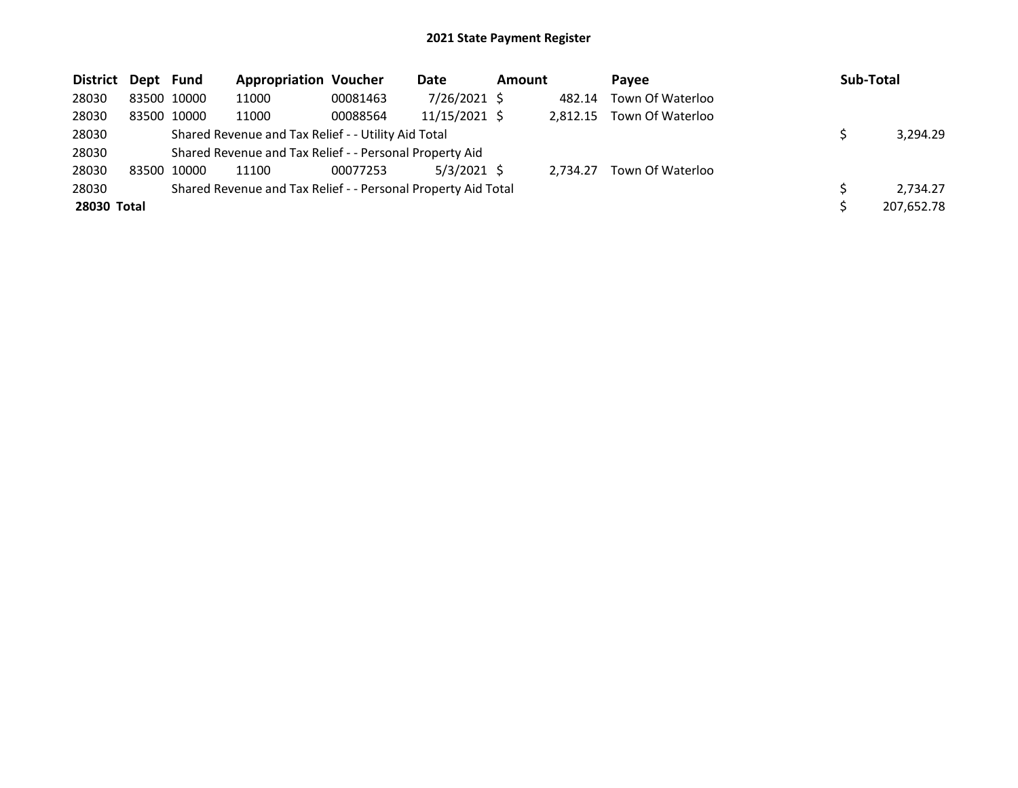| District Dept Fund |             | <b>Appropriation Voucher</b>                                  |          | Date            | <b>Amount</b> |          | Pavee            | Sub-Total |            |
|--------------------|-------------|---------------------------------------------------------------|----------|-----------------|---------------|----------|------------------|-----------|------------|
| 28030              | 83500 10000 | 11000                                                         | 00081463 | 7/26/2021 \$    |               | 482.14   | Town Of Waterloo |           |            |
| 28030              | 83500 10000 | 11000                                                         | 00088564 | $11/15/2021$ \$ |               | 2.812.15 | Town Of Waterloo |           |            |
| 28030              |             | Shared Revenue and Tax Relief - - Utility Aid Total           |          |                 |               |          |                  |           | 3,294.29   |
| 28030              |             | Shared Revenue and Tax Relief - - Personal Property Aid       |          |                 |               |          |                  |           |            |
| 28030              | 83500 10000 | 11100                                                         | 00077253 | $5/3/2021$ \$   |               | 2.734.27 | Town Of Waterloo |           |            |
| 28030              |             | Shared Revenue and Tax Relief - - Personal Property Aid Total |          |                 |               |          |                  |           | 2,734.27   |
| 28030 Total        |             |                                                               |          |                 |               |          |                  |           | 207,652.78 |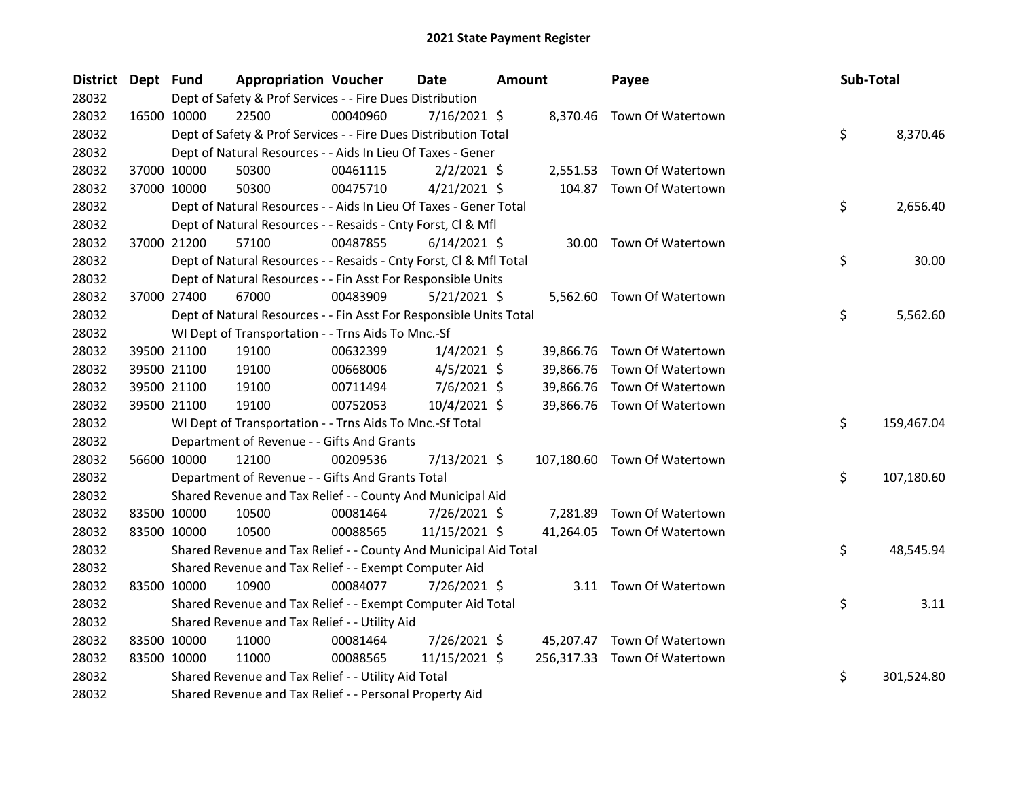| <b>District</b> | Dept Fund |             | <b>Appropriation Voucher</b>                                       |          | <b>Date</b>    | <b>Amount</b> |           | Payee                        | Sub-Total |            |
|-----------------|-----------|-------------|--------------------------------------------------------------------|----------|----------------|---------------|-----------|------------------------------|-----------|------------|
| 28032           |           |             | Dept of Safety & Prof Services - - Fire Dues Distribution          |          |                |               |           |                              |           |            |
| 28032           |           | 16500 10000 | 22500                                                              | 00040960 | $7/16/2021$ \$ |               |           | 8,370.46 Town Of Watertown   |           |            |
| 28032           |           |             | Dept of Safety & Prof Services - - Fire Dues Distribution Total    |          |                |               |           |                              | \$        | 8,370.46   |
| 28032           |           |             | Dept of Natural Resources - - Aids In Lieu Of Taxes - Gener        |          |                |               |           |                              |           |            |
| 28032           |           | 37000 10000 | 50300                                                              | 00461115 | $2/2/2021$ \$  |               | 2,551.53  | Town Of Watertown            |           |            |
| 28032           |           | 37000 10000 | 50300                                                              | 00475710 | $4/21/2021$ \$ |               | 104.87    | Town Of Watertown            |           |            |
| 28032           |           |             | Dept of Natural Resources - - Aids In Lieu Of Taxes - Gener Total  |          |                |               |           |                              | \$        | 2,656.40   |
| 28032           |           |             | Dept of Natural Resources - - Resaids - Cnty Forst, Cl & Mfl       |          |                |               |           |                              |           |            |
| 28032           |           | 37000 21200 | 57100                                                              | 00487855 | $6/14/2021$ \$ |               | 30.00     | Town Of Watertown            |           |            |
| 28032           |           |             | Dept of Natural Resources - - Resaids - Cnty Forst, Cl & Mfl Total |          |                |               |           |                              | \$        | 30.00      |
| 28032           |           |             | Dept of Natural Resources - - Fin Asst For Responsible Units       |          |                |               |           |                              |           |            |
| 28032           |           | 37000 27400 | 67000                                                              | 00483909 | $5/21/2021$ \$ |               |           | 5,562.60 Town Of Watertown   |           |            |
| 28032           |           |             | Dept of Natural Resources - - Fin Asst For Responsible Units Total |          |                |               |           |                              | \$        | 5,562.60   |
| 28032           |           |             | WI Dept of Transportation - - Trns Aids To Mnc.-Sf                 |          |                |               |           |                              |           |            |
| 28032           |           | 39500 21100 | 19100                                                              | 00632399 | $1/4/2021$ \$  |               | 39,866.76 | Town Of Watertown            |           |            |
| 28032           |           | 39500 21100 | 19100                                                              | 00668006 | $4/5/2021$ \$  |               | 39,866.76 | Town Of Watertown            |           |            |
| 28032           |           | 39500 21100 | 19100                                                              | 00711494 | $7/6/2021$ \$  |               | 39,866.76 | Town Of Watertown            |           |            |
| 28032           |           | 39500 21100 | 19100                                                              | 00752053 | $10/4/2021$ \$ |               |           | 39,866.76 Town Of Watertown  |           |            |
| 28032           |           |             | WI Dept of Transportation - - Trns Aids To Mnc.-Sf Total           |          |                |               |           |                              | \$        | 159,467.04 |
| 28032           |           |             | Department of Revenue - - Gifts And Grants                         |          |                |               |           |                              |           |            |
| 28032           |           | 56600 10000 | 12100                                                              | 00209536 | 7/13/2021 \$   |               |           | 107,180.60 Town Of Watertown |           |            |
| 28032           |           |             | Department of Revenue - - Gifts And Grants Total                   |          |                |               |           |                              | \$        | 107,180.60 |
| 28032           |           |             | Shared Revenue and Tax Relief - - County And Municipal Aid         |          |                |               |           |                              |           |            |
| 28032           |           | 83500 10000 | 10500                                                              | 00081464 | 7/26/2021 \$   |               | 7,281.89  | Town Of Watertown            |           |            |
| 28032           |           | 83500 10000 | 10500                                                              | 00088565 | 11/15/2021 \$  |               | 41,264.05 | Town Of Watertown            |           |            |
| 28032           |           |             | Shared Revenue and Tax Relief - - County And Municipal Aid Total   |          |                |               |           |                              | \$        | 48,545.94  |
| 28032           |           |             | Shared Revenue and Tax Relief - - Exempt Computer Aid              |          |                |               |           |                              |           |            |
| 28032           |           | 83500 10000 | 10900                                                              | 00084077 | 7/26/2021 \$   |               |           | 3.11 Town Of Watertown       |           |            |
| 28032           |           |             | Shared Revenue and Tax Relief - - Exempt Computer Aid Total        |          |                |               |           |                              | \$        | 3.11       |
| 28032           |           |             | Shared Revenue and Tax Relief - - Utility Aid                      |          |                |               |           |                              |           |            |
| 28032           |           | 83500 10000 | 11000                                                              | 00081464 | 7/26/2021 \$   |               |           | 45,207.47 Town Of Watertown  |           |            |
| 28032           |           | 83500 10000 | 11000                                                              | 00088565 | 11/15/2021 \$  |               |           | 256,317.33 Town Of Watertown |           |            |
| 28032           |           |             | Shared Revenue and Tax Relief - - Utility Aid Total                |          |                |               |           |                              | \$        | 301,524.80 |
| 28032           |           |             | Shared Revenue and Tax Relief - - Personal Property Aid            |          |                |               |           |                              |           |            |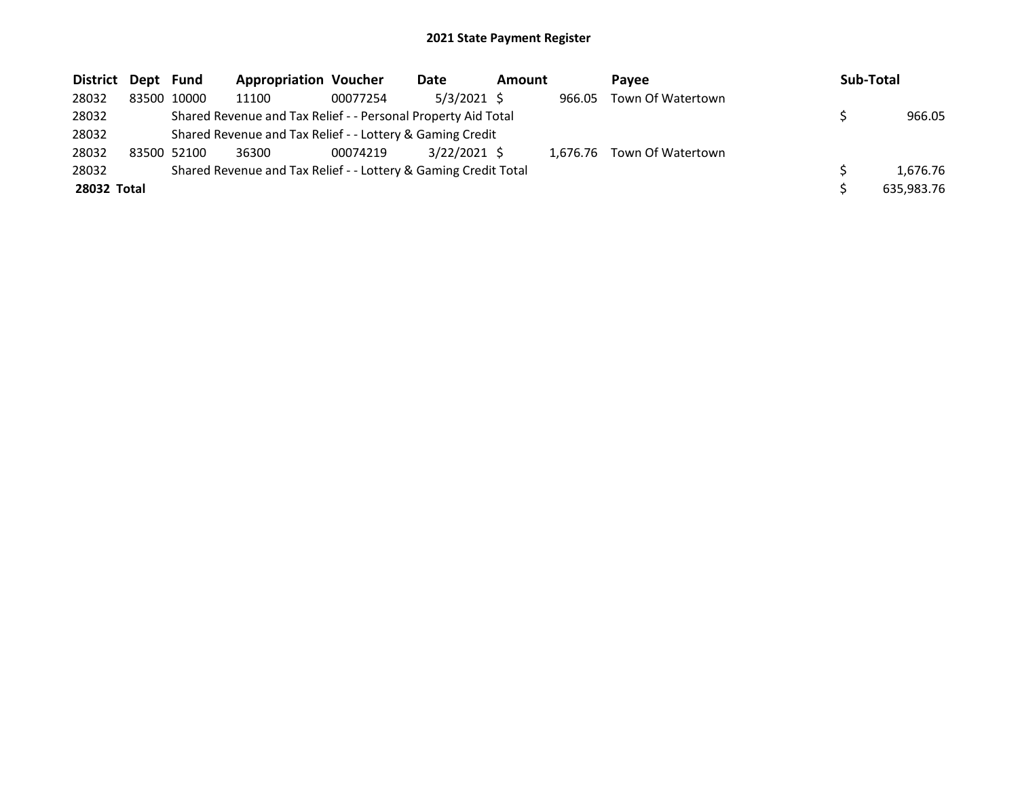| <b>District</b> | Dept Fund |             | <b>Appropriation Voucher</b>                                    |          | Date          | <b>Amount</b> |        | Pavee                      | Sub-Total  |
|-----------------|-----------|-------------|-----------------------------------------------------------------|----------|---------------|---------------|--------|----------------------------|------------|
| 28032           |           | 83500 10000 | 11100                                                           | 00077254 | $5/3/2021$ \$ |               | 966.05 | Town Of Watertown          |            |
| 28032           |           |             | Shared Revenue and Tax Relief - - Personal Property Aid Total   |          |               |               |        |                            | 966.05     |
| 28032           |           |             | Shared Revenue and Tax Relief - - Lottery & Gaming Credit       |          |               |               |        |                            |            |
| 28032           |           | 83500 52100 | 36300                                                           | 00074219 | 3/22/2021 \$  |               |        | 1,676.76 Town Of Watertown |            |
| 28032           |           |             | Shared Revenue and Tax Relief - - Lottery & Gaming Credit Total |          |               |               |        |                            | 1.676.76   |
| 28032 Total     |           |             |                                                                 |          |               |               |        |                            | 635,983.76 |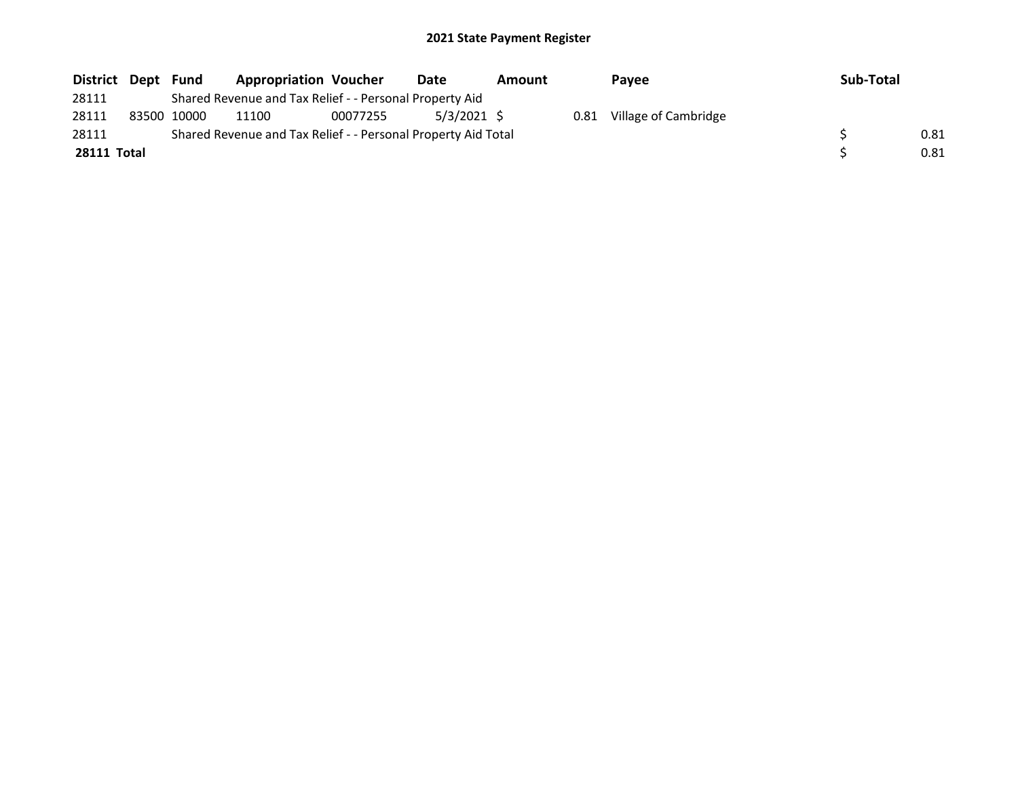| District Dept | Fund        | <b>Appropriation Voucher</b>                                  |          | Date        | Amount |      | Payee                | Sub-Total |      |
|---------------|-------------|---------------------------------------------------------------|----------|-------------|--------|------|----------------------|-----------|------|
| 28111         |             | Shared Revenue and Tax Relief - - Personal Property Aid       |          |             |        |      |                      |           |      |
| 28111         | 83500 10000 | 11100                                                         | 00077255 | 5/3/2021 \$ |        | 0.81 | Village of Cambridge |           |      |
| 28111         |             | Shared Revenue and Tax Relief - - Personal Property Aid Total |          |             |        |      |                      |           | 0.81 |
| 28111 Total   |             |                                                               |          |             |        |      |                      |           | 0.81 |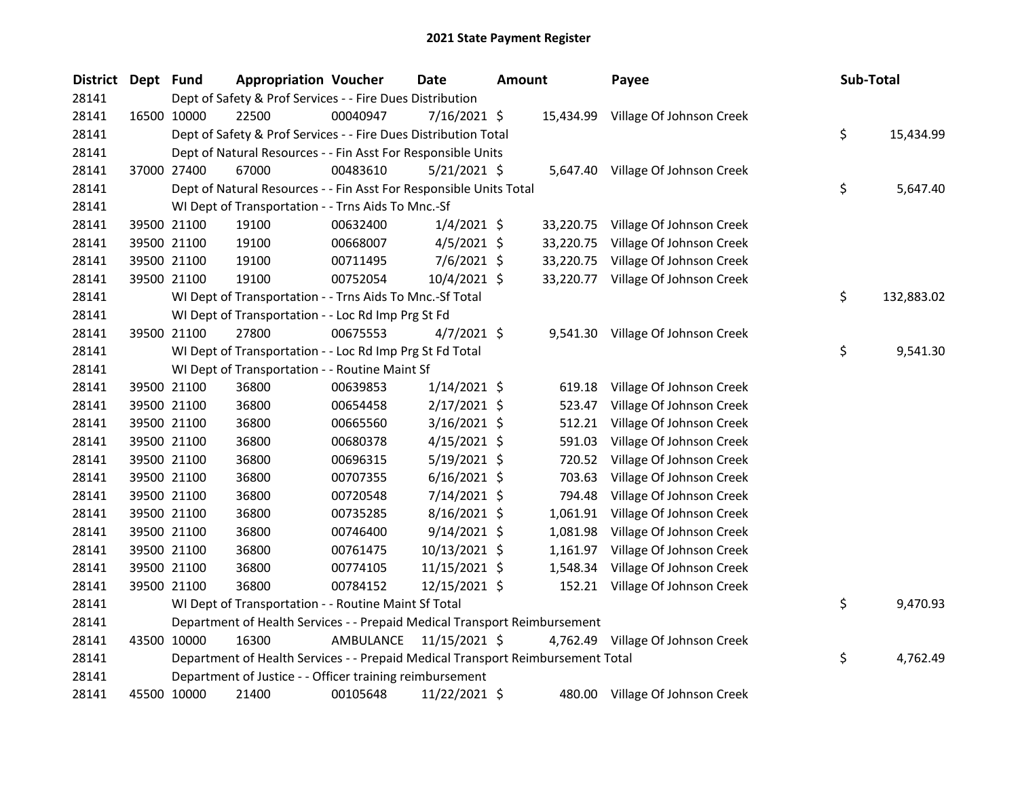| District | Dept Fund |             | <b>Appropriation Voucher</b>                                                    |           | <b>Date</b>    | Amount |           | Payee                              |     | Sub-Total  |
|----------|-----------|-------------|---------------------------------------------------------------------------------|-----------|----------------|--------|-----------|------------------------------------|-----|------------|
| 28141    |           |             | Dept of Safety & Prof Services - - Fire Dues Distribution                       |           |                |        |           |                                    |     |            |
| 28141    |           | 16500 10000 | 22500                                                                           | 00040947  | $7/16/2021$ \$ |        |           | 15,434.99 Village Of Johnson Creek |     |            |
| 28141    |           |             | Dept of Safety & Prof Services - - Fire Dues Distribution Total                 |           |                |        |           |                                    | \$. | 15,434.99  |
| 28141    |           |             | Dept of Natural Resources - - Fin Asst For Responsible Units                    |           |                |        |           |                                    |     |            |
| 28141    |           | 37000 27400 | 67000                                                                           | 00483610  | $5/21/2021$ \$ |        |           | 5,647.40 Village Of Johnson Creek  |     |            |
| 28141    |           |             | Dept of Natural Resources - - Fin Asst For Responsible Units Total              |           |                |        |           |                                    | \$  | 5,647.40   |
| 28141    |           |             | WI Dept of Transportation - - Trns Aids To Mnc.-Sf                              |           |                |        |           |                                    |     |            |
| 28141    |           | 39500 21100 | 19100                                                                           | 00632400  | $1/4/2021$ \$  |        |           | 33,220.75 Village Of Johnson Creek |     |            |
| 28141    |           | 39500 21100 | 19100                                                                           | 00668007  | $4/5/2021$ \$  |        | 33,220.75 | Village Of Johnson Creek           |     |            |
| 28141    |           | 39500 21100 | 19100                                                                           | 00711495  | 7/6/2021 \$    |        |           | 33,220.75 Village Of Johnson Creek |     |            |
| 28141    |           | 39500 21100 | 19100                                                                           | 00752054  | 10/4/2021 \$   |        |           | 33,220.77 Village Of Johnson Creek |     |            |
| 28141    |           |             | WI Dept of Transportation - - Trns Aids To Mnc.-Sf Total                        |           |                |        |           |                                    | \$  | 132,883.02 |
| 28141    |           |             | WI Dept of Transportation - - Loc Rd Imp Prg St Fd                              |           |                |        |           |                                    |     |            |
| 28141    |           | 39500 21100 | 27800                                                                           | 00675553  | $4/7/2021$ \$  |        |           | 9,541.30 Village Of Johnson Creek  |     |            |
| 28141    |           |             | WI Dept of Transportation - - Loc Rd Imp Prg St Fd Total                        |           |                |        |           |                                    | \$  | 9,541.30   |
| 28141    |           |             | WI Dept of Transportation - - Routine Maint Sf                                  |           |                |        |           |                                    |     |            |
| 28141    |           | 39500 21100 | 36800                                                                           | 00639853  | $1/14/2021$ \$ |        | 619.18    | Village Of Johnson Creek           |     |            |
| 28141    |           | 39500 21100 | 36800                                                                           | 00654458  | $2/17/2021$ \$ |        | 523.47    | Village Of Johnson Creek           |     |            |
| 28141    |           | 39500 21100 | 36800                                                                           | 00665560  | $3/16/2021$ \$ |        | 512.21    | Village Of Johnson Creek           |     |            |
| 28141    |           | 39500 21100 | 36800                                                                           | 00680378  | $4/15/2021$ \$ |        | 591.03    | Village Of Johnson Creek           |     |            |
| 28141    |           | 39500 21100 | 36800                                                                           | 00696315  | $5/19/2021$ \$ |        | 720.52    | Village Of Johnson Creek           |     |            |
| 28141    |           | 39500 21100 | 36800                                                                           | 00707355  | $6/16/2021$ \$ |        | 703.63    | Village Of Johnson Creek           |     |            |
| 28141    |           | 39500 21100 | 36800                                                                           | 00720548  | 7/14/2021 \$   |        | 794.48    | Village Of Johnson Creek           |     |            |
| 28141    |           | 39500 21100 | 36800                                                                           | 00735285  | 8/16/2021 \$   |        | 1,061.91  | Village Of Johnson Creek           |     |            |
| 28141    |           | 39500 21100 | 36800                                                                           | 00746400  | $9/14/2021$ \$ |        | 1,081.98  | Village Of Johnson Creek           |     |            |
| 28141    |           | 39500 21100 | 36800                                                                           | 00761475  | 10/13/2021 \$  |        |           | 1,161.97 Village Of Johnson Creek  |     |            |
| 28141    |           | 39500 21100 | 36800                                                                           | 00774105  | 11/15/2021 \$  |        | 1,548.34  | Village Of Johnson Creek           |     |            |
| 28141    |           | 39500 21100 | 36800                                                                           | 00784152  | 12/15/2021 \$  |        | 152.21    | Village Of Johnson Creek           |     |            |
| 28141    |           |             | WI Dept of Transportation - - Routine Maint Sf Total                            |           |                |        |           |                                    | \$  | 9,470.93   |
| 28141    |           |             | Department of Health Services - - Prepaid Medical Transport Reimbursement       |           |                |        |           |                                    |     |            |
| 28141    |           | 43500 10000 | 16300                                                                           | AMBULANCE | 11/15/2021 \$  |        |           | 4,762.49 Village Of Johnson Creek  |     |            |
| 28141    |           |             | Department of Health Services - - Prepaid Medical Transport Reimbursement Total |           |                |        |           |                                    | \$  | 4,762.49   |
| 28141    |           |             | Department of Justice - - Officer training reimbursement                        |           |                |        |           |                                    |     |            |
| 28141    |           | 45500 10000 | 21400                                                                           | 00105648  | 11/22/2021 \$  |        |           | 480.00 Village Of Johnson Creek    |     |            |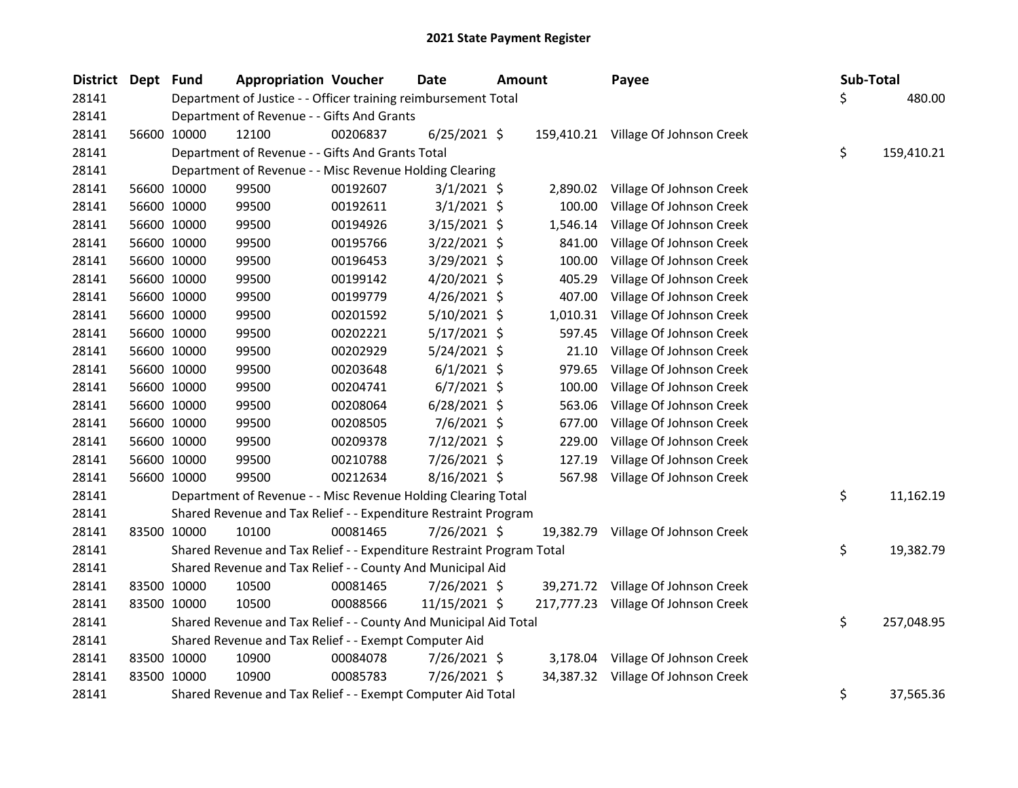| <b>District</b> | Dept Fund |             | <b>Appropriation Voucher</b>                                          |          | Date           | <b>Amount</b> |           | Payee                               |     | Sub-Total  |
|-----------------|-----------|-------------|-----------------------------------------------------------------------|----------|----------------|---------------|-----------|-------------------------------------|-----|------------|
| 28141           |           |             | Department of Justice - - Officer training reimbursement Total        |          |                |               |           |                                     | \$. | 480.00     |
| 28141           |           |             | Department of Revenue - - Gifts And Grants                            |          |                |               |           |                                     |     |            |
| 28141           |           | 56600 10000 | 12100                                                                 | 00206837 | $6/25/2021$ \$ |               |           | 159,410.21 Village Of Johnson Creek |     |            |
| 28141           |           |             | Department of Revenue - - Gifts And Grants Total                      |          |                |               |           |                                     | \$  | 159,410.21 |
| 28141           |           |             | Department of Revenue - - Misc Revenue Holding Clearing               |          |                |               |           |                                     |     |            |
| 28141           |           | 56600 10000 | 99500                                                                 | 00192607 | $3/1/2021$ \$  |               | 2,890.02  | Village Of Johnson Creek            |     |            |
| 28141           |           | 56600 10000 | 99500                                                                 | 00192611 | $3/1/2021$ \$  |               | 100.00    | Village Of Johnson Creek            |     |            |
| 28141           |           | 56600 10000 | 99500                                                                 | 00194926 | $3/15/2021$ \$ |               | 1,546.14  | Village Of Johnson Creek            |     |            |
| 28141           |           | 56600 10000 | 99500                                                                 | 00195766 | 3/22/2021 \$   |               | 841.00    | Village Of Johnson Creek            |     |            |
| 28141           |           | 56600 10000 | 99500                                                                 | 00196453 | 3/29/2021 \$   |               | 100.00    | Village Of Johnson Creek            |     |            |
| 28141           |           | 56600 10000 | 99500                                                                 | 00199142 | 4/20/2021 \$   |               | 405.29    | Village Of Johnson Creek            |     |            |
| 28141           |           | 56600 10000 | 99500                                                                 | 00199779 | $4/26/2021$ \$ |               | 407.00    | Village Of Johnson Creek            |     |            |
| 28141           |           | 56600 10000 | 99500                                                                 | 00201592 | 5/10/2021 \$   |               | 1,010.31  | Village Of Johnson Creek            |     |            |
| 28141           |           | 56600 10000 | 99500                                                                 | 00202221 | 5/17/2021 \$   |               | 597.45    | Village Of Johnson Creek            |     |            |
| 28141           |           | 56600 10000 | 99500                                                                 | 00202929 | $5/24/2021$ \$ |               | 21.10     | Village Of Johnson Creek            |     |            |
| 28141           |           | 56600 10000 | 99500                                                                 | 00203648 | $6/1/2021$ \$  |               | 979.65    | Village Of Johnson Creek            |     |            |
| 28141           |           | 56600 10000 | 99500                                                                 | 00204741 | $6/7/2021$ \$  |               | 100.00    | Village Of Johnson Creek            |     |            |
| 28141           |           | 56600 10000 | 99500                                                                 | 00208064 | $6/28/2021$ \$ |               | 563.06    | Village Of Johnson Creek            |     |            |
| 28141           |           | 56600 10000 | 99500                                                                 | 00208505 | $7/6/2021$ \$  |               | 677.00    | Village Of Johnson Creek            |     |            |
| 28141           |           | 56600 10000 | 99500                                                                 | 00209378 | 7/12/2021 \$   |               | 229.00    | Village Of Johnson Creek            |     |            |
| 28141           |           | 56600 10000 | 99500                                                                 | 00210788 | 7/26/2021 \$   |               | 127.19    | Village Of Johnson Creek            |     |            |
| 28141           |           | 56600 10000 | 99500                                                                 | 00212634 | 8/16/2021 \$   |               | 567.98    | Village Of Johnson Creek            |     |            |
| 28141           |           |             | Department of Revenue - - Misc Revenue Holding Clearing Total         |          |                |               |           |                                     | \$  | 11,162.19  |
| 28141           |           |             | Shared Revenue and Tax Relief - - Expenditure Restraint Program       |          |                |               |           |                                     |     |            |
| 28141           |           | 83500 10000 | 10100                                                                 | 00081465 | 7/26/2021 \$   |               | 19,382.79 | Village Of Johnson Creek            |     |            |
| 28141           |           |             | Shared Revenue and Tax Relief - - Expenditure Restraint Program Total |          |                |               |           |                                     | \$. | 19,382.79  |
| 28141           |           |             | Shared Revenue and Tax Relief - - County And Municipal Aid            |          |                |               |           |                                     |     |            |
| 28141           |           | 83500 10000 | 10500                                                                 | 00081465 | 7/26/2021 \$   |               |           | 39,271.72 Village Of Johnson Creek  |     |            |
| 28141           |           | 83500 10000 | 10500                                                                 | 00088566 | 11/15/2021 \$  |               |           | 217,777.23 Village Of Johnson Creek |     |            |
| 28141           |           |             | Shared Revenue and Tax Relief - - County And Municipal Aid Total      |          |                |               |           |                                     | \$. | 257,048.95 |
| 28141           |           |             | Shared Revenue and Tax Relief - - Exempt Computer Aid                 |          |                |               |           |                                     |     |            |
| 28141           |           | 83500 10000 | 10900                                                                 | 00084078 | 7/26/2021 \$   |               | 3,178.04  | Village Of Johnson Creek            |     |            |
| 28141           |           | 83500 10000 | 10900                                                                 | 00085783 | 7/26/2021 \$   |               | 34,387.32 | Village Of Johnson Creek            |     |            |
| 28141           |           |             | Shared Revenue and Tax Relief - - Exempt Computer Aid Total           |          |                |               |           |                                     | \$  | 37,565.36  |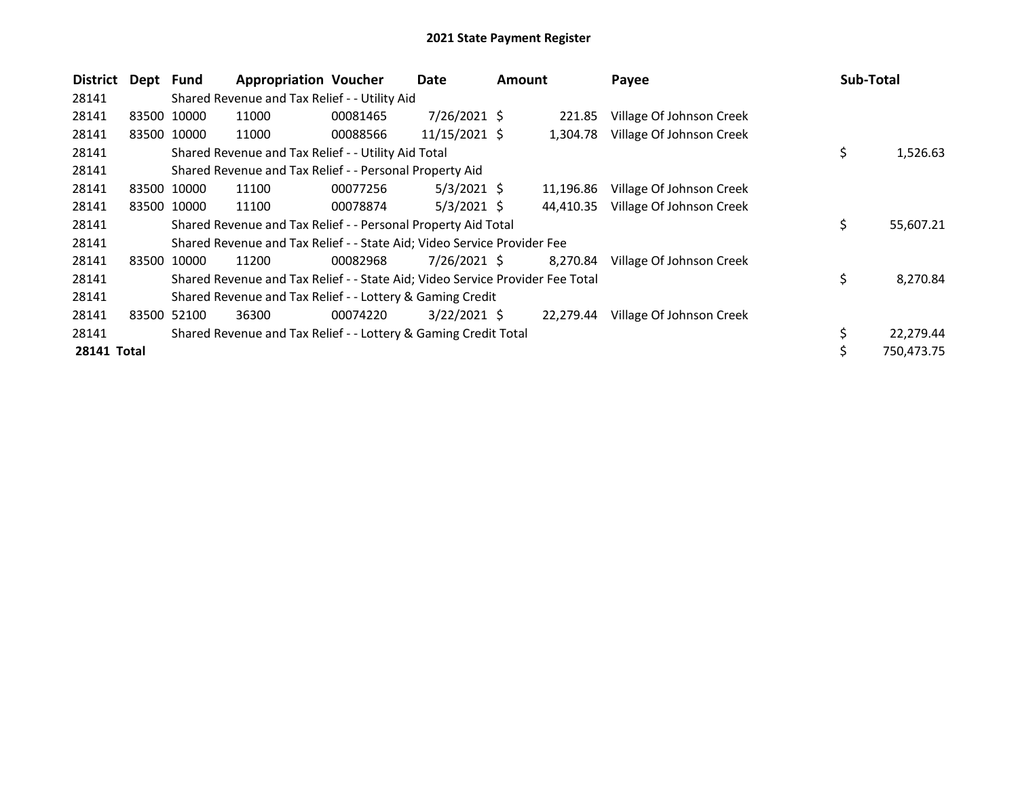| <b>District</b> | Dept Fund |             | <b>Appropriation Voucher</b>                                                  |          | Date           | <b>Amount</b> |           | Payee                    | <b>Sub-Total</b> |
|-----------------|-----------|-------------|-------------------------------------------------------------------------------|----------|----------------|---------------|-----------|--------------------------|------------------|
| 28141           |           |             | Shared Revenue and Tax Relief - - Utility Aid                                 |          |                |               |           |                          |                  |
| 28141           |           | 83500 10000 | 11000                                                                         | 00081465 | $7/26/2021$ \$ |               | 221.85    | Village Of Johnson Creek |                  |
| 28141           |           | 83500 10000 | 11000                                                                         | 00088566 | 11/15/2021 \$  |               | 1.304.78  | Village Of Johnson Creek |                  |
| 28141           |           |             | Shared Revenue and Tax Relief - - Utility Aid Total                           |          |                |               |           |                          | \$<br>1,526.63   |
| 28141           |           |             | Shared Revenue and Tax Relief - - Personal Property Aid                       |          |                |               |           |                          |                  |
| 28141           |           | 83500 10000 | 11100                                                                         | 00077256 | $5/3/2021$ \$  |               | 11,196.86 | Village Of Johnson Creek |                  |
| 28141           |           | 83500 10000 | 11100                                                                         | 00078874 | $5/3/2021$ \$  |               | 44,410.35 | Village Of Johnson Creek |                  |
| 28141           |           |             | Shared Revenue and Tax Relief - - Personal Property Aid Total                 |          |                |               |           |                          | \$<br>55,607.21  |
| 28141           |           |             | Shared Revenue and Tax Relief - - State Aid; Video Service Provider Fee       |          |                |               |           |                          |                  |
| 28141           |           | 83500 10000 | 11200                                                                         | 00082968 | $7/26/2021$ \$ |               | 8,270.84  | Village Of Johnson Creek |                  |
| 28141           |           |             | Shared Revenue and Tax Relief - - State Aid; Video Service Provider Fee Total |          |                |               |           |                          | \$<br>8,270.84   |
| 28141           |           |             | Shared Revenue and Tax Relief - - Lottery & Gaming Credit                     |          |                |               |           |                          |                  |
| 28141           |           | 83500 52100 | 36300                                                                         | 00074220 | $3/22/2021$ \$ |               | 22,279.44 | Village Of Johnson Creek |                  |
| 28141           |           |             | Shared Revenue and Tax Relief - - Lottery & Gaming Credit Total               |          |                |               |           |                          | 22,279.44        |
| 28141 Total     |           |             |                                                                               |          |                |               |           |                          | \$<br>750,473.75 |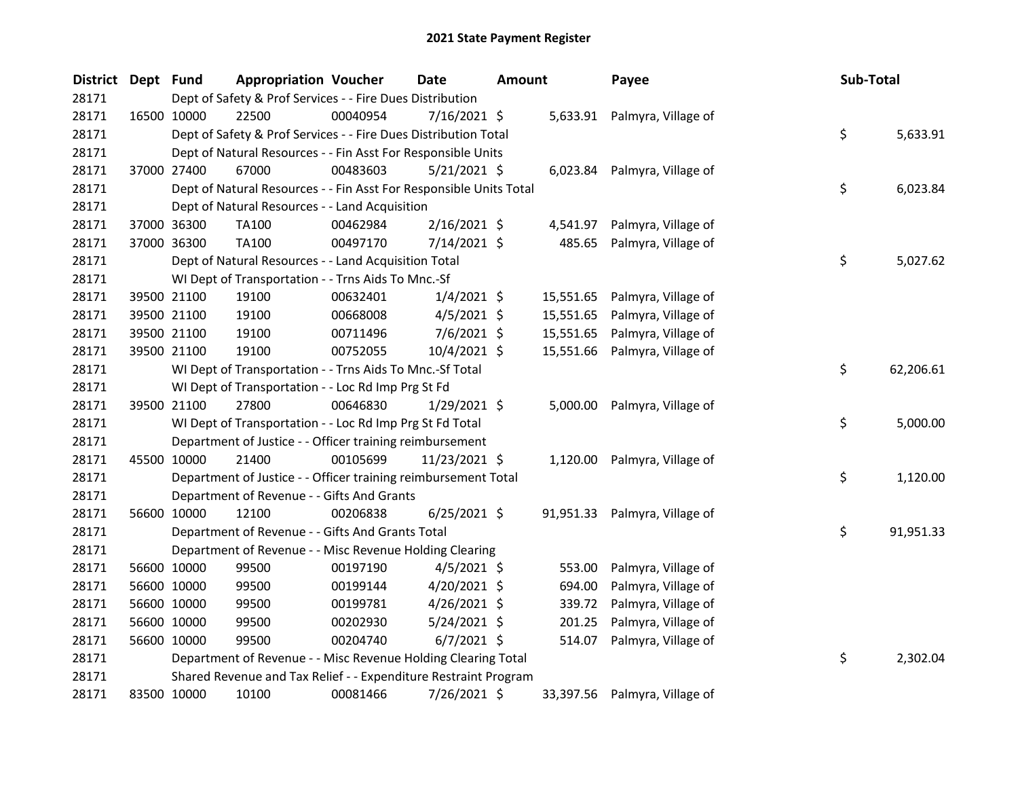| <b>District</b> | Dept Fund |             | <b>Appropriation Voucher</b>                                       |          | Date           | Amount |           | Payee                         | Sub-Total |           |
|-----------------|-----------|-------------|--------------------------------------------------------------------|----------|----------------|--------|-----------|-------------------------------|-----------|-----------|
| 28171           |           |             | Dept of Safety & Prof Services - - Fire Dues Distribution          |          |                |        |           |                               |           |           |
| 28171           |           | 16500 10000 | 22500                                                              | 00040954 | $7/16/2021$ \$ |        |           | 5,633.91 Palmyra, Village of  |           |           |
| 28171           |           |             | Dept of Safety & Prof Services - - Fire Dues Distribution Total    |          |                |        |           |                               | \$        | 5,633.91  |
| 28171           |           |             | Dept of Natural Resources - - Fin Asst For Responsible Units       |          |                |        |           |                               |           |           |
| 28171           |           | 37000 27400 | 67000                                                              | 00483603 | $5/21/2021$ \$ |        |           | 6,023.84 Palmyra, Village of  |           |           |
| 28171           |           |             | Dept of Natural Resources - - Fin Asst For Responsible Units Total |          |                |        |           |                               | \$        | 6,023.84  |
| 28171           |           |             | Dept of Natural Resources - - Land Acquisition                     |          |                |        |           |                               |           |           |
| 28171           |           | 37000 36300 | TA100                                                              | 00462984 | $2/16/2021$ \$ |        | 4,541.97  | Palmyra, Village of           |           |           |
| 28171           |           | 37000 36300 | TA100                                                              | 00497170 | 7/14/2021 \$   |        | 485.65    | Palmyra, Village of           |           |           |
| 28171           |           |             | Dept of Natural Resources - - Land Acquisition Total               |          |                |        |           |                               | \$        | 5,027.62  |
| 28171           |           |             | WI Dept of Transportation - - Trns Aids To Mnc.-Sf                 |          |                |        |           |                               |           |           |
| 28171           |           | 39500 21100 | 19100                                                              | 00632401 | $1/4/2021$ \$  |        |           | 15,551.65 Palmyra, Village of |           |           |
| 28171           |           | 39500 21100 | 19100                                                              | 00668008 | $4/5/2021$ \$  |        | 15,551.65 | Palmyra, Village of           |           |           |
| 28171           |           | 39500 21100 | 19100                                                              | 00711496 | $7/6/2021$ \$  |        | 15,551.65 | Palmyra, Village of           |           |           |
| 28171           |           | 39500 21100 | 19100                                                              | 00752055 | $10/4/2021$ \$ |        | 15,551.66 | Palmyra, Village of           |           |           |
| 28171           |           |             | WI Dept of Transportation - - Trns Aids To Mnc.-Sf Total           |          |                |        |           |                               | \$        | 62,206.61 |
| 28171           |           |             | WI Dept of Transportation - - Loc Rd Imp Prg St Fd                 |          |                |        |           |                               |           |           |
| 28171           |           | 39500 21100 | 27800                                                              | 00646830 | $1/29/2021$ \$ |        |           | 5,000.00 Palmyra, Village of  |           |           |
| 28171           |           |             | WI Dept of Transportation - - Loc Rd Imp Prg St Fd Total           |          |                |        |           |                               | \$        | 5,000.00  |
| 28171           |           |             | Department of Justice - - Officer training reimbursement           |          |                |        |           |                               |           |           |
| 28171           |           | 45500 10000 | 21400                                                              | 00105699 | 11/23/2021 \$  |        |           | 1,120.00 Palmyra, Village of  |           |           |
| 28171           |           |             | Department of Justice - - Officer training reimbursement Total     |          |                |        |           |                               | \$        | 1,120.00  |
| 28171           |           |             | Department of Revenue - - Gifts And Grants                         |          |                |        |           |                               |           |           |
| 28171           |           | 56600 10000 | 12100                                                              | 00206838 | $6/25/2021$ \$ |        |           | 91,951.33 Palmyra, Village of |           |           |
| 28171           |           |             | Department of Revenue - - Gifts And Grants Total                   |          |                |        |           |                               | \$        | 91,951.33 |
| 28171           |           |             | Department of Revenue - - Misc Revenue Holding Clearing            |          |                |        |           |                               |           |           |
| 28171           |           | 56600 10000 | 99500                                                              | 00197190 | $4/5/2021$ \$  |        | 553.00    | Palmyra, Village of           |           |           |
| 28171           |           | 56600 10000 | 99500                                                              | 00199144 | $4/20/2021$ \$ |        | 694.00    | Palmyra, Village of           |           |           |
| 28171           |           | 56600 10000 | 99500                                                              | 00199781 | $4/26/2021$ \$ |        | 339.72    | Palmyra, Village of           |           |           |
| 28171           |           | 56600 10000 | 99500                                                              | 00202930 | 5/24/2021 \$   |        | 201.25    | Palmyra, Village of           |           |           |
| 28171           |           | 56600 10000 | 99500                                                              | 00204740 | $6/7/2021$ \$  |        | 514.07    | Palmyra, Village of           |           |           |
| 28171           |           |             | Department of Revenue - - Misc Revenue Holding Clearing Total      |          |                |        |           |                               | \$        | 2,302.04  |
| 28171           |           |             | Shared Revenue and Tax Relief - - Expenditure Restraint Program    |          |                |        |           |                               |           |           |
| 28171           |           | 83500 10000 | 10100                                                              | 00081466 | 7/26/2021 \$   |        |           | 33,397.56 Palmyra, Village of |           |           |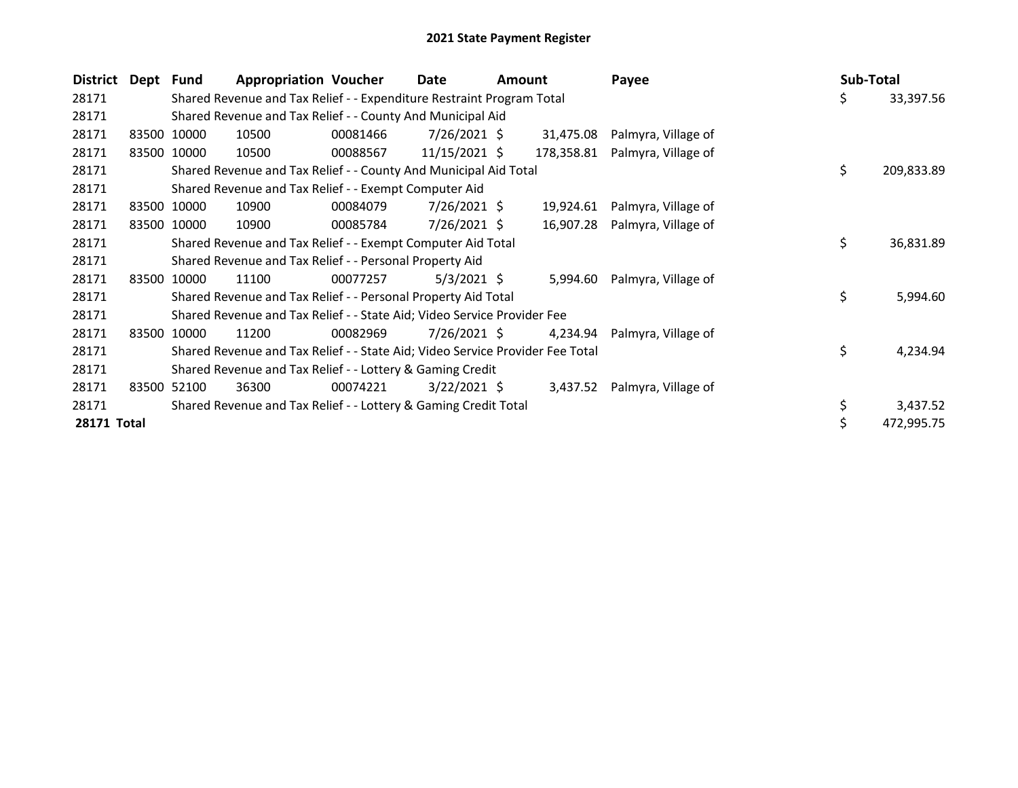| <b>District</b> | Dept Fund |             | <b>Appropriation Voucher</b>                                                  |          | Date            | Amount |            | Payee                        | <b>Sub-Total</b> |            |
|-----------------|-----------|-------------|-------------------------------------------------------------------------------|----------|-----------------|--------|------------|------------------------------|------------------|------------|
| 28171           |           |             | Shared Revenue and Tax Relief - - Expenditure Restraint Program Total         |          |                 |        |            |                              | \$               | 33,397.56  |
| 28171           |           |             | Shared Revenue and Tax Relief - - County And Municipal Aid                    |          |                 |        |            |                              |                  |            |
| 28171           |           | 83500 10000 | 10500                                                                         | 00081466 | $7/26/2021$ \$  |        | 31,475.08  | Palmyra, Village of          |                  |            |
| 28171           |           | 83500 10000 | 10500                                                                         | 00088567 | $11/15/2021$ \$ |        | 178,358.81 | Palmyra, Village of          |                  |            |
| 28171           |           |             | Shared Revenue and Tax Relief - - County And Municipal Aid Total              |          |                 |        |            |                              | \$               | 209,833.89 |
| 28171           |           |             | Shared Revenue and Tax Relief - - Exempt Computer Aid                         |          |                 |        |            |                              |                  |            |
| 28171           |           | 83500 10000 | 10900                                                                         | 00084079 | $7/26/2021$ \$  |        | 19,924.61  | Palmyra, Village of          |                  |            |
| 28171           |           | 83500 10000 | 10900                                                                         | 00085784 | 7/26/2021 \$    |        | 16,907.28  | Palmyra, Village of          |                  |            |
| 28171           |           |             | Shared Revenue and Tax Relief - - Exempt Computer Aid Total                   |          |                 |        |            |                              | \$               | 36,831.89  |
| 28171           |           |             | Shared Revenue and Tax Relief - - Personal Property Aid                       |          |                 |        |            |                              |                  |            |
| 28171           |           | 83500 10000 | 11100                                                                         | 00077257 | $5/3/2021$ \$   |        | 5,994.60   | Palmyra, Village of          |                  |            |
| 28171           |           |             | Shared Revenue and Tax Relief - - Personal Property Aid Total                 |          |                 |        |            |                              | \$               | 5,994.60   |
| 28171           |           |             | Shared Revenue and Tax Relief - - State Aid; Video Service Provider Fee       |          |                 |        |            |                              |                  |            |
| 28171           |           | 83500 10000 | 11200                                                                         | 00082969 | $7/26/2021$ \$  |        | 4,234.94   | Palmyra, Village of          |                  |            |
| 28171           |           |             | Shared Revenue and Tax Relief - - State Aid; Video Service Provider Fee Total |          |                 |        |            |                              | \$               | 4,234.94   |
| 28171           |           |             | Shared Revenue and Tax Relief - - Lottery & Gaming Credit                     |          |                 |        |            |                              |                  |            |
| 28171           | 83500     | 52100       | 36300                                                                         | 00074221 | $3/22/2021$ \$  |        |            | 3,437.52 Palmyra, Village of |                  |            |
| 28171           |           |             | Shared Revenue and Tax Relief - - Lottery & Gaming Credit Total               |          |                 |        |            |                              |                  | 3,437.52   |
| 28171 Total     |           |             |                                                                               |          |                 |        |            |                              |                  | 472,995.75 |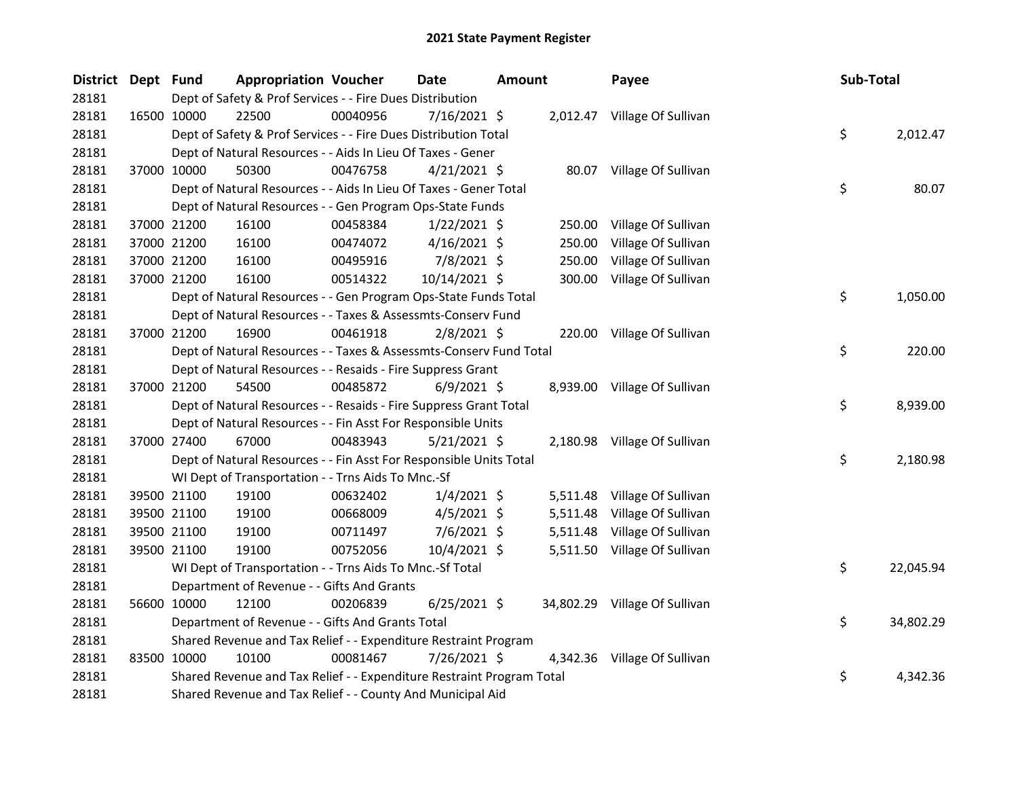| <b>District</b> | Dept Fund |             | <b>Appropriation Voucher</b>                                          |          | <b>Date</b>    | <b>Amount</b> |          | Payee                         | Sub-Total |           |
|-----------------|-----------|-------------|-----------------------------------------------------------------------|----------|----------------|---------------|----------|-------------------------------|-----------|-----------|
| 28181           |           |             | Dept of Safety & Prof Services - - Fire Dues Distribution             |          |                |               |          |                               |           |           |
| 28181           |           | 16500 10000 | 22500                                                                 | 00040956 | 7/16/2021 \$   |               |          | 2,012.47 Village Of Sullivan  |           |           |
| 28181           |           |             | Dept of Safety & Prof Services - - Fire Dues Distribution Total       |          |                |               |          |                               | \$        | 2,012.47  |
| 28181           |           |             | Dept of Natural Resources - - Aids In Lieu Of Taxes - Gener           |          |                |               |          |                               |           |           |
| 28181           |           | 37000 10000 | 50300                                                                 | 00476758 | $4/21/2021$ \$ |               |          | 80.07 Village Of Sullivan     |           |           |
| 28181           |           |             | Dept of Natural Resources - - Aids In Lieu Of Taxes - Gener Total     |          |                |               |          |                               | \$        | 80.07     |
| 28181           |           |             | Dept of Natural Resources - - Gen Program Ops-State Funds             |          |                |               |          |                               |           |           |
| 28181           |           | 37000 21200 | 16100                                                                 | 00458384 | $1/22/2021$ \$ |               | 250.00   | Village Of Sullivan           |           |           |
| 28181           |           | 37000 21200 | 16100                                                                 | 00474072 | $4/16/2021$ \$ |               | 250.00   | Village Of Sullivan           |           |           |
| 28181           |           | 37000 21200 | 16100                                                                 | 00495916 | 7/8/2021 \$    |               | 250.00   | Village Of Sullivan           |           |           |
| 28181           |           | 37000 21200 | 16100                                                                 | 00514322 | 10/14/2021 \$  |               | 300.00   | Village Of Sullivan           |           |           |
| 28181           |           |             | Dept of Natural Resources - - Gen Program Ops-State Funds Total       |          |                |               |          |                               | \$        | 1,050.00  |
| 28181           |           |             | Dept of Natural Resources - - Taxes & Assessmts-Conserv Fund          |          |                |               |          |                               |           |           |
| 28181           |           | 37000 21200 | 16900                                                                 | 00461918 | $2/8/2021$ \$  |               |          | 220.00 Village Of Sullivan    |           |           |
| 28181           |           |             | Dept of Natural Resources - - Taxes & Assessmts-Conserv Fund Total    |          |                |               |          |                               | \$        | 220.00    |
| 28181           |           |             | Dept of Natural Resources - - Resaids - Fire Suppress Grant           |          |                |               |          |                               |           |           |
| 28181           |           | 37000 21200 | 54500                                                                 | 00485872 | $6/9/2021$ \$  |               |          | 8,939.00 Village Of Sullivan  |           |           |
| 28181           |           |             | Dept of Natural Resources - - Resaids - Fire Suppress Grant Total     |          |                |               |          |                               | \$        | 8,939.00  |
| 28181           |           |             | Dept of Natural Resources - - Fin Asst For Responsible Units          |          |                |               |          |                               |           |           |
| 28181           |           | 37000 27400 | 67000                                                                 | 00483943 | $5/21/2021$ \$ |               |          | 2,180.98 Village Of Sullivan  |           |           |
| 28181           |           |             | Dept of Natural Resources - - Fin Asst For Responsible Units Total    |          |                |               |          |                               | \$        | 2,180.98  |
| 28181           |           |             | WI Dept of Transportation - - Trns Aids To Mnc.-Sf                    |          |                |               |          |                               |           |           |
| 28181           |           | 39500 21100 | 19100                                                                 | 00632402 | $1/4/2021$ \$  |               |          | 5,511.48 Village Of Sullivan  |           |           |
| 28181           |           | 39500 21100 | 19100                                                                 | 00668009 | $4/5/2021$ \$  |               | 5,511.48 | Village Of Sullivan           |           |           |
| 28181           |           | 39500 21100 | 19100                                                                 | 00711497 | $7/6/2021$ \$  |               |          | 5,511.48 Village Of Sullivan  |           |           |
| 28181           |           | 39500 21100 | 19100                                                                 | 00752056 | $10/4/2021$ \$ |               |          | 5,511.50 Village Of Sullivan  |           |           |
| 28181           |           |             | WI Dept of Transportation - - Trns Aids To Mnc.-Sf Total              |          |                |               |          |                               | \$        | 22,045.94 |
| 28181           |           |             | Department of Revenue - - Gifts And Grants                            |          |                |               |          |                               |           |           |
| 28181           |           | 56600 10000 | 12100                                                                 | 00206839 | $6/25/2021$ \$ |               |          | 34,802.29 Village Of Sullivan |           |           |
| 28181           |           |             | Department of Revenue - - Gifts And Grants Total                      |          |                |               |          |                               | \$        | 34,802.29 |
| 28181           |           |             | Shared Revenue and Tax Relief - - Expenditure Restraint Program       |          |                |               |          |                               |           |           |
| 28181           |           | 83500 10000 | 10100                                                                 | 00081467 | 7/26/2021 \$   |               |          | 4,342.36 Village Of Sullivan  |           |           |
| 28181           |           |             | Shared Revenue and Tax Relief - - Expenditure Restraint Program Total |          |                |               |          |                               | \$        | 4,342.36  |
| 28181           |           |             | Shared Revenue and Tax Relief - - County And Municipal Aid            |          |                |               |          |                               |           |           |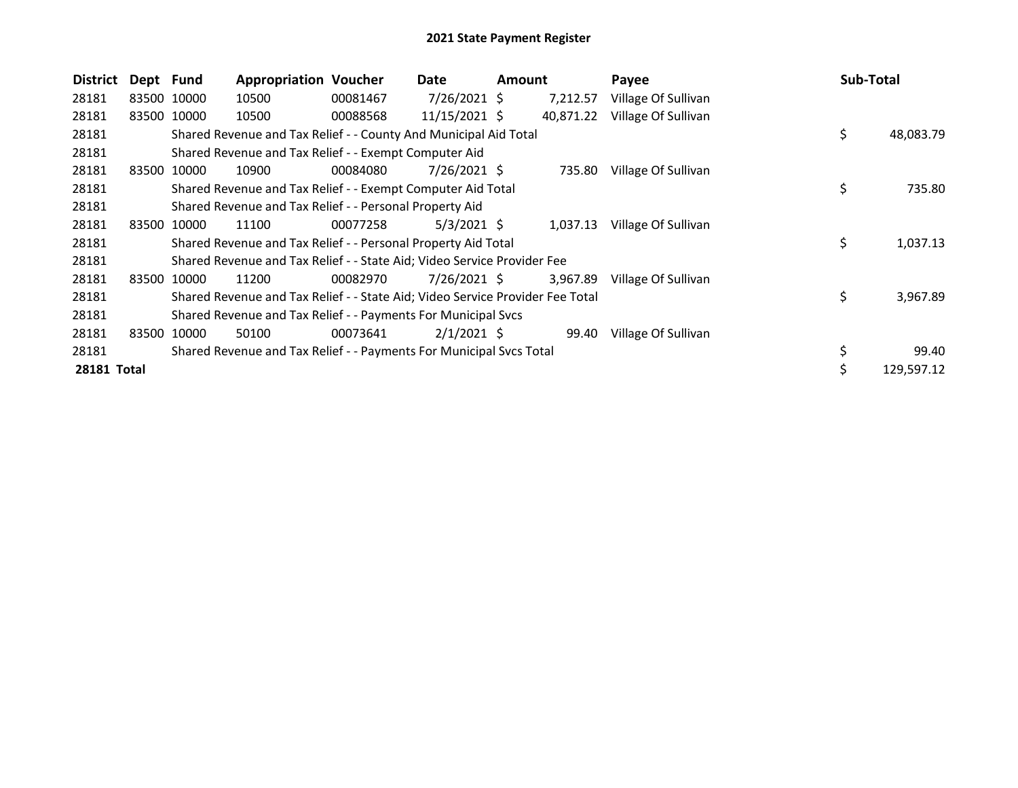| <b>District</b> | Dept Fund |             | <b>Appropriation Voucher</b>                                                  |          | Date          | Amount |           | Payee               | Sub-Total       |
|-----------------|-----------|-------------|-------------------------------------------------------------------------------|----------|---------------|--------|-----------|---------------------|-----------------|
| 28181           |           | 83500 10000 | 10500                                                                         | 00081467 | 7/26/2021 \$  |        | 7,212.57  | Village Of Sullivan |                 |
| 28181           |           | 83500 10000 | 10500                                                                         | 00088568 | 11/15/2021 \$ |        | 40,871.22 | Village Of Sullivan |                 |
| 28181           |           |             | Shared Revenue and Tax Relief - - County And Municipal Aid Total              |          |               |        |           |                     | \$<br>48,083.79 |
| 28181           |           |             | Shared Revenue and Tax Relief - - Exempt Computer Aid                         |          |               |        |           |                     |                 |
| 28181           | 83500     | 10000       | 10900                                                                         | 00084080 | 7/26/2021 \$  |        | 735.80    | Village Of Sullivan |                 |
| 28181           |           |             | Shared Revenue and Tax Relief - - Exempt Computer Aid Total                   |          |               |        |           |                     | \$<br>735.80    |
| 28181           |           |             | Shared Revenue and Tax Relief - - Personal Property Aid                       |          |               |        |           |                     |                 |
| 28181           |           | 83500 10000 | 11100                                                                         | 00077258 | $5/3/2021$ \$ |        | 1,037.13  | Village Of Sullivan |                 |
| 28181           |           |             | Shared Revenue and Tax Relief - - Personal Property Aid Total                 |          |               |        |           |                     | \$<br>1,037.13  |
| 28181           |           |             | Shared Revenue and Tax Relief - - State Aid; Video Service Provider Fee       |          |               |        |           |                     |                 |
| 28181           |           | 83500 10000 | 11200                                                                         | 00082970 | 7/26/2021 \$  |        | 3,967.89  | Village Of Sullivan |                 |
| 28181           |           |             | Shared Revenue and Tax Relief - - State Aid; Video Service Provider Fee Total |          |               |        |           |                     | \$<br>3,967.89  |
| 28181           |           |             | Shared Revenue and Tax Relief - - Payments For Municipal Svcs                 |          |               |        |           |                     |                 |
| 28181           | 83500     | 10000       | 50100                                                                         | 00073641 | $2/1/2021$ \$ |        | 99.40     | Village Of Sullivan |                 |
| 28181           |           |             | Shared Revenue and Tax Relief - - Payments For Municipal Svcs Total           |          |               |        |           |                     | \$<br>99.40     |
| 28181 Total     |           |             |                                                                               |          |               |        |           |                     | 129,597.12      |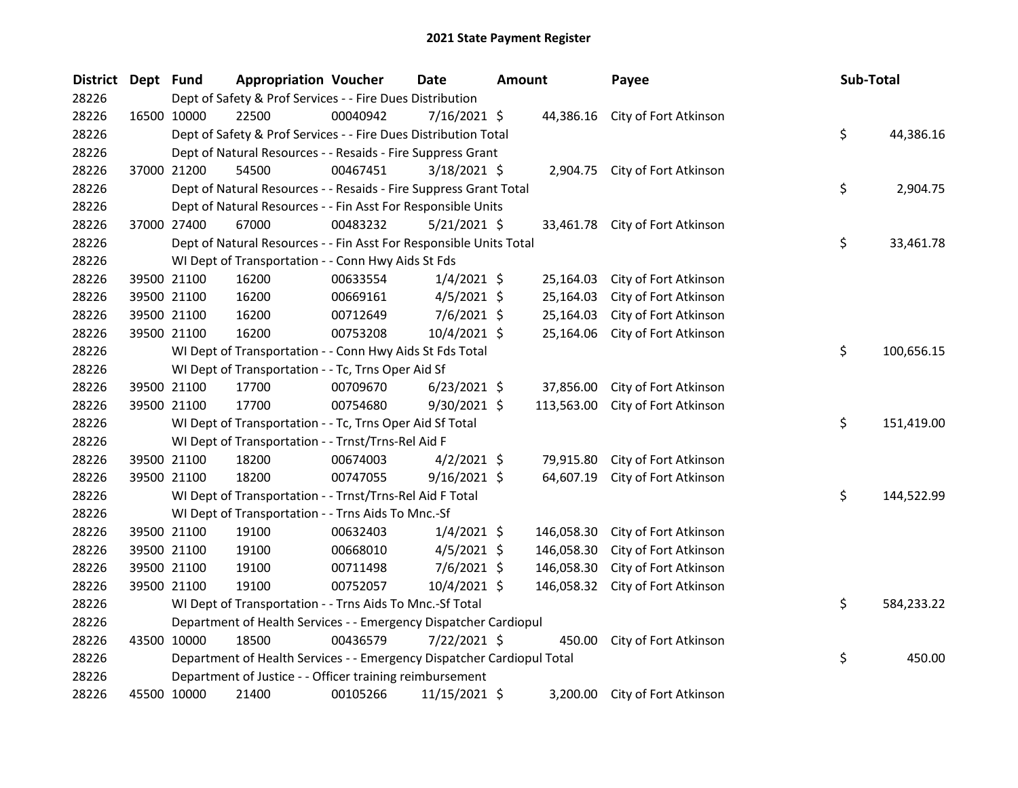| District Dept Fund |             | <b>Appropriation Voucher</b>                                           |          | <b>Date</b>    | <b>Amount</b> |            | Payee                          | Sub-Total |            |
|--------------------|-------------|------------------------------------------------------------------------|----------|----------------|---------------|------------|--------------------------------|-----------|------------|
| 28226              |             | Dept of Safety & Prof Services - - Fire Dues Distribution              |          |                |               |            |                                |           |            |
| 28226              | 16500 10000 | 22500                                                                  | 00040942 | $7/16/2021$ \$ |               | 44,386.16  | City of Fort Atkinson          |           |            |
| 28226              |             | Dept of Safety & Prof Services - - Fire Dues Distribution Total        |          |                |               |            |                                | \$        | 44,386.16  |
| 28226              |             | Dept of Natural Resources - - Resaids - Fire Suppress Grant            |          |                |               |            |                                |           |            |
| 28226              | 37000 21200 | 54500                                                                  | 00467451 | $3/18/2021$ \$ |               |            | 2,904.75 City of Fort Atkinson |           |            |
| 28226              |             | Dept of Natural Resources - - Resaids - Fire Suppress Grant Total      |          |                |               |            |                                | \$        | 2,904.75   |
| 28226              |             | Dept of Natural Resources - - Fin Asst For Responsible Units           |          |                |               |            |                                |           |            |
| 28226              | 37000 27400 | 67000                                                                  | 00483232 | 5/21/2021 \$   |               | 33,461.78  | City of Fort Atkinson          |           |            |
| 28226              |             | Dept of Natural Resources - - Fin Asst For Responsible Units Total     |          |                |               |            |                                | \$        | 33,461.78  |
| 28226              |             | WI Dept of Transportation - - Conn Hwy Aids St Fds                     |          |                |               |            |                                |           |            |
| 28226              | 39500 21100 | 16200                                                                  | 00633554 | $1/4/2021$ \$  |               | 25,164.03  | City of Fort Atkinson          |           |            |
| 28226              | 39500 21100 | 16200                                                                  | 00669161 | $4/5/2021$ \$  |               | 25,164.03  | City of Fort Atkinson          |           |            |
| 28226              | 39500 21100 | 16200                                                                  | 00712649 | $7/6/2021$ \$  |               | 25,164.03  | City of Fort Atkinson          |           |            |
| 28226              | 39500 21100 | 16200                                                                  | 00753208 | 10/4/2021 \$   |               | 25,164.06  | City of Fort Atkinson          |           |            |
| 28226              |             | WI Dept of Transportation - - Conn Hwy Aids St Fds Total               |          |                |               |            |                                | \$        | 100,656.15 |
| 28226              |             | WI Dept of Transportation - - Tc, Trns Oper Aid Sf                     |          |                |               |            |                                |           |            |
| 28226              | 39500 21100 | 17700                                                                  | 00709670 | $6/23/2021$ \$ |               | 37,856.00  | City of Fort Atkinson          |           |            |
| 28226              | 39500 21100 | 17700                                                                  | 00754680 | $9/30/2021$ \$ |               | 113,563.00 | City of Fort Atkinson          |           |            |
| 28226              |             | WI Dept of Transportation - - Tc, Trns Oper Aid Sf Total               |          |                |               |            |                                | \$        | 151,419.00 |
| 28226              |             | WI Dept of Transportation - - Trnst/Trns-Rel Aid F                     |          |                |               |            |                                |           |            |
| 28226              | 39500 21100 | 18200                                                                  | 00674003 | $4/2/2021$ \$  |               | 79,915.80  | City of Fort Atkinson          |           |            |
| 28226              | 39500 21100 | 18200                                                                  | 00747055 | $9/16/2021$ \$ |               | 64,607.19  | City of Fort Atkinson          |           |            |
| 28226              |             | WI Dept of Transportation - - Trnst/Trns-Rel Aid F Total               |          |                |               |            |                                | \$        | 144,522.99 |
| 28226              |             | WI Dept of Transportation - - Trns Aids To Mnc.-Sf                     |          |                |               |            |                                |           |            |
| 28226              | 39500 21100 | 19100                                                                  | 00632403 | $1/4/2021$ \$  |               | 146,058.30 | City of Fort Atkinson          |           |            |
| 28226              | 39500 21100 | 19100                                                                  | 00668010 | $4/5/2021$ \$  |               | 146,058.30 | City of Fort Atkinson          |           |            |
| 28226              | 39500 21100 | 19100                                                                  | 00711498 | 7/6/2021 \$    |               | 146,058.30 | City of Fort Atkinson          |           |            |
| 28226              | 39500 21100 | 19100                                                                  | 00752057 | 10/4/2021 \$   |               | 146,058.32 | City of Fort Atkinson          |           |            |
| 28226              |             | WI Dept of Transportation - - Trns Aids To Mnc.-Sf Total               |          |                |               |            |                                | \$        | 584,233.22 |
| 28226              |             | Department of Health Services - - Emergency Dispatcher Cardiopul       |          |                |               |            |                                |           |            |
| 28226              | 43500 10000 | 18500                                                                  | 00436579 | 7/22/2021 \$   |               | 450.00     | City of Fort Atkinson          |           |            |
| 28226              |             | Department of Health Services - - Emergency Dispatcher Cardiopul Total |          |                |               |            |                                | \$        | 450.00     |
| 28226              |             | Department of Justice - - Officer training reimbursement               |          |                |               |            |                                |           |            |
| 28226              | 45500 10000 | 21400                                                                  | 00105266 | 11/15/2021 \$  |               | 3,200.00   | City of Fort Atkinson          |           |            |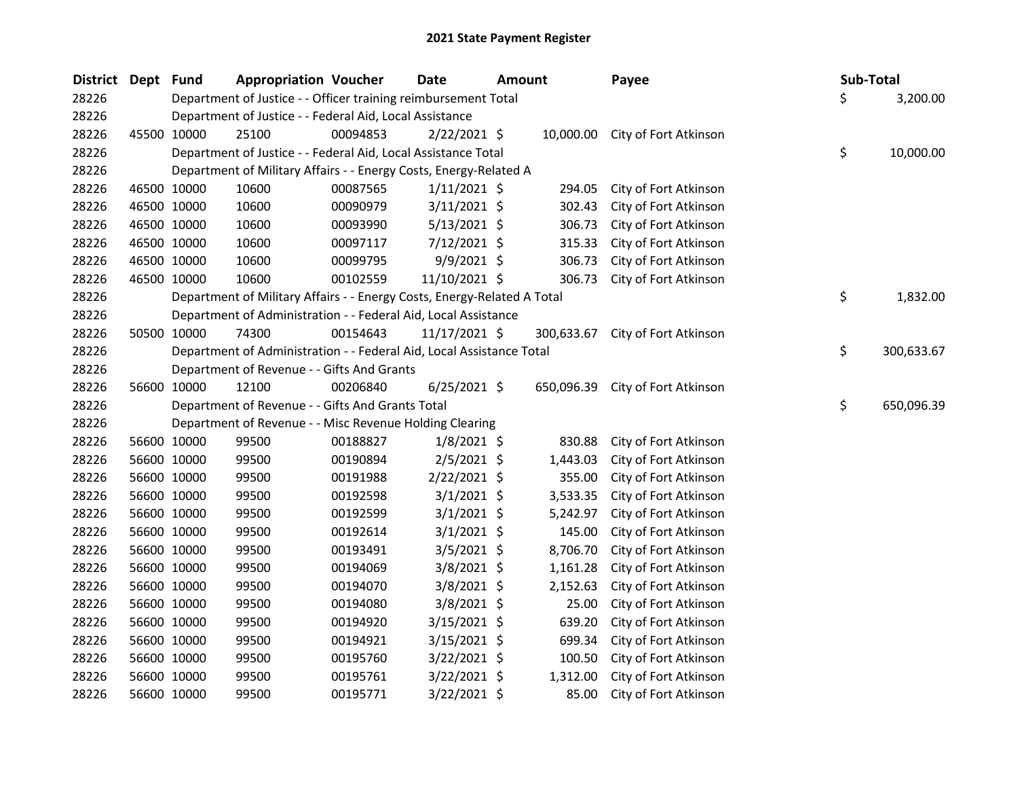| District Dept Fund |             | <b>Appropriation Voucher</b>                                            |          | <b>Date</b>     | <b>Amount</b> |            | Payee                            | <b>Sub-Total</b> |            |
|--------------------|-------------|-------------------------------------------------------------------------|----------|-----------------|---------------|------------|----------------------------------|------------------|------------|
| 28226              |             | Department of Justice - - Officer training reimbursement Total          |          |                 |               |            |                                  | \$               | 3,200.00   |
| 28226              |             | Department of Justice - - Federal Aid, Local Assistance                 |          |                 |               |            |                                  |                  |            |
| 28226              | 45500 10000 | 25100                                                                   | 00094853 | $2/22/2021$ \$  |               |            | 10,000.00 City of Fort Atkinson  |                  |            |
| 28226              |             | Department of Justice - - Federal Aid, Local Assistance Total           |          |                 |               |            |                                  | \$               | 10,000.00  |
| 28226              |             | Department of Military Affairs - - Energy Costs, Energy-Related A       |          |                 |               |            |                                  |                  |            |
| 28226              | 46500 10000 | 10600                                                                   | 00087565 | 1/11/2021 \$    |               | 294.05     | City of Fort Atkinson            |                  |            |
| 28226              | 46500 10000 | 10600                                                                   | 00090979 | $3/11/2021$ \$  |               | 302.43     | City of Fort Atkinson            |                  |            |
| 28226              | 46500 10000 | 10600                                                                   | 00093990 | $5/13/2021$ \$  |               | 306.73     | City of Fort Atkinson            |                  |            |
| 28226              | 46500 10000 | 10600                                                                   | 00097117 | $7/12/2021$ \$  |               | 315.33     | City of Fort Atkinson            |                  |            |
| 28226              | 46500 10000 | 10600                                                                   | 00099795 | $9/9/2021$ \$   |               | 306.73     | City of Fort Atkinson            |                  |            |
| 28226              | 46500 10000 | 10600                                                                   | 00102559 | 11/10/2021 \$   |               | 306.73     | City of Fort Atkinson            |                  |            |
| 28226              |             | Department of Military Affairs - - Energy Costs, Energy-Related A Total |          |                 |               |            |                                  | \$               | 1,832.00   |
| 28226              |             | Department of Administration - - Federal Aid, Local Assistance          |          |                 |               |            |                                  |                  |            |
| 28226              | 50500 10000 | 74300                                                                   | 00154643 | $11/17/2021$ \$ |               | 300,633.67 | City of Fort Atkinson            |                  |            |
| 28226              |             | Department of Administration - - Federal Aid, Local Assistance Total    |          |                 |               |            |                                  | \$               | 300,633.67 |
| 28226              |             | Department of Revenue - - Gifts And Grants                              |          |                 |               |            |                                  |                  |            |
| 28226              | 56600 10000 | 12100                                                                   | 00206840 | $6/25/2021$ \$  |               |            | 650,096.39 City of Fort Atkinson |                  |            |
| 28226              |             | Department of Revenue - - Gifts And Grants Total                        |          |                 |               |            |                                  | \$               | 650,096.39 |
| 28226              |             | Department of Revenue - - Misc Revenue Holding Clearing                 |          |                 |               |            |                                  |                  |            |
| 28226              | 56600 10000 | 99500                                                                   | 00188827 | $1/8/2021$ \$   |               | 830.88     | City of Fort Atkinson            |                  |            |
| 28226              | 56600 10000 | 99500                                                                   | 00190894 | $2/5/2021$ \$   |               | 1,443.03   | City of Fort Atkinson            |                  |            |
| 28226              | 56600 10000 | 99500                                                                   | 00191988 | $2/22/2021$ \$  |               | 355.00     | City of Fort Atkinson            |                  |            |
| 28226              | 56600 10000 | 99500                                                                   | 00192598 | $3/1/2021$ \$   |               | 3,533.35   | City of Fort Atkinson            |                  |            |
| 28226              | 56600 10000 | 99500                                                                   | 00192599 | $3/1/2021$ \$   |               | 5,242.97   | City of Fort Atkinson            |                  |            |
| 28226              | 56600 10000 | 99500                                                                   | 00192614 | $3/1/2021$ \$   |               | 145.00     | City of Fort Atkinson            |                  |            |
| 28226              | 56600 10000 | 99500                                                                   | 00193491 | $3/5/2021$ \$   |               | 8,706.70   | City of Fort Atkinson            |                  |            |
| 28226              | 56600 10000 | 99500                                                                   | 00194069 | $3/8/2021$ \$   |               | 1,161.28   | City of Fort Atkinson            |                  |            |
| 28226              | 56600 10000 | 99500                                                                   | 00194070 | $3/8/2021$ \$   |               | 2,152.63   | City of Fort Atkinson            |                  |            |
| 28226              | 56600 10000 | 99500                                                                   | 00194080 | 3/8/2021 \$     |               | 25.00      | City of Fort Atkinson            |                  |            |
| 28226              | 56600 10000 | 99500                                                                   | 00194920 | $3/15/2021$ \$  |               | 639.20     | City of Fort Atkinson            |                  |            |
| 28226              | 56600 10000 | 99500                                                                   | 00194921 | $3/15/2021$ \$  |               | 699.34     | City of Fort Atkinson            |                  |            |
| 28226              | 56600 10000 | 99500                                                                   | 00195760 | $3/22/2021$ \$  |               | 100.50     | City of Fort Atkinson            |                  |            |
| 28226              | 56600 10000 | 99500                                                                   | 00195761 | $3/22/2021$ \$  |               | 1,312.00   | City of Fort Atkinson            |                  |            |
| 28226              | 56600 10000 | 99500                                                                   | 00195771 | 3/22/2021 \$    |               | 85.00      | City of Fort Atkinson            |                  |            |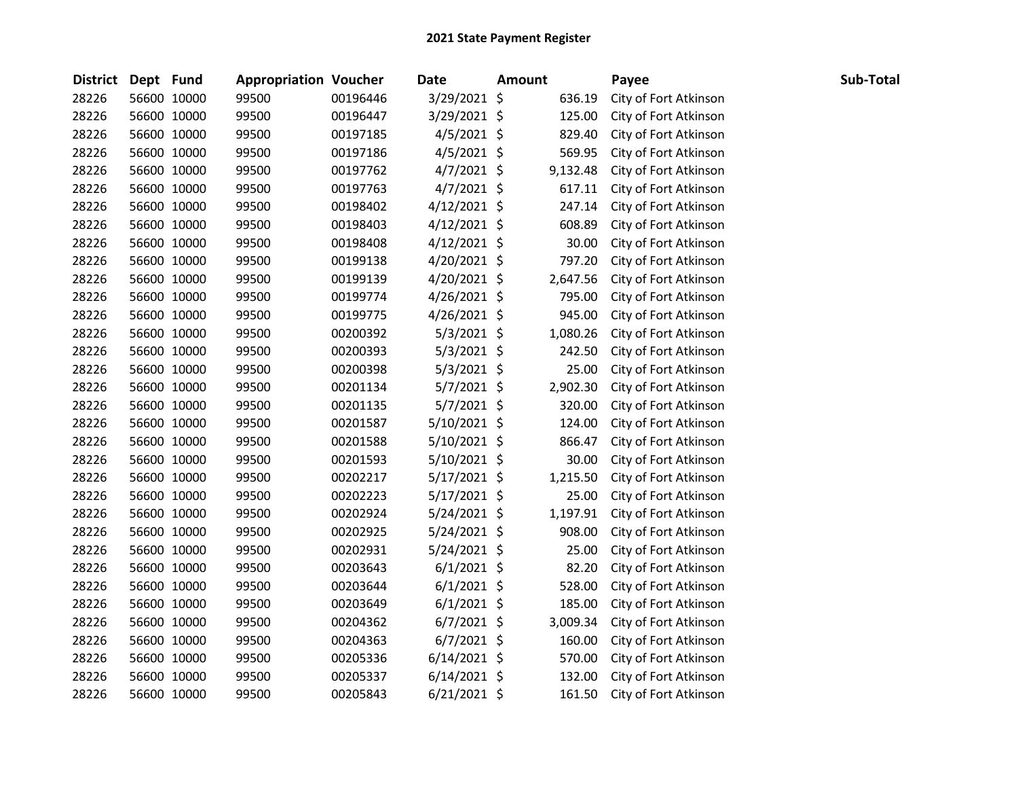| District Dept Fund |             | <b>Appropriation Voucher</b> |          | <b>Date</b>    | <b>Amount</b> | Payee                 | Sub-Total |
|--------------------|-------------|------------------------------|----------|----------------|---------------|-----------------------|-----------|
| 28226              | 56600 10000 | 99500                        | 00196446 | 3/29/2021 \$   | 636.19        | City of Fort Atkinson |           |
| 28226              | 56600 10000 | 99500                        | 00196447 | $3/29/2021$ \$ | 125.00        | City of Fort Atkinson |           |
| 28226              | 56600 10000 | 99500                        | 00197185 | $4/5/2021$ \$  | 829.40        | City of Fort Atkinson |           |
| 28226              | 56600 10000 | 99500                        | 00197186 | $4/5/2021$ \$  | 569.95        | City of Fort Atkinson |           |
| 28226              | 56600 10000 | 99500                        | 00197762 | $4/7/2021$ \$  | 9,132.48      | City of Fort Atkinson |           |
| 28226              | 56600 10000 | 99500                        | 00197763 | $4/7/2021$ \$  | 617.11        | City of Fort Atkinson |           |
| 28226              | 56600 10000 | 99500                        | 00198402 | $4/12/2021$ \$ | 247.14        | City of Fort Atkinson |           |
| 28226              | 56600 10000 | 99500                        | 00198403 | $4/12/2021$ \$ | 608.89        | City of Fort Atkinson |           |
| 28226              | 56600 10000 | 99500                        | 00198408 | $4/12/2021$ \$ | 30.00         | City of Fort Atkinson |           |
| 28226              | 56600 10000 | 99500                        | 00199138 | $4/20/2021$ \$ | 797.20        | City of Fort Atkinson |           |
| 28226              | 56600 10000 | 99500                        | 00199139 | $4/20/2021$ \$ | 2,647.56      | City of Fort Atkinson |           |
| 28226              | 56600 10000 | 99500                        | 00199774 | $4/26/2021$ \$ | 795.00        | City of Fort Atkinson |           |
| 28226              | 56600 10000 | 99500                        | 00199775 | $4/26/2021$ \$ | 945.00        | City of Fort Atkinson |           |
| 28226              | 56600 10000 | 99500                        | 00200392 | $5/3/2021$ \$  | 1,080.26      | City of Fort Atkinson |           |
| 28226              | 56600 10000 | 99500                        | 00200393 | $5/3/2021$ \$  | 242.50        | City of Fort Atkinson |           |
| 28226              | 56600 10000 | 99500                        | 00200398 | $5/3/2021$ \$  | 25.00         | City of Fort Atkinson |           |
| 28226              | 56600 10000 | 99500                        | 00201134 | $5/7/2021$ \$  | 2,902.30      | City of Fort Atkinson |           |
| 28226              | 56600 10000 | 99500                        | 00201135 | $5/7/2021$ \$  | 320.00        | City of Fort Atkinson |           |
| 28226              | 56600 10000 | 99500                        | 00201587 | $5/10/2021$ \$ | 124.00        | City of Fort Atkinson |           |
| 28226              | 56600 10000 | 99500                        | 00201588 | $5/10/2021$ \$ | 866.47        | City of Fort Atkinson |           |
| 28226              | 56600 10000 | 99500                        | 00201593 | $5/10/2021$ \$ | 30.00         | City of Fort Atkinson |           |
| 28226              | 56600 10000 | 99500                        | 00202217 | $5/17/2021$ \$ | 1,215.50      | City of Fort Atkinson |           |
| 28226              | 56600 10000 | 99500                        | 00202223 | $5/17/2021$ \$ | 25.00         | City of Fort Atkinson |           |
| 28226              | 56600 10000 | 99500                        | 00202924 | $5/24/2021$ \$ | 1,197.91      | City of Fort Atkinson |           |
| 28226              | 56600 10000 | 99500                        | 00202925 | $5/24/2021$ \$ | 908.00        | City of Fort Atkinson |           |
| 28226              | 56600 10000 | 99500                        | 00202931 | $5/24/2021$ \$ | 25.00         | City of Fort Atkinson |           |
| 28226              | 56600 10000 | 99500                        | 00203643 | $6/1/2021$ \$  | 82.20         | City of Fort Atkinson |           |
| 28226              | 56600 10000 | 99500                        | 00203644 | $6/1/2021$ \$  | 528.00        | City of Fort Atkinson |           |
| 28226              | 56600 10000 | 99500                        | 00203649 | $6/1/2021$ \$  | 185.00        | City of Fort Atkinson |           |
| 28226              | 56600 10000 | 99500                        | 00204362 | $6/7/2021$ \$  | 3,009.34      | City of Fort Atkinson |           |
| 28226              | 56600 10000 | 99500                        | 00204363 | $6/7/2021$ \$  | 160.00        | City of Fort Atkinson |           |
| 28226              | 56600 10000 | 99500                        | 00205336 | $6/14/2021$ \$ | 570.00        | City of Fort Atkinson |           |
| 28226              | 56600 10000 | 99500                        | 00205337 | $6/14/2021$ \$ | 132.00        | City of Fort Atkinson |           |
| 28226              | 56600 10000 | 99500                        | 00205843 | $6/21/2021$ \$ | 161.50        | City of Fort Atkinson |           |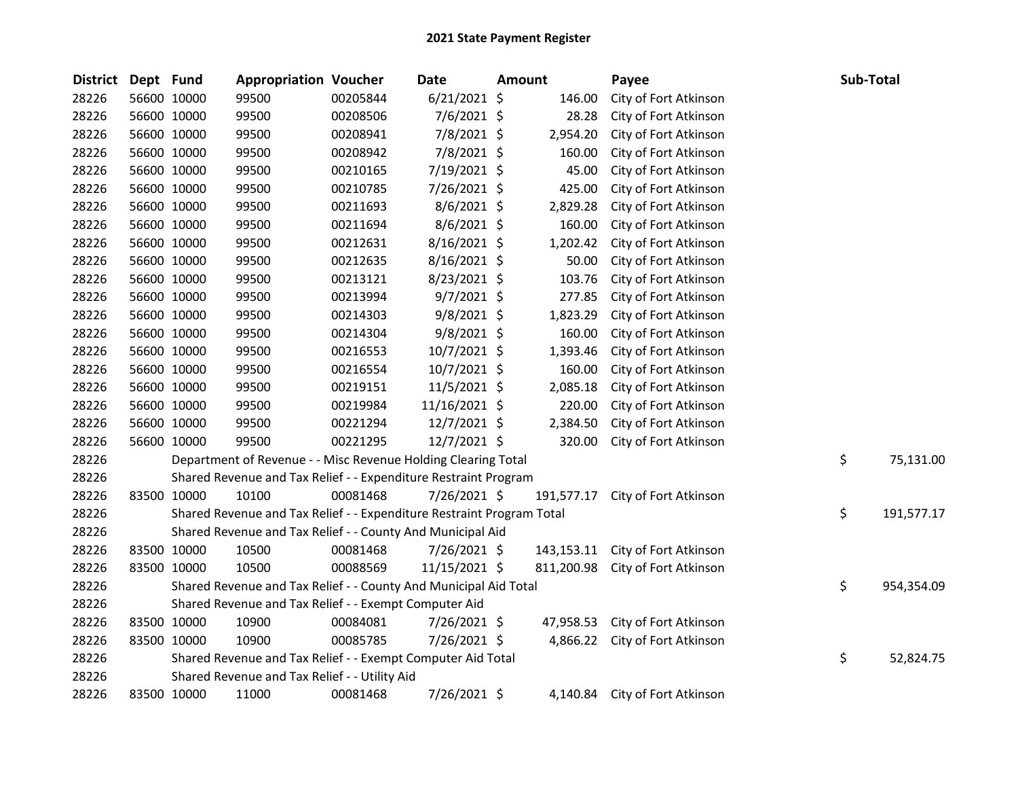| <b>District</b> | Dept Fund |             | <b>Appropriation Voucher</b>                                          |          | Date           | Amount |            | Payee                            | Sub-Total        |
|-----------------|-----------|-------------|-----------------------------------------------------------------------|----------|----------------|--------|------------|----------------------------------|------------------|
| 28226           |           | 56600 10000 | 99500                                                                 | 00205844 | $6/21/2021$ \$ |        | 146.00     | City of Fort Atkinson            |                  |
| 28226           |           | 56600 10000 | 99500                                                                 | 00208506 | 7/6/2021 \$    |        | 28.28      | City of Fort Atkinson            |                  |
| 28226           |           | 56600 10000 | 99500                                                                 | 00208941 | 7/8/2021 \$    |        | 2,954.20   | City of Fort Atkinson            |                  |
| 28226           |           | 56600 10000 | 99500                                                                 | 00208942 | 7/8/2021 \$    |        | 160.00     | City of Fort Atkinson            |                  |
| 28226           |           | 56600 10000 | 99500                                                                 | 00210165 | 7/19/2021 \$   |        | 45.00      | City of Fort Atkinson            |                  |
| 28226           |           | 56600 10000 | 99500                                                                 | 00210785 | 7/26/2021 \$   |        | 425.00     | City of Fort Atkinson            |                  |
| 28226           |           | 56600 10000 | 99500                                                                 | 00211693 | 8/6/2021 \$    |        | 2,829.28   | City of Fort Atkinson            |                  |
| 28226           |           | 56600 10000 | 99500                                                                 | 00211694 | 8/6/2021 \$    |        | 160.00     | City of Fort Atkinson            |                  |
| 28226           |           | 56600 10000 | 99500                                                                 | 00212631 | 8/16/2021 \$   |        | 1,202.42   | City of Fort Atkinson            |                  |
| 28226           |           | 56600 10000 | 99500                                                                 | 00212635 | 8/16/2021 \$   |        | 50.00      | City of Fort Atkinson            |                  |
| 28226           |           | 56600 10000 | 99500                                                                 | 00213121 | 8/23/2021 \$   |        | 103.76     | City of Fort Atkinson            |                  |
| 28226           |           | 56600 10000 | 99500                                                                 | 00213994 | $9/7/2021$ \$  |        | 277.85     | City of Fort Atkinson            |                  |
| 28226           |           | 56600 10000 | 99500                                                                 | 00214303 | $9/8/2021$ \$  |        | 1,823.29   | City of Fort Atkinson            |                  |
| 28226           |           | 56600 10000 | 99500                                                                 | 00214304 | 9/8/2021 \$    |        | 160.00     | City of Fort Atkinson            |                  |
| 28226           |           | 56600 10000 | 99500                                                                 | 00216553 | 10/7/2021 \$   |        | 1,393.46   | City of Fort Atkinson            |                  |
| 28226           |           | 56600 10000 | 99500                                                                 | 00216554 | 10/7/2021 \$   |        | 160.00     | City of Fort Atkinson            |                  |
| 28226           |           | 56600 10000 | 99500                                                                 | 00219151 | $11/5/2021$ \$ |        | 2,085.18   | City of Fort Atkinson            |                  |
| 28226           |           | 56600 10000 | 99500                                                                 | 00219984 | 11/16/2021 \$  |        | 220.00     | City of Fort Atkinson            |                  |
| 28226           |           | 56600 10000 | 99500                                                                 | 00221294 | $12/7/2021$ \$ |        | 2,384.50   | City of Fort Atkinson            |                  |
| 28226           |           | 56600 10000 | 99500                                                                 | 00221295 | 12/7/2021 \$   |        | 320.00     | City of Fort Atkinson            |                  |
| 28226           |           |             | Department of Revenue - - Misc Revenue Holding Clearing Total         |          |                |        |            |                                  | \$<br>75,131.00  |
| 28226           |           |             | Shared Revenue and Tax Relief - - Expenditure Restraint Program       |          |                |        |            |                                  |                  |
| 28226           |           | 83500 10000 | 10100                                                                 | 00081468 | 7/26/2021 \$   |        | 191,577.17 | City of Fort Atkinson            |                  |
| 28226           |           |             | Shared Revenue and Tax Relief - - Expenditure Restraint Program Total |          |                |        |            |                                  | \$<br>191,577.17 |
| 28226           |           |             | Shared Revenue and Tax Relief - - County And Municipal Aid            |          |                |        |            |                                  |                  |
| 28226           |           | 83500 10000 | 10500                                                                 | 00081468 | 7/26/2021 \$   |        |            | 143,153.11 City of Fort Atkinson |                  |
| 28226           |           | 83500 10000 | 10500                                                                 | 00088569 | 11/15/2021 \$  |        | 811,200.98 | City of Fort Atkinson            |                  |
| 28226           |           |             | Shared Revenue and Tax Relief - - County And Municipal Aid Total      |          |                |        |            |                                  | \$<br>954,354.09 |
| 28226           |           |             | Shared Revenue and Tax Relief - - Exempt Computer Aid                 |          |                |        |            |                                  |                  |
| 28226           |           | 83500 10000 | 10900                                                                 | 00084081 | 7/26/2021 \$   |        | 47,958.53  | City of Fort Atkinson            |                  |
| 28226           |           | 83500 10000 | 10900                                                                 | 00085785 | 7/26/2021 \$   |        | 4,866.22   | City of Fort Atkinson            |                  |
| 28226           |           |             | Shared Revenue and Tax Relief - - Exempt Computer Aid Total           |          |                |        |            |                                  | \$<br>52,824.75  |
| 28226           |           |             | Shared Revenue and Tax Relief - - Utility Aid                         |          |                |        |            |                                  |                  |
| 28226           |           | 83500 10000 | 11000                                                                 | 00081468 | 7/26/2021 \$   |        | 4.140.84   | City of Fort Atkinson            |                  |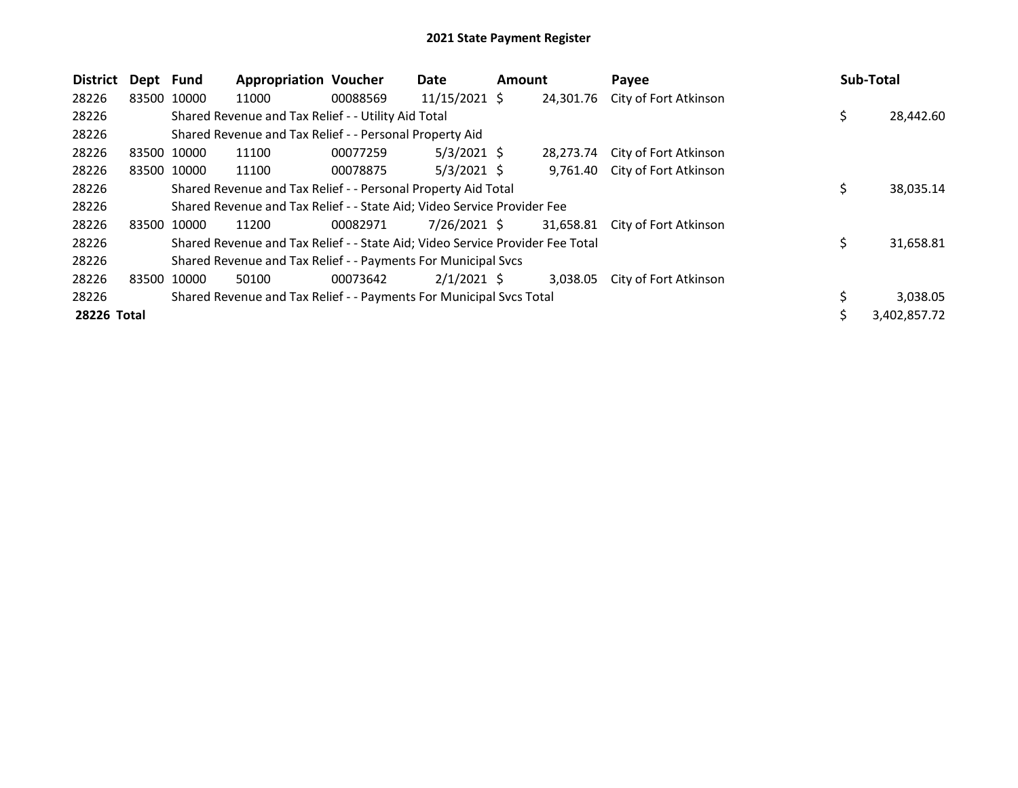| <b>District</b> | Dept Fund   |             | <b>Appropriation Voucher</b>                                                  |          | Date            | <b>Amount</b> |           | Payee                           | Sub-Total |              |
|-----------------|-------------|-------------|-------------------------------------------------------------------------------|----------|-----------------|---------------|-----------|---------------------------------|-----------|--------------|
| 28226           |             | 83500 10000 | 11000                                                                         | 00088569 | $11/15/2021$ \$ |               |           | 24,301.76 City of Fort Atkinson |           |              |
| 28226           |             |             | Shared Revenue and Tax Relief - - Utility Aid Total                           |          |                 |               |           |                                 | \$        | 28,442.60    |
| 28226           |             |             | Shared Revenue and Tax Relief - - Personal Property Aid                       |          |                 |               |           |                                 |           |              |
| 28226           |             | 83500 10000 | 11100                                                                         | 00077259 | $5/3/2021$ \$   |               | 28.273.74 | City of Fort Atkinson           |           |              |
| 28226           |             | 83500 10000 | 11100                                                                         | 00078875 | $5/3/2021$ \$   |               |           | 9,761.40 City of Fort Atkinson  |           |              |
| 28226           |             |             | Shared Revenue and Tax Relief - - Personal Property Aid Total                 |          |                 |               |           |                                 | \$        | 38,035.14    |
| 28226           |             |             | Shared Revenue and Tax Relief - - State Aid; Video Service Provider Fee       |          |                 |               |           |                                 |           |              |
| 28226           |             | 83500 10000 | 11200                                                                         | 00082971 | $7/26/2021$ \$  |               |           | 31,658.81 City of Fort Atkinson |           |              |
| 28226           |             |             | Shared Revenue and Tax Relief - - State Aid; Video Service Provider Fee Total |          |                 |               |           |                                 | \$        | 31,658.81    |
| 28226           |             |             | Shared Revenue and Tax Relief - - Payments For Municipal Svcs                 |          |                 |               |           |                                 |           |              |
| 28226           | 83500 10000 |             | 50100                                                                         | 00073642 | $2/1/2021$ \$   |               | 3,038.05  | City of Fort Atkinson           |           |              |
| 28226           |             |             | Shared Revenue and Tax Relief - - Payments For Municipal Svcs Total           |          |                 |               |           |                                 |           | 3,038.05     |
| 28226 Total     |             |             |                                                                               |          |                 |               |           |                                 |           | 3,402,857.72 |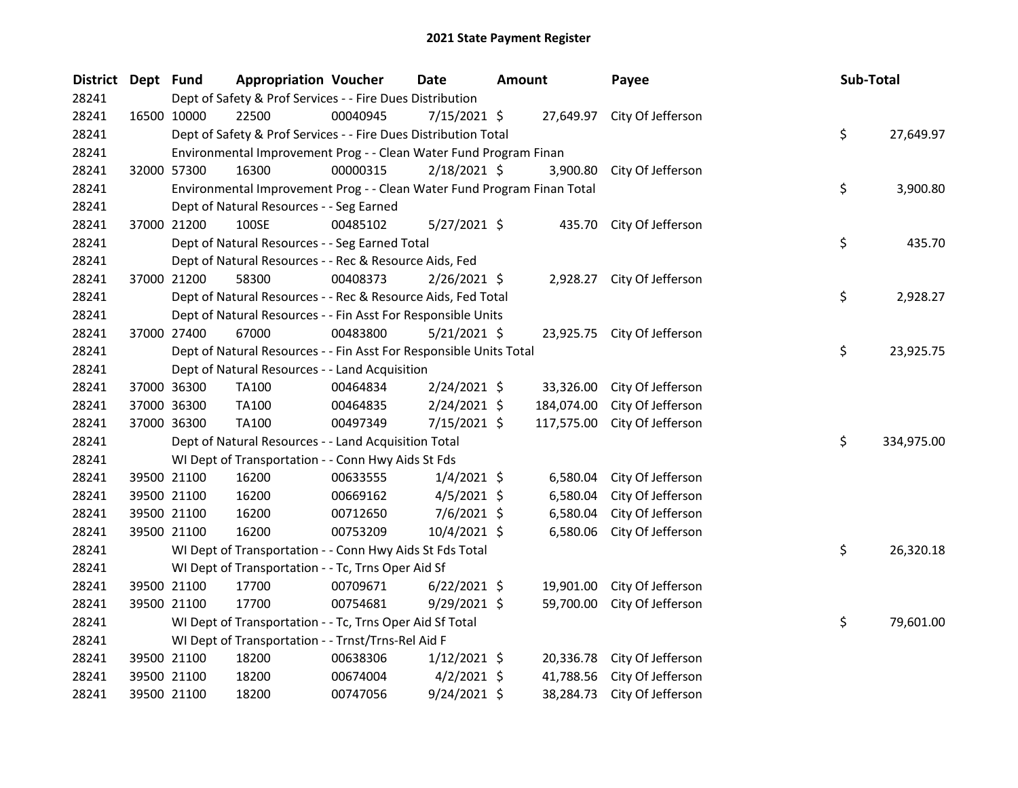| District Dept Fund |             |             | <b>Appropriation Voucher</b>                                            |          | Date           | <b>Amount</b> |            | Payee                       | Sub-Total |            |
|--------------------|-------------|-------------|-------------------------------------------------------------------------|----------|----------------|---------------|------------|-----------------------------|-----------|------------|
| 28241              |             |             | Dept of Safety & Prof Services - - Fire Dues Distribution               |          |                |               |            |                             |           |            |
| 28241              | 16500 10000 |             | 22500                                                                   | 00040945 | 7/15/2021 \$   |               |            | 27,649.97 City Of Jefferson |           |            |
| 28241              |             |             | Dept of Safety & Prof Services - - Fire Dues Distribution Total         |          |                |               |            |                             | \$        | 27,649.97  |
| 28241              |             |             | Environmental Improvement Prog - - Clean Water Fund Program Finan       |          |                |               |            |                             |           |            |
| 28241              |             | 32000 57300 | 16300                                                                   | 00000315 | 2/18/2021 \$   |               |            | 3,900.80 City Of Jefferson  |           |            |
| 28241              |             |             | Environmental Improvement Prog - - Clean Water Fund Program Finan Total |          |                |               |            |                             | \$        | 3,900.80   |
| 28241              |             |             | Dept of Natural Resources - - Seg Earned                                |          |                |               |            |                             |           |            |
| 28241              |             | 37000 21200 | 100SE                                                                   | 00485102 | $5/27/2021$ \$ |               |            | 435.70 City Of Jefferson    |           |            |
| 28241              |             |             | Dept of Natural Resources - - Seg Earned Total                          |          |                |               |            |                             | \$        | 435.70     |
| 28241              |             |             | Dept of Natural Resources - - Rec & Resource Aids, Fed                  |          |                |               |            |                             |           |            |
| 28241              |             | 37000 21200 | 58300                                                                   | 00408373 | $2/26/2021$ \$ |               |            | 2,928.27 City Of Jefferson  |           |            |
| 28241              |             |             | Dept of Natural Resources - - Rec & Resource Aids, Fed Total            |          |                |               |            |                             | \$        | 2,928.27   |
| 28241              |             |             | Dept of Natural Resources - - Fin Asst For Responsible Units            |          |                |               |            |                             |           |            |
| 28241              |             | 37000 27400 | 67000                                                                   | 00483800 | $5/21/2021$ \$ |               |            | 23,925.75 City Of Jefferson |           |            |
| 28241              |             |             | Dept of Natural Resources - - Fin Asst For Responsible Units Total      |          |                |               |            |                             | \$        | 23,925.75  |
| 28241              |             |             | Dept of Natural Resources - - Land Acquisition                          |          |                |               |            |                             |           |            |
| 28241              |             | 37000 36300 | TA100                                                                   | 00464834 | 2/24/2021 \$   |               | 33,326.00  | City Of Jefferson           |           |            |
| 28241              |             | 37000 36300 | TA100                                                                   | 00464835 | $2/24/2021$ \$ |               | 184,074.00 | City Of Jefferson           |           |            |
| 28241              |             | 37000 36300 | TA100                                                                   | 00497349 | 7/15/2021 \$   |               | 117,575.00 | City Of Jefferson           |           |            |
| 28241              |             |             | Dept of Natural Resources - - Land Acquisition Total                    |          |                |               |            |                             | \$        | 334,975.00 |
| 28241              |             |             | WI Dept of Transportation - - Conn Hwy Aids St Fds                      |          |                |               |            |                             |           |            |
| 28241              |             | 39500 21100 | 16200                                                                   | 00633555 | $1/4/2021$ \$  |               | 6,580.04   | City Of Jefferson           |           |            |
| 28241              |             | 39500 21100 | 16200                                                                   | 00669162 | $4/5/2021$ \$  |               | 6,580.04   | City Of Jefferson           |           |            |
| 28241              |             | 39500 21100 | 16200                                                                   | 00712650 | 7/6/2021 \$    |               | 6,580.04   | City Of Jefferson           |           |            |
| 28241              |             | 39500 21100 | 16200                                                                   | 00753209 | 10/4/2021 \$   |               | 6,580.06   | City Of Jefferson           |           |            |
| 28241              |             |             | WI Dept of Transportation - - Conn Hwy Aids St Fds Total                |          |                |               |            |                             | \$        | 26,320.18  |
| 28241              |             |             | WI Dept of Transportation - - Tc, Trns Oper Aid Sf                      |          |                |               |            |                             |           |            |
| 28241              |             | 39500 21100 | 17700                                                                   | 00709671 | $6/22/2021$ \$ |               | 19,901.00  | City Of Jefferson           |           |            |
| 28241              |             | 39500 21100 | 17700                                                                   | 00754681 | $9/29/2021$ \$ |               | 59,700.00  | City Of Jefferson           |           |            |
| 28241              |             |             | WI Dept of Transportation - - Tc, Trns Oper Aid Sf Total                |          |                |               |            |                             | \$        | 79,601.00  |
| 28241              |             |             | WI Dept of Transportation - - Trnst/Trns-Rel Aid F                      |          |                |               |            |                             |           |            |
| 28241              |             | 39500 21100 | 18200                                                                   | 00638306 | $1/12/2021$ \$ |               | 20,336.78  | City Of Jefferson           |           |            |
| 28241              |             | 39500 21100 | 18200                                                                   | 00674004 | $4/2/2021$ \$  |               | 41,788.56  | City Of Jefferson           |           |            |
| 28241              |             | 39500 21100 | 18200                                                                   | 00747056 | 9/24/2021 \$   |               | 38,284.73  | City Of Jefferson           |           |            |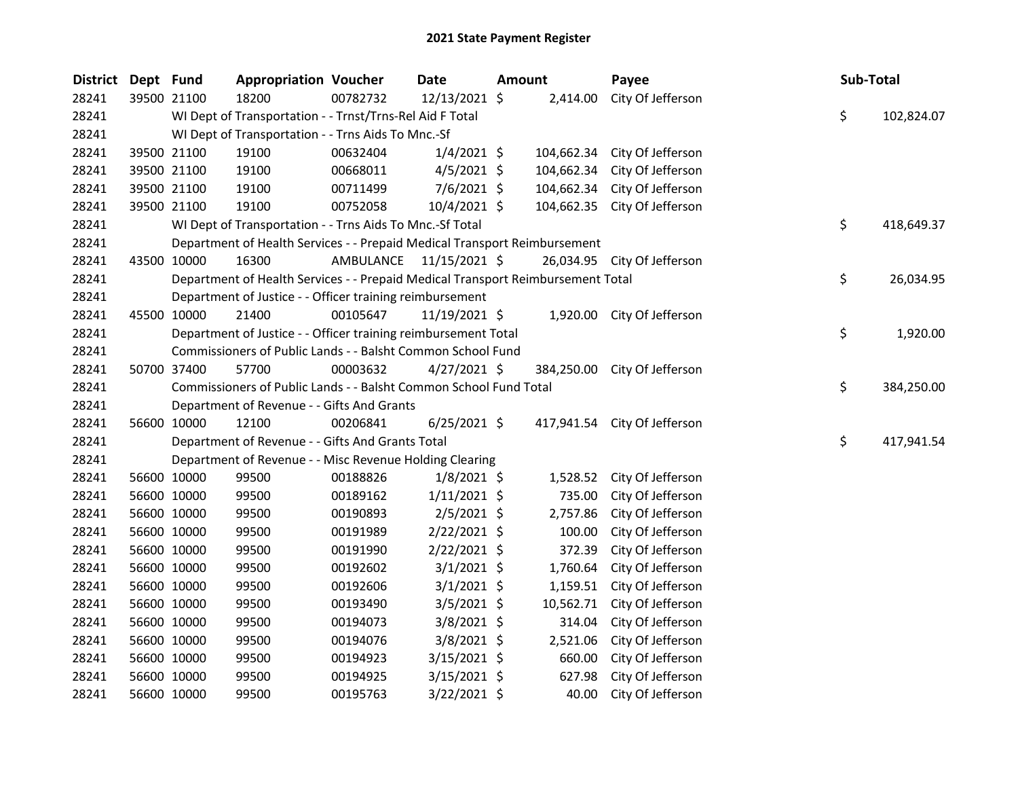| <b>District</b> | Dept Fund |             | <b>Appropriation Voucher</b>                                                    |                         | <b>Date</b>    | <b>Amount</b> |            | Payee                        | Sub-Total |            |
|-----------------|-----------|-------------|---------------------------------------------------------------------------------|-------------------------|----------------|---------------|------------|------------------------------|-----------|------------|
| 28241           |           | 39500 21100 | 18200                                                                           | 00782732                | 12/13/2021 \$  |               |            | 2,414.00 City Of Jefferson   |           |            |
| 28241           |           |             | WI Dept of Transportation - - Trnst/Trns-Rel Aid F Total                        |                         |                |               |            |                              | \$        | 102,824.07 |
| 28241           |           |             | WI Dept of Transportation - - Trns Aids To Mnc.-Sf                              |                         |                |               |            |                              |           |            |
| 28241           |           | 39500 21100 | 19100                                                                           | 00632404                | $1/4/2021$ \$  |               | 104,662.34 | City Of Jefferson            |           |            |
| 28241           |           | 39500 21100 | 19100                                                                           | 00668011                | $4/5/2021$ \$  |               | 104,662.34 | City Of Jefferson            |           |            |
| 28241           |           | 39500 21100 | 19100                                                                           | 00711499                | $7/6/2021$ \$  |               |            | 104,662.34 City Of Jefferson |           |            |
| 28241           |           | 39500 21100 | 19100                                                                           | 00752058                | $10/4/2021$ \$ |               |            | 104,662.35 City Of Jefferson |           |            |
| 28241           |           |             | WI Dept of Transportation - - Trns Aids To Mnc.-Sf Total                        |                         |                |               |            |                              | \$        | 418,649.37 |
| 28241           |           |             | Department of Health Services - - Prepaid Medical Transport Reimbursement       |                         |                |               |            |                              |           |            |
| 28241           |           | 43500 10000 | 16300                                                                           | AMBULANCE 11/15/2021 \$ |                |               |            | 26,034.95 City Of Jefferson  |           |            |
| 28241           |           |             | Department of Health Services - - Prepaid Medical Transport Reimbursement Total |                         |                |               |            |                              | \$        | 26,034.95  |
| 28241           |           |             | Department of Justice - - Officer training reimbursement                        |                         |                |               |            |                              |           |            |
| 28241           |           | 45500 10000 | 21400                                                                           | 00105647                | 11/19/2021 \$  |               |            | 1,920.00 City Of Jefferson   |           |            |
| 28241           |           |             | Department of Justice - - Officer training reimbursement Total                  |                         |                |               |            |                              | \$        | 1,920.00   |
| 28241           |           |             | Commissioners of Public Lands - - Balsht Common School Fund                     |                         |                |               |            |                              |           |            |
| 28241           |           | 50700 37400 | 57700                                                                           | 00003632                | $4/27/2021$ \$ |               |            | 384,250.00 City Of Jefferson |           |            |
| 28241           |           |             | Commissioners of Public Lands - - Balsht Common School Fund Total               |                         |                |               |            |                              | \$        | 384,250.00 |
| 28241           |           |             | Department of Revenue - - Gifts And Grants                                      |                         |                |               |            |                              |           |            |
| 28241           |           | 56600 10000 | 12100                                                                           | 00206841                | $6/25/2021$ \$ |               |            | 417,941.54 City Of Jefferson |           |            |
| 28241           |           |             | Department of Revenue - - Gifts And Grants Total                                |                         |                |               |            |                              | \$        | 417,941.54 |
| 28241           |           |             | Department of Revenue - - Misc Revenue Holding Clearing                         |                         |                |               |            |                              |           |            |
| 28241           |           | 56600 10000 | 99500                                                                           | 00188826                | $1/8/2021$ \$  |               | 1,528.52   | City Of Jefferson            |           |            |
| 28241           |           | 56600 10000 | 99500                                                                           | 00189162                | $1/11/2021$ \$ |               | 735.00     | City Of Jefferson            |           |            |
| 28241           |           | 56600 10000 | 99500                                                                           | 00190893                | $2/5/2021$ \$  |               | 2,757.86   | City Of Jefferson            |           |            |
| 28241           |           | 56600 10000 | 99500                                                                           | 00191989                | 2/22/2021 \$   |               | 100.00     | City Of Jefferson            |           |            |
| 28241           |           | 56600 10000 | 99500                                                                           | 00191990                | $2/22/2021$ \$ |               | 372.39     | City Of Jefferson            |           |            |
| 28241           |           | 56600 10000 | 99500                                                                           | 00192602                | $3/1/2021$ \$  |               | 1,760.64   | City Of Jefferson            |           |            |
| 28241           |           | 56600 10000 | 99500                                                                           | 00192606                | $3/1/2021$ \$  |               | 1,159.51   | City Of Jefferson            |           |            |
| 28241           |           | 56600 10000 | 99500                                                                           | 00193490                | $3/5/2021$ \$  |               | 10,562.71  | City Of Jefferson            |           |            |
| 28241           |           | 56600 10000 | 99500                                                                           | 00194073                | $3/8/2021$ \$  |               | 314.04     | City Of Jefferson            |           |            |
| 28241           |           | 56600 10000 | 99500                                                                           | 00194076                | $3/8/2021$ \$  |               | 2,521.06   | City Of Jefferson            |           |            |
| 28241           |           | 56600 10000 | 99500                                                                           | 00194923                | $3/15/2021$ \$ |               | 660.00     | City Of Jefferson            |           |            |
| 28241           |           | 56600 10000 | 99500                                                                           | 00194925                | $3/15/2021$ \$ |               | 627.98     | City Of Jefferson            |           |            |
| 28241           |           | 56600 10000 | 99500                                                                           | 00195763                | 3/22/2021 \$   |               | 40.00      | City Of Jefferson            |           |            |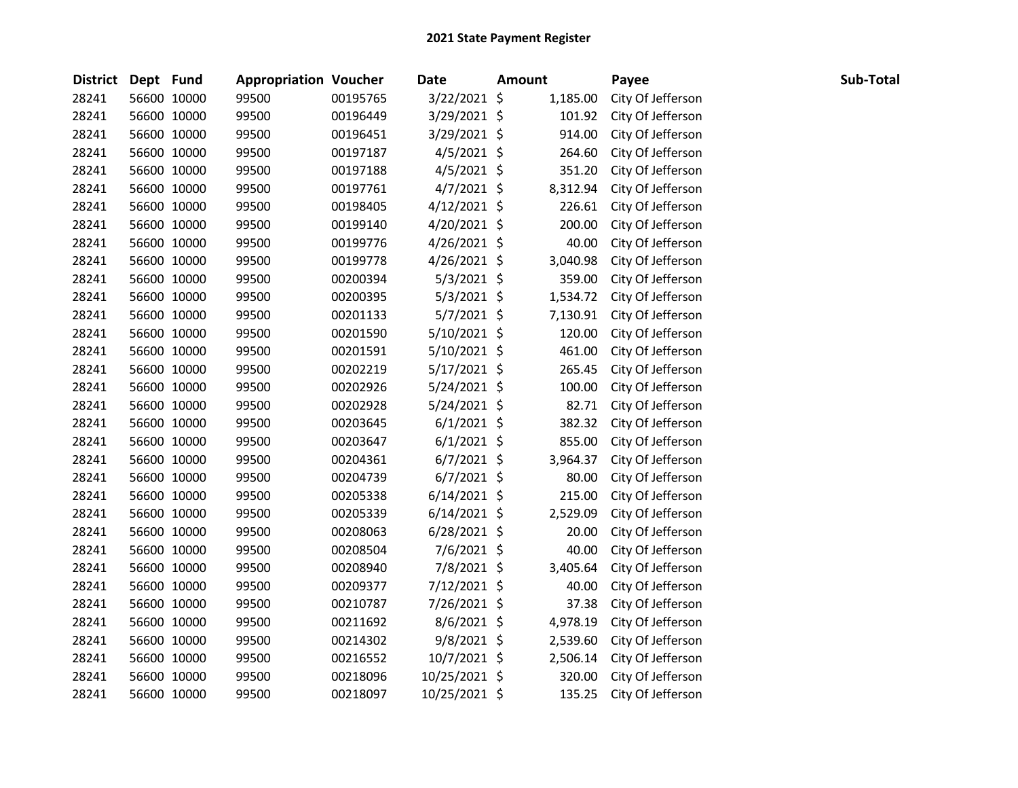| <b>District</b> | Dept Fund |             | <b>Appropriation Voucher</b> |          | <b>Date</b>    | <b>Amount</b> |          | Payee             | Sub-Total |  |
|-----------------|-----------|-------------|------------------------------|----------|----------------|---------------|----------|-------------------|-----------|--|
| 28241           |           | 56600 10000 | 99500                        | 00195765 | 3/22/2021 \$   |               | 1,185.00 | City Of Jefferson |           |  |
| 28241           |           | 56600 10000 | 99500                        | 00196449 | 3/29/2021 \$   |               | 101.92   | City Of Jefferson |           |  |
| 28241           |           | 56600 10000 | 99500                        | 00196451 | 3/29/2021 \$   |               | 914.00   | City Of Jefferson |           |  |
| 28241           |           | 56600 10000 | 99500                        | 00197187 | $4/5/2021$ \$  |               | 264.60   | City Of Jefferson |           |  |
| 28241           |           | 56600 10000 | 99500                        | 00197188 | 4/5/2021 \$    |               | 351.20   | City Of Jefferson |           |  |
| 28241           |           | 56600 10000 | 99500                        | 00197761 | $4/7/2021$ \$  |               | 8,312.94 | City Of Jefferson |           |  |
| 28241           |           | 56600 10000 | 99500                        | 00198405 | $4/12/2021$ \$ |               | 226.61   | City Of Jefferson |           |  |
| 28241           |           | 56600 10000 | 99500                        | 00199140 | $4/20/2021$ \$ |               | 200.00   | City Of Jefferson |           |  |
| 28241           |           | 56600 10000 | 99500                        | 00199776 | 4/26/2021 \$   |               | 40.00    | City Of Jefferson |           |  |
| 28241           |           | 56600 10000 | 99500                        | 00199778 | 4/26/2021 \$   |               | 3,040.98 | City Of Jefferson |           |  |
| 28241           |           | 56600 10000 | 99500                        | 00200394 | $5/3/2021$ \$  |               | 359.00   | City Of Jefferson |           |  |
| 28241           |           | 56600 10000 | 99500                        | 00200395 | $5/3/2021$ \$  |               | 1,534.72 | City Of Jefferson |           |  |
| 28241           |           | 56600 10000 | 99500                        | 00201133 | $5/7/2021$ \$  |               | 7,130.91 | City Of Jefferson |           |  |
| 28241           |           | 56600 10000 | 99500                        | 00201590 | 5/10/2021 \$   |               | 120.00   | City Of Jefferson |           |  |
| 28241           |           | 56600 10000 | 99500                        | 00201591 | $5/10/2021$ \$ |               | 461.00   | City Of Jefferson |           |  |
| 28241           |           | 56600 10000 | 99500                        | 00202219 | 5/17/2021 \$   |               | 265.45   | City Of Jefferson |           |  |
| 28241           |           | 56600 10000 | 99500                        | 00202926 | $5/24/2021$ \$ |               | 100.00   | City Of Jefferson |           |  |
| 28241           |           | 56600 10000 | 99500                        | 00202928 | 5/24/2021 \$   |               | 82.71    | City Of Jefferson |           |  |
| 28241           |           | 56600 10000 | 99500                        | 00203645 | $6/1/2021$ \$  |               | 382.32   | City Of Jefferson |           |  |
| 28241           |           | 56600 10000 | 99500                        | 00203647 | $6/1/2021$ \$  |               | 855.00   | City Of Jefferson |           |  |
| 28241           |           | 56600 10000 | 99500                        | 00204361 | $6/7/2021$ \$  |               | 3,964.37 | City Of Jefferson |           |  |
| 28241           |           | 56600 10000 | 99500                        | 00204739 | $6/7/2021$ \$  |               | 80.00    | City Of Jefferson |           |  |
| 28241           |           | 56600 10000 | 99500                        | 00205338 | $6/14/2021$ \$ |               | 215.00   | City Of Jefferson |           |  |
| 28241           |           | 56600 10000 | 99500                        | 00205339 | $6/14/2021$ \$ |               | 2,529.09 | City Of Jefferson |           |  |
| 28241           |           | 56600 10000 | 99500                        | 00208063 | $6/28/2021$ \$ |               | 20.00    | City Of Jefferson |           |  |
| 28241           |           | 56600 10000 | 99500                        | 00208504 | $7/6/2021$ \$  |               | 40.00    | City Of Jefferson |           |  |
| 28241           |           | 56600 10000 | 99500                        | 00208940 | 7/8/2021 \$    |               | 3,405.64 | City Of Jefferson |           |  |
| 28241           |           | 56600 10000 | 99500                        | 00209377 | 7/12/2021 \$   |               | 40.00    | City Of Jefferson |           |  |
| 28241           |           | 56600 10000 | 99500                        | 00210787 | 7/26/2021 \$   |               | 37.38    | City Of Jefferson |           |  |
| 28241           |           | 56600 10000 | 99500                        | 00211692 | 8/6/2021 \$    |               | 4,978.19 | City Of Jefferson |           |  |
| 28241           |           | 56600 10000 | 99500                        | 00214302 | 9/8/2021 \$    |               | 2,539.60 | City Of Jefferson |           |  |
| 28241           |           | 56600 10000 | 99500                        | 00216552 | 10/7/2021 \$   |               | 2,506.14 | City Of Jefferson |           |  |
| 28241           |           | 56600 10000 | 99500                        | 00218096 | 10/25/2021 \$  |               | 320.00   | City Of Jefferson |           |  |
| 28241           |           | 56600 10000 | 99500                        | 00218097 | 10/25/2021 \$  |               | 135.25   | City Of Jefferson |           |  |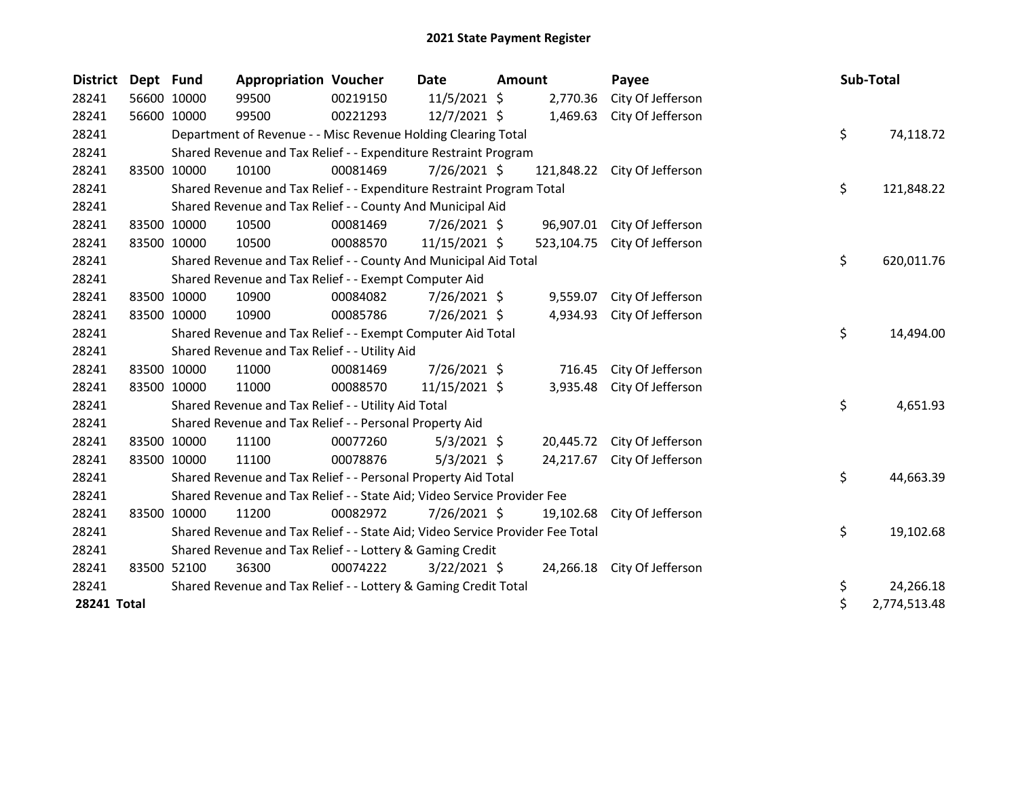| <b>District</b> | Dept Fund |             | <b>Appropriation Voucher</b>                                                  |          | Date           | <b>Amount</b> |            | Payee                        | Sub-Total          |
|-----------------|-----------|-------------|-------------------------------------------------------------------------------|----------|----------------|---------------|------------|------------------------------|--------------------|
| 28241           |           | 56600 10000 | 99500                                                                         | 00219150 | 11/5/2021 \$   |               | 2,770.36   | City Of Jefferson            |                    |
| 28241           |           | 56600 10000 | 99500                                                                         | 00221293 | 12/7/2021 \$   |               | 1,469.63   | City Of Jefferson            |                    |
| 28241           |           |             | Department of Revenue - - Misc Revenue Holding Clearing Total                 |          |                |               |            |                              | \$<br>74,118.72    |
| 28241           |           |             | Shared Revenue and Tax Relief - - Expenditure Restraint Program               |          |                |               |            |                              |                    |
| 28241           |           | 83500 10000 | 10100                                                                         | 00081469 | 7/26/2021 \$   |               |            | 121,848.22 City Of Jefferson |                    |
| 28241           |           |             | Shared Revenue and Tax Relief - - Expenditure Restraint Program Total         |          |                |               |            |                              | \$<br>121,848.22   |
| 28241           |           |             | Shared Revenue and Tax Relief - - County And Municipal Aid                    |          |                |               |            |                              |                    |
| 28241           |           | 83500 10000 | 10500                                                                         | 00081469 | $7/26/2021$ \$ |               |            | 96,907.01 City Of Jefferson  |                    |
| 28241           |           | 83500 10000 | 10500                                                                         | 00088570 | 11/15/2021 \$  |               | 523,104.75 | City Of Jefferson            |                    |
| 28241           |           |             | Shared Revenue and Tax Relief - - County And Municipal Aid Total              |          |                |               |            |                              | \$<br>620,011.76   |
| 28241           |           |             | Shared Revenue and Tax Relief - - Exempt Computer Aid                         |          |                |               |            |                              |                    |
| 28241           |           | 83500 10000 | 10900                                                                         | 00084082 | 7/26/2021 \$   |               |            | 9,559.07 City Of Jefferson   |                    |
| 28241           |           | 83500 10000 | 10900                                                                         | 00085786 | 7/26/2021 \$   |               | 4,934.93   | City Of Jefferson            |                    |
| 28241           |           |             | Shared Revenue and Tax Relief - - Exempt Computer Aid Total                   |          |                |               |            |                              | \$<br>14,494.00    |
| 28241           |           |             | Shared Revenue and Tax Relief - - Utility Aid                                 |          |                |               |            |                              |                    |
| 28241           |           | 83500 10000 | 11000                                                                         | 00081469 | 7/26/2021 \$   |               | 716.45     | City Of Jefferson            |                    |
| 28241           |           | 83500 10000 | 11000                                                                         | 00088570 | 11/15/2021 \$  |               | 3,935.48   | City Of Jefferson            |                    |
| 28241           |           |             | Shared Revenue and Tax Relief - - Utility Aid Total                           |          |                |               |            |                              | \$<br>4,651.93     |
| 28241           |           |             | Shared Revenue and Tax Relief - - Personal Property Aid                       |          |                |               |            |                              |                    |
| 28241           |           | 83500 10000 | 11100                                                                         | 00077260 | 5/3/2021 \$    |               |            | 20,445.72 City Of Jefferson  |                    |
| 28241           |           | 83500 10000 | 11100                                                                         | 00078876 | $5/3/2021$ \$  |               | 24,217.67  | City Of Jefferson            |                    |
| 28241           |           |             | Shared Revenue and Tax Relief - - Personal Property Aid Total                 |          |                |               |            |                              | \$<br>44,663.39    |
| 28241           |           |             | Shared Revenue and Tax Relief - - State Aid; Video Service Provider Fee       |          |                |               |            |                              |                    |
| 28241           |           | 83500 10000 | 11200                                                                         | 00082972 | 7/26/2021 \$   |               | 19,102.68  | City Of Jefferson            |                    |
| 28241           |           |             | Shared Revenue and Tax Relief - - State Aid; Video Service Provider Fee Total |          |                |               |            |                              | \$<br>19,102.68    |
| 28241           |           |             | Shared Revenue and Tax Relief - - Lottery & Gaming Credit                     |          |                |               |            |                              |                    |
| 28241           |           | 83500 52100 | 36300                                                                         | 00074222 | $3/22/2021$ \$ |               |            | 24,266.18 City Of Jefferson  |                    |
| 28241           |           |             | Shared Revenue and Tax Relief - - Lottery & Gaming Credit Total               |          |                |               |            |                              | \$<br>24,266.18    |
| 28241 Total     |           |             |                                                                               |          |                |               |            |                              | \$<br>2,774,513.48 |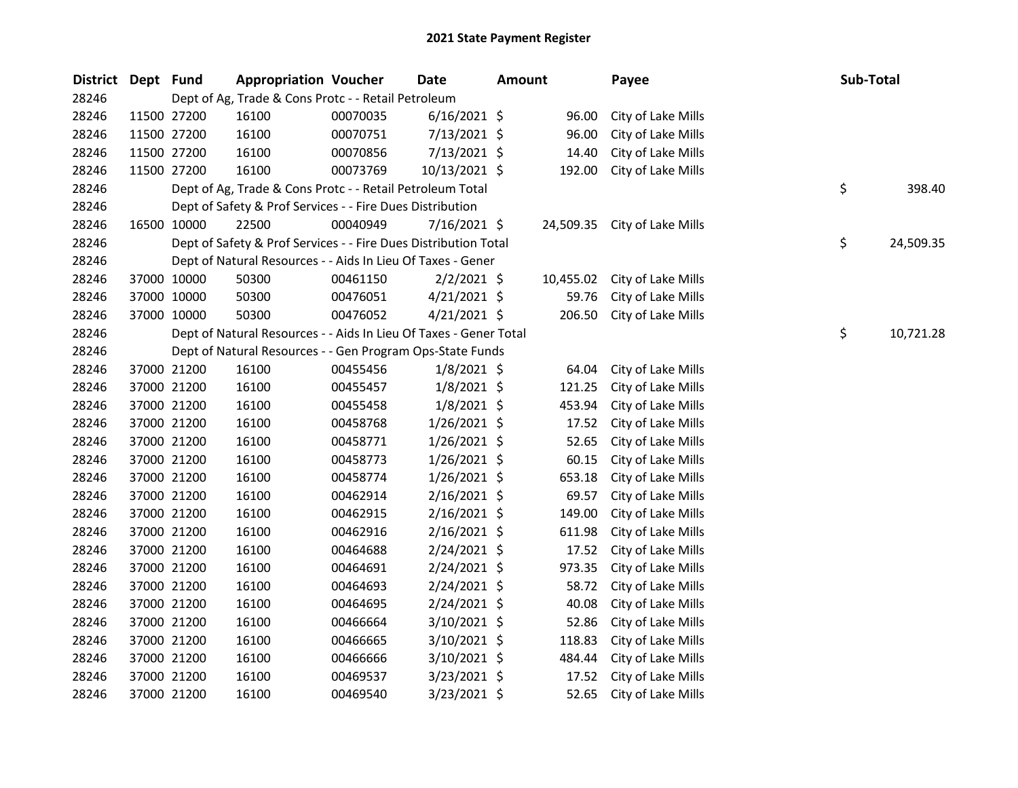| <b>District</b> | Dept Fund |             | <b>Appropriation Voucher</b>                                      |          | <b>Date</b>    | <b>Amount</b> |           | Payee              | Sub-Total |           |
|-----------------|-----------|-------------|-------------------------------------------------------------------|----------|----------------|---------------|-----------|--------------------|-----------|-----------|
| 28246           |           |             | Dept of Ag, Trade & Cons Protc - - Retail Petroleum               |          |                |               |           |                    |           |           |
| 28246           |           | 11500 27200 | 16100                                                             | 00070035 | $6/16/2021$ \$ |               | 96.00     | City of Lake Mills |           |           |
| 28246           |           | 11500 27200 | 16100                                                             | 00070751 | $7/13/2021$ \$ |               | 96.00     | City of Lake Mills |           |           |
| 28246           |           | 11500 27200 | 16100                                                             | 00070856 | 7/13/2021 \$   |               | 14.40     | City of Lake Mills |           |           |
| 28246           |           | 11500 27200 | 16100                                                             | 00073769 | 10/13/2021 \$  |               | 192.00    | City of Lake Mills |           |           |
| 28246           |           |             | Dept of Ag, Trade & Cons Protc - - Retail Petroleum Total         |          |                |               |           |                    | \$        | 398.40    |
| 28246           |           |             | Dept of Safety & Prof Services - - Fire Dues Distribution         |          |                |               |           |                    |           |           |
| 28246           |           | 16500 10000 | 22500                                                             | 00040949 | 7/16/2021 \$   |               | 24,509.35 | City of Lake Mills |           |           |
| 28246           |           |             | Dept of Safety & Prof Services - - Fire Dues Distribution Total   |          |                |               |           |                    | \$        | 24,509.35 |
| 28246           |           |             | Dept of Natural Resources - - Aids In Lieu Of Taxes - Gener       |          |                |               |           |                    |           |           |
| 28246           |           | 37000 10000 | 50300                                                             | 00461150 | $2/2/2021$ \$  |               | 10,455.02 | City of Lake Mills |           |           |
| 28246           |           | 37000 10000 | 50300                                                             | 00476051 | $4/21/2021$ \$ |               | 59.76     | City of Lake Mills |           |           |
| 28246           |           | 37000 10000 | 50300                                                             | 00476052 | 4/21/2021 \$   |               | 206.50    | City of Lake Mills |           |           |
| 28246           |           |             | Dept of Natural Resources - - Aids In Lieu Of Taxes - Gener Total |          |                |               |           |                    | \$        | 10,721.28 |
| 28246           |           |             | Dept of Natural Resources - - Gen Program Ops-State Funds         |          |                |               |           |                    |           |           |
| 28246           |           | 37000 21200 | 16100                                                             | 00455456 | $1/8/2021$ \$  |               | 64.04     | City of Lake Mills |           |           |
| 28246           |           | 37000 21200 | 16100                                                             | 00455457 | $1/8/2021$ \$  |               | 121.25    | City of Lake Mills |           |           |
| 28246           |           | 37000 21200 | 16100                                                             | 00455458 | $1/8/2021$ \$  |               | 453.94    | City of Lake Mills |           |           |
| 28246           |           | 37000 21200 | 16100                                                             | 00458768 | $1/26/2021$ \$ |               | 17.52     | City of Lake Mills |           |           |
| 28246           |           | 37000 21200 | 16100                                                             | 00458771 | 1/26/2021 \$   |               | 52.65     | City of Lake Mills |           |           |
| 28246           |           | 37000 21200 | 16100                                                             | 00458773 | $1/26/2021$ \$ |               | 60.15     | City of Lake Mills |           |           |
| 28246           |           | 37000 21200 | 16100                                                             | 00458774 | $1/26/2021$ \$ |               | 653.18    | City of Lake Mills |           |           |
| 28246           |           | 37000 21200 | 16100                                                             | 00462914 | 2/16/2021 \$   |               | 69.57     | City of Lake Mills |           |           |
| 28246           |           | 37000 21200 | 16100                                                             | 00462915 | $2/16/2021$ \$ |               | 149.00    | City of Lake Mills |           |           |
| 28246           |           | 37000 21200 | 16100                                                             | 00462916 | 2/16/2021 \$   |               | 611.98    | City of Lake Mills |           |           |
| 28246           |           | 37000 21200 | 16100                                                             | 00464688 | 2/24/2021 \$   |               | 17.52     | City of Lake Mills |           |           |
| 28246           |           | 37000 21200 | 16100                                                             | 00464691 | 2/24/2021 \$   |               | 973.35    | City of Lake Mills |           |           |
| 28246           |           | 37000 21200 | 16100                                                             | 00464693 | 2/24/2021 \$   |               | 58.72     | City of Lake Mills |           |           |
| 28246           |           | 37000 21200 | 16100                                                             | 00464695 | 2/24/2021 \$   |               | 40.08     | City of Lake Mills |           |           |
| 28246           |           | 37000 21200 | 16100                                                             | 00466664 | $3/10/2021$ \$ |               | 52.86     | City of Lake Mills |           |           |
| 28246           |           | 37000 21200 | 16100                                                             | 00466665 | 3/10/2021 \$   |               | 118.83    | City of Lake Mills |           |           |
| 28246           |           | 37000 21200 | 16100                                                             | 00466666 | 3/10/2021 \$   |               | 484.44    | City of Lake Mills |           |           |
| 28246           |           | 37000 21200 | 16100                                                             | 00469537 | 3/23/2021 \$   |               | 17.52     | City of Lake Mills |           |           |
| 28246           |           | 37000 21200 | 16100                                                             | 00469540 | 3/23/2021 \$   |               | 52.65     | City of Lake Mills |           |           |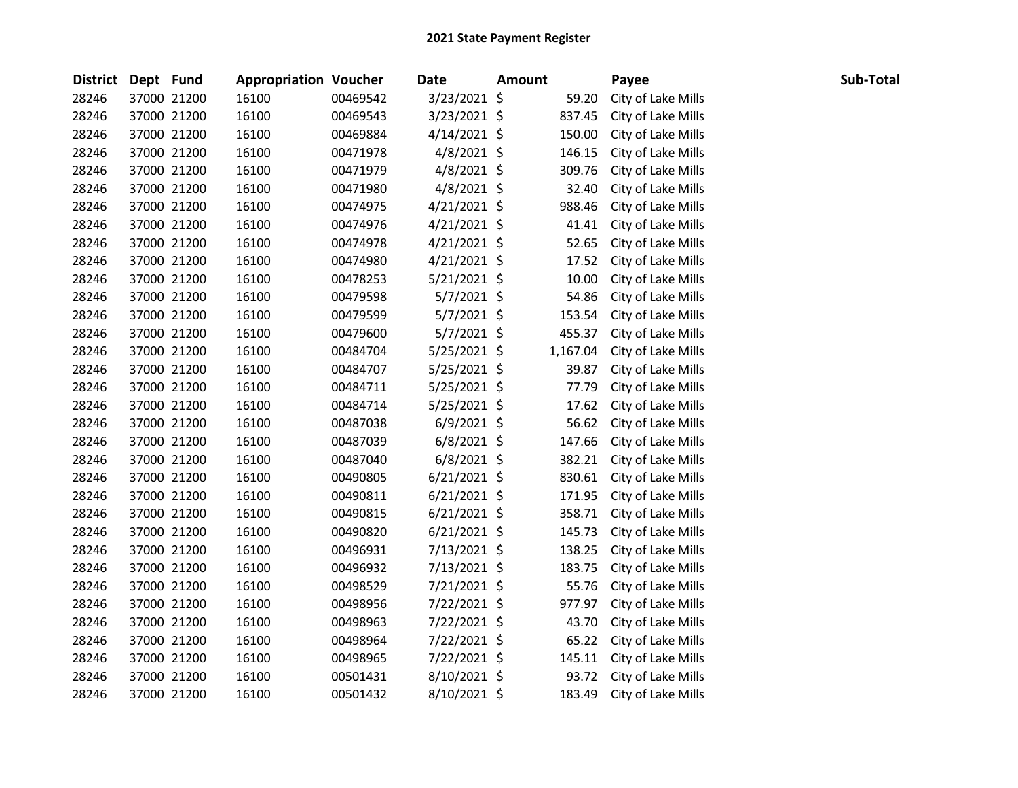| District Dept Fund |             | <b>Appropriation Voucher</b> |          | <b>Date</b>    | <b>Amount</b> |          | Payee              | Sub-Total |
|--------------------|-------------|------------------------------|----------|----------------|---------------|----------|--------------------|-----------|
| 28246              | 37000 21200 | 16100                        | 00469542 | 3/23/2021 \$   |               | 59.20    | City of Lake Mills |           |
| 28246              | 37000 21200 | 16100                        | 00469543 | 3/23/2021 \$   |               | 837.45   | City of Lake Mills |           |
| 28246              | 37000 21200 | 16100                        | 00469884 | $4/14/2021$ \$ |               | 150.00   | City of Lake Mills |           |
| 28246              | 37000 21200 | 16100                        | 00471978 | $4/8/2021$ \$  |               | 146.15   | City of Lake Mills |           |
| 28246              | 37000 21200 | 16100                        | 00471979 | 4/8/2021 \$    |               | 309.76   | City of Lake Mills |           |
| 28246              | 37000 21200 | 16100                        | 00471980 | $4/8/2021$ \$  |               | 32.40    | City of Lake Mills |           |
| 28246              | 37000 21200 | 16100                        | 00474975 | $4/21/2021$ \$ |               | 988.46   | City of Lake Mills |           |
| 28246              | 37000 21200 | 16100                        | 00474976 | $4/21/2021$ \$ |               | 41.41    | City of Lake Mills |           |
| 28246              | 37000 21200 | 16100                        | 00474978 | $4/21/2021$ \$ |               | 52.65    | City of Lake Mills |           |
| 28246              | 37000 21200 | 16100                        | 00474980 | $4/21/2021$ \$ |               | 17.52    | City of Lake Mills |           |
| 28246              | 37000 21200 | 16100                        | 00478253 | 5/21/2021 \$   |               | 10.00    | City of Lake Mills |           |
| 28246              | 37000 21200 | 16100                        | 00479598 | 5/7/2021 \$    |               | 54.86    | City of Lake Mills |           |
| 28246              | 37000 21200 | 16100                        | 00479599 | $5/7/2021$ \$  |               | 153.54   | City of Lake Mills |           |
| 28246              | 37000 21200 | 16100                        | 00479600 | $5/7/2021$ \$  |               | 455.37   | City of Lake Mills |           |
| 28246              | 37000 21200 | 16100                        | 00484704 | $5/25/2021$ \$ |               | 1,167.04 | City of Lake Mills |           |
| 28246              | 37000 21200 | 16100                        | 00484707 | $5/25/2021$ \$ |               | 39.87    | City of Lake Mills |           |
| 28246              | 37000 21200 | 16100                        | 00484711 | $5/25/2021$ \$ |               | 77.79    | City of Lake Mills |           |
| 28246              | 37000 21200 | 16100                        | 00484714 | $5/25/2021$ \$ |               | 17.62    | City of Lake Mills |           |
| 28246              | 37000 21200 | 16100                        | 00487038 | $6/9/2021$ \$  |               | 56.62    | City of Lake Mills |           |
| 28246              | 37000 21200 | 16100                        | 00487039 | $6/8/2021$ \$  |               | 147.66   | City of Lake Mills |           |
| 28246              | 37000 21200 | 16100                        | 00487040 | $6/8/2021$ \$  |               | 382.21   | City of Lake Mills |           |
| 28246              | 37000 21200 | 16100                        | 00490805 | $6/21/2021$ \$ |               | 830.61   | City of Lake Mills |           |
| 28246              | 37000 21200 | 16100                        | 00490811 | $6/21/2021$ \$ |               | 171.95   | City of Lake Mills |           |
| 28246              | 37000 21200 | 16100                        | 00490815 | $6/21/2021$ \$ |               | 358.71   | City of Lake Mills |           |
| 28246              | 37000 21200 | 16100                        | 00490820 | $6/21/2021$ \$ |               | 145.73   | City of Lake Mills |           |
| 28246              | 37000 21200 | 16100                        | 00496931 | $7/13/2021$ \$ |               | 138.25   | City of Lake Mills |           |
| 28246              | 37000 21200 | 16100                        | 00496932 | 7/13/2021 \$   |               | 183.75   | City of Lake Mills |           |
| 28246              | 37000 21200 | 16100                        | 00498529 | 7/21/2021 \$   |               | 55.76    | City of Lake Mills |           |
| 28246              | 37000 21200 | 16100                        | 00498956 | 7/22/2021 \$   |               | 977.97   | City of Lake Mills |           |
| 28246              | 37000 21200 | 16100                        | 00498963 | 7/22/2021 \$   |               | 43.70    | City of Lake Mills |           |
| 28246              | 37000 21200 | 16100                        | 00498964 | 7/22/2021 \$   |               | 65.22    | City of Lake Mills |           |
| 28246              | 37000 21200 | 16100                        | 00498965 | 7/22/2021 \$   |               | 145.11   | City of Lake Mills |           |
| 28246              | 37000 21200 | 16100                        | 00501431 | $8/10/2021$ \$ |               | 93.72    | City of Lake Mills |           |
| 28246              | 37000 21200 | 16100                        | 00501432 | 8/10/2021 \$   |               | 183.49   | City of Lake Mills |           |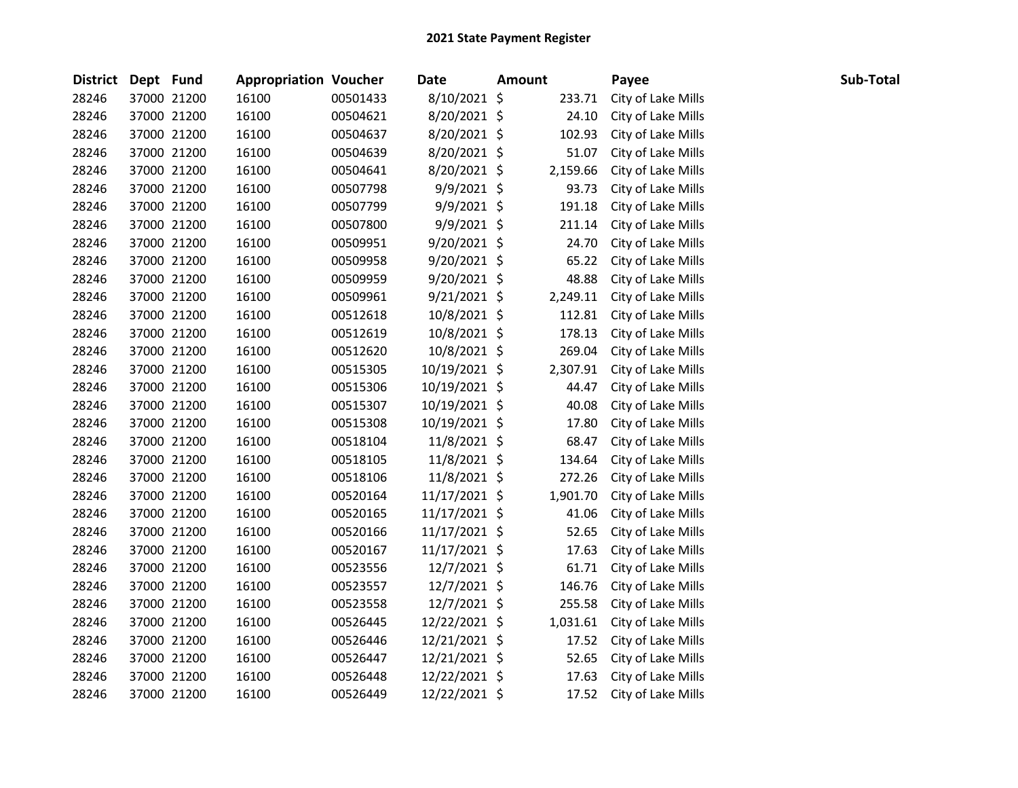| <b>District</b> | Dept Fund |             | <b>Appropriation Voucher</b> |          | <b>Date</b>    | <b>Amount</b> |          | Payee              | Sub-Total |
|-----------------|-----------|-------------|------------------------------|----------|----------------|---------------|----------|--------------------|-----------|
| 28246           |           | 37000 21200 | 16100                        | 00501433 | 8/10/2021 \$   |               | 233.71   | City of Lake Mills |           |
| 28246           |           | 37000 21200 | 16100                        | 00504621 | 8/20/2021 \$   |               | 24.10    | City of Lake Mills |           |
| 28246           |           | 37000 21200 | 16100                        | 00504637 | 8/20/2021 \$   |               | 102.93   | City of Lake Mills |           |
| 28246           |           | 37000 21200 | 16100                        | 00504639 | 8/20/2021 \$   |               | 51.07    | City of Lake Mills |           |
| 28246           |           | 37000 21200 | 16100                        | 00504641 | 8/20/2021 \$   |               | 2,159.66 | City of Lake Mills |           |
| 28246           |           | 37000 21200 | 16100                        | 00507798 | $9/9/2021$ \$  |               | 93.73    | City of Lake Mills |           |
| 28246           |           | 37000 21200 | 16100                        | 00507799 | 9/9/2021 \$    |               | 191.18   | City of Lake Mills |           |
| 28246           |           | 37000 21200 | 16100                        | 00507800 | $9/9/2021$ \$  |               | 211.14   | City of Lake Mills |           |
| 28246           |           | 37000 21200 | 16100                        | 00509951 | $9/20/2021$ \$ |               | 24.70    | City of Lake Mills |           |
| 28246           |           | 37000 21200 | 16100                        | 00509958 | $9/20/2021$ \$ |               | 65.22    | City of Lake Mills |           |
| 28246           |           | 37000 21200 | 16100                        | 00509959 | 9/20/2021 \$   |               | 48.88    | City of Lake Mills |           |
| 28246           |           | 37000 21200 | 16100                        | 00509961 | $9/21/2021$ \$ |               | 2,249.11 | City of Lake Mills |           |
| 28246           |           | 37000 21200 | 16100                        | 00512618 | 10/8/2021 \$   |               | 112.81   | City of Lake Mills |           |
| 28246           |           | 37000 21200 | 16100                        | 00512619 | 10/8/2021 \$   |               | 178.13   | City of Lake Mills |           |
| 28246           |           | 37000 21200 | 16100                        | 00512620 | 10/8/2021 \$   |               | 269.04   | City of Lake Mills |           |
| 28246           |           | 37000 21200 | 16100                        | 00515305 | 10/19/2021 \$  |               | 2,307.91 | City of Lake Mills |           |
| 28246           |           | 37000 21200 | 16100                        | 00515306 | 10/19/2021 \$  |               | 44.47    | City of Lake Mills |           |
| 28246           |           | 37000 21200 | 16100                        | 00515307 | 10/19/2021 \$  |               | 40.08    | City of Lake Mills |           |
| 28246           |           | 37000 21200 | 16100                        | 00515308 | 10/19/2021 \$  |               | 17.80    | City of Lake Mills |           |
| 28246           |           | 37000 21200 | 16100                        | 00518104 | 11/8/2021 \$   |               | 68.47    | City of Lake Mills |           |
| 28246           |           | 37000 21200 | 16100                        | 00518105 | $11/8/2021$ \$ |               | 134.64   | City of Lake Mills |           |
| 28246           |           | 37000 21200 | 16100                        | 00518106 | 11/8/2021 \$   |               | 272.26   | City of Lake Mills |           |
| 28246           |           | 37000 21200 | 16100                        | 00520164 | 11/17/2021 \$  |               | 1,901.70 | City of Lake Mills |           |
| 28246           |           | 37000 21200 | 16100                        | 00520165 | 11/17/2021 \$  |               | 41.06    | City of Lake Mills |           |
| 28246           |           | 37000 21200 | 16100                        | 00520166 | 11/17/2021 \$  |               | 52.65    | City of Lake Mills |           |
| 28246           |           | 37000 21200 | 16100                        | 00520167 | 11/17/2021 \$  |               | 17.63    | City of Lake Mills |           |
| 28246           |           | 37000 21200 | 16100                        | 00523556 | 12/7/2021 \$   |               | 61.71    | City of Lake Mills |           |
| 28246           |           | 37000 21200 | 16100                        | 00523557 | 12/7/2021 \$   |               | 146.76   | City of Lake Mills |           |
| 28246           |           | 37000 21200 | 16100                        | 00523558 | 12/7/2021 \$   |               | 255.58   | City of Lake Mills |           |
| 28246           |           | 37000 21200 | 16100                        | 00526445 | 12/22/2021 \$  |               | 1,031.61 | City of Lake Mills |           |
| 28246           |           | 37000 21200 | 16100                        | 00526446 | 12/21/2021 \$  |               | 17.52    | City of Lake Mills |           |
| 28246           |           | 37000 21200 | 16100                        | 00526447 | 12/21/2021 \$  |               | 52.65    | City of Lake Mills |           |
| 28246           |           | 37000 21200 | 16100                        | 00526448 | 12/22/2021 \$  |               | 17.63    | City of Lake Mills |           |
| 28246           |           | 37000 21200 | 16100                        | 00526449 | 12/22/2021 \$  |               | 17.52    | City of Lake Mills |           |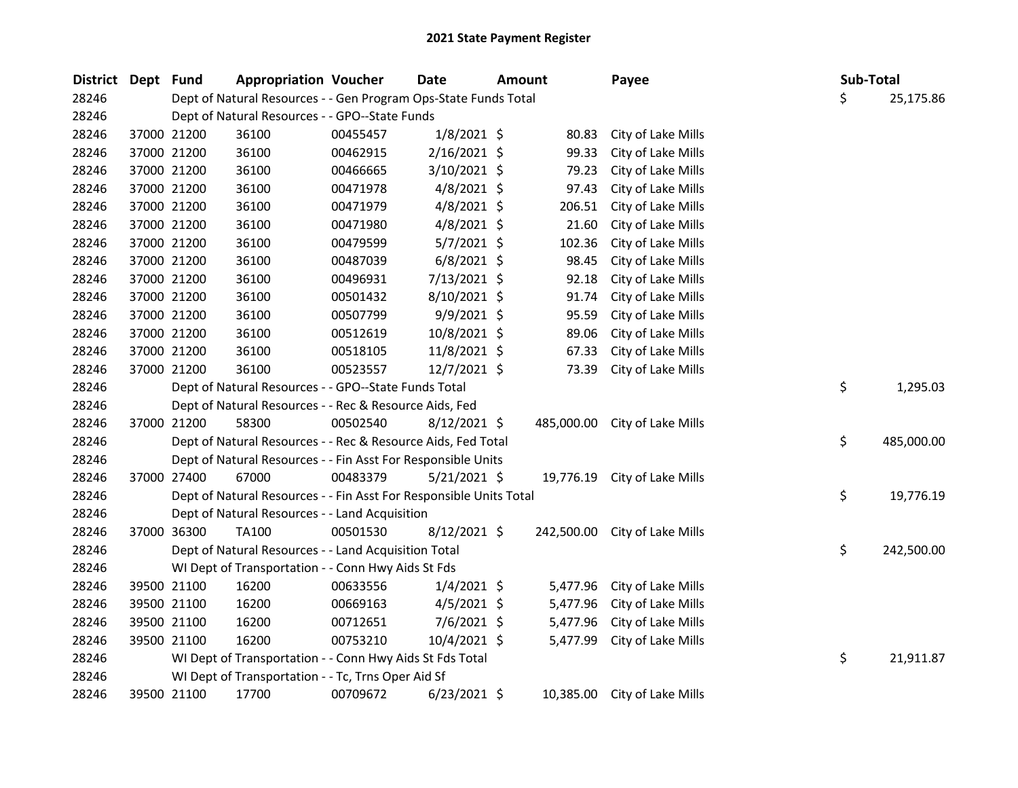| <b>District</b> | Dept Fund |             | <b>Appropriation Voucher</b>                                       |          | <b>Date</b>    | <b>Amount</b> | Payee              | Sub-Total |            |
|-----------------|-----------|-------------|--------------------------------------------------------------------|----------|----------------|---------------|--------------------|-----------|------------|
| 28246           |           |             | Dept of Natural Resources - - Gen Program Ops-State Funds Total    |          |                |               |                    | \$        | 25,175.86  |
| 28246           |           |             | Dept of Natural Resources - - GPO--State Funds                     |          |                |               |                    |           |            |
| 28246           |           | 37000 21200 | 36100                                                              | 00455457 | $1/8/2021$ \$  | 80.83         | City of Lake Mills |           |            |
| 28246           |           | 37000 21200 | 36100                                                              | 00462915 | 2/16/2021 \$   | 99.33         | City of Lake Mills |           |            |
| 28246           |           | 37000 21200 | 36100                                                              | 00466665 | 3/10/2021 \$   | 79.23         | City of Lake Mills |           |            |
| 28246           |           | 37000 21200 | 36100                                                              | 00471978 | 4/8/2021 \$    | 97.43         | City of Lake Mills |           |            |
| 28246           |           | 37000 21200 | 36100                                                              | 00471979 | $4/8/2021$ \$  | 206.51        | City of Lake Mills |           |            |
| 28246           |           | 37000 21200 | 36100                                                              | 00471980 | 4/8/2021 \$    | 21.60         | City of Lake Mills |           |            |
| 28246           |           | 37000 21200 | 36100                                                              | 00479599 | $5/7/2021$ \$  | 102.36        | City of Lake Mills |           |            |
| 28246           |           | 37000 21200 | 36100                                                              | 00487039 | $6/8/2021$ \$  | 98.45         | City of Lake Mills |           |            |
| 28246           |           | 37000 21200 | 36100                                                              | 00496931 | 7/13/2021 \$   | 92.18         | City of Lake Mills |           |            |
| 28246           |           | 37000 21200 | 36100                                                              | 00501432 | 8/10/2021 \$   | 91.74         | City of Lake Mills |           |            |
| 28246           |           | 37000 21200 | 36100                                                              | 00507799 | 9/9/2021 \$    | 95.59         | City of Lake Mills |           |            |
| 28246           |           | 37000 21200 | 36100                                                              | 00512619 | 10/8/2021 \$   | 89.06         | City of Lake Mills |           |            |
| 28246           |           | 37000 21200 | 36100                                                              | 00518105 | 11/8/2021 \$   | 67.33         | City of Lake Mills |           |            |
| 28246           |           | 37000 21200 | 36100                                                              | 00523557 | 12/7/2021 \$   | 73.39         | City of Lake Mills |           |            |
| 28246           |           |             | Dept of Natural Resources - - GPO--State Funds Total               |          |                |               |                    | \$        | 1,295.03   |
| 28246           |           |             | Dept of Natural Resources - - Rec & Resource Aids, Fed             |          |                |               |                    |           |            |
| 28246           |           | 37000 21200 | 58300                                                              | 00502540 | $8/12/2021$ \$ | 485,000.00    | City of Lake Mills |           |            |
| 28246           |           |             | Dept of Natural Resources - - Rec & Resource Aids, Fed Total       |          |                |               |                    | \$        | 485,000.00 |
| 28246           |           |             | Dept of Natural Resources - - Fin Asst For Responsible Units       |          |                |               |                    |           |            |
| 28246           |           | 37000 27400 | 67000                                                              | 00483379 | 5/21/2021 \$   | 19,776.19     | City of Lake Mills |           |            |
| 28246           |           |             | Dept of Natural Resources - - Fin Asst For Responsible Units Total |          |                |               |                    | \$        | 19,776.19  |
| 28246           |           |             | Dept of Natural Resources - - Land Acquisition                     |          |                |               |                    |           |            |
| 28246           |           | 37000 36300 | TA100                                                              | 00501530 | $8/12/2021$ \$ | 242,500.00    | City of Lake Mills |           |            |
| 28246           |           |             | Dept of Natural Resources - - Land Acquisition Total               |          |                |               |                    | \$        | 242,500.00 |
| 28246           |           |             | WI Dept of Transportation - - Conn Hwy Aids St Fds                 |          |                |               |                    |           |            |
| 28246           |           | 39500 21100 | 16200                                                              | 00633556 | $1/4/2021$ \$  | 5,477.96      | City of Lake Mills |           |            |
| 28246           |           | 39500 21100 | 16200                                                              | 00669163 | 4/5/2021 \$    | 5,477.96      | City of Lake Mills |           |            |
| 28246           |           | 39500 21100 | 16200                                                              | 00712651 | 7/6/2021 \$    | 5,477.96      | City of Lake Mills |           |            |
| 28246           |           | 39500 21100 | 16200                                                              | 00753210 | 10/4/2021 \$   | 5,477.99      | City of Lake Mills |           |            |
| 28246           |           |             | WI Dept of Transportation - - Conn Hwy Aids St Fds Total           |          |                |               |                    | \$        | 21,911.87  |
| 28246           |           |             | WI Dept of Transportation - - Tc, Trns Oper Aid Sf                 |          |                |               |                    |           |            |
| 28246           |           | 39500 21100 | 17700                                                              | 00709672 | $6/23/2021$ \$ | 10,385.00     | City of Lake Mills |           |            |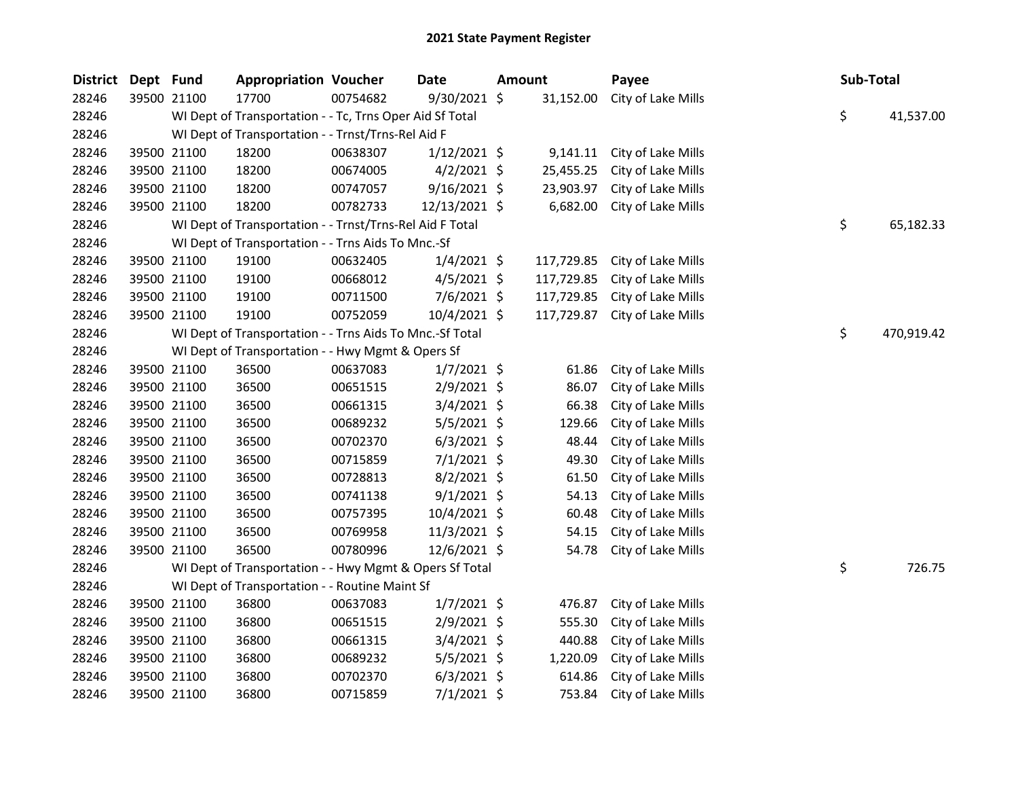| <b>District</b> | Dept Fund   |             | <b>Appropriation Voucher</b>                             |          | <b>Date</b>    | Amount |            | Payee              | Sub-Total        |
|-----------------|-------------|-------------|----------------------------------------------------------|----------|----------------|--------|------------|--------------------|------------------|
| 28246           |             | 39500 21100 | 17700                                                    | 00754682 | 9/30/2021 \$   |        | 31,152.00  | City of Lake Mills |                  |
| 28246           |             |             | WI Dept of Transportation - - Tc, Trns Oper Aid Sf Total |          |                |        |            |                    | \$<br>41,537.00  |
| 28246           |             |             | WI Dept of Transportation - - Trnst/Trns-Rel Aid F       |          |                |        |            |                    |                  |
| 28246           |             | 39500 21100 | 18200                                                    | 00638307 | $1/12/2021$ \$ |        | 9,141.11   | City of Lake Mills |                  |
| 28246           |             | 39500 21100 | 18200                                                    | 00674005 | $4/2/2021$ \$  |        | 25,455.25  | City of Lake Mills |                  |
| 28246           |             | 39500 21100 | 18200                                                    | 00747057 | 9/16/2021 \$   |        | 23,903.97  | City of Lake Mills |                  |
| 28246           |             | 39500 21100 | 18200                                                    | 00782733 | 12/13/2021 \$  |        | 6,682.00   | City of Lake Mills |                  |
| 28246           |             |             | WI Dept of Transportation - - Trnst/Trns-Rel Aid F Total |          |                |        |            |                    | \$<br>65,182.33  |
| 28246           |             |             | WI Dept of Transportation - - Trns Aids To Mnc.-Sf       |          |                |        |            |                    |                  |
| 28246           |             | 39500 21100 | 19100                                                    | 00632405 | $1/4/2021$ \$  |        | 117,729.85 | City of Lake Mills |                  |
| 28246           |             | 39500 21100 | 19100                                                    | 00668012 | $4/5/2021$ \$  |        | 117,729.85 | City of Lake Mills |                  |
| 28246           | 39500 21100 |             | 19100                                                    | 00711500 | $7/6/2021$ \$  |        | 117,729.85 | City of Lake Mills |                  |
| 28246           |             | 39500 21100 | 19100                                                    | 00752059 | $10/4/2021$ \$ |        | 117,729.87 | City of Lake Mills |                  |
| 28246           |             |             | WI Dept of Transportation - - Trns Aids To Mnc.-Sf Total |          |                |        |            |                    | \$<br>470,919.42 |
| 28246           |             |             | WI Dept of Transportation - - Hwy Mgmt & Opers Sf        |          |                |        |            |                    |                  |
| 28246           |             | 39500 21100 | 36500                                                    | 00637083 | $1/7/2021$ \$  |        | 61.86      | City of Lake Mills |                  |
| 28246           |             | 39500 21100 | 36500                                                    | 00651515 | $2/9/2021$ \$  |        | 86.07      | City of Lake Mills |                  |
| 28246           |             | 39500 21100 | 36500                                                    | 00661315 | $3/4/2021$ \$  |        | 66.38      | City of Lake Mills |                  |
| 28246           |             | 39500 21100 | 36500                                                    | 00689232 | $5/5/2021$ \$  |        | 129.66     | City of Lake Mills |                  |
| 28246           |             | 39500 21100 | 36500                                                    | 00702370 | $6/3/2021$ \$  |        | 48.44      | City of Lake Mills |                  |
| 28246           |             | 39500 21100 | 36500                                                    | 00715859 | $7/1/2021$ \$  |        | 49.30      | City of Lake Mills |                  |
| 28246           |             | 39500 21100 | 36500                                                    | 00728813 | $8/2/2021$ \$  |        | 61.50      | City of Lake Mills |                  |
| 28246           |             | 39500 21100 | 36500                                                    | 00741138 | $9/1/2021$ \$  |        | 54.13      | City of Lake Mills |                  |
| 28246           |             | 39500 21100 | 36500                                                    | 00757395 | 10/4/2021 \$   |        | 60.48      | City of Lake Mills |                  |
| 28246           |             | 39500 21100 | 36500                                                    | 00769958 | 11/3/2021 \$   |        | 54.15      | City of Lake Mills |                  |
| 28246           |             | 39500 21100 | 36500                                                    | 00780996 | 12/6/2021 \$   |        | 54.78      | City of Lake Mills |                  |
| 28246           |             |             | WI Dept of Transportation - - Hwy Mgmt & Opers Sf Total  |          |                |        |            |                    | \$<br>726.75     |
| 28246           |             |             | WI Dept of Transportation - - Routine Maint Sf           |          |                |        |            |                    |                  |
| 28246           |             | 39500 21100 | 36800                                                    | 00637083 | $1/7/2021$ \$  |        | 476.87     | City of Lake Mills |                  |
| 28246           |             | 39500 21100 | 36800                                                    | 00651515 | $2/9/2021$ \$  |        | 555.30     | City of Lake Mills |                  |
| 28246           |             | 39500 21100 | 36800                                                    | 00661315 | $3/4/2021$ \$  |        | 440.88     | City of Lake Mills |                  |
| 28246           |             | 39500 21100 | 36800                                                    | 00689232 | $5/5/2021$ \$  |        | 1,220.09   | City of Lake Mills |                  |
| 28246           |             | 39500 21100 | 36800                                                    | 00702370 | $6/3/2021$ \$  |        | 614.86     | City of Lake Mills |                  |
| 28246           |             | 39500 21100 | 36800                                                    | 00715859 | $7/1/2021$ \$  |        | 753.84     | City of Lake Mills |                  |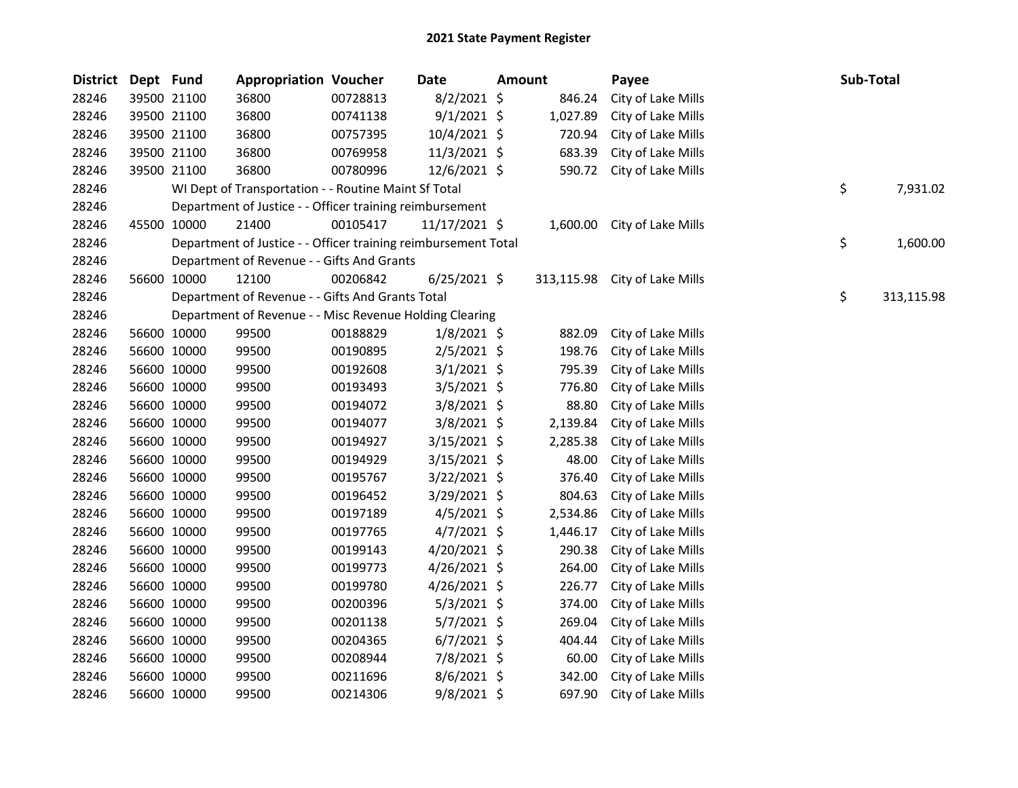| <b>District</b> | Dept Fund |             | <b>Appropriation Voucher</b>                                   |          | Date           | <b>Amount</b> |            | Payee              | Sub-Total        |
|-----------------|-----------|-------------|----------------------------------------------------------------|----------|----------------|---------------|------------|--------------------|------------------|
| 28246           |           | 39500 21100 | 36800                                                          | 00728813 | $8/2/2021$ \$  |               | 846.24     | City of Lake Mills |                  |
| 28246           |           | 39500 21100 | 36800                                                          | 00741138 | $9/1/2021$ \$  |               | 1,027.89   | City of Lake Mills |                  |
| 28246           |           | 39500 21100 | 36800                                                          | 00757395 | 10/4/2021 \$   |               | 720.94     | City of Lake Mills |                  |
| 28246           |           | 39500 21100 | 36800                                                          | 00769958 | 11/3/2021 \$   |               | 683.39     | City of Lake Mills |                  |
| 28246           |           | 39500 21100 | 36800                                                          | 00780996 | $12/6/2021$ \$ |               | 590.72     | City of Lake Mills |                  |
| 28246           |           |             | WI Dept of Transportation - - Routine Maint Sf Total           |          |                |               |            |                    | \$<br>7,931.02   |
| 28246           |           |             | Department of Justice - - Officer training reimbursement       |          |                |               |            |                    |                  |
| 28246           |           | 45500 10000 | 21400                                                          | 00105417 | 11/17/2021 \$  |               | 1,600.00   | City of Lake Mills |                  |
| 28246           |           |             | Department of Justice - - Officer training reimbursement Total |          |                |               |            |                    | \$<br>1,600.00   |
| 28246           |           |             | Department of Revenue - - Gifts And Grants                     |          |                |               |            |                    |                  |
| 28246           |           | 56600 10000 | 12100                                                          | 00206842 | $6/25/2021$ \$ |               | 313,115.98 | City of Lake Mills |                  |
| 28246           |           |             | Department of Revenue - - Gifts And Grants Total               |          |                |               |            |                    | \$<br>313,115.98 |
| 28246           |           |             | Department of Revenue - - Misc Revenue Holding Clearing        |          |                |               |            |                    |                  |
| 28246           |           | 56600 10000 | 99500                                                          | 00188829 | $1/8/2021$ \$  |               | 882.09     | City of Lake Mills |                  |
| 28246           |           | 56600 10000 | 99500                                                          | 00190895 | $2/5/2021$ \$  |               | 198.76     | City of Lake Mills |                  |
| 28246           |           | 56600 10000 | 99500                                                          | 00192608 | $3/1/2021$ \$  |               | 795.39     | City of Lake Mills |                  |
| 28246           |           | 56600 10000 | 99500                                                          | 00193493 | 3/5/2021 \$    |               | 776.80     | City of Lake Mills |                  |
| 28246           |           | 56600 10000 | 99500                                                          | 00194072 | $3/8/2021$ \$  |               | 88.80      | City of Lake Mills |                  |
| 28246           |           | 56600 10000 | 99500                                                          | 00194077 | 3/8/2021 \$    |               | 2,139.84   | City of Lake Mills |                  |
| 28246           |           | 56600 10000 | 99500                                                          | 00194927 | $3/15/2021$ \$ |               | 2,285.38   | City of Lake Mills |                  |
| 28246           |           | 56600 10000 | 99500                                                          | 00194929 | $3/15/2021$ \$ |               | 48.00      | City of Lake Mills |                  |
| 28246           |           | 56600 10000 | 99500                                                          | 00195767 | $3/22/2021$ \$ |               | 376.40     | City of Lake Mills |                  |
| 28246           |           | 56600 10000 | 99500                                                          | 00196452 | 3/29/2021 \$   |               | 804.63     | City of Lake Mills |                  |
| 28246           |           | 56600 10000 | 99500                                                          | 00197189 | $4/5/2021$ \$  |               | 2,534.86   | City of Lake Mills |                  |
| 28246           |           | 56600 10000 | 99500                                                          | 00197765 | $4/7/2021$ \$  |               | 1,446.17   | City of Lake Mills |                  |
| 28246           |           | 56600 10000 | 99500                                                          | 00199143 | $4/20/2021$ \$ |               | 290.38     | City of Lake Mills |                  |
| 28246           |           | 56600 10000 | 99500                                                          | 00199773 | $4/26/2021$ \$ |               | 264.00     | City of Lake Mills |                  |
| 28246           |           | 56600 10000 | 99500                                                          | 00199780 | 4/26/2021 \$   |               | 226.77     | City of Lake Mills |                  |
| 28246           |           | 56600 10000 | 99500                                                          | 00200396 | $5/3/2021$ \$  |               | 374.00     | City of Lake Mills |                  |
| 28246           |           | 56600 10000 | 99500                                                          | 00201138 | $5/7/2021$ \$  |               | 269.04     | City of Lake Mills |                  |
| 28246           |           | 56600 10000 | 99500                                                          | 00204365 | $6/7/2021$ \$  |               | 404.44     | City of Lake Mills |                  |
| 28246           |           | 56600 10000 | 99500                                                          | 00208944 | 7/8/2021 \$    |               | 60.00      | City of Lake Mills |                  |
| 28246           |           | 56600 10000 | 99500                                                          | 00211696 | $8/6/2021$ \$  |               | 342.00     | City of Lake Mills |                  |
| 28246           |           | 56600 10000 | 99500                                                          | 00214306 | 9/8/2021 \$    |               | 697.90     | City of Lake Mills |                  |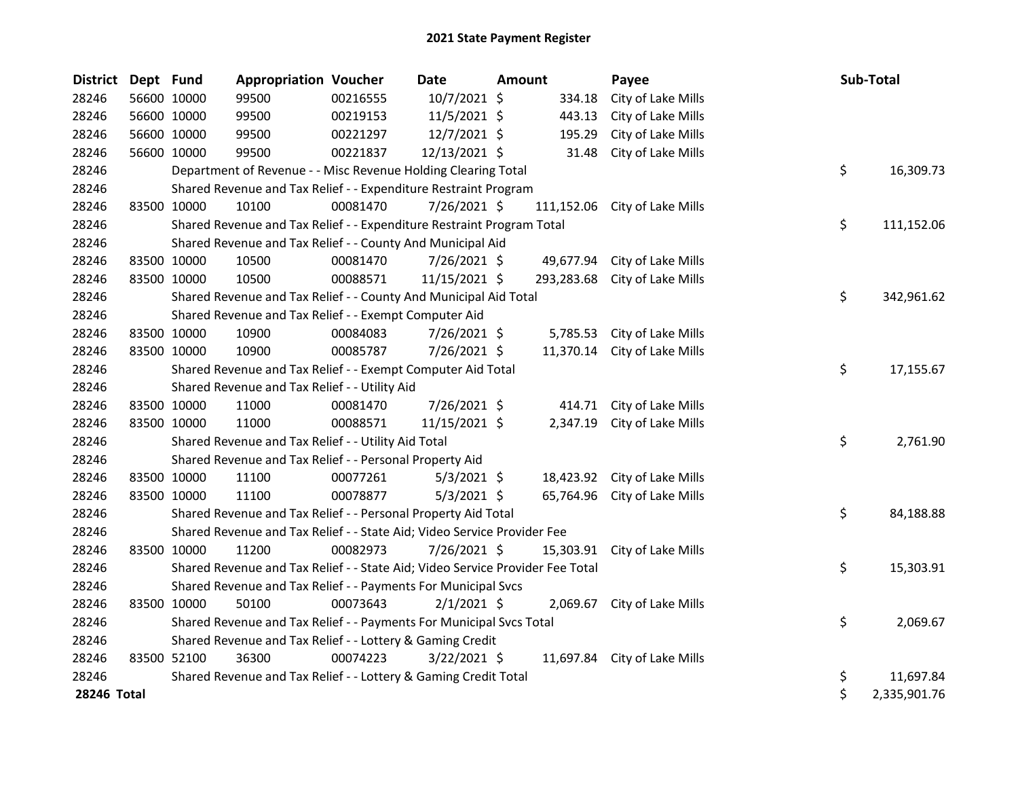| <b>District</b> | Dept Fund |             | <b>Appropriation Voucher</b>                                                  |          | <b>Date</b>    | <b>Amount</b> |            | Payee                        | Sub-Total          |
|-----------------|-----------|-------------|-------------------------------------------------------------------------------|----------|----------------|---------------|------------|------------------------------|--------------------|
| 28246           |           | 56600 10000 | 99500                                                                         | 00216555 | 10/7/2021 \$   |               | 334.18     | City of Lake Mills           |                    |
| 28246           |           | 56600 10000 | 99500                                                                         | 00219153 | 11/5/2021 \$   |               | 443.13     | City of Lake Mills           |                    |
| 28246           |           | 56600 10000 | 99500                                                                         | 00221297 | 12/7/2021 \$   |               | 195.29     | City of Lake Mills           |                    |
| 28246           |           | 56600 10000 | 99500                                                                         | 00221837 | 12/13/2021 \$  |               | 31.48      | City of Lake Mills           |                    |
| 28246           |           |             | Department of Revenue - - Misc Revenue Holding Clearing Total                 |          |                |               |            |                              | \$<br>16,309.73    |
| 28246           |           |             | Shared Revenue and Tax Relief - - Expenditure Restraint Program               |          |                |               |            |                              |                    |
| 28246           |           | 83500 10000 | 10100                                                                         | 00081470 | 7/26/2021 \$   |               | 111,152.06 | City of Lake Mills           |                    |
| 28246           |           |             | Shared Revenue and Tax Relief - - Expenditure Restraint Program Total         |          |                |               |            |                              | \$<br>111,152.06   |
| 28246           |           |             | Shared Revenue and Tax Relief - - County And Municipal Aid                    |          |                |               |            |                              |                    |
| 28246           |           | 83500 10000 | 10500                                                                         | 00081470 | 7/26/2021 \$   |               | 49,677.94  | City of Lake Mills           |                    |
| 28246           |           | 83500 10000 | 10500                                                                         | 00088571 | 11/15/2021 \$  |               | 293,283.68 | City of Lake Mills           |                    |
| 28246           |           |             | Shared Revenue and Tax Relief - - County And Municipal Aid Total              |          |                |               |            |                              | \$<br>342,961.62   |
| 28246           |           |             | Shared Revenue and Tax Relief - - Exempt Computer Aid                         |          |                |               |            |                              |                    |
| 28246           |           | 83500 10000 | 10900                                                                         | 00084083 | 7/26/2021 \$   |               | 5,785.53   | City of Lake Mills           |                    |
| 28246           |           | 83500 10000 | 10900                                                                         | 00085787 | 7/26/2021 \$   |               | 11,370.14  | City of Lake Mills           |                    |
| 28246           |           |             | Shared Revenue and Tax Relief - - Exempt Computer Aid Total                   |          |                |               |            |                              | \$<br>17,155.67    |
| 28246           |           |             | Shared Revenue and Tax Relief - - Utility Aid                                 |          |                |               |            |                              |                    |
| 28246           |           | 83500 10000 | 11000                                                                         | 00081470 | 7/26/2021 \$   |               | 414.71     | City of Lake Mills           |                    |
| 28246           |           | 83500 10000 | 11000                                                                         | 00088571 | 11/15/2021 \$  |               | 2,347.19   | City of Lake Mills           |                    |
| 28246           |           |             | Shared Revenue and Tax Relief - - Utility Aid Total                           |          |                |               |            |                              | \$<br>2,761.90     |
| 28246           |           |             | Shared Revenue and Tax Relief - - Personal Property Aid                       |          |                |               |            |                              |                    |
| 28246           |           | 83500 10000 | 11100                                                                         | 00077261 | $5/3/2021$ \$  |               | 18,423.92  | City of Lake Mills           |                    |
| 28246           |           | 83500 10000 | 11100                                                                         | 00078877 | $5/3/2021$ \$  |               | 65,764.96  | City of Lake Mills           |                    |
| 28246           |           |             | Shared Revenue and Tax Relief - - Personal Property Aid Total                 |          |                |               |            |                              | \$<br>84,188.88    |
| 28246           |           |             | Shared Revenue and Tax Relief - - State Aid; Video Service Provider Fee       |          |                |               |            |                              |                    |
| 28246           |           | 83500 10000 | 11200                                                                         | 00082973 | 7/26/2021 \$   |               | 15,303.91  | City of Lake Mills           |                    |
| 28246           |           |             | Shared Revenue and Tax Relief - - State Aid; Video Service Provider Fee Total |          |                |               |            |                              | \$<br>15,303.91    |
| 28246           |           |             | Shared Revenue and Tax Relief - - Payments For Municipal Svcs                 |          |                |               |            |                              |                    |
| 28246           |           | 83500 10000 | 50100                                                                         | 00073643 | $2/1/2021$ \$  |               | 2,069.67   | City of Lake Mills           |                    |
| 28246           |           |             | Shared Revenue and Tax Relief - - Payments For Municipal Svcs Total           |          |                |               |            |                              | \$<br>2,069.67     |
| 28246           |           |             | Shared Revenue and Tax Relief - - Lottery & Gaming Credit                     |          |                |               |            |                              |                    |
| 28246           |           | 83500 52100 | 36300                                                                         | 00074223 | $3/22/2021$ \$ |               |            | 11,697.84 City of Lake Mills |                    |
| 28246           |           |             | Shared Revenue and Tax Relief - - Lottery & Gaming Credit Total               |          |                |               |            |                              | \$<br>11,697.84    |
| 28246 Total     |           |             |                                                                               |          |                |               |            |                              | \$<br>2,335,901.76 |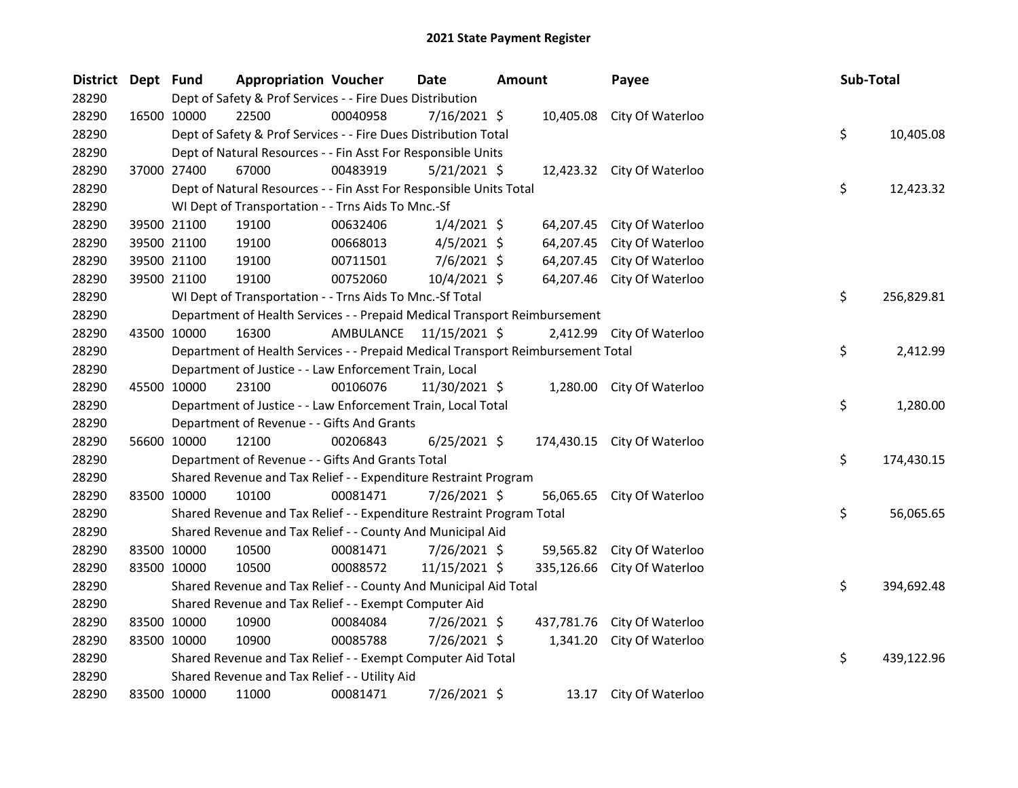| District Dept Fund |             |                                                                                 | <b>Appropriation Voucher</b> | Date           | Amount |            | Payee                       | Sub-Total |            |
|--------------------|-------------|---------------------------------------------------------------------------------|------------------------------|----------------|--------|------------|-----------------------------|-----------|------------|
| 28290              |             | Dept of Safety & Prof Services - - Fire Dues Distribution                       |                              |                |        |            |                             |           |            |
| 28290              |             | 22500<br>16500 10000                                                            | 00040958                     | 7/16/2021 \$   |        |            | 10,405.08 City Of Waterloo  |           |            |
| 28290              |             | Dept of Safety & Prof Services - - Fire Dues Distribution Total                 |                              |                |        |            |                             | \$        | 10,405.08  |
| 28290              |             | Dept of Natural Resources - - Fin Asst For Responsible Units                    |                              |                |        |            |                             |           |            |
| 28290              |             | 37000 27400<br>67000                                                            | 00483919                     | $5/21/2021$ \$ |        |            | 12,423.32 City Of Waterloo  |           |            |
| 28290              |             | Dept of Natural Resources - - Fin Asst For Responsible Units Total              |                              |                |        |            |                             | \$        | 12,423.32  |
| 28290              |             | WI Dept of Transportation - - Trns Aids To Mnc.-Sf                              |                              |                |        |            |                             |           |            |
| 28290              |             | 19100<br>39500 21100                                                            | 00632406                     | $1/4/2021$ \$  |        |            | 64,207.45 City Of Waterloo  |           |            |
| 28290              |             | 39500 21100<br>19100                                                            | 00668013                     | $4/5/2021$ \$  |        | 64,207.45  | City Of Waterloo            |           |            |
| 28290              |             | 39500 21100<br>19100                                                            | 00711501                     | $7/6/2021$ \$  |        | 64,207.45  | City Of Waterloo            |           |            |
| 28290              |             | 39500 21100<br>19100                                                            | 00752060                     | 10/4/2021 \$   |        |            | 64,207.46 City Of Waterloo  |           |            |
| 28290              |             | WI Dept of Transportation - - Trns Aids To Mnc.-Sf Total                        |                              |                |        |            |                             | \$        | 256,829.81 |
| 28290              |             | Department of Health Services - - Prepaid Medical Transport Reimbursement       |                              |                |        |            |                             |           |            |
| 28290              | 43500 10000 | 16300                                                                           | AMBULANCE                    | 11/15/2021 \$  |        |            | 2,412.99 City Of Waterloo   |           |            |
| 28290              |             | Department of Health Services - - Prepaid Medical Transport Reimbursement Total |                              |                |        |            |                             | \$        | 2,412.99   |
| 28290              |             | Department of Justice - - Law Enforcement Train, Local                          |                              |                |        |            |                             |           |            |
| 28290              |             | 45500 10000<br>23100                                                            | 00106076                     | 11/30/2021 \$  |        |            | 1,280.00 City Of Waterloo   |           |            |
| 28290              |             | Department of Justice - - Law Enforcement Train, Local Total                    |                              |                |        |            |                             | \$        | 1,280.00   |
| 28290              |             | Department of Revenue - - Gifts And Grants                                      |                              |                |        |            |                             |           |            |
| 28290              |             | 56600 10000<br>12100                                                            | 00206843                     | $6/25/2021$ \$ |        |            | 174,430.15 City Of Waterloo |           |            |
| 28290              |             | Department of Revenue - - Gifts And Grants Total                                |                              |                |        |            |                             | \$        | 174,430.15 |
| 28290              |             | Shared Revenue and Tax Relief - - Expenditure Restraint Program                 |                              |                |        |            |                             |           |            |
| 28290              | 83500 10000 | 10100                                                                           | 00081471                     | 7/26/2021 \$   |        |            | 56,065.65 City Of Waterloo  |           |            |
| 28290              |             | Shared Revenue and Tax Relief - - Expenditure Restraint Program Total           |                              |                |        |            |                             | \$        | 56,065.65  |
| 28290              |             | Shared Revenue and Tax Relief - - County And Municipal Aid                      |                              |                |        |            |                             |           |            |
| 28290              |             | 83500 10000<br>10500                                                            | 00081471                     | 7/26/2021 \$   |        |            | 59,565.82 City Of Waterloo  |           |            |
| 28290              | 83500 10000 | 10500                                                                           | 00088572                     | 11/15/2021 \$  |        | 335,126.66 | City Of Waterloo            |           |            |
| 28290              |             | Shared Revenue and Tax Relief - - County And Municipal Aid Total                |                              |                |        |            |                             | \$        | 394,692.48 |
| 28290              |             | Shared Revenue and Tax Relief - - Exempt Computer Aid                           |                              |                |        |            |                             |           |            |
| 28290              |             | 83500 10000<br>10900                                                            | 00084084                     | 7/26/2021 \$   |        |            | 437,781.76 City Of Waterloo |           |            |
| 28290              |             | 10900<br>83500 10000                                                            | 00085788                     | 7/26/2021 \$   |        |            | 1,341.20 City Of Waterloo   |           |            |
| 28290              |             | Shared Revenue and Tax Relief - - Exempt Computer Aid Total                     |                              |                |        |            |                             | \$        | 439,122.96 |
| 28290              |             | Shared Revenue and Tax Relief - - Utility Aid                                   |                              |                |        |            |                             |           |            |
| 28290              | 83500 10000 | 11000                                                                           | 00081471                     | 7/26/2021 \$   |        | 13.17      | City Of Waterloo            |           |            |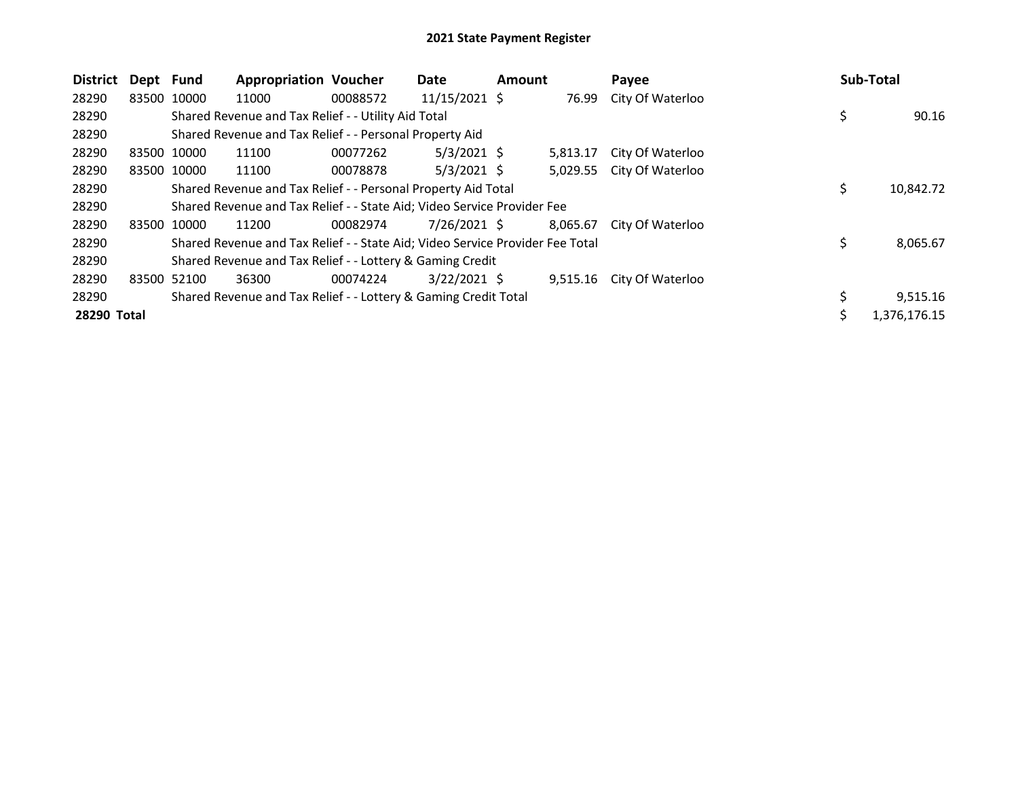## 2021 State Payment Register

| <b>District</b> | Dept Fund   | <b>Appropriation Voucher</b>                                                  |          | Date            | <b>Amount</b> |          | Payee                     | Sub-Total |              |
|-----------------|-------------|-------------------------------------------------------------------------------|----------|-----------------|---------------|----------|---------------------------|-----------|--------------|
| 28290           | 83500 10000 | 11000                                                                         | 00088572 | $11/15/2021$ \$ |               | 76.99    | City Of Waterloo          |           |              |
| 28290           |             | Shared Revenue and Tax Relief - - Utility Aid Total                           |          |                 |               |          |                           | \$        | 90.16        |
| 28290           |             | Shared Revenue and Tax Relief - - Personal Property Aid                       |          |                 |               |          |                           |           |              |
| 28290           | 83500 10000 | 11100                                                                         | 00077262 | $5/3/2021$ \$   |               | 5,813.17 | City Of Waterloo          |           |              |
| 28290           | 83500 10000 | 11100                                                                         | 00078878 | $5/3/2021$ \$   |               |          | 5,029.55 City Of Waterloo |           |              |
| 28290           |             | Shared Revenue and Tax Relief - - Personal Property Aid Total                 |          |                 |               |          |                           | \$        | 10,842.72    |
| 28290           |             | Shared Revenue and Tax Relief - - State Aid; Video Service Provider Fee       |          |                 |               |          |                           |           |              |
| 28290           | 83500 10000 | 11200                                                                         | 00082974 | $7/26/2021$ \$  |               | 8,065.67 | City Of Waterloo          |           |              |
| 28290           |             | Shared Revenue and Tax Relief - - State Aid; Video Service Provider Fee Total |          |                 |               |          |                           | \$        | 8,065.67     |
| 28290           |             | Shared Revenue and Tax Relief - - Lottery & Gaming Credit                     |          |                 |               |          |                           |           |              |
| 28290           | 83500 52100 | 36300                                                                         | 00074224 | $3/22/2021$ \$  |               |          | 9,515.16 City Of Waterloo |           |              |
| 28290           |             | Shared Revenue and Tax Relief - - Lottery & Gaming Credit Total               |          |                 |               |          |                           |           | 9,515.16     |
| 28290 Total     |             |                                                                               |          |                 |               |          |                           |           | 1,376,176.15 |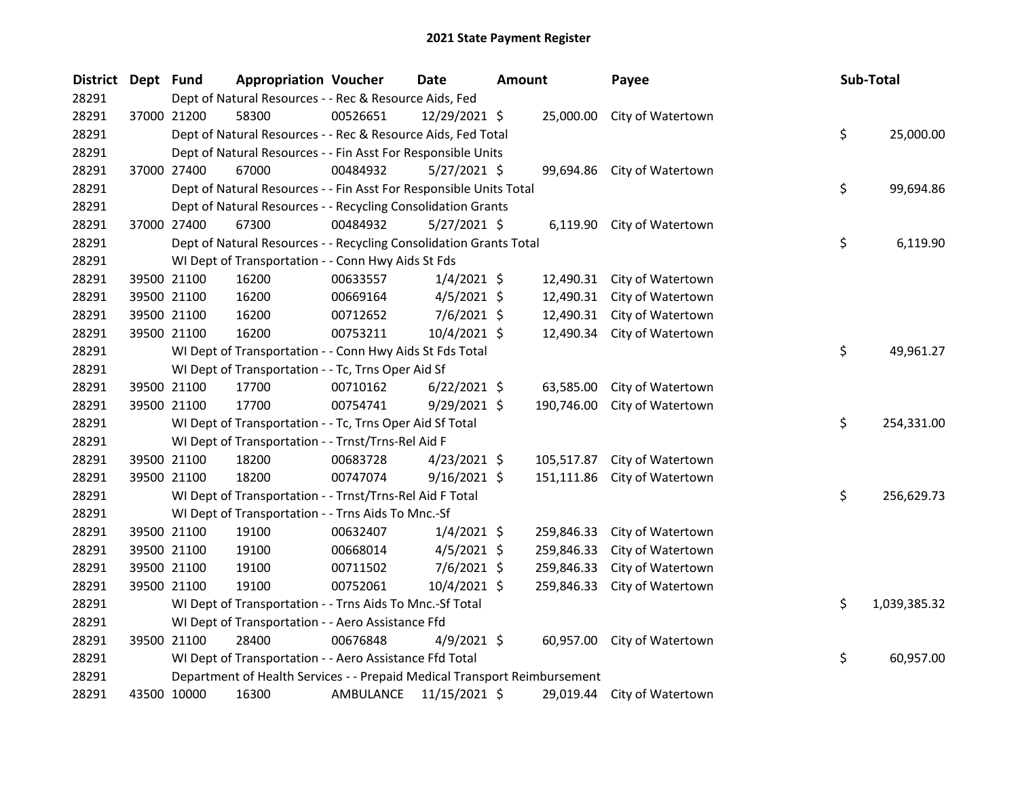| <b>District</b> | Dept Fund |             | <b>Appropriation Voucher</b>                                              |           | Date           | <b>Amount</b> |            | Payee                       | Sub-Total |              |
|-----------------|-----------|-------------|---------------------------------------------------------------------------|-----------|----------------|---------------|------------|-----------------------------|-----------|--------------|
| 28291           |           |             | Dept of Natural Resources - - Rec & Resource Aids, Fed                    |           |                |               |            |                             |           |              |
| 28291           |           | 37000 21200 | 58300                                                                     | 00526651  | 12/29/2021 \$  |               | 25,000.00  | City of Watertown           |           |              |
| 28291           |           |             | Dept of Natural Resources - - Rec & Resource Aids, Fed Total              |           |                |               |            |                             | \$        | 25,000.00    |
| 28291           |           |             | Dept of Natural Resources - - Fin Asst For Responsible Units              |           |                |               |            |                             |           |              |
| 28291           |           | 37000 27400 | 67000                                                                     | 00484932  | $5/27/2021$ \$ |               |            | 99,694.86 City of Watertown |           |              |
| 28291           |           |             | Dept of Natural Resources - - Fin Asst For Responsible Units Total        |           |                |               |            |                             | \$        | 99,694.86    |
| 28291           |           |             | Dept of Natural Resources - - Recycling Consolidation Grants              |           |                |               |            |                             |           |              |
| 28291           |           | 37000 27400 | 67300                                                                     | 00484932  | 5/27/2021 \$   |               |            | 6,119.90 City of Watertown  |           |              |
| 28291           |           |             | Dept of Natural Resources - - Recycling Consolidation Grants Total        |           |                |               |            |                             | \$        | 6,119.90     |
| 28291           |           |             | WI Dept of Transportation - - Conn Hwy Aids St Fds                        |           |                |               |            |                             |           |              |
| 28291           |           | 39500 21100 | 16200                                                                     | 00633557  | $1/4/2021$ \$  |               | 12,490.31  | City of Watertown           |           |              |
| 28291           |           | 39500 21100 | 16200                                                                     | 00669164  | $4/5/2021$ \$  |               | 12,490.31  | City of Watertown           |           |              |
| 28291           |           | 39500 21100 | 16200                                                                     | 00712652  | 7/6/2021 \$    |               | 12,490.31  | City of Watertown           |           |              |
| 28291           |           | 39500 21100 | 16200                                                                     | 00753211  | 10/4/2021 \$   |               | 12,490.34  | City of Watertown           |           |              |
| 28291           |           |             | WI Dept of Transportation - - Conn Hwy Aids St Fds Total                  |           |                |               |            |                             | \$        | 49,961.27    |
| 28291           |           |             | WI Dept of Transportation - - Tc, Trns Oper Aid Sf                        |           |                |               |            |                             |           |              |
| 28291           |           | 39500 21100 | 17700                                                                     | 00710162  | $6/22/2021$ \$ |               | 63,585.00  | City of Watertown           |           |              |
| 28291           |           | 39500 21100 | 17700                                                                     | 00754741  | $9/29/2021$ \$ |               | 190,746.00 | City of Watertown           |           |              |
| 28291           |           |             | WI Dept of Transportation - - Tc, Trns Oper Aid Sf Total                  |           |                |               |            |                             | \$        | 254,331.00   |
| 28291           |           |             | WI Dept of Transportation - - Trnst/Trns-Rel Aid F                        |           |                |               |            |                             |           |              |
| 28291           |           | 39500 21100 | 18200                                                                     | 00683728  | $4/23/2021$ \$ |               | 105,517.87 | City of Watertown           |           |              |
| 28291           |           | 39500 21100 | 18200                                                                     | 00747074  | $9/16/2021$ \$ |               | 151,111.86 | City of Watertown           |           |              |
| 28291           |           |             | WI Dept of Transportation - - Trnst/Trns-Rel Aid F Total                  |           |                |               |            |                             | \$        | 256,629.73   |
| 28291           |           |             | WI Dept of Transportation - - Trns Aids To Mnc.-Sf                        |           |                |               |            |                             |           |              |
| 28291           |           | 39500 21100 | 19100                                                                     | 00632407  | $1/4/2021$ \$  |               | 259,846.33 | City of Watertown           |           |              |
| 28291           |           | 39500 21100 | 19100                                                                     | 00668014  | $4/5/2021$ \$  |               | 259,846.33 | City of Watertown           |           |              |
| 28291           |           | 39500 21100 | 19100                                                                     | 00711502  | 7/6/2021 \$    |               | 259,846.33 | City of Watertown           |           |              |
| 28291           |           | 39500 21100 | 19100                                                                     | 00752061  | 10/4/2021 \$   |               | 259,846.33 | City of Watertown           |           |              |
| 28291           |           |             | WI Dept of Transportation - - Trns Aids To Mnc.-Sf Total                  |           |                |               |            |                             | \$        | 1,039,385.32 |
| 28291           |           |             | WI Dept of Transportation - - Aero Assistance Ffd                         |           |                |               |            |                             |           |              |
| 28291           |           | 39500 21100 | 28400                                                                     | 00676848  | $4/9/2021$ \$  |               | 60,957.00  | City of Watertown           |           |              |
| 28291           |           |             | WI Dept of Transportation - - Aero Assistance Ffd Total                   |           |                |               |            |                             | \$        | 60,957.00    |
| 28291           |           |             | Department of Health Services - - Prepaid Medical Transport Reimbursement |           |                |               |            |                             |           |              |
| 28291           |           | 43500 10000 | 16300                                                                     | AMBULANCE | 11/15/2021 \$  |               |            | 29,019.44 City of Watertown |           |              |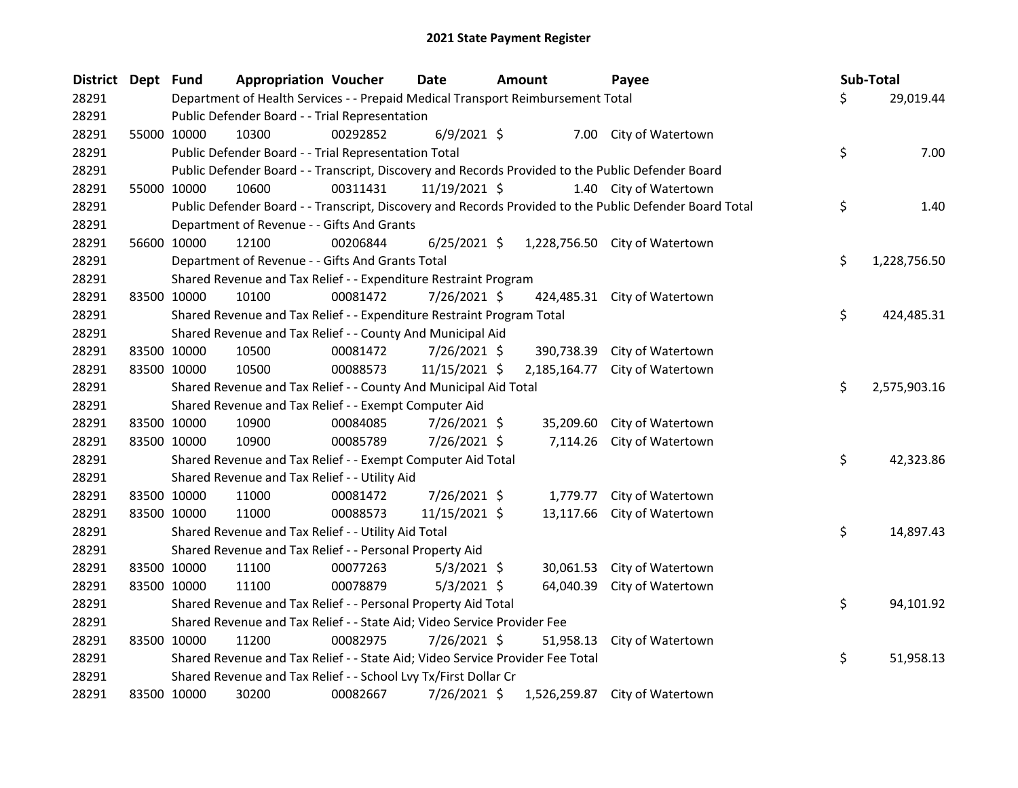| District Dept Fund |             | <b>Appropriation Voucher</b>                                                    |          | <b>Date</b>    | <b>Amount</b> |              | Payee                                                                                                   | Sub-Total          |
|--------------------|-------------|---------------------------------------------------------------------------------|----------|----------------|---------------|--------------|---------------------------------------------------------------------------------------------------------|--------------------|
| 28291              |             | Department of Health Services - - Prepaid Medical Transport Reimbursement Total |          |                |               |              |                                                                                                         | \$<br>29,019.44    |
| 28291              |             | Public Defender Board - - Trial Representation                                  |          |                |               |              |                                                                                                         |                    |
| 28291              | 55000 10000 | 10300                                                                           | 00292852 | $6/9/2021$ \$  |               |              | 7.00 City of Watertown                                                                                  |                    |
| 28291              |             | Public Defender Board - - Trial Representation Total                            |          |                |               |              |                                                                                                         | \$<br>7.00         |
| 28291              |             |                                                                                 |          |                |               |              | Public Defender Board - - Transcript, Discovery and Records Provided to the Public Defender Board       |                    |
| 28291              | 55000 10000 | 10600                                                                           | 00311431 | 11/19/2021 \$  |               |              | 1.40 City of Watertown                                                                                  |                    |
| 28291              |             |                                                                                 |          |                |               |              | Public Defender Board - - Transcript, Discovery and Records Provided to the Public Defender Board Total | \$<br>1.40         |
| 28291              |             | Department of Revenue - - Gifts And Grants                                      |          |                |               |              |                                                                                                         |                    |
| 28291              | 56600 10000 | 12100                                                                           | 00206844 | $6/25/2021$ \$ |               |              | 1,228,756.50 City of Watertown                                                                          |                    |
| 28291              |             | Department of Revenue - - Gifts And Grants Total                                |          |                |               |              |                                                                                                         | \$<br>1,228,756.50 |
| 28291              |             | Shared Revenue and Tax Relief - - Expenditure Restraint Program                 |          |                |               |              |                                                                                                         |                    |
| 28291              | 83500 10000 | 10100                                                                           | 00081472 | 7/26/2021 \$   |               |              | 424,485.31 City of Watertown                                                                            |                    |
| 28291              |             | Shared Revenue and Tax Relief - - Expenditure Restraint Program Total           |          |                |               |              |                                                                                                         | \$<br>424,485.31   |
| 28291              |             | Shared Revenue and Tax Relief - - County And Municipal Aid                      |          |                |               |              |                                                                                                         |                    |
| 28291              | 83500 10000 | 10500                                                                           | 00081472 | 7/26/2021 \$   |               | 390,738.39   | City of Watertown                                                                                       |                    |
| 28291              | 83500 10000 | 10500                                                                           | 00088573 | 11/15/2021 \$  |               | 2,185,164.77 | City of Watertown                                                                                       |                    |
| 28291              |             | Shared Revenue and Tax Relief - - County And Municipal Aid Total                |          |                |               |              |                                                                                                         | \$<br>2,575,903.16 |
| 28291              |             | Shared Revenue and Tax Relief - - Exempt Computer Aid                           |          |                |               |              |                                                                                                         |                    |
| 28291              | 83500 10000 | 10900                                                                           | 00084085 | 7/26/2021 \$   |               | 35,209.60    | City of Watertown                                                                                       |                    |
| 28291              | 83500 10000 | 10900                                                                           | 00085789 | 7/26/2021 \$   |               | 7,114.26     | City of Watertown                                                                                       |                    |
| 28291              |             | Shared Revenue and Tax Relief - - Exempt Computer Aid Total                     |          |                |               |              |                                                                                                         | \$<br>42,323.86    |
| 28291              |             | Shared Revenue and Tax Relief - - Utility Aid                                   |          |                |               |              |                                                                                                         |                    |
| 28291              | 83500 10000 | 11000                                                                           | 00081472 | 7/26/2021 \$   |               | 1,779.77     | City of Watertown                                                                                       |                    |
| 28291              | 83500 10000 | 11000                                                                           | 00088573 | 11/15/2021 \$  |               | 13,117.66    | City of Watertown                                                                                       |                    |
| 28291              |             | Shared Revenue and Tax Relief - - Utility Aid Total                             |          |                |               |              |                                                                                                         | \$<br>14,897.43    |
| 28291              |             | Shared Revenue and Tax Relief - - Personal Property Aid                         |          |                |               |              |                                                                                                         |                    |
| 28291              | 83500 10000 | 11100                                                                           | 00077263 | $5/3/2021$ \$  |               | 30,061.53    | City of Watertown                                                                                       |                    |
| 28291              | 83500 10000 | 11100                                                                           | 00078879 | $5/3/2021$ \$  |               | 64,040.39    | City of Watertown                                                                                       |                    |
| 28291              |             | Shared Revenue and Tax Relief - - Personal Property Aid Total                   |          |                |               |              |                                                                                                         | \$<br>94,101.92    |
| 28291              |             | Shared Revenue and Tax Relief - - State Aid; Video Service Provider Fee         |          |                |               |              |                                                                                                         |                    |
| 28291              | 83500 10000 | 11200                                                                           | 00082975 | 7/26/2021 \$   |               | 51,958.13    | City of Watertown                                                                                       |                    |
| 28291              |             | Shared Revenue and Tax Relief - - State Aid; Video Service Provider Fee Total   |          |                |               |              |                                                                                                         | \$<br>51,958.13    |
| 28291              |             | Shared Revenue and Tax Relief - - School Lvy Tx/First Dollar Cr                 |          |                |               |              |                                                                                                         |                    |
| 28291              | 83500 10000 | 30200                                                                           | 00082667 | 7/26/2021 \$   |               |              | 1,526,259.87 City of Watertown                                                                          |                    |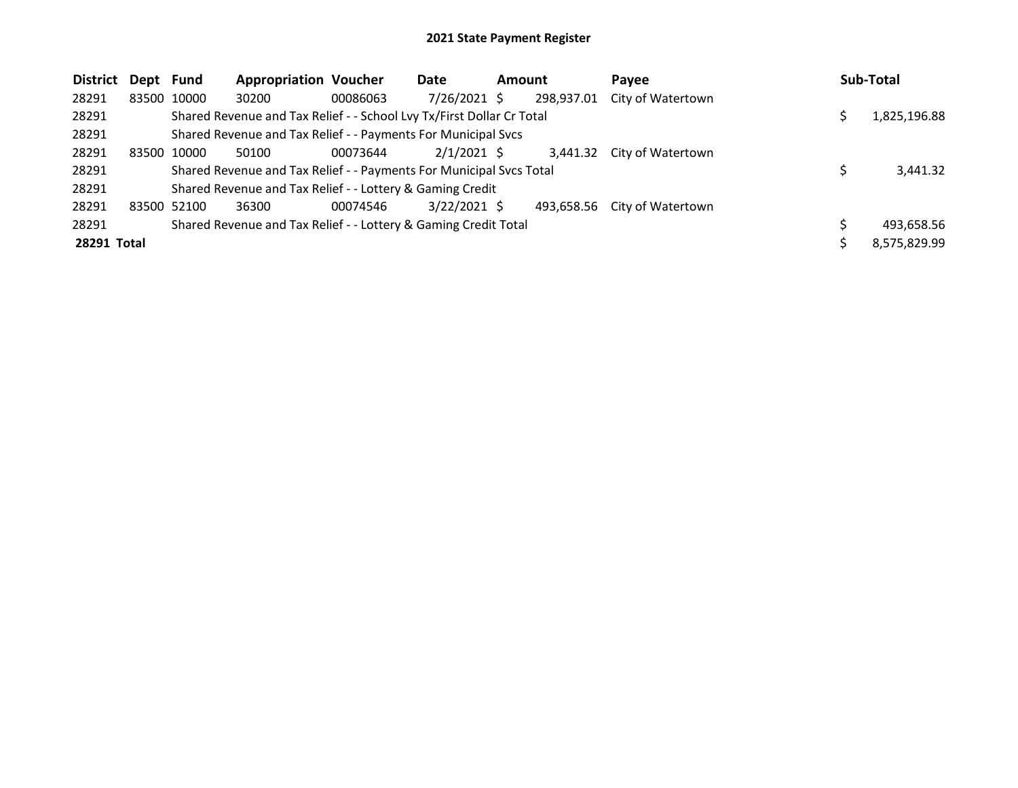| District Dept Fund |             | <b>Appropriation Voucher</b>                                          |          | Date           | <b>Amount</b> |            | Pavee                        | Sub-Total    |
|--------------------|-------------|-----------------------------------------------------------------------|----------|----------------|---------------|------------|------------------------------|--------------|
| 28291              | 83500 10000 | 30200                                                                 | 00086063 | 7/26/2021 \$   |               | 298,937.01 | City of Watertown            |              |
| 28291              |             | Shared Revenue and Tax Relief - - School Lvy Tx/First Dollar Cr Total |          |                |               |            |                              | 1,825,196.88 |
| 28291              |             | Shared Revenue and Tax Relief - - Payments For Municipal Svcs         |          |                |               |            |                              |              |
| 28291              | 83500 10000 | 50100                                                                 | 00073644 | $2/1/2021$ \$  |               |            | 3,441.32 City of Watertown   |              |
| 28291              |             | Shared Revenue and Tax Relief - - Payments For Municipal Svcs Total   |          |                |               |            |                              | 3,441.32     |
| 28291              |             | Shared Revenue and Tax Relief - - Lottery & Gaming Credit             |          |                |               |            |                              |              |
| 28291              | 83500 52100 | 36300                                                                 | 00074546 | $3/22/2021$ \$ |               |            | 493,658.56 City of Watertown |              |
| 28291              |             | Shared Revenue and Tax Relief - - Lottery & Gaming Credit Total       |          |                |               |            |                              | 493,658.56   |
| 28291 Total        |             |                                                                       |          |                |               |            |                              | 8,575,829.99 |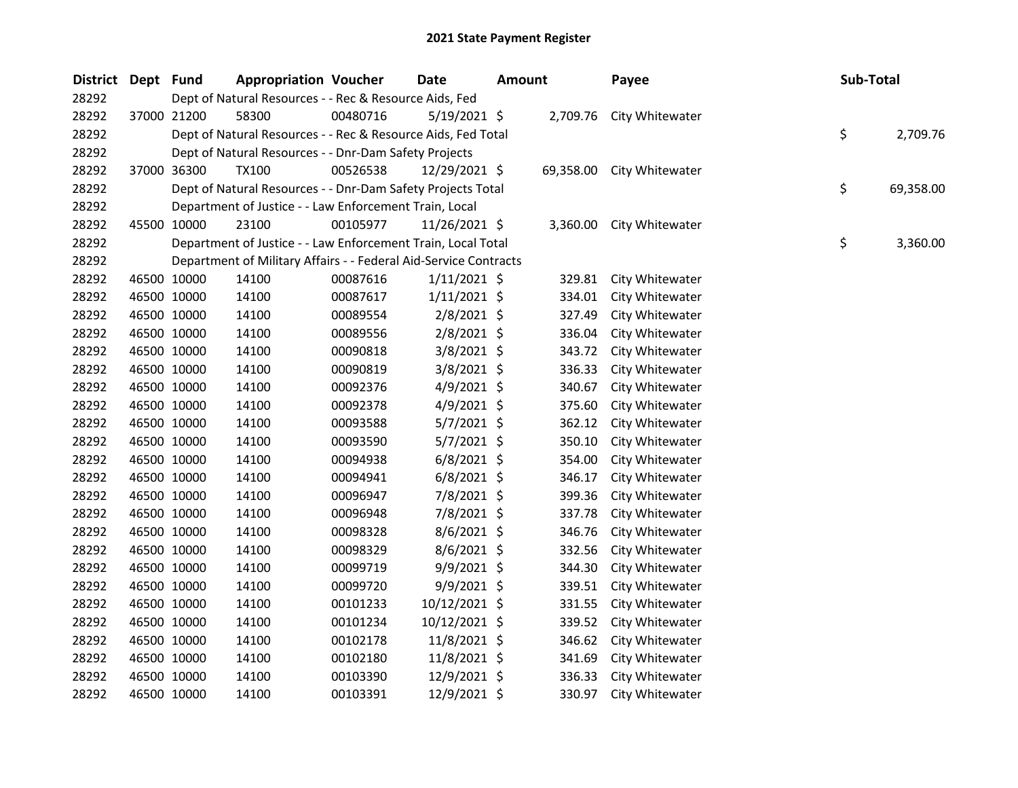| District Dept Fund |             | <b>Appropriation Voucher</b>                                     |          | <b>Date</b>    | <b>Amount</b> |           | Payee                    | Sub-Total |           |
|--------------------|-------------|------------------------------------------------------------------|----------|----------------|---------------|-----------|--------------------------|-----------|-----------|
| 28292              |             | Dept of Natural Resources - - Rec & Resource Aids, Fed           |          |                |               |           |                          |           |           |
| 28292              | 37000 21200 | 58300                                                            | 00480716 | $5/19/2021$ \$ |               |           | 2,709.76 City Whitewater |           |           |
| 28292              |             | Dept of Natural Resources - - Rec & Resource Aids, Fed Total     |          |                |               |           |                          | \$        | 2,709.76  |
| 28292              |             | Dept of Natural Resources - - Dnr-Dam Safety Projects            |          |                |               |           |                          |           |           |
| 28292              | 37000 36300 | <b>TX100</b>                                                     | 00526538 | 12/29/2021 \$  |               | 69,358.00 | City Whitewater          |           |           |
| 28292              |             | Dept of Natural Resources - - Dnr-Dam Safety Projects Total      |          |                |               |           |                          | \$        | 69,358.00 |
| 28292              |             | Department of Justice - - Law Enforcement Train, Local           |          |                |               |           |                          |           |           |
| 28292              | 45500 10000 | 23100                                                            | 00105977 | 11/26/2021 \$  |               | 3,360.00  | City Whitewater          |           |           |
| 28292              |             | Department of Justice - - Law Enforcement Train, Local Total     |          |                |               |           |                          | \$        | 3,360.00  |
| 28292              |             | Department of Military Affairs - - Federal Aid-Service Contracts |          |                |               |           |                          |           |           |
| 28292              | 46500 10000 | 14100                                                            | 00087616 | $1/11/2021$ \$ |               | 329.81    | City Whitewater          |           |           |
| 28292              | 46500 10000 | 14100                                                            | 00087617 | $1/11/2021$ \$ |               | 334.01    | City Whitewater          |           |           |
| 28292              | 46500 10000 | 14100                                                            | 00089554 | $2/8/2021$ \$  |               | 327.49    | City Whitewater          |           |           |
| 28292              | 46500 10000 | 14100                                                            | 00089556 | 2/8/2021 \$    |               | 336.04    | City Whitewater          |           |           |
| 28292              | 46500 10000 | 14100                                                            | 00090818 | $3/8/2021$ \$  |               | 343.72    | City Whitewater          |           |           |
| 28292              | 46500 10000 | 14100                                                            | 00090819 | 3/8/2021 \$    |               | 336.33    | City Whitewater          |           |           |
| 28292              | 46500 10000 | 14100                                                            | 00092376 | $4/9/2021$ \$  |               | 340.67    | City Whitewater          |           |           |
| 28292              | 46500 10000 | 14100                                                            | 00092378 | $4/9/2021$ \$  |               | 375.60    | City Whitewater          |           |           |
| 28292              | 46500 10000 | 14100                                                            | 00093588 | 5/7/2021 \$    |               | 362.12    | City Whitewater          |           |           |
| 28292              | 46500 10000 | 14100                                                            | 00093590 | $5/7/2021$ \$  |               | 350.10    | City Whitewater          |           |           |
| 28292              | 46500 10000 | 14100                                                            | 00094938 | $6/8/2021$ \$  |               | 354.00    | City Whitewater          |           |           |
| 28292              | 46500 10000 | 14100                                                            | 00094941 | $6/8/2021$ \$  |               | 346.17    | City Whitewater          |           |           |
| 28292              | 46500 10000 | 14100                                                            | 00096947 | 7/8/2021 \$    |               | 399.36    | City Whitewater          |           |           |
| 28292              | 46500 10000 | 14100                                                            | 00096948 | 7/8/2021 \$    |               | 337.78    | City Whitewater          |           |           |
| 28292              | 46500 10000 | 14100                                                            | 00098328 | $8/6/2021$ \$  |               | 346.76    | City Whitewater          |           |           |
| 28292              | 46500 10000 | 14100                                                            | 00098329 | 8/6/2021 \$    |               | 332.56    | City Whitewater          |           |           |
| 28292              | 46500 10000 | 14100                                                            | 00099719 | $9/9/2021$ \$  |               | 344.30    | City Whitewater          |           |           |
| 28292              | 46500 10000 | 14100                                                            | 00099720 | $9/9/2021$ \$  |               | 339.51    | City Whitewater          |           |           |
| 28292              | 46500 10000 | 14100                                                            | 00101233 | 10/12/2021 \$  |               | 331.55    | City Whitewater          |           |           |
| 28292              | 46500 10000 | 14100                                                            | 00101234 | 10/12/2021 \$  |               | 339.52    | City Whitewater          |           |           |
| 28292              | 46500 10000 | 14100                                                            | 00102178 | 11/8/2021 \$   |               | 346.62    | City Whitewater          |           |           |
| 28292              | 46500 10000 | 14100                                                            | 00102180 | 11/8/2021 \$   |               | 341.69    | City Whitewater          |           |           |
| 28292              | 46500 10000 | 14100                                                            | 00103390 | 12/9/2021 \$   |               | 336.33    | City Whitewater          |           |           |
| 28292              | 46500 10000 | 14100                                                            | 00103391 | 12/9/2021 \$   |               | 330.97    | City Whitewater          |           |           |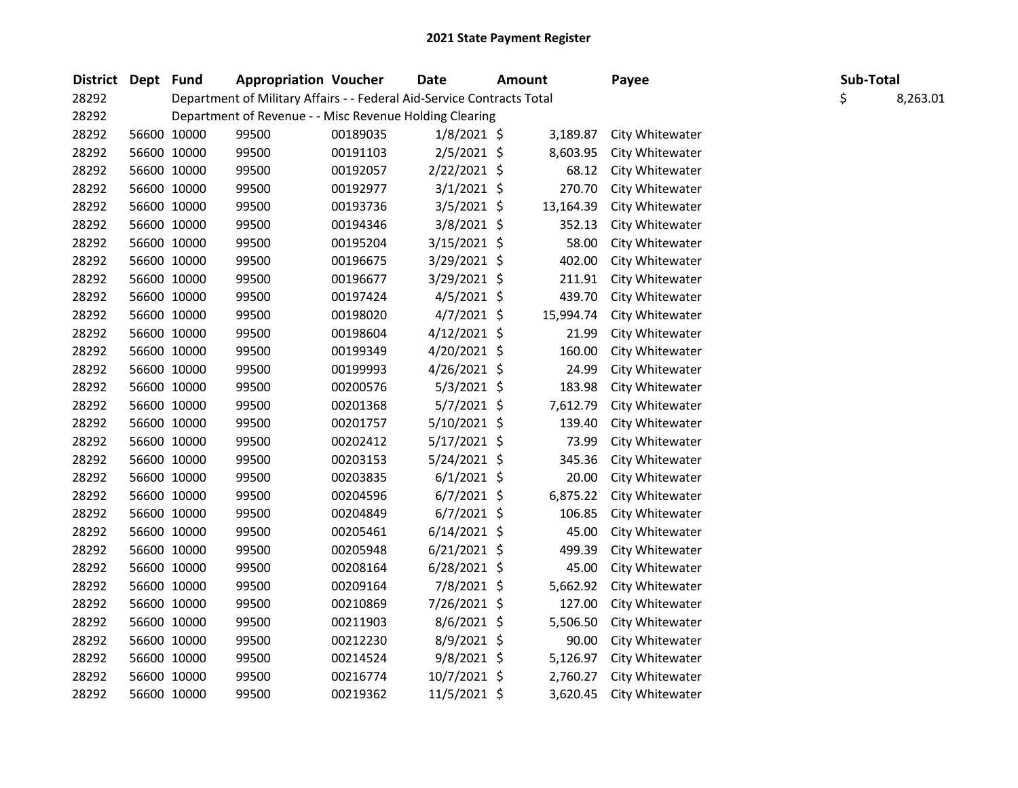| District Dept Fund | <b>Appropriation Voucher</b> |                                                                        | Date     | <b>Amount</b>  |  | Payee     | Sub-Total       |    |          |
|--------------------|------------------------------|------------------------------------------------------------------------|----------|----------------|--|-----------|-----------------|----|----------|
| 28292              |                              | Department of Military Affairs - - Federal Aid-Service Contracts Total |          |                |  |           |                 | \$ | 8,263.01 |
| 28292              |                              | Department of Revenue - - Misc Revenue Holding Clearing                |          |                |  |           |                 |    |          |
| 28292              | 56600 10000                  | 99500                                                                  | 00189035 | $1/8/2021$ \$  |  | 3,189.87  | City Whitewater |    |          |
| 28292              | 56600 10000                  | 99500                                                                  | 00191103 | $2/5/2021$ \$  |  | 8,603.95  | City Whitewater |    |          |
| 28292              | 56600 10000                  | 99500                                                                  | 00192057 | $2/22/2021$ \$ |  | 68.12     | City Whitewater |    |          |
| 28292              | 56600 10000                  | 99500                                                                  | 00192977 | $3/1/2021$ \$  |  | 270.70    | City Whitewater |    |          |
| 28292              | 56600 10000                  | 99500                                                                  | 00193736 | 3/5/2021 \$    |  | 13,164.39 | City Whitewater |    |          |
| 28292              | 56600 10000                  | 99500                                                                  | 00194346 | $3/8/2021$ \$  |  | 352.13    | City Whitewater |    |          |
| 28292              | 56600 10000                  | 99500                                                                  | 00195204 | $3/15/2021$ \$ |  | 58.00     | City Whitewater |    |          |
| 28292              | 56600 10000                  | 99500                                                                  | 00196675 | $3/29/2021$ \$ |  | 402.00    | City Whitewater |    |          |
| 28292              | 56600 10000                  | 99500                                                                  | 00196677 | $3/29/2021$ \$ |  | 211.91    | City Whitewater |    |          |
| 28292              | 56600 10000                  | 99500                                                                  | 00197424 | $4/5/2021$ \$  |  | 439.70    | City Whitewater |    |          |
| 28292              | 56600 10000                  | 99500                                                                  | 00198020 | $4/7/2021$ \$  |  | 15,994.74 | City Whitewater |    |          |
| 28292              | 56600 10000                  | 99500                                                                  | 00198604 | $4/12/2021$ \$ |  | 21.99     | City Whitewater |    |          |
| 28292              | 56600 10000                  | 99500                                                                  | 00199349 | $4/20/2021$ \$ |  | 160.00    | City Whitewater |    |          |
| 28292              | 56600 10000                  | 99500                                                                  | 00199993 | 4/26/2021 \$   |  | 24.99     | City Whitewater |    |          |
| 28292              | 56600 10000                  | 99500                                                                  | 00200576 | $5/3/2021$ \$  |  | 183.98    | City Whitewater |    |          |
| 28292              | 56600 10000                  | 99500                                                                  | 00201368 | $5/7/2021$ \$  |  | 7,612.79  | City Whitewater |    |          |
| 28292              | 56600 10000                  | 99500                                                                  | 00201757 | $5/10/2021$ \$ |  | 139.40    | City Whitewater |    |          |
| 28292              | 56600 10000                  | 99500                                                                  | 00202412 | $5/17/2021$ \$ |  | 73.99     | City Whitewater |    |          |
| 28292              | 56600 10000                  | 99500                                                                  | 00203153 | $5/24/2021$ \$ |  | 345.36    | City Whitewater |    |          |
| 28292              | 56600 10000                  | 99500                                                                  | 00203835 | $6/1/2021$ \$  |  | 20.00     | City Whitewater |    |          |
| 28292              | 56600 10000                  | 99500                                                                  | 00204596 | $6/7/2021$ \$  |  | 6,875.22  | City Whitewater |    |          |
| 28292              | 56600 10000                  | 99500                                                                  | 00204849 | $6/7/2021$ \$  |  | 106.85    | City Whitewater |    |          |
| 28292              | 56600 10000                  | 99500                                                                  | 00205461 | $6/14/2021$ \$ |  | 45.00     | City Whitewater |    |          |
| 28292              | 56600 10000                  | 99500                                                                  | 00205948 | $6/21/2021$ \$ |  | 499.39    | City Whitewater |    |          |
| 28292              | 56600 10000                  | 99500                                                                  | 00208164 | $6/28/2021$ \$ |  | 45.00     | City Whitewater |    |          |
| 28292              | 56600 10000                  | 99500                                                                  | 00209164 | 7/8/2021 \$    |  | 5,662.92  | City Whitewater |    |          |
| 28292              | 56600 10000                  | 99500                                                                  | 00210869 | 7/26/2021 \$   |  | 127.00    | City Whitewater |    |          |
| 28292              | 56600 10000                  | 99500                                                                  | 00211903 | 8/6/2021 \$    |  | 5,506.50  | City Whitewater |    |          |
| 28292              | 56600 10000                  | 99500                                                                  | 00212230 | 8/9/2021 \$    |  | 90.00     | City Whitewater |    |          |
| 28292              | 56600 10000                  | 99500                                                                  | 00214524 | 9/8/2021 \$    |  | 5,126.97  | City Whitewater |    |          |
| 28292              | 56600 10000                  | 99500                                                                  | 00216774 | $10/7/2021$ \$ |  | 2,760.27  | City Whitewater |    |          |
| 28292              | 56600 10000                  | 99500                                                                  | 00219362 | 11/5/2021 \$   |  | 3,620.45  | City Whitewater |    |          |